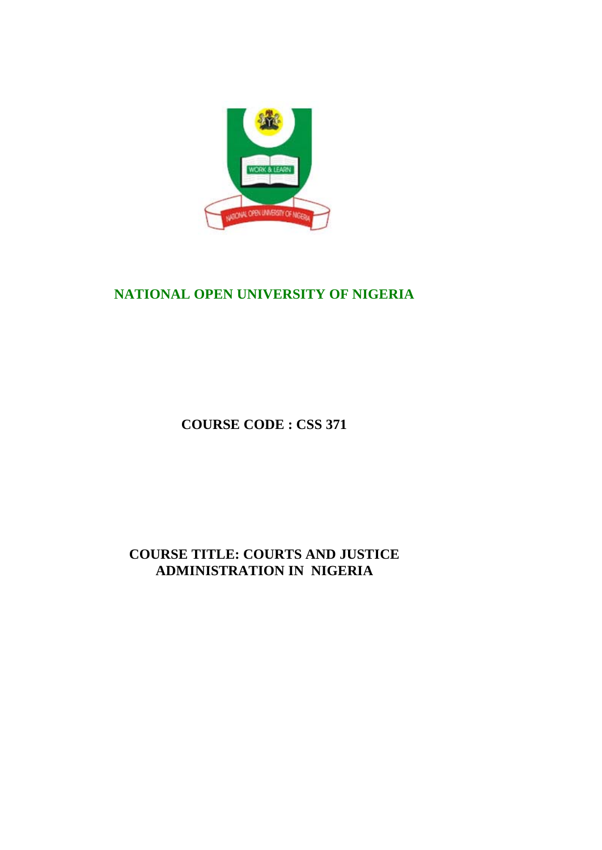

# **NATIONAL OPEN UNIVERSITY OF NIGERIA**

**COURSE CODE : CSS 371**

**COURSE TITLE: COURTS AND JUSTICE ADMINISTRATION IN NIGERIA**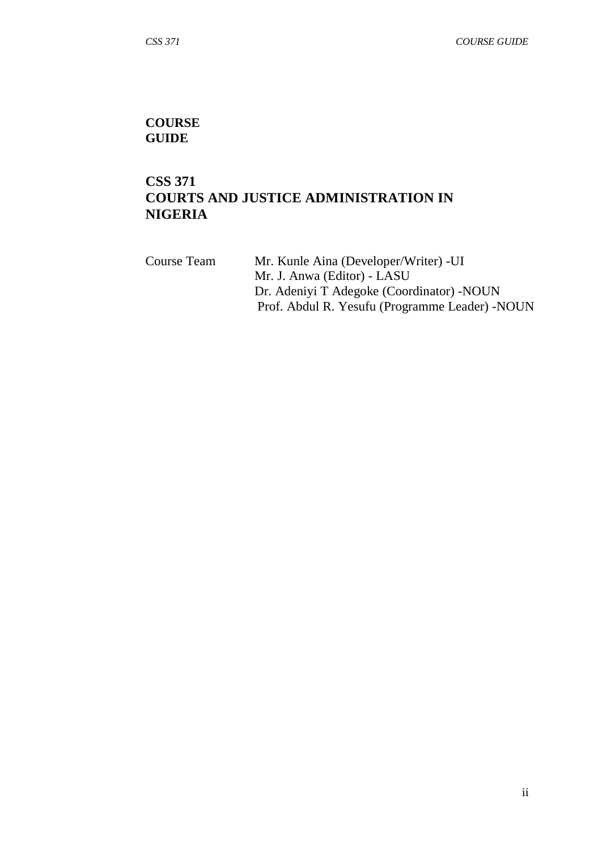## **COURSE GUIDE**

# **CSS 371 COURTS AND JUSTICE ADMINISTRATION IN NIGERIA**

| Course Team | Mr. Kunle Aina (Developer/Writer) - UI          |
|-------------|-------------------------------------------------|
|             | Mr. J. Anwa (Editor) - LASU                     |
|             | Dr. Adeniyi T Adegoke (Coordinator) - NOUN      |
|             | Prof. Abdul R. Yesufu (Programme Leader) - NOUN |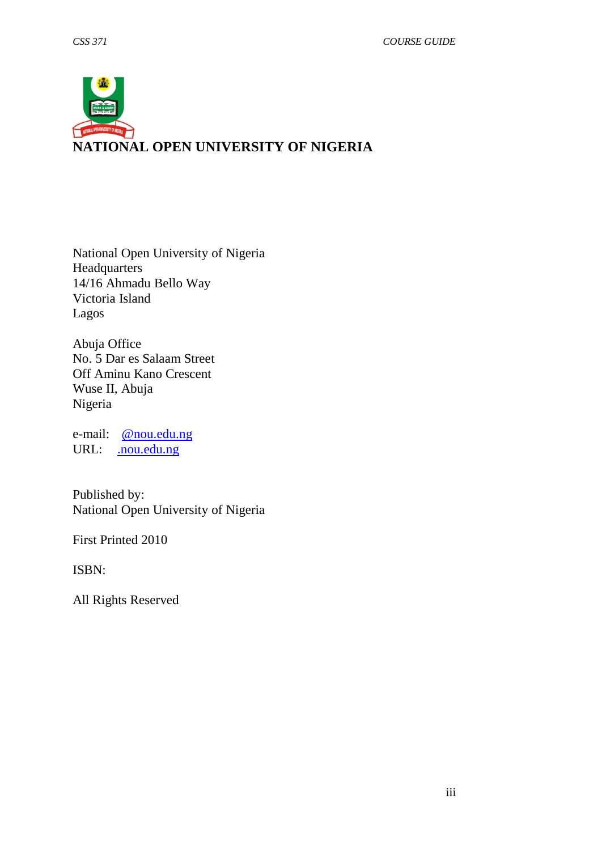

National Open University of Nigeria Headquarters 14/16 Ahmadu Bello Way Victoria Island Lagos

Abuja Office No. 5 Dar es Salaam Street Off Aminu Kano Crescent Wuse II, Abuja Nigeria

e-mail: [@nou.edu.ng](mailto:centralinfo@nou.edu.ng) URL: . nou.edu.ng

Published by: National Open University of Nigeria

First Printed 2010

ISBN:

All Rights Reserved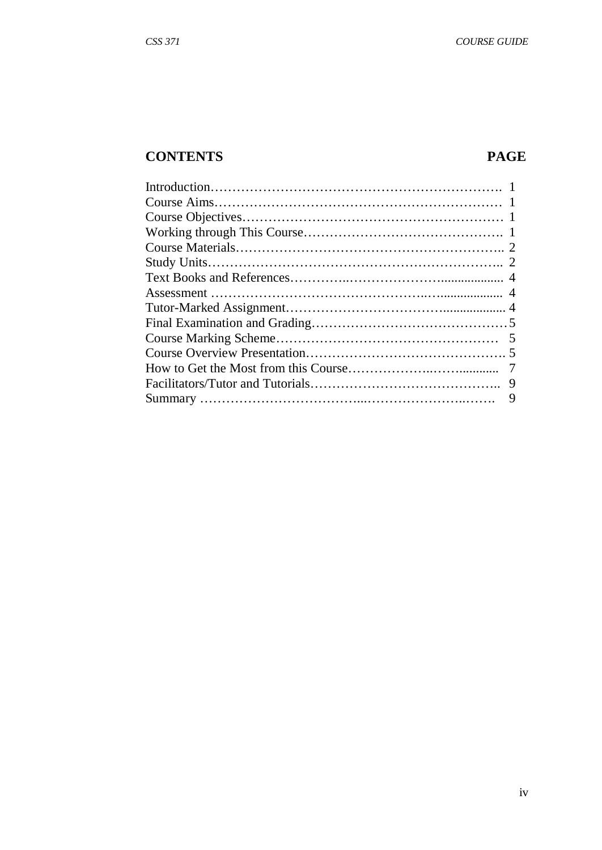# **CONTENTS PAGE**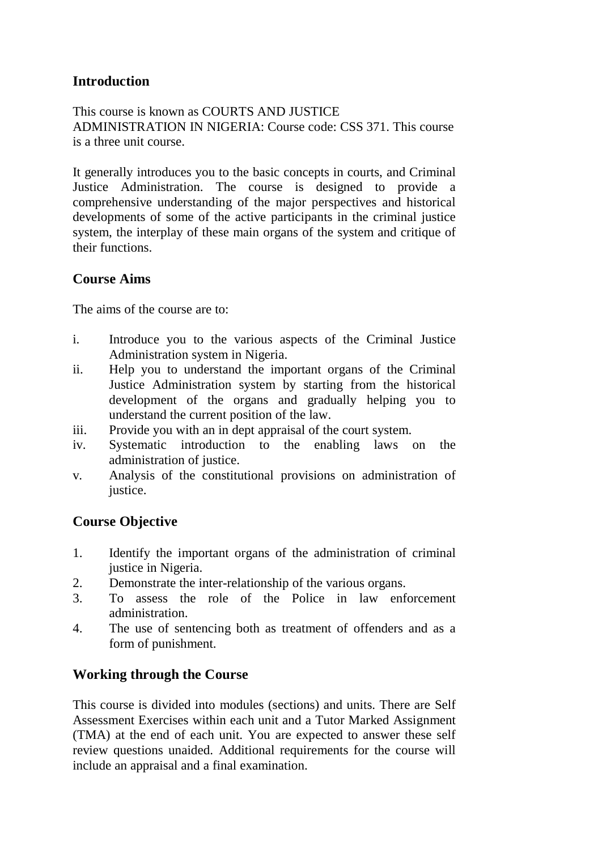# **Introduction**

This course is known as COURTS AND JUSTICE ADMINISTRATION IN NIGERIA: Course code: CSS 371. This course is a three unit course.

It generally introduces you to the basic concepts in courts, and Criminal Justice Administration. The course is designed to provide a comprehensive understanding of the major perspectives and historical developments of some of the active participants in the criminal justice system, the interplay of these main organs of the system and critique of their functions.

# **Course Aims**

The aims of the course are to:

- i. Introduce you to the various aspects of the Criminal Justice Administration system in Nigeria.
- ii. Help you to understand the important organs of the Criminal Justice Administration system by starting from the historical development of the organs and gradually helping you to understand the current position of the law.
- iii. Provide you with an in dept appraisal of the court system.
- iv. Systematic introduction to the enabling laws on the administration of justice.
- v. Analysis of the constitutional provisions on administration of justice.

# **Course Objective**

- 1. Identify the important organs of the administration of criminal justice in Nigeria.
- 2. Demonstrate the inter-relationship of the various organs.
- 3. To assess the role of the Police in law enforcement administration.
- 4. The use of sentencing both as treatment of offenders and as a form of punishment.

# **Working through the Course**

This course is divided into modules (sections) and units. There are Self Assessment Exercises within each unit and a Tutor Marked Assignment (TMA) at the end of each unit. You are expected to answer these self review questions unaided. Additional requirements for the course will include an appraisal and a final examination.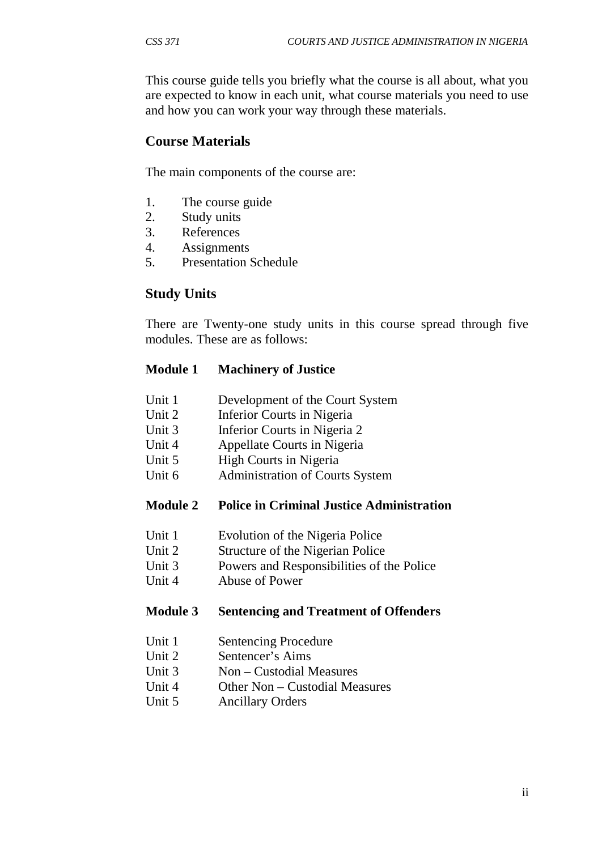This course guide tells you briefly what the course is all about, what you are expected to know in each unit, what course materials you need to use and how you can work your way through these materials.

## **Course Materials**

The main components of the course are:

- 1. The course guide
- 2. Study units
- 3. References
- 4. Assignments
- 5. Presentation Schedule

## **Study Units**

There are Twenty-one study units in this course spread through five modules. These are as follows:

## **Module 1 Machinery of Justice**

- Unit 1 Development of the Court System
- Unit 2 Inferior Courts in Nigeria
- Unit 3 Inferior Courts in Nigeria 2
- Unit 4 Appellate Courts in Nigeria
- Unit 5 High Courts in Nigeria
- Unit 6 Administration of Courts System

## **Module 2 Police in Criminal Justice Administration**

- Unit 1 Evolution of the Nigeria Police
- Unit 2 Structure of the Nigerian Police
- Unit 3 Powers and Responsibilities of the Police
- Unit 4 Abuse of Power

## **Module 3 Sentencing and Treatment of Offenders**

- Unit 1 Sentencing Procedure
- Unit 2 Sentencer's Aims
- Unit 3 Non Custodial Measures
- Unit 4 Other Non Custodial Measures
- Unit 5 Ancillary Orders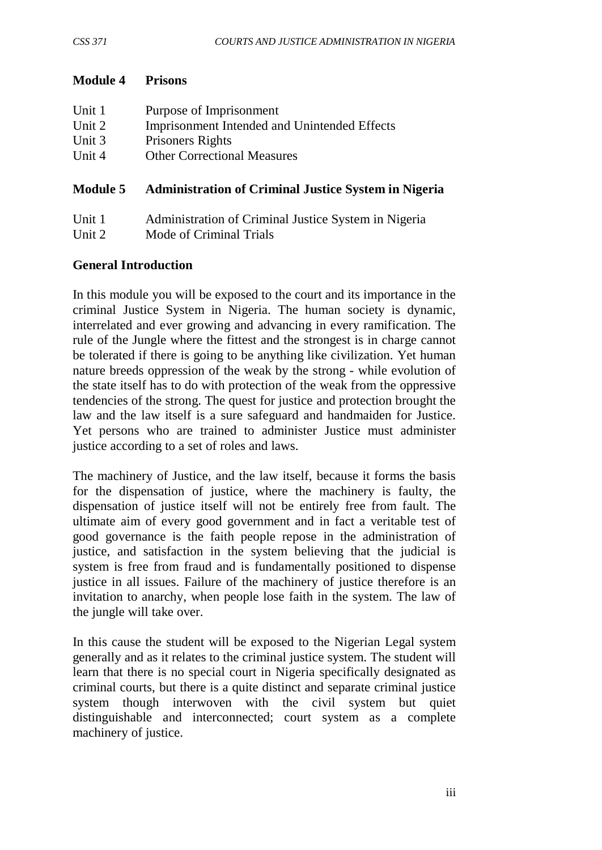## **Module 4 Prisons**

| Unit 1 | Purpose of Imprisonment                      |
|--------|----------------------------------------------|
| Unit 2 | Imprisonment Intended and Unintended Effects |
| Unit 3 | Prisoners Rights                             |
| Unit 4 | <b>Other Correctional Measures</b>           |
|        |                                              |

## **Module 5 Administration of Criminal Justice System in Nigeria**

| Unit 1 | Administration of Criminal Justice System in Nigeria |
|--------|------------------------------------------------------|
| Unit 2 | Mode of Criminal Trials                              |

## **General Introduction**

In this module you will be exposed to the court and its importance in the criminal Justice System in Nigeria. The human society is dynamic, interrelated and ever growing and advancing in every ramification. The rule of the Jungle where the fittest and the strongest is in charge cannot be tolerated if there is going to be anything like civilization. Yet human nature breeds oppression of the weak by the strong - while evolution of the state itself has to do with protection of the weak from the oppressive tendencies of the strong. The quest for justice and protection brought the law and the law itself is a sure safeguard and handmaiden for Justice. Yet persons who are trained to administer Justice must administer justice according to a set of roles and laws.

The machinery of Justice, and the law itself, because it forms the basis for the dispensation of justice, where the machinery is faulty, the dispensation of justice itself will not be entirely free from fault. The ultimate aim of every good government and in fact a veritable test of good governance is the faith people repose in the administration of justice, and satisfaction in the system believing that the judicial is system is free from fraud and is fundamentally positioned to dispense justice in all issues. Failure of the machinery of justice therefore is an invitation to anarchy, when people lose faith in the system. The law of the jungle will take over.

In this cause the student will be exposed to the Nigerian Legal system generally and as it relates to the criminal justice system. The student will learn that there is no special court in Nigeria specifically designated as criminal courts, but there is a quite distinct and separate criminal justice system though interwoven with the civil system but quiet distinguishable and interconnected; court system as a complete machinery of justice.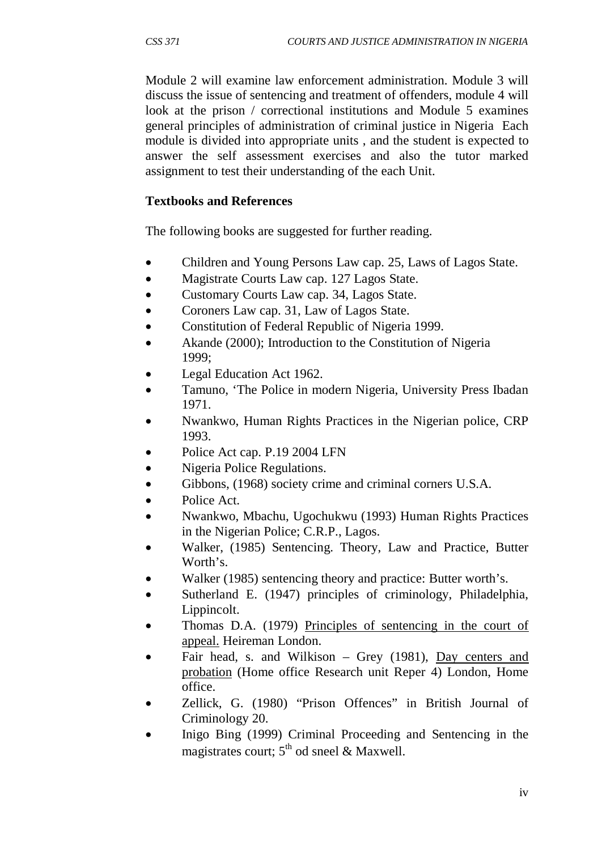Module 2 will examine law enforcement administration. Module 3 will discuss the issue of sentencing and treatment of offenders, module 4 will look at the prison / correctional institutions and Module 5 examines general principles of administration of criminal justice in Nigeria Each module is divided into appropriate units , and the student is expected to answer the self assessment exercises and also the tutor marked assignment to test their understanding of the each Unit.

#### **Textbooks and References**

The following books are suggested for further reading.

- Children and Young Persons Law cap. 25, Laws of Lagos State.
- Magistrate Courts Law cap. 127 Lagos State.
- Customary Courts Law cap. 34, Lagos State.
- Coroners Law cap. 31, Law of Lagos State.
- Constitution of Federal Republic of Nigeria 1999.
- Akande (2000); Introduction to the Constitution of Nigeria 1999;
- Legal Education Act 1962.
- Tamuno, 'The Police in modern Nigeria, University Press Ibadan 1971.
- Nwankwo, Human Rights Practices in the Nigerian police, CRP 1993.
- Police Act cap. P.19 2004 LFN
- Nigeria Police Regulations.
- Gibbons, (1968) society crime and criminal corners U.S.A.
- Police Act.
- Nwankwo, Mbachu, Ugochukwu (1993) Human Rights Practices in the Nigerian Police; C.R.P., Lagos.
- Walker, (1985) Sentencing. Theory, Law and Practice, Butter Worth's.
- Walker (1985) sentencing theory and practice: Butter worth's.
- Sutherland E. (1947) principles of criminology, Philadelphia, Lippincolt.
- Thomas D.A. (1979) Principles of sentencing in the court of appeal. Heireman London.
- Fair head, s. and Wilkison Grey (1981), Day centers and probation (Home office Research unit Reper 4) London, Home office.
- Zellick, G. (1980) "Prison Offences" in British Journal of Criminology 20.
- Inigo Bing (1999) Criminal Proceeding and Sentencing in the magistrates court;  $5<sup>th</sup>$  od sneel & Maxwell.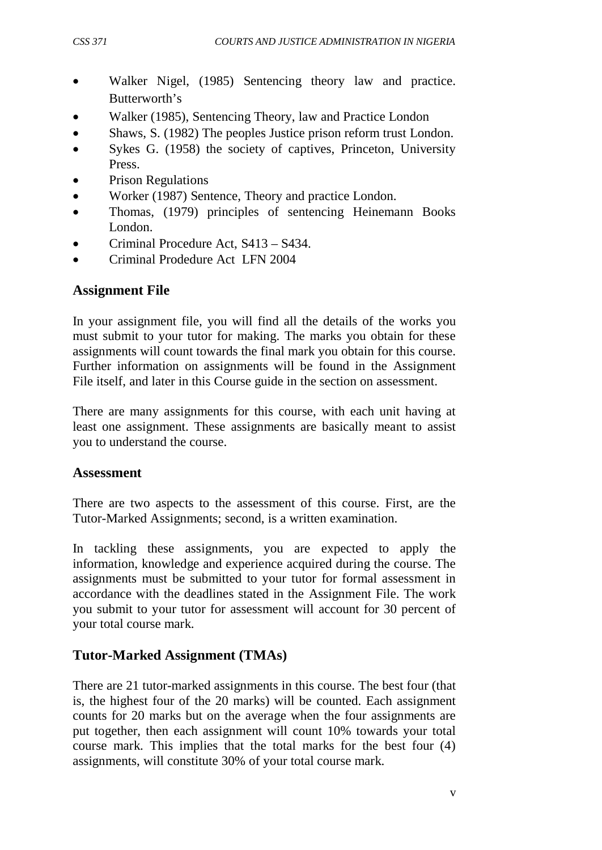- Walker Nigel, (1985) Sentencing theory law and practice. Butterworth's
- Walker (1985), Sentencing Theory, law and Practice London
- Shaws, S. (1982) The peoples Justice prison reform trust London.
- Sykes G. (1958) the society of captives, Princeton, University Press.
- Prison Regulations
- Worker (1987) Sentence, Theory and practice London.
- Thomas, (1979) principles of sentencing Heinemann Books London.
- Criminal Procedure Act, S413 S434.
- Criminal Prodedure Act LFN 2004

# **Assignment File**

In your assignment file, you will find all the details of the works you must submit to your tutor for making. The marks you obtain for these assignments will count towards the final mark you obtain for this course. Further information on assignments will be found in the Assignment File itself, and later in this Course guide in the section on assessment.

There are many assignments for this course, with each unit having at least one assignment. These assignments are basically meant to assist you to understand the course.

## **Assessment**

There are two aspects to the assessment of this course. First, are the Tutor-Marked Assignments; second, is a written examination.

In tackling these assignments, you are expected to apply the information, knowledge and experience acquired during the course. The assignments must be submitted to your tutor for formal assessment in accordance with the deadlines stated in the Assignment File. The work you submit to your tutor for assessment will account for 30 percent of your total course mark.

# **Tutor-Marked Assignment (TMAs)**

There are 21 tutor-marked assignments in this course. The best four (that is, the highest four of the 20 marks) will be counted. Each assignment counts for 20 marks but on the average when the four assignments are put together, then each assignment will count 10% towards your total course mark. This implies that the total marks for the best four (4) assignments, will constitute 30% of your total course mark.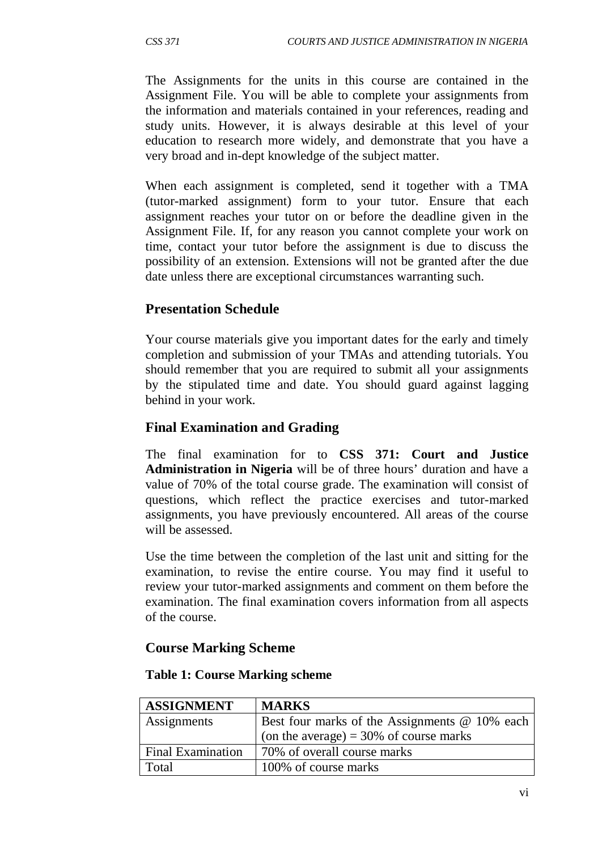The Assignments for the units in this course are contained in the Assignment File. You will be able to complete your assignments from the information and materials contained in your references, reading and study units. However, it is always desirable at this level of your education to research more widely, and demonstrate that you have a very broad and in-dept knowledge of the subject matter.

When each assignment is completed, send it together with a TMA (tutor-marked assignment) form to your tutor. Ensure that each assignment reaches your tutor on or before the deadline given in the Assignment File. If, for any reason you cannot complete your work on time, contact your tutor before the assignment is due to discuss the possibility of an extension. Extensions will not be granted after the due date unless there are exceptional circumstances warranting such.

# **Presentation Schedule**

Your course materials give you important dates for the early and timely completion and submission of your TMAs and attending tutorials. You should remember that you are required to submit all your assignments by the stipulated time and date. You should guard against lagging behind in your work.

## **Final Examination and Grading**

The final examination for to **CSS 371: Court and Justice Administration in Nigeria** will be of three hours' duration and have a value of 70% of the total course grade. The examination will consist of questions, which reflect the practice exercises and tutor-marked assignments, you have previously encountered. All areas of the course will be assessed.

Use the time between the completion of the last unit and sitting for the examination, to revise the entire course. You may find it useful to review your tutor-marked assignments and comment on them before the examination. The final examination covers information from all aspects of the course.

## **Course Marking Scheme**

| <b>ASSIGNMENT</b>        | <b>MARKS</b>                                  |
|--------------------------|-----------------------------------------------|
| Assignments              | Best four marks of the Assignments @ 10% each |
|                          | (on the average) = $30\%$ of course marks     |
| <b>Final Examination</b> | 70% of overall course marks                   |
| Total                    | 100% of course marks                          |

#### **Table 1: Course Marking scheme**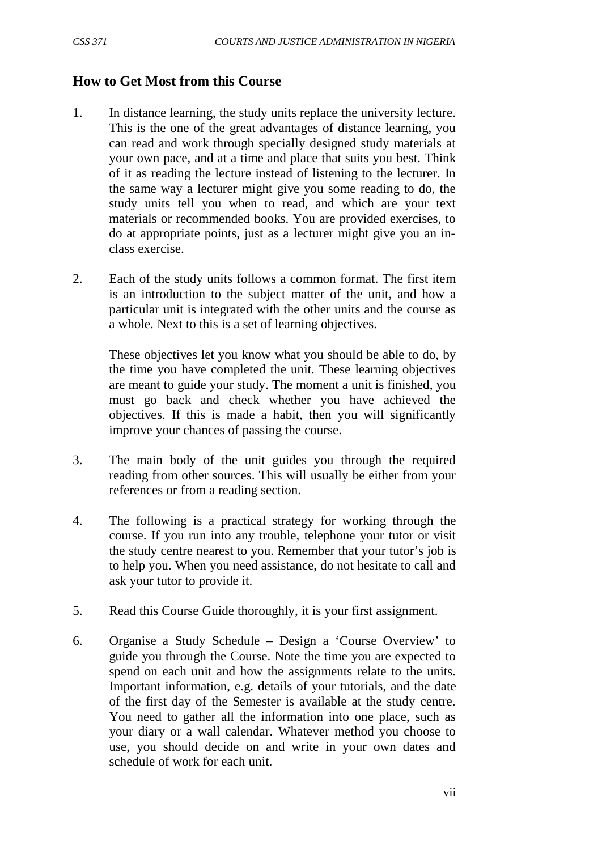## **How to Get Most from this Course**

- 1. In distance learning, the study units replace the university lecture. This is the one of the great advantages of distance learning, you can read and work through specially designed study materials at your own pace, and at a time and place that suits you best. Think of it as reading the lecture instead of listening to the lecturer. In the same way a lecturer might give you some reading to do, the study units tell you when to read, and which are your text materials or recommended books. You are provided exercises, to do at appropriate points, just as a lecturer might give you an inclass exercise.
- 2. Each of the study units follows a common format. The first item is an introduction to the subject matter of the unit, and how a particular unit is integrated with the other units and the course as a whole. Next to this is a set of learning objectives.

These objectives let you know what you should be able to do, by the time you have completed the unit. These learning objectives are meant to guide your study. The moment a unit is finished, you must go back and check whether you have achieved the objectives. If this is made a habit, then you will significantly improve your chances of passing the course.

- 3. The main body of the unit guides you through the required reading from other sources. This will usually be either from your references or from a reading section.
- 4. The following is a practical strategy for working through the course. If you run into any trouble, telephone your tutor or visit the study centre nearest to you. Remember that your tutor's job is to help you. When you need assistance, do not hesitate to call and ask your tutor to provide it.
- 5. Read this Course Guide thoroughly, it is your first assignment.
- 6. Organise a Study Schedule Design a 'Course Overview' to guide you through the Course. Note the time you are expected to spend on each unit and how the assignments relate to the units. Important information, e.g. details of your tutorials, and the date of the first day of the Semester is available at the study centre. You need to gather all the information into one place, such as your diary or a wall calendar. Whatever method you choose to use, you should decide on and write in your own dates and schedule of work for each unit.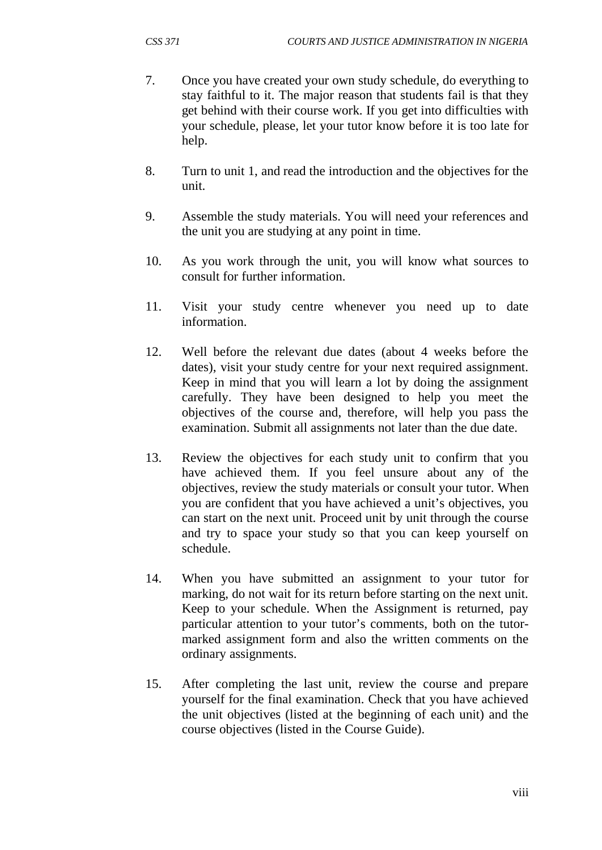- 7. Once you have created your own study schedule, do everything to stay faithful to it. The major reason that students fail is that they get behind with their course work. If you get into difficulties with your schedule, please, let your tutor know before it is too late for help.
- 8. Turn to unit 1, and read the introduction and the objectives for the unit.
- 9. Assemble the study materials. You will need your references and the unit you are studying at any point in time.
- 10. As you work through the unit, you will know what sources to consult for further information.
- 11. Visit your study centre whenever you need up to date information.
- 12. Well before the relevant due dates (about 4 weeks before the dates), visit your study centre for your next required assignment. Keep in mind that you will learn a lot by doing the assignment carefully. They have been designed to help you meet the objectives of the course and, therefore, will help you pass the examination. Submit all assignments not later than the due date.
- 13. Review the objectives for each study unit to confirm that you have achieved them. If you feel unsure about any of the objectives, review the study materials or consult your tutor. When you are confident that you have achieved a unit's objectives, you can start on the next unit. Proceed unit by unit through the course and try to space your study so that you can keep yourself on schedule.
- 14. When you have submitted an assignment to your tutor for marking, do not wait for its return before starting on the next unit. Keep to your schedule. When the Assignment is returned, pay particular attention to your tutor's comments, both on the tutormarked assignment form and also the written comments on the ordinary assignments.
- 15. After completing the last unit, review the course and prepare yourself for the final examination. Check that you have achieved the unit objectives (listed at the beginning of each unit) and the course objectives (listed in the Course Guide).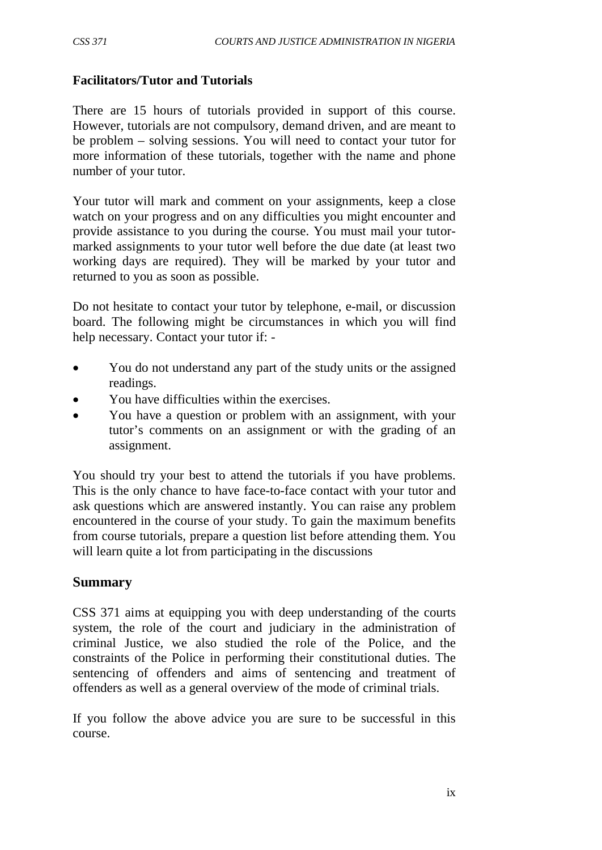## **Facilitators/Tutor and Tutorials**

There are 15 hours of tutorials provided in support of this course. However, tutorials are not compulsory, demand driven, and are meant to be problem – solving sessions. You will need to contact your tutor for more information of these tutorials, together with the name and phone number of your tutor.

Your tutor will mark and comment on your assignments, keep a close watch on your progress and on any difficulties you might encounter and provide assistance to you during the course. You must mail your tutormarked assignments to your tutor well before the due date (at least two working days are required). They will be marked by your tutor and returned to you as soon as possible.

Do not hesitate to contact your tutor by telephone, e-mail, or discussion board. The following might be circumstances in which you will find help necessary. Contact your tutor if: -

- You do not understand any part of the study units or the assigned readings.
- You have difficulties within the exercises.
- You have a question or problem with an assignment, with your tutor's comments on an assignment or with the grading of an assignment.

You should try your best to attend the tutorials if you have problems. This is the only chance to have face-to-face contact with your tutor and ask questions which are answered instantly. You can raise any problem encountered in the course of your study. To gain the maximum benefits from course tutorials, prepare a question list before attending them. You will learn quite a lot from participating in the discussions

## **Summary**

CSS 371 aims at equipping you with deep understanding of the courts system, the role of the court and judiciary in the administration of criminal Justice, we also studied the role of the Police, and the constraints of the Police in performing their constitutional duties. The sentencing of offenders and aims of sentencing and treatment of offenders as well as a general overview of the mode of criminal trials.

If you follow the above advice you are sure to be successful in this course.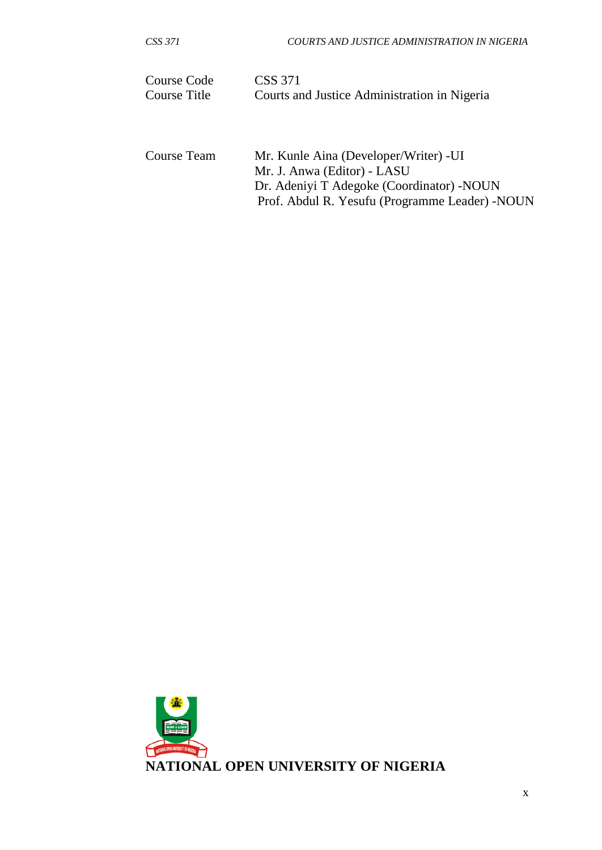| Course Code  | CSS 371                                      |
|--------------|----------------------------------------------|
| Course Title | Courts and Justice Administration in Nigeria |
| Course Team  | Mr. Kunle Aina (Developer/Writer) - UI       |

| Course Team | Mr. Kunle Aina (Developer/Writer) - UI          |
|-------------|-------------------------------------------------|
|             | Mr. J. Anwa (Editor) - LASU                     |
|             | Dr. Adeniyi T Adegoke (Coordinator) - NOUN      |
|             | Prof. Abdul R. Yesufu (Programme Leader) - NOUN |

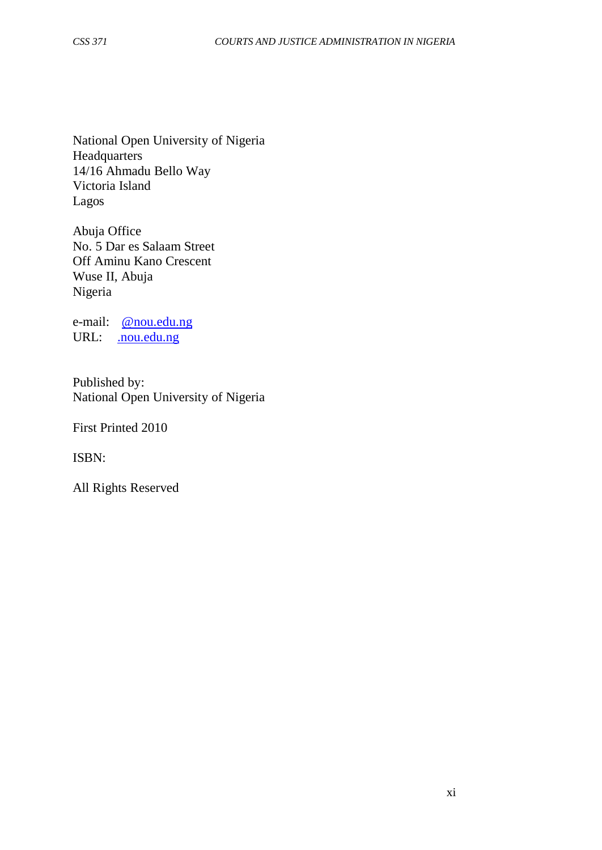National Open University of Nigeria **Headquarters** 14/16 Ahmadu Bello Way Victoria Island Lagos

Abuja Office No. 5 Dar es Salaam Street Off Aminu Kano Crescent Wuse II, Abuja Nigeria

e-mail: [@nou.edu.ng](mailto:centralinfo@nou.edu.ng) URL: . nou.edu.ng

Published by: National Open University of Nigeria

First Printed 2010

ISBN:

All Rights Reserved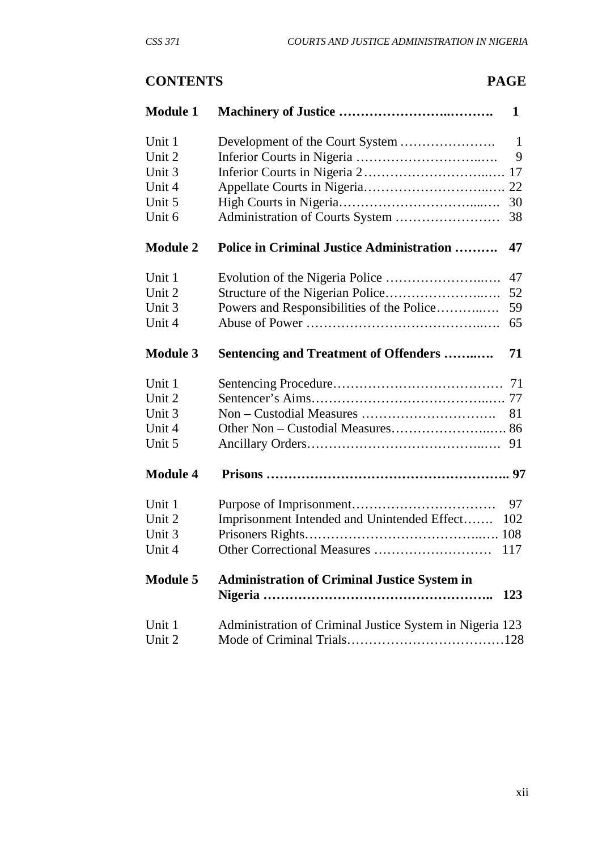# **CONTENTS PAGE**

| <b>Module 1</b> |                                                          | $\mathbf{1}$ |
|-----------------|----------------------------------------------------------|--------------|
| Unit 1          | Development of the Court System                          | $\mathbf{1}$ |
| Unit 2          |                                                          | 9            |
| Unit 3          |                                                          |              |
| Unit 4          |                                                          |              |
| Unit 5          |                                                          | 30           |
| Unit 6          |                                                          | 38           |
| <b>Module 2</b> | <b>Police in Criminal Justice Administration </b>        | 47           |
| Unit 1          |                                                          | 47           |
| Unit 2          |                                                          | 52           |
| Unit 3          | Powers and Responsibilities of the Police                | 59           |
| Unit 4          |                                                          | 65           |
| <b>Module 3</b> | <b>Sentencing and Treatment of Offenders </b>            | 71           |
| Unit 1          |                                                          |              |
| Unit 2          |                                                          |              |
| Unit 3          |                                                          | 81           |
| Unit 4          |                                                          |              |
| Unit 5          |                                                          |              |
| <b>Module 4</b> |                                                          |              |
| Unit 1          |                                                          | 97           |
| Unit 2          | Imprisonment Intended and Unintended Effect              | 102          |
| Unit 3          |                                                          |              |
| Unit 4          |                                                          | 117          |
| <b>Module 5</b> | <b>Administration of Criminal Justice System in</b>      | 123          |
| Unit 1          | Administration of Criminal Justice System in Nigeria 123 |              |
| Unit 2          |                                                          |              |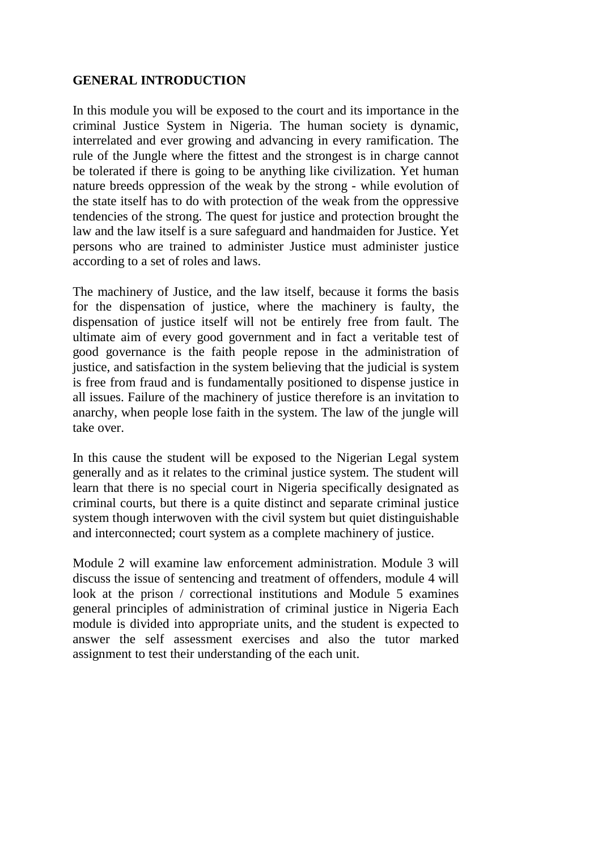#### **GENERAL INTRODUCTION**

In this module you will be exposed to the court and its importance in the criminal Justice System in Nigeria. The human society is dynamic, interrelated and ever growing and advancing in every ramification. The rule of the Jungle where the fittest and the strongest is in charge cannot be tolerated if there is going to be anything like civilization. Yet human nature breeds oppression of the weak by the strong - while evolution of the state itself has to do with protection of the weak from the oppressive tendencies of the strong. The quest for justice and protection brought the law and the law itself is a sure safeguard and handmaiden for Justice. Yet persons who are trained to administer Justice must administer justice according to a set of roles and laws.

The machinery of Justice, and the law itself, because it forms the basis for the dispensation of justice, where the machinery is faulty, the dispensation of justice itself will not be entirely free from fault. The ultimate aim of every good government and in fact a veritable test of good governance is the faith people repose in the administration of justice, and satisfaction in the system believing that the judicial is system is free from fraud and is fundamentally positioned to dispense justice in all issues. Failure of the machinery of justice therefore is an invitation to anarchy, when people lose faith in the system. The law of the jungle will take over.

In this cause the student will be exposed to the Nigerian Legal system generally and as it relates to the criminal justice system. The student will learn that there is no special court in Nigeria specifically designated as criminal courts, but there is a quite distinct and separate criminal justice system though interwoven with the civil system but quiet distinguishable and interconnected; court system as a complete machinery of justice.

Module 2 will examine law enforcement administration. Module 3 will discuss the issue of sentencing and treatment of offenders, module 4 will look at the prison / correctional institutions and Module 5 examines general principles of administration of criminal justice in Nigeria Each module is divided into appropriate units, and the student is expected to answer the self assessment exercises and also the tutor marked assignment to test their understanding of the each unit.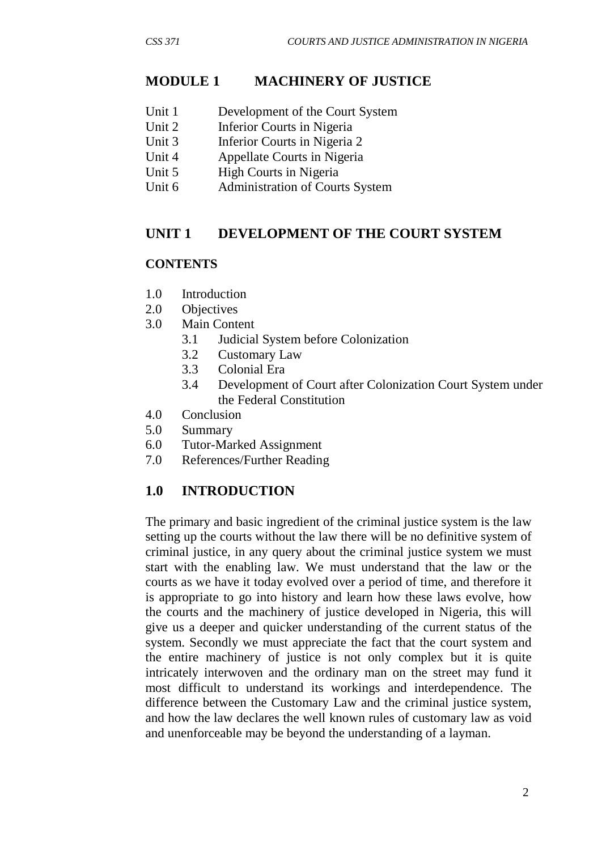## **MODULE 1 MACHINERY OF JUSTICE**

- Unit 1 Development of the Court System
- Unit 2 Inferior Courts in Nigeria
- Unit 3 Inferior Courts in Nigeria 2
- Unit 4 Appellate Courts in Nigeria
- Unit 5 High Courts in Nigeria
- Unit 6 Administration of Courts System

#### **UNIT 1 DEVELOPMENT OF THE COURT SYSTEM**

#### **CONTENTS**

- 1.0 Introduction
- 2.0 Objectives
- 3.0 Main Content
	- 3.1 Judicial System before Colonization
	- 3.2 Customary Law
	- 3.3 Colonial Era
	- 3.4 Development of Court after Colonization Court System under the Federal Constitution
- 4.0 Conclusion
- 5.0 Summary
- 6.0 Tutor-Marked Assignment
- 7.0 References/Further Reading

## **1.0 INTRODUCTION**

The primary and basic ingredient of the criminal justice system is the law setting up the courts without the law there will be no definitive system of criminal justice, in any query about the criminal justice system we must start with the enabling law. We must understand that the law or the courts as we have it today evolved over a period of time, and therefore it is appropriate to go into history and learn how these laws evolve, how the courts and the machinery of justice developed in Nigeria, this will give us a deeper and quicker understanding of the current status of the system. Secondly we must appreciate the fact that the court system and the entire machinery of justice is not only complex but it is quite intricately interwoven and the ordinary man on the street may fund it most difficult to understand its workings and interdependence. The difference between the Customary Law and the criminal justice system, and how the law declares the well known rules of customary law as void and unenforceable may be beyond the understanding of a layman.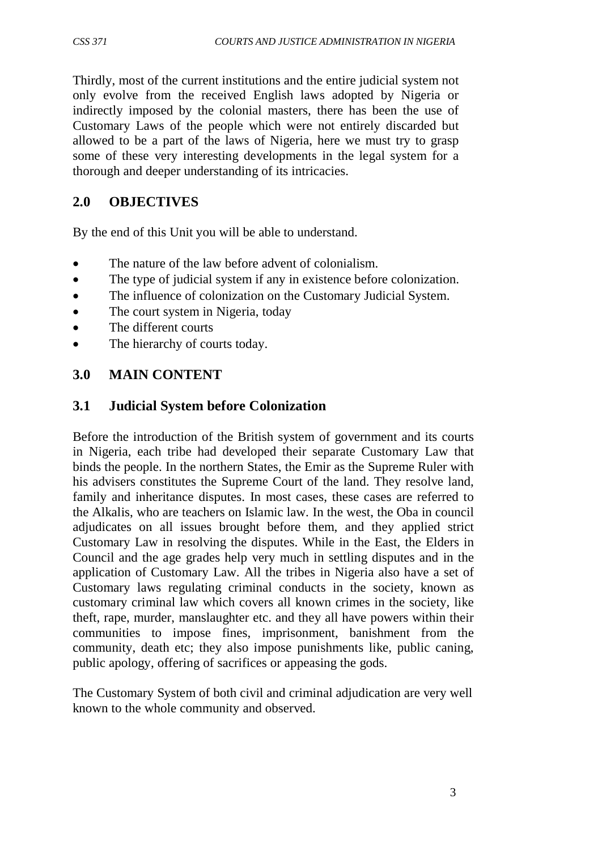Thirdly, most of the current institutions and the entire judicial system not only evolve from the received English laws adopted by Nigeria or indirectly imposed by the colonial masters, there has been the use of Customary Laws of the people which were not entirely discarded but allowed to be a part of the laws of Nigeria, here we must try to grasp some of these very interesting developments in the legal system for a thorough and deeper understanding of its intricacies.

# **2.0 OBJECTIVES**

By the end of this Unit you will be able to understand.

- The nature of the law before advent of colonialism.
- The type of judicial system if any in existence before colonization.
- The influence of colonization on the Customary Judicial System.
- The court system in Nigeria, today
- The different courts
- The hierarchy of courts today.

# **3.0 MAIN CONTENT**

# **3.1 Judicial System before Colonization**

Before the introduction of the British system of government and its courts in Nigeria, each tribe had developed their separate Customary Law that binds the people. In the northern States, the Emir as the Supreme Ruler with his advisers constitutes the Supreme Court of the land. They resolve land, family and inheritance disputes. In most cases, these cases are referred to the Alkalis, who are teachers on Islamic law. In the west, the Oba in council adjudicates on all issues brought before them, and they applied strict Customary Law in resolving the disputes. While in the East, the Elders in Council and the age grades help very much in settling disputes and in the application of Customary Law. All the tribes in Nigeria also have a set of Customary laws regulating criminal conducts in the society, known as customary criminal law which covers all known crimes in the society, like theft, rape, murder, manslaughter etc. and they all have powers within their communities to impose fines, imprisonment, banishment from the community, death etc; they also impose punishments like, public caning, public apology, offering of sacrifices or appeasing the gods.

The Customary System of both civil and criminal adjudication are very well known to the whole community and observed.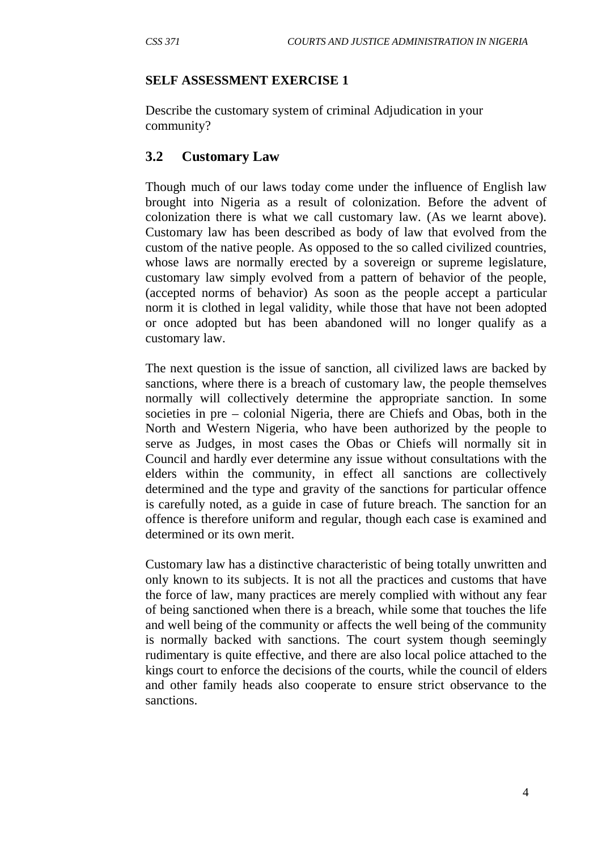#### **SELF ASSESSMENT EXERCISE 1**

Describe the customary system of criminal Adjudication in your community?

## **3.2 Customary Law**

Though much of our laws today come under the influence of English law brought into Nigeria as a result of colonization. Before the advent of colonization there is what we call customary law. (As we learnt above). Customary law has been described as body of law that evolved from the custom of the native people. As opposed to the so called civilized countries, whose laws are normally erected by a sovereign or supreme legislature, customary law simply evolved from a pattern of behavior of the people, (accepted norms of behavior) As soon as the people accept a particular norm it is clothed in legal validity, while those that have not been adopted or once adopted but has been abandoned will no longer qualify as a customary law.

The next question is the issue of sanction, all civilized laws are backed by sanctions, where there is a breach of customary law, the people themselves normally will collectively determine the appropriate sanction. In some societies in pre – colonial Nigeria, there are Chiefs and Obas, both in the North and Western Nigeria, who have been authorized by the people to serve as Judges, in most cases the Obas or Chiefs will normally sit in Council and hardly ever determine any issue without consultations with the elders within the community, in effect all sanctions are collectively determined and the type and gravity of the sanctions for particular offence is carefully noted, as a guide in case of future breach. The sanction for an offence is therefore uniform and regular, though each case is examined and determined or its own merit.

Customary law has a distinctive characteristic of being totally unwritten and only known to its subjects. It is not all the practices and customs that have the force of law, many practices are merely complied with without any fear of being sanctioned when there is a breach, while some that touches the life and well being of the community or affects the well being of the community is normally backed with sanctions. The court system though seemingly rudimentary is quite effective, and there are also local police attached to the kings court to enforce the decisions of the courts, while the council of elders and other family heads also cooperate to ensure strict observance to the sanctions.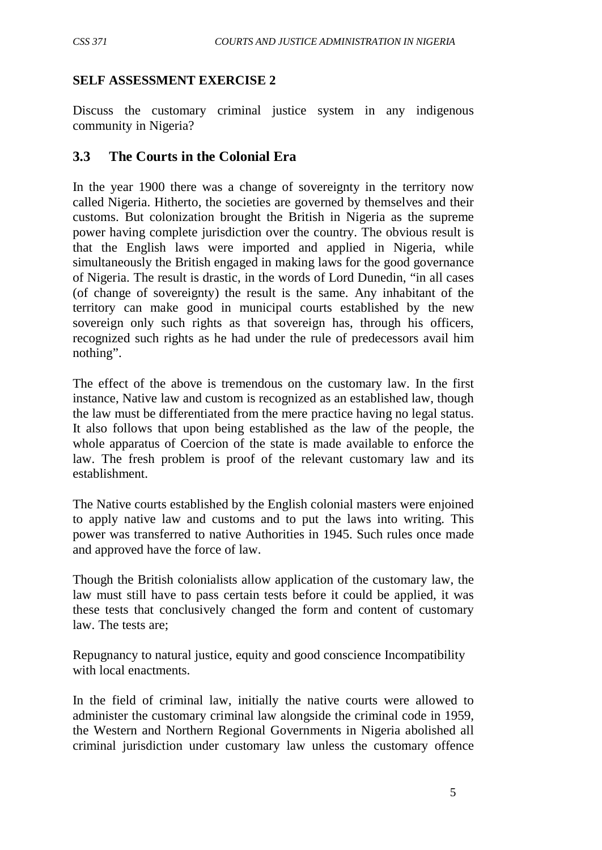## **SELF ASSESSMENT EXERCISE 2**

Discuss the customary criminal justice system in any indigenous community in Nigeria?

## **3.3 The Courts in the Colonial Era**

In the year 1900 there was a change of sovereignty in the territory now called Nigeria. Hitherto, the societies are governed by themselves and their customs. But colonization brought the British in Nigeria as the supreme power having complete jurisdiction over the country. The obvious result is that the English laws were imported and applied in Nigeria, while simultaneously the British engaged in making laws for the good governance of Nigeria. The result is drastic, in the words of Lord Dunedin, "in all cases (of change of sovereignty) the result is the same. Any inhabitant of the territory can make good in municipal courts established by the new sovereign only such rights as that sovereign has, through his officers, recognized such rights as he had under the rule of predecessors avail him nothing".

The effect of the above is tremendous on the customary law. In the first instance, Native law and custom is recognized as an established law, though the law must be differentiated from the mere practice having no legal status. It also follows that upon being established as the law of the people, the whole apparatus of Coercion of the state is made available to enforce the law. The fresh problem is proof of the relevant customary law and its establishment.

The Native courts established by the English colonial masters were enjoined to apply native law and customs and to put the laws into writing. This power was transferred to native Authorities in 1945. Such rules once made and approved have the force of law.

Though the British colonialists allow application of the customary law, the law must still have to pass certain tests before it could be applied, it was these tests that conclusively changed the form and content of customary law. The tests are;

Repugnancy to natural justice, equity and good conscience Incompatibility with local enactments.

In the field of criminal law, initially the native courts were allowed to administer the customary criminal law alongside the criminal code in 1959, the Western and Northern Regional Governments in Nigeria abolished all criminal jurisdiction under customary law unless the customary offence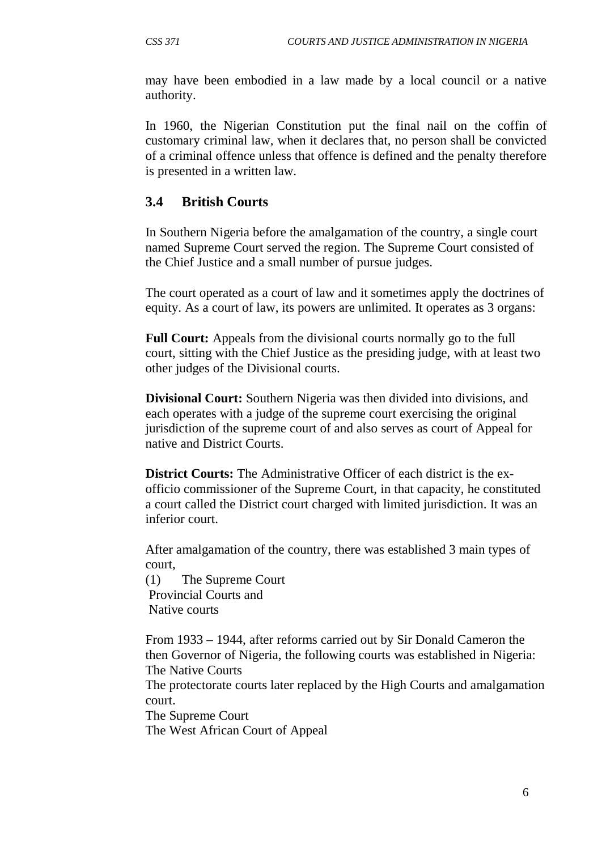may have been embodied in a law made by a local council or a native authority.

In 1960, the Nigerian Constitution put the final nail on the coffin of customary criminal law, when it declares that, no person shall be convicted of a criminal offence unless that offence is defined and the penalty therefore is presented in a written law.

# **3.4 British Courts**

In Southern Nigeria before the amalgamation of the country, a single court named Supreme Court served the region. The Supreme Court consisted of the Chief Justice and a small number of pursue judges.

The court operated as a court of law and it sometimes apply the doctrines of equity. As a court of law, its powers are unlimited. It operates as 3 organs:

**Full Court:** Appeals from the divisional courts normally go to the full court, sitting with the Chief Justice as the presiding judge, with at least two other judges of the Divisional courts.

**Divisional Court:** Southern Nigeria was then divided into divisions, and each operates with a judge of the supreme court exercising the original jurisdiction of the supreme court of and also serves as court of Appeal for native and District Courts.

**District Courts:** The Administrative Officer of each district is the exofficio commissioner of the Supreme Court, in that capacity, he constituted a court called the District court charged with limited jurisdiction. It was an inferior court.

After amalgamation of the country, there was established 3 main types of court,

(1) The Supreme Court Provincial Courts and Native courts

From 1933 – 1944, after reforms carried out by Sir Donald Cameron the then Governor of Nigeria, the following courts was established in Nigeria: The Native Courts

The protectorate courts later replaced by the High Courts and amalgamation court.

The Supreme Court

The West African Court of Appeal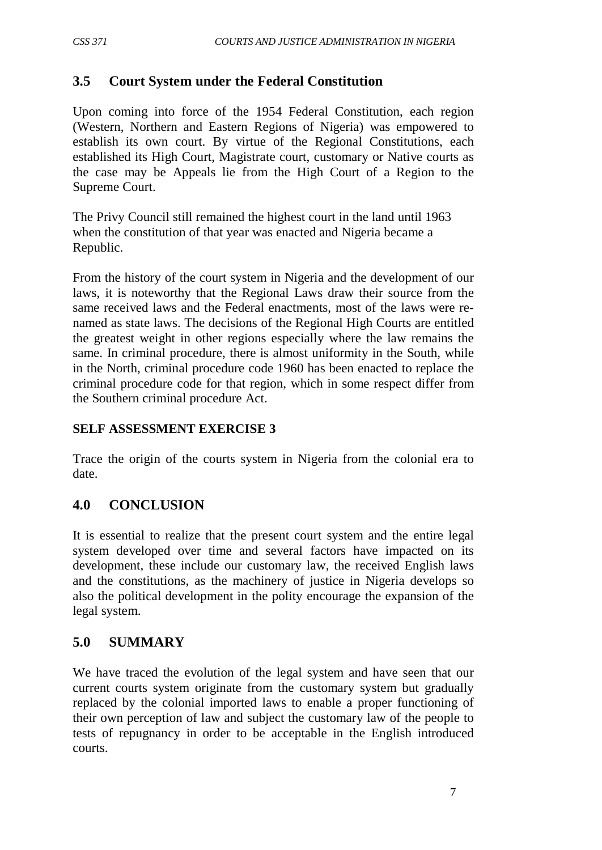# **3.5 Court System under the Federal Constitution**

Upon coming into force of the 1954 Federal Constitution, each region (Western, Northern and Eastern Regions of Nigeria) was empowered to establish its own court. By virtue of the Regional Constitutions, each established its High Court, Magistrate court, customary or Native courts as the case may be Appeals lie from the High Court of a Region to the Supreme Court.

The Privy Council still remained the highest court in the land until 1963 when the constitution of that year was enacted and Nigeria became a Republic.

From the history of the court system in Nigeria and the development of our laws, it is noteworthy that the Regional Laws draw their source from the same received laws and the Federal enactments, most of the laws were renamed as state laws. The decisions of the Regional High Courts are entitled the greatest weight in other regions especially where the law remains the same. In criminal procedure, there is almost uniformity in the South, while in the North, criminal procedure code 1960 has been enacted to replace the criminal procedure code for that region, which in some respect differ from the Southern criminal procedure Act.

## **SELF ASSESSMENT EXERCISE 3**

Trace the origin of the courts system in Nigeria from the colonial era to date.

# **4.0 CONCLUSION**

It is essential to realize that the present court system and the entire legal system developed over time and several factors have impacted on its development, these include our customary law, the received English laws and the constitutions, as the machinery of justice in Nigeria develops so also the political development in the polity encourage the expansion of the legal system.

# **5.0 SUMMARY**

We have traced the evolution of the legal system and have seen that our current courts system originate from the customary system but gradually replaced by the colonial imported laws to enable a proper functioning of their own perception of law and subject the customary law of the people to tests of repugnancy in order to be acceptable in the English introduced courts.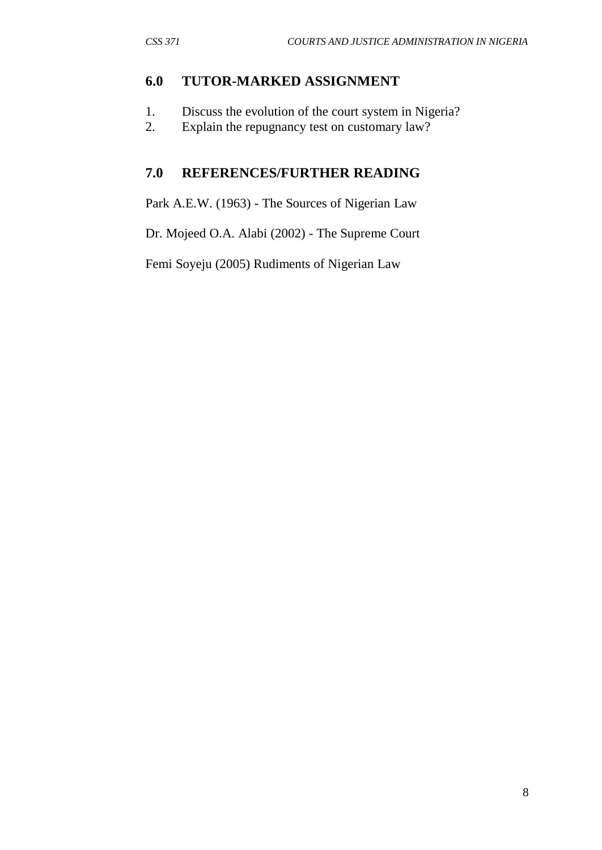## **6.0 TUTOR-MARKED ASSIGNMENT**

- 1. Discuss the evolution of the court system in Nigeria?
- 2. Explain the repugnancy test on customary law?

# **7.0 REFERENCES/FURTHER READING**

Park A.E.W. (1963) - The Sources of Nigerian Law

Dr. Mojeed O.A. Alabi (2002) - The Supreme Court

Femi Soyeju (2005) Rudiments of Nigerian Law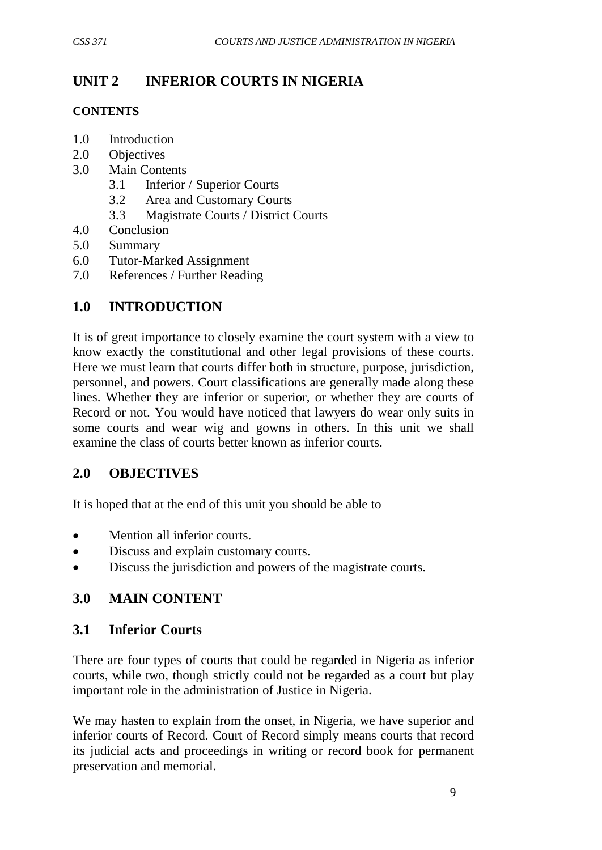# **UNIT 2 INFERIOR COURTS IN NIGERIA**

#### **CONTENTS**

- 1.0 Introduction
- 2.0 Objectives
- 3.0 Main Contents
	- 3.1 Inferior / Superior Courts
	- 3.2 Area and Customary Courts
	- 3.3 Magistrate Courts / District Courts
- 4.0 Conclusion
- 5.0 Summary
- 6.0 Tutor-Marked Assignment
- 7.0 References / Further Reading

# **1.0 INTRODUCTION**

It is of great importance to closely examine the court system with a view to know exactly the constitutional and other legal provisions of these courts. Here we must learn that courts differ both in structure, purpose, jurisdiction, personnel, and powers. Court classifications are generally made along these lines. Whether they are inferior or superior, or whether they are courts of Record or not. You would have noticed that lawyers do wear only suits in some courts and wear wig and gowns in others. In this unit we shall examine the class of courts better known as inferior courts.

# **2.0 OBJECTIVES**

It is hoped that at the end of this unit you should be able to

- Mention all inferior courts.
- Discuss and explain customary courts.
- Discuss the jurisdiction and powers of the magistrate courts.

# **3.0 MAIN CONTENT**

# **3.1 Inferior Courts**

There are four types of courts that could be regarded in Nigeria as inferior courts, while two, though strictly could not be regarded as a court but play important role in the administration of Justice in Nigeria.

We may hasten to explain from the onset, in Nigeria, we have superior and inferior courts of Record. Court of Record simply means courts that record its judicial acts and proceedings in writing or record book for permanent preservation and memorial.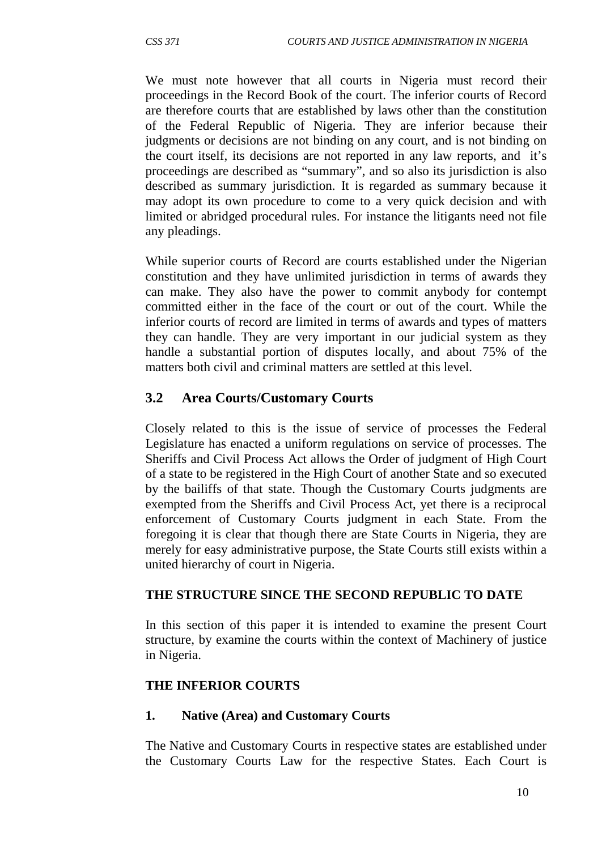We must note however that all courts in Nigeria must record their proceedings in the Record Book of the court. The inferior courts of Record are therefore courts that are established by laws other than the constitution of the Federal Republic of Nigeria. They are inferior because their judgments or decisions are not binding on any court, and is not binding on the court itself, its decisions are not reported in any law reports, and it's proceedings are described as "summary", and so also its jurisdiction is also described as summary jurisdiction. It is regarded as summary because it may adopt its own procedure to come to a very quick decision and with limited or abridged procedural rules. For instance the litigants need not file any pleadings.

While superior courts of Record are courts established under the Nigerian constitution and they have unlimited jurisdiction in terms of awards they can make. They also have the power to commit anybody for contempt committed either in the face of the court or out of the court. While the inferior courts of record are limited in terms of awards and types of matters they can handle. They are very important in our judicial system as they handle a substantial portion of disputes locally, and about 75% of the matters both civil and criminal matters are settled at this level.

# **3.2 Area Courts/Customary Courts**

Closely related to this is the issue of service of processes the Federal Legislature has enacted a uniform regulations on service of processes. The Sheriffs and Civil Process Act allows the Order of judgment of High Court of a state to be registered in the High Court of another State and so executed by the bailiffs of that state. Though the Customary Courts judgments are exempted from the Sheriffs and Civil Process Act, yet there is a reciprocal enforcement of Customary Courts judgment in each State. From the foregoing it is clear that though there are State Courts in Nigeria, they are merely for easy administrative purpose, the State Courts still exists within a united hierarchy of court in Nigeria.

## **THE STRUCTURE SINCE THE SECOND REPUBLIC TO DATE**

In this section of this paper it is intended to examine the present Court structure, by examine the courts within the context of Machinery of justice in Nigeria.

## **THE INFERIOR COURTS**

#### **1. Native (Area) and Customary Courts**

The Native and Customary Courts in respective states are established under the Customary Courts Law for the respective States. Each Court is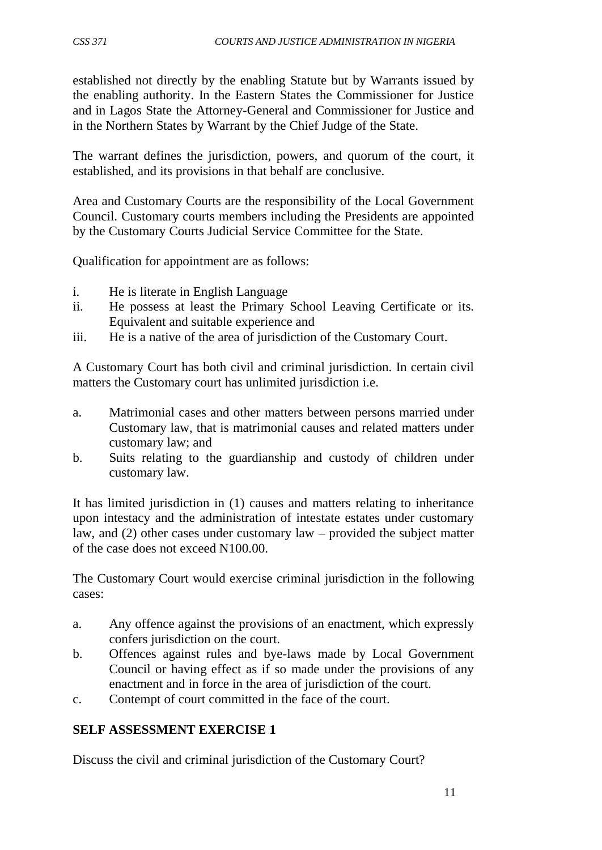established not directly by the enabling Statute but by Warrants issued by the enabling authority. In the Eastern States the Commissioner for Justice and in Lagos State the Attorney-General and Commissioner for Justice and in the Northern States by Warrant by the Chief Judge of the State.

The warrant defines the jurisdiction, powers, and quorum of the court, it established, and its provisions in that behalf are conclusive.

Area and Customary Courts are the responsibility of the Local Government Council. Customary courts members including the Presidents are appointed by the Customary Courts Judicial Service Committee for the State.

Qualification for appointment are as follows:

- i. He is literate in English Language
- ii. He possess at least the Primary School Leaving Certificate or its. Equivalent and suitable experience and
- iii. He is a native of the area of jurisdiction of the Customary Court.

A Customary Court has both civil and criminal jurisdiction. In certain civil matters the Customary court has unlimited jurisdiction i.e.

- a. Matrimonial cases and other matters between persons married under Customary law, that is matrimonial causes and related matters under customary law; and
- b. Suits relating to the guardianship and custody of children under customary law.

It has limited jurisdiction in (1) causes and matters relating to inheritance upon intestacy and the administration of intestate estates under customary law, and (2) other cases under customary law – provided the subject matter of the case does not exceed N100.00.

The Customary Court would exercise criminal jurisdiction in the following cases:

- a. Any offence against the provisions of an enactment, which expressly confers jurisdiction on the court.
- b. Offences against rules and bye-laws made by Local Government Council or having effect as if so made under the provisions of any enactment and in force in the area of jurisdiction of the court.
- c. Contempt of court committed in the face of the court.

## **SELF ASSESSMENT EXERCISE 1**

Discuss the civil and criminal jurisdiction of the Customary Court?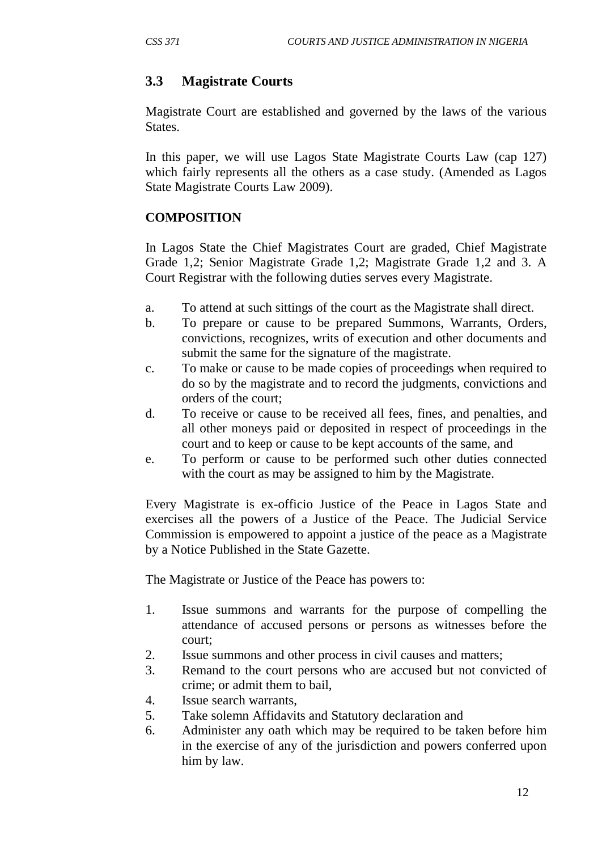# **3.3 Magistrate Courts**

Magistrate Court are established and governed by the laws of the various States.

In this paper, we will use Lagos State Magistrate Courts Law (cap 127) which fairly represents all the others as a case study. (Amended as Lagos State Magistrate Courts Law 2009).

# **COMPOSITION**

In Lagos State the Chief Magistrates Court are graded, Chief Magistrate Grade 1,2; Senior Magistrate Grade 1,2; Magistrate Grade 1,2 and 3. A Court Registrar with the following duties serves every Magistrate.

- a. To attend at such sittings of the court as the Magistrate shall direct.
- b. To prepare or cause to be prepared Summons, Warrants, Orders, convictions, recognizes, writs of execution and other documents and submit the same for the signature of the magistrate.
- c. To make or cause to be made copies of proceedings when required to do so by the magistrate and to record the judgments, convictions and orders of the court;
- d. To receive or cause to be received all fees, fines, and penalties, and all other moneys paid or deposited in respect of proceedings in the court and to keep or cause to be kept accounts of the same, and
- e. To perform or cause to be performed such other duties connected with the court as may be assigned to him by the Magistrate.

Every Magistrate is ex-officio Justice of the Peace in Lagos State and exercises all the powers of a Justice of the Peace. The Judicial Service Commission is empowered to appoint a justice of the peace as a Magistrate by a Notice Published in the State Gazette.

The Magistrate or Justice of the Peace has powers to:

- 1. Issue summons and warrants for the purpose of compelling the attendance of accused persons or persons as witnesses before the court;
- 2. Issue summons and other process in civil causes and matters;
- 3. Remand to the court persons who are accused but not convicted of crime; or admit them to bail,
- 4. Issue search warrants,
- 5. Take solemn Affidavits and Statutory declaration and
- 6. Administer any oath which may be required to be taken before him in the exercise of any of the jurisdiction and powers conferred upon him by law.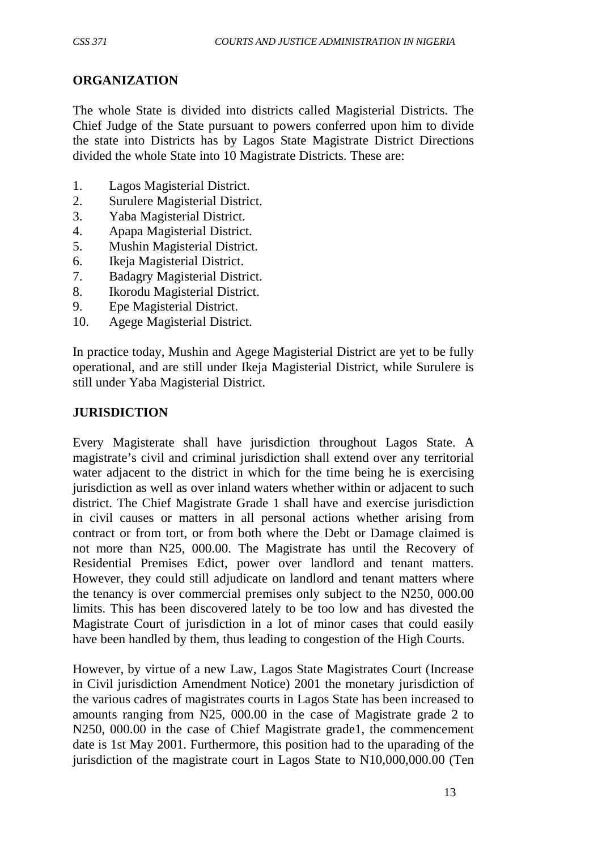## **ORGANIZATION**

The whole State is divided into districts called Magisterial Districts. The Chief Judge of the State pursuant to powers conferred upon him to divide the state into Districts has by Lagos State Magistrate District Directions divided the whole State into 10 Magistrate Districts. These are:

- 1. Lagos Magisterial District.
- 2. Surulere Magisterial District.
- 3. Yaba Magisterial District.
- 4. Apapa Magisterial District.
- 5. Mushin Magisterial District.
- 6. Ikeja Magisterial District.
- 7. Badagry Magisterial District.
- 8. Ikorodu Magisterial District.
- 9. Epe Magisterial District.
- 10. Agege Magisterial District.

In practice today, Mushin and Agege Magisterial District are yet to be fully operational, and are still under Ikeja Magisterial District, while Surulere is still under Yaba Magisterial District.

## **JURISDICTION**

Every Magisterate shall have jurisdiction throughout Lagos State. A magistrate's civil and criminal jurisdiction shall extend over any territorial water adjacent to the district in which for the time being he is exercising jurisdiction as well as over inland waters whether within or adjacent to such district. The Chief Magistrate Grade 1 shall have and exercise jurisdiction in civil causes or matters in all personal actions whether arising from contract or from tort, or from both where the Debt or Damage claimed is not more than N25, 000.00. The Magistrate has until the Recovery of Residential Premises Edict, power over landlord and tenant matters. However, they could still adjudicate on landlord and tenant matters where the tenancy is over commercial premises only subject to the N250, 000.00 limits. This has been discovered lately to be too low and has divested the Magistrate Court of jurisdiction in a lot of minor cases that could easily have been handled by them, thus leading to congestion of the High Courts.

However, by virtue of a new Law, Lagos State Magistrates Court (Increase in Civil jurisdiction Amendment Notice) 2001 the monetary jurisdiction of the various cadres of magistrates courts in Lagos State has been increased to amounts ranging from N25, 000.00 in the case of Magistrate grade 2 to N250, 000.00 in the case of Chief Magistrate grade1, the commencement date is 1st May 2001. Furthermore, this position had to the uparading of the jurisdiction of the magistrate court in Lagos State to N10,000,000.00 (Ten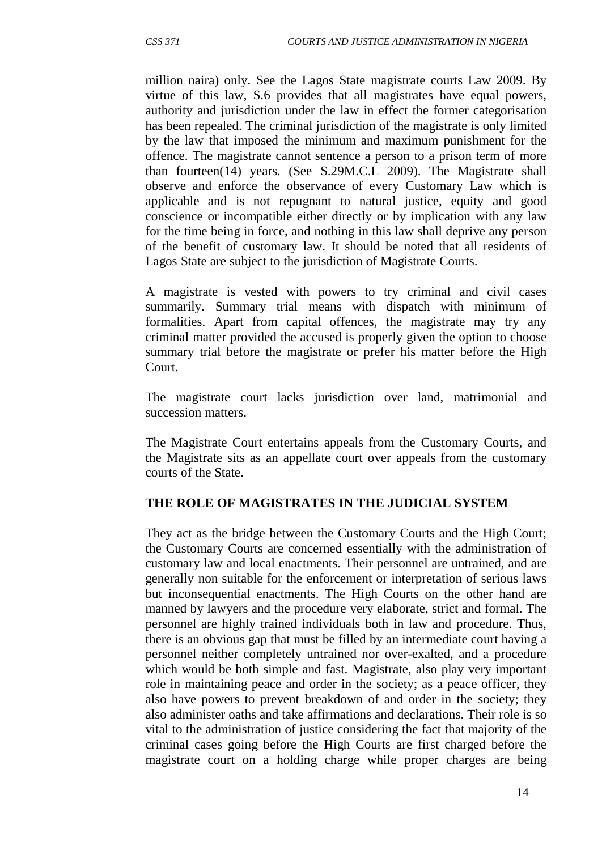million naira) only. See the Lagos State magistrate courts Law 2009. By virtue of this law, S.6 provides that all magistrates have equal powers, authority and jurisdiction under the law in effect the former categorisation has been repealed. The criminal jurisdiction of the magistrate is only limited by the law that imposed the minimum and maximum punishment for the offence. The magistrate cannot sentence a person to a prison term of more than fourteen(14) years. (See S.29M.C.L 2009). The Magistrate shall observe and enforce the observance of every Customary Law which is applicable and is not repugnant to natural justice, equity and good conscience or incompatible either directly or by implication with any law for the time being in force, and nothing in this law shall deprive any person of the benefit of customary law. It should be noted that all residents of Lagos State are subject to the jurisdiction of Magistrate Courts.

A magistrate is vested with powers to try criminal and civil cases summarily. Summary trial means with dispatch with minimum of formalities. Apart from capital offences, the magistrate may try any criminal matter provided the accused is properly given the option to choose summary trial before the magistrate or prefer his matter before the High Court.

The magistrate court lacks jurisdiction over land, matrimonial and succession matters.

The Magistrate Court entertains appeals from the Customary Courts, and the Magistrate sits as an appellate court over appeals from the customary courts of the State.

#### **THE ROLE OF MAGISTRATES IN THE JUDICIAL SYSTEM**

They act as the bridge between the Customary Courts and the High Court; the Customary Courts are concerned essentially with the administration of customary law and local enactments. Their personnel are untrained, and are generally non suitable for the enforcement or interpretation of serious laws but inconsequential enactments. The High Courts on the other hand are manned by lawyers and the procedure very elaborate, strict and formal. The personnel are highly trained individuals both in law and procedure. Thus, there is an obvious gap that must be filled by an intermediate court having a personnel neither completely untrained nor over-exalted, and a procedure which would be both simple and fast. Magistrate, also play very important role in maintaining peace and order in the society; as a peace officer, they also have powers to prevent breakdown of and order in the society; they also administer oaths and take affirmations and declarations. Their role is so vital to the administration of justice considering the fact that majority of the criminal cases going before the High Courts are first charged before the magistrate court on a holding charge while proper charges are being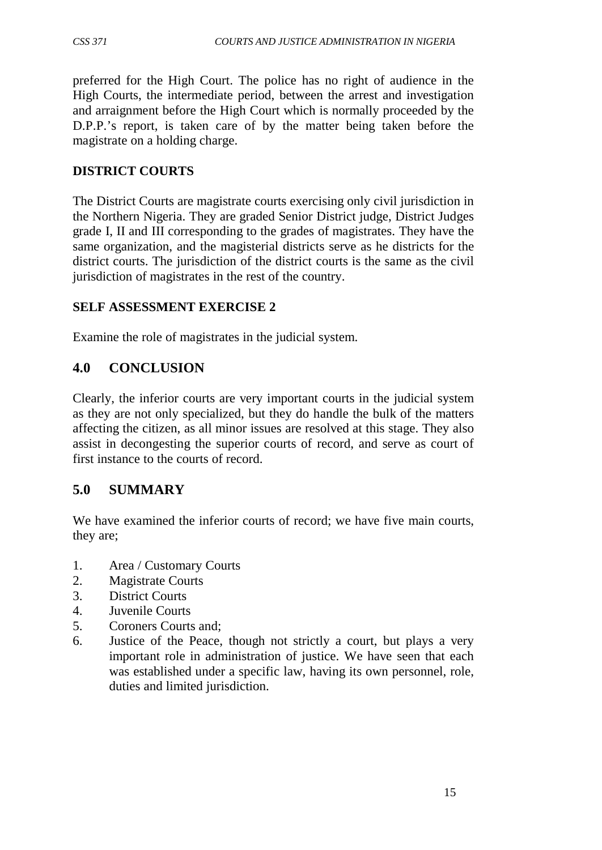preferred for the High Court. The police has no right of audience in the High Courts, the intermediate period, between the arrest and investigation and arraignment before the High Court which is normally proceeded by the D.P.P.'s report, is taken care of by the matter being taken before the magistrate on a holding charge.

# **DISTRICT COURTS**

The District Courts are magistrate courts exercising only civil jurisdiction in the Northern Nigeria. They are graded Senior District judge, District Judges grade I, II and III corresponding to the grades of magistrates. They have the same organization, and the magisterial districts serve as he districts for the district courts. The jurisdiction of the district courts is the same as the civil jurisdiction of magistrates in the rest of the country.

## **SELF ASSESSMENT EXERCISE 2**

Examine the role of magistrates in the judicial system.

# **4.0 CONCLUSION**

Clearly, the inferior courts are very important courts in the judicial system as they are not only specialized, but they do handle the bulk of the matters affecting the citizen, as all minor issues are resolved at this stage. They also assist in decongesting the superior courts of record, and serve as court of first instance to the courts of record.

# **5.0 SUMMARY**

We have examined the inferior courts of record; we have five main courts, they are;

- 1. Area / Customary Courts
- 2. Magistrate Courts
- 3. District Courts
- 4. Juvenile Courts
- 5. Coroners Courts and;
- 6. Justice of the Peace, though not strictly a court, but plays a very important role in administration of justice. We have seen that each was established under a specific law, having its own personnel, role, duties and limited jurisdiction.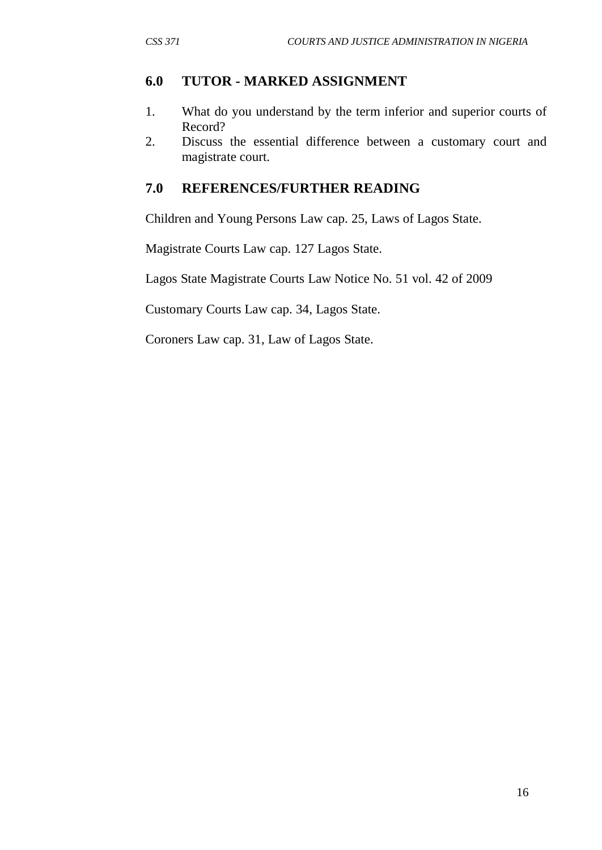# **6.0 TUTOR - MARKED ASSIGNMENT**

- 1. What do you understand by the term inferior and superior courts of Record?
- 2. Discuss the essential difference between a customary court and magistrate court.

# **7.0 REFERENCES/FURTHER READING**

Children and Young Persons Law cap. 25, Laws of Lagos State.

Magistrate Courts Law cap. 127 Lagos State.

Lagos State Magistrate Courts Law Notice No. 51 vol. 42 of 2009

Customary Courts Law cap. 34, Lagos State.

Coroners Law cap. 31, Law of Lagos State.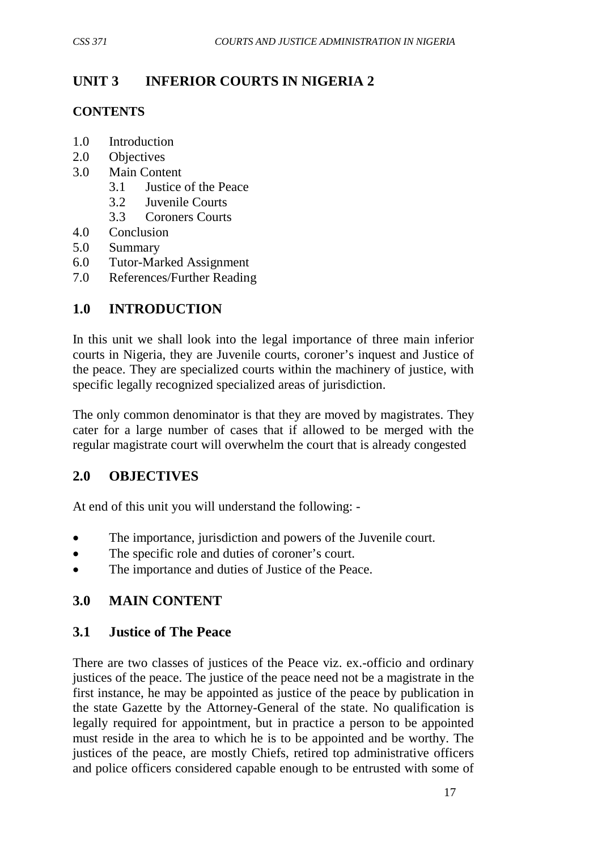# **UNIT 3 INFERIOR COURTS IN NIGERIA 2**

# **CONTENTS**

- 1.0 Introduction
- 2.0 Objectives
- 3.0 Main Content
	- 3.1 Justice of the Peace
	- 3.2 Juvenile Courts
	- 3.3 Coroners Courts
- 4.0 Conclusion
- 5.0 Summary
- 6.0 Tutor-Marked Assignment
- 7.0 References/Further Reading

# **1.0 INTRODUCTION**

In this unit we shall look into the legal importance of three main inferior courts in Nigeria, they are Juvenile courts, coroner's inquest and Justice of the peace. They are specialized courts within the machinery of justice, with specific legally recognized specialized areas of jurisdiction.

The only common denominator is that they are moved by magistrates. They cater for a large number of cases that if allowed to be merged with the regular magistrate court will overwhelm the court that is already congested

# **2.0 OBJECTIVES**

At end of this unit you will understand the following: -

- The importance, jurisdiction and powers of the Juvenile court.
- The specific role and duties of coroner's court.
- The importance and duties of Justice of the Peace.

# **3.0 MAIN CONTENT**

# **3.1 Justice of The Peace**

There are two classes of justices of the Peace viz. ex.-officio and ordinary justices of the peace. The justice of the peace need not be a magistrate in the first instance, he may be appointed as justice of the peace by publication in the state Gazette by the Attorney-General of the state. No qualification is legally required for appointment, but in practice a person to be appointed must reside in the area to which he is to be appointed and be worthy. The justices of the peace, are mostly Chiefs, retired top administrative officers and police officers considered capable enough to be entrusted with some of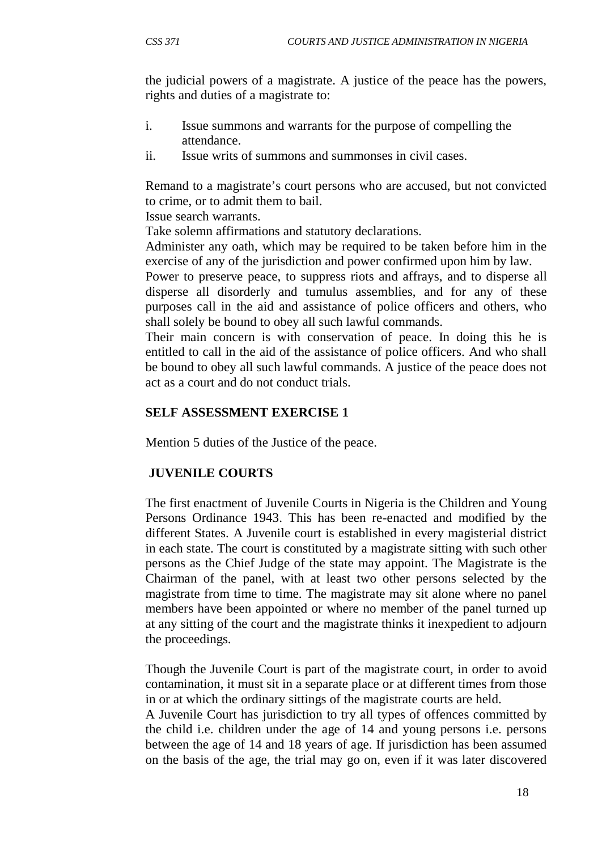the judicial powers of a magistrate. A justice of the peace has the powers, rights and duties of a magistrate to:

- i. Issue summons and warrants for the purpose of compelling the attendance.
- ii. Issue writs of summons and summonses in civil cases.

Remand to a magistrate's court persons who are accused, but not convicted to crime, or to admit them to bail.

Issue search warrants.

Take solemn affirmations and statutory declarations.

Administer any oath, which may be required to be taken before him in the exercise of any of the jurisdiction and power confirmed upon him by law.

Power to preserve peace, to suppress riots and affrays, and to disperse all disperse all disorderly and tumulus assemblies, and for any of these purposes call in the aid and assistance of police officers and others, who shall solely be bound to obey all such lawful commands.

Their main concern is with conservation of peace. In doing this he is entitled to call in the aid of the assistance of police officers. And who shall be bound to obey all such lawful commands. A justice of the peace does not act as a court and do not conduct trials.

## **SELF ASSESSMENT EXERCISE 1**

Mention 5 duties of the Justice of the peace.

## **JUVENILE COURTS**

The first enactment of Juvenile Courts in Nigeria is the Children and Young Persons Ordinance 1943. This has been re-enacted and modified by the different States. A Juvenile court is established in every magisterial district in each state. The court is constituted by a magistrate sitting with such other persons as the Chief Judge of the state may appoint. The Magistrate is the Chairman of the panel, with at least two other persons selected by the magistrate from time to time. The magistrate may sit alone where no panel members have been appointed or where no member of the panel turned up at any sitting of the court and the magistrate thinks it inexpedient to adjourn the proceedings.

Though the Juvenile Court is part of the magistrate court, in order to avoid contamination, it must sit in a separate place or at different times from those in or at which the ordinary sittings of the magistrate courts are held.

A Juvenile Court has jurisdiction to try all types of offences committed by the child i.e. children under the age of 14 and young persons i.e. persons between the age of 14 and 18 years of age. If jurisdiction has been assumed on the basis of the age, the trial may go on, even if it was later discovered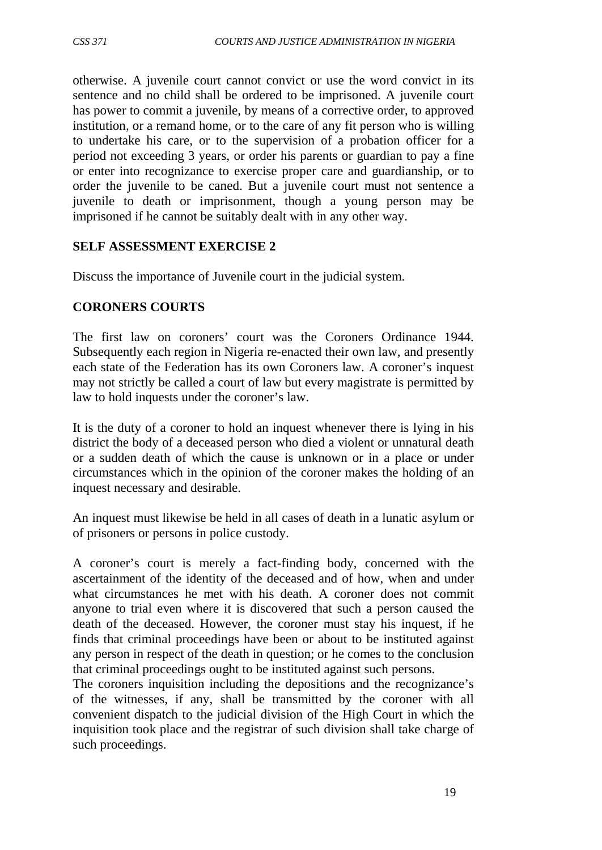otherwise. A juvenile court cannot convict or use the word convict in its sentence and no child shall be ordered to be imprisoned. A juvenile court has power to commit a juvenile, by means of a corrective order, to approved institution, or a remand home, or to the care of any fit person who is willing to undertake his care, or to the supervision of a probation officer for a period not exceeding 3 years, or order his parents or guardian to pay a fine or enter into recognizance to exercise proper care and guardianship, or to order the juvenile to be caned. But a juvenile court must not sentence a juvenile to death or imprisonment, though a young person may be imprisoned if he cannot be suitably dealt with in any other way.

## **SELF ASSESSMENT EXERCISE 2**

Discuss the importance of Juvenile court in the judicial system.

## **CORONERS COURTS**

The first law on coroners' court was the Coroners Ordinance 1944. Subsequently each region in Nigeria re-enacted their own law, and presently each state of the Federation has its own Coroners law. A coroner's inquest may not strictly be called a court of law but every magistrate is permitted by law to hold inquests under the coroner's law.

It is the duty of a coroner to hold an inquest whenever there is lying in his district the body of a deceased person who died a violent or unnatural death or a sudden death of which the cause is unknown or in a place or under circumstances which in the opinion of the coroner makes the holding of an inquest necessary and desirable.

An inquest must likewise be held in all cases of death in a lunatic asylum or of prisoners or persons in police custody.

A coroner's court is merely a fact-finding body, concerned with the ascertainment of the identity of the deceased and of how, when and under what circumstances he met with his death. A coroner does not commit anyone to trial even where it is discovered that such a person caused the death of the deceased. However, the coroner must stay his inquest, if he finds that criminal proceedings have been or about to be instituted against any person in respect of the death in question; or he comes to the conclusion that criminal proceedings ought to be instituted against such persons.

The coroners inquisition including the depositions and the recognizance's of the witnesses, if any, shall be transmitted by the coroner with all convenient dispatch to the judicial division of the High Court in which the inquisition took place and the registrar of such division shall take charge of such proceedings.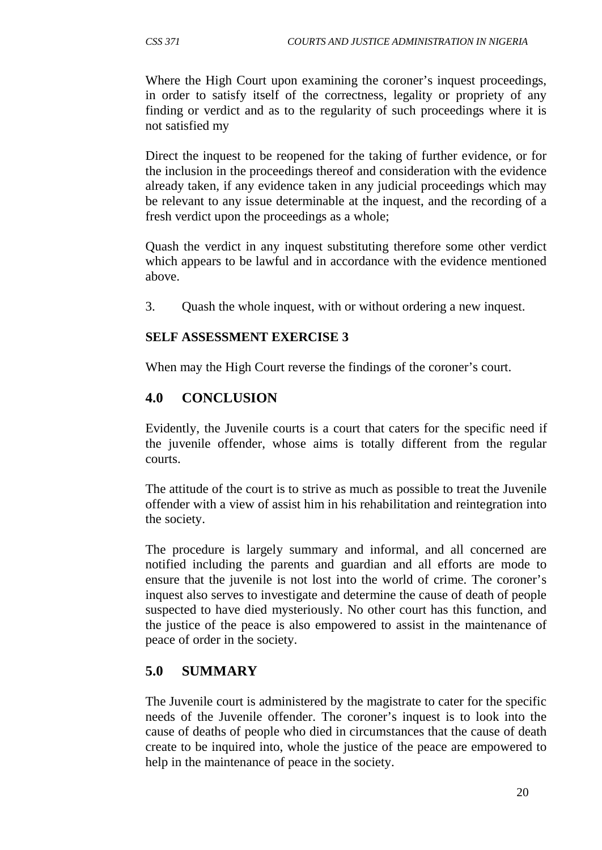Where the High Court upon examining the coroner's inquest proceedings, in order to satisfy itself of the correctness, legality or propriety of any finding or verdict and as to the regularity of such proceedings where it is not satisfied my

Direct the inquest to be reopened for the taking of further evidence, or for the inclusion in the proceedings thereof and consideration with the evidence already taken, if any evidence taken in any judicial proceedings which may be relevant to any issue determinable at the inquest, and the recording of a fresh verdict upon the proceedings as a whole;

Quash the verdict in any inquest substituting therefore some other verdict which appears to be lawful and in accordance with the evidence mentioned above.

3. Quash the whole inquest, with or without ordering a new inquest.

# **SELF ASSESSMENT EXERCISE 3**

When may the High Court reverse the findings of the coroner's court.

# **4.0 CONCLUSION**

Evidently, the Juvenile courts is a court that caters for the specific need if the juvenile offender, whose aims is totally different from the regular courts.

The attitude of the court is to strive as much as possible to treat the Juvenile offender with a view of assist him in his rehabilitation and reintegration into the society.

The procedure is largely summary and informal, and all concerned are notified including the parents and guardian and all efforts are mode to ensure that the juvenile is not lost into the world of crime. The coroner's inquest also serves to investigate and determine the cause of death of people suspected to have died mysteriously. No other court has this function, and the justice of the peace is also empowered to assist in the maintenance of peace of order in the society.

# **5.0 SUMMARY**

The Juvenile court is administered by the magistrate to cater for the specific needs of the Juvenile offender. The coroner's inquest is to look into the cause of deaths of people who died in circumstances that the cause of death create to be inquired into, whole the justice of the peace are empowered to help in the maintenance of peace in the society.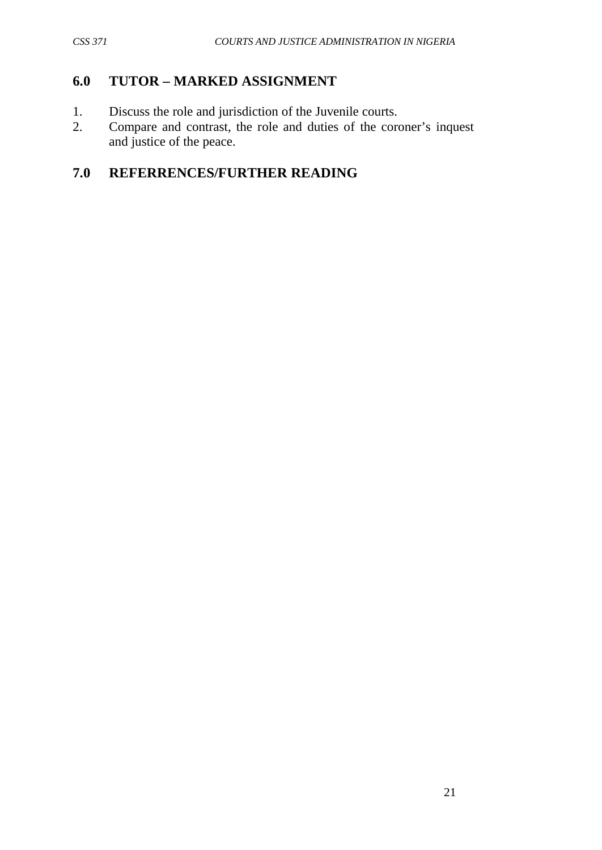# **6.0 TUTOR – MARKED ASSIGNMENT**

- 1. Discuss the role and jurisdiction of the Juvenile courts.
- 2. Compare and contrast, the role and duties of the coroner's inquest and justice of the peace.

# **7.0 REFERRENCES/FURTHER READING**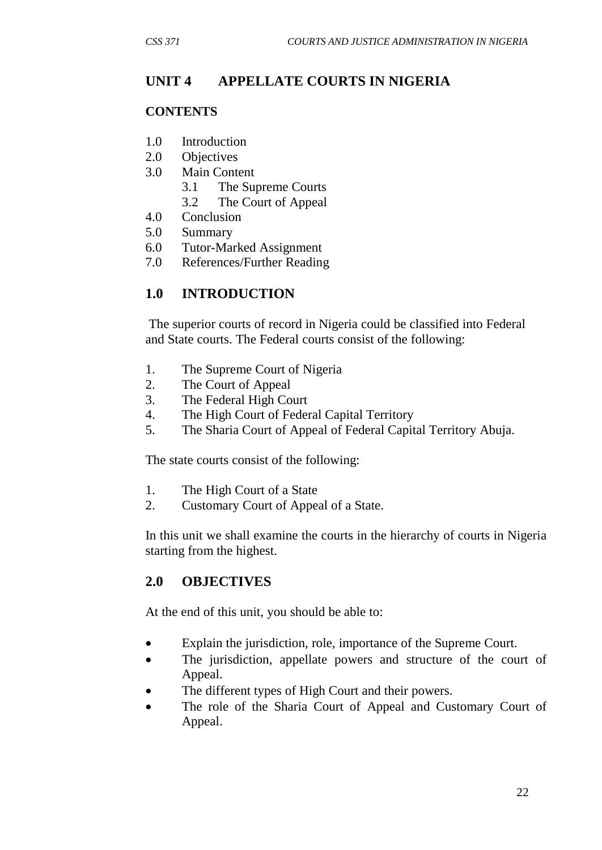# **UNIT 4 APPELLATE COURTS IN NIGERIA**

#### **CONTENTS**

- 1.0 Introduction
- 2.0 Objectives
- 3.0 Main Content
	- 3.1 The Supreme Courts
	- 3.2 The Court of Appeal
- 4.0 Conclusion
- 5.0 Summary
- 6.0 Tutor-Marked Assignment
- 7.0 References/Further Reading

## **1.0 INTRODUCTION**

The superior courts of record in Nigeria could be classified into Federal and State courts. The Federal courts consist of the following:

- 1. The Supreme Court of Nigeria
- 2. The Court of Appeal
- 3. The Federal High Court
- 4. The High Court of Federal Capital Territory
- 5. The Sharia Court of Appeal of Federal Capital Territory Abuja.

The state courts consist of the following:

- 1. The High Court of a State
- 2. Customary Court of Appeal of a State.

In this unit we shall examine the courts in the hierarchy of courts in Nigeria starting from the highest.

## **2.0 OBJECTIVES**

At the end of this unit, you should be able to:

- Explain the jurisdiction, role, importance of the Supreme Court.
- The jurisdiction, appellate powers and structure of the court of Appeal.
- The different types of High Court and their powers.
- The role of the Sharia Court of Appeal and Customary Court of Appeal.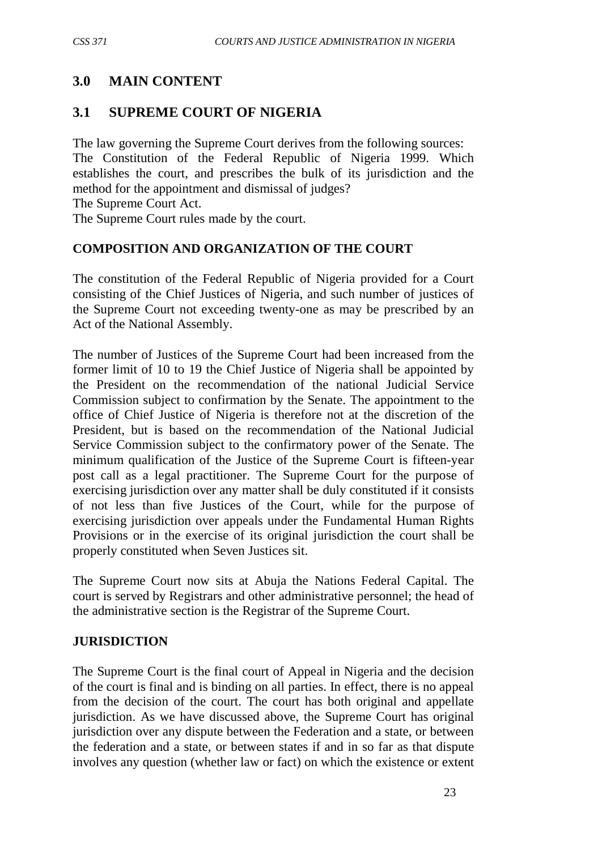# **3.0 MAIN CONTENT**

### **3.1 SUPREME COURT OF NIGERIA**

The law governing the Supreme Court derives from the following sources: The Constitution of the Federal Republic of Nigeria 1999. Which establishes the court, and prescribes the bulk of its jurisdiction and the method for the appointment and dismissal of judges? The Supreme Court Act.

The Supreme Court rules made by the court.

#### **COMPOSITION AND ORGANIZATION OF THE COURT**

The constitution of the Federal Republic of Nigeria provided for a Court consisting of the Chief Justices of Nigeria, and such number of justices of the Supreme Court not exceeding twenty-one as may be prescribed by an Act of the National Assembly.

The number of Justices of the Supreme Court had been increased from the former limit of 10 to 19 the Chief Justice of Nigeria shall be appointed by the President on the recommendation of the national Judicial Service Commission subject to confirmation by the Senate. The appointment to the office of Chief Justice of Nigeria is therefore not at the discretion of the President, but is based on the recommendation of the National Judicial Service Commission subject to the confirmatory power of the Senate. The minimum qualification of the Justice of the Supreme Court is fifteen-year post call as a legal practitioner. The Supreme Court for the purpose of exercising jurisdiction over any matter shall be duly constituted if it consists of not less than five Justices of the Court, while for the purpose of exercising jurisdiction over appeals under the Fundamental Human Rights Provisions or in the exercise of its original jurisdiction the court shall be properly constituted when Seven Justices sit.

The Supreme Court now sits at Abuja the Nations Federal Capital. The court is served by Registrars and other administrative personnel; the head of the administrative section is the Registrar of the Supreme Court.

#### **JURISDICTION**

The Supreme Court is the final court of Appeal in Nigeria and the decision of the court is final and is binding on all parties. In effect, there is no appeal from the decision of the court. The court has both original and appellate jurisdiction. As we have discussed above, the Supreme Court has original jurisdiction over any dispute between the Federation and a state, or between the federation and a state, or between states if and in so far as that dispute involves any question (whether law or fact) on which the existence or extent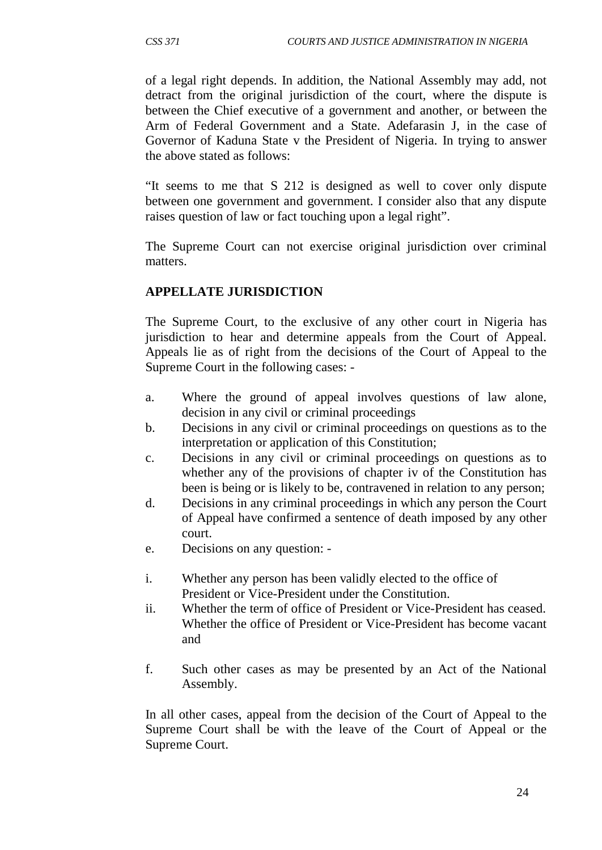of a legal right depends. In addition, the National Assembly may add, not detract from the original jurisdiction of the court, where the dispute is between the Chief executive of a government and another, or between the Arm of Federal Government and a State. Adefarasin J, in the case of Governor of Kaduna State v the President of Nigeria. In trying to answer the above stated as follows:

"It seems to me that S 212 is designed as well to cover only dispute between one government and government. I consider also that any dispute raises question of law or fact touching upon a legal right".

The Supreme Court can not exercise original jurisdiction over criminal matters.

#### **APPELLATE JURISDICTION**

The Supreme Court, to the exclusive of any other court in Nigeria has jurisdiction to hear and determine appeals from the Court of Appeal. Appeals lie as of right from the decisions of the Court of Appeal to the Supreme Court in the following cases: -

- a. Where the ground of appeal involves questions of law alone, decision in any civil or criminal proceedings
- b. Decisions in any civil or criminal proceedings on questions as to the interpretation or application of this Constitution;
- c. Decisions in any civil or criminal proceedings on questions as to whether any of the provisions of chapter iv of the Constitution has been is being or is likely to be, contravened in relation to any person;
- d. Decisions in any criminal proceedings in which any person the Court of Appeal have confirmed a sentence of death imposed by any other court.
- e. Decisions on any question: -
- i. Whether any person has been validly elected to the office of President or Vice-President under the Constitution.
- ii. Whether the term of office of President or Vice-President has ceased. Whether the office of President or Vice-President has become vacant and
- f. Such other cases as may be presented by an Act of the National Assembly.

In all other cases, appeal from the decision of the Court of Appeal to the Supreme Court shall be with the leave of the Court of Appeal or the Supreme Court.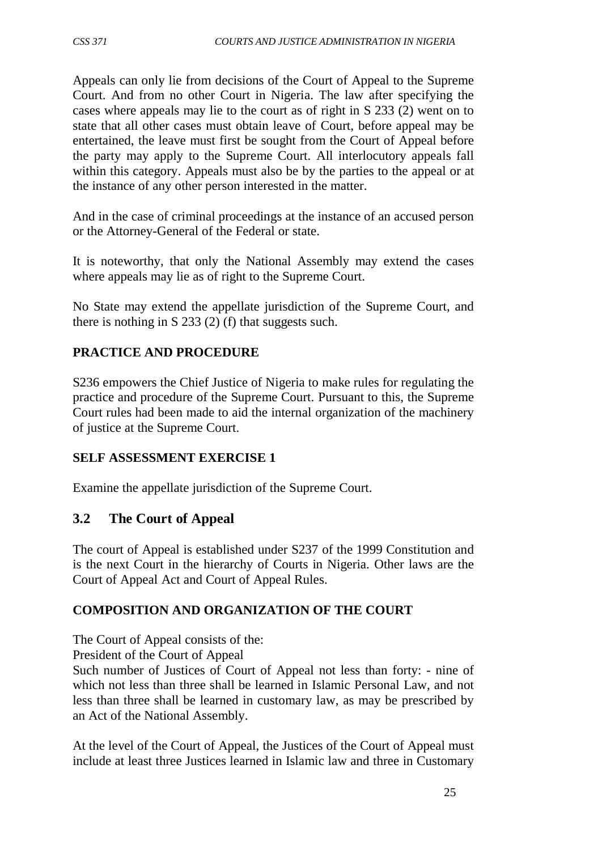Appeals can only lie from decisions of the Court of Appeal to the Supreme Court. And from no other Court in Nigeria. The law after specifying the cases where appeals may lie to the court as of right in S 233 (2) went on to state that all other cases must obtain leave of Court, before appeal may be entertained, the leave must first be sought from the Court of Appeal before the party may apply to the Supreme Court. All interlocutory appeals fall within this category. Appeals must also be by the parties to the appeal or at the instance of any other person interested in the matter.

And in the case of criminal proceedings at the instance of an accused person or the Attorney-General of the Federal or state.

It is noteworthy, that only the National Assembly may extend the cases where appeals may lie as of right to the Supreme Court.

No State may extend the appellate jurisdiction of the Supreme Court, and there is nothing in S 233 (2) (f) that suggests such.

## **PRACTICE AND PROCEDURE**

S236 empowers the Chief Justice of Nigeria to make rules for regulating the practice and procedure of the Supreme Court. Pursuant to this, the Supreme Court rules had been made to aid the internal organization of the machinery of justice at the Supreme Court.

#### **SELF ASSESSMENT EXERCISE 1**

Examine the appellate jurisdiction of the Supreme Court.

#### **3.2 The Court of Appeal**

The court of Appeal is established under S237 of the 1999 Constitution and is the next Court in the hierarchy of Courts in Nigeria. Other laws are the Court of Appeal Act and Court of Appeal Rules.

#### **COMPOSITION AND ORGANIZATION OF THE COURT**

The Court of Appeal consists of the:

President of the Court of Appeal

Such number of Justices of Court of Appeal not less than forty: - nine of which not less than three shall be learned in Islamic Personal Law, and not less than three shall be learned in customary law, as may be prescribed by an Act of the National Assembly.

At the level of the Court of Appeal, the Justices of the Court of Appeal must include at least three Justices learned in Islamic law and three in Customary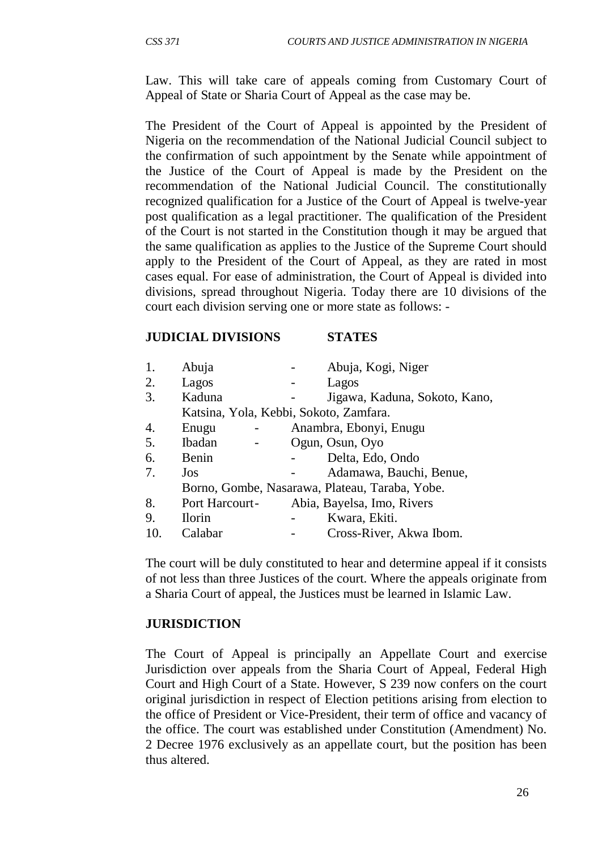Law. This will take care of appeals coming from Customary Court of Appeal of State or Sharia Court of Appeal as the case may be.

The President of the Court of Appeal is appointed by the President of Nigeria on the recommendation of the National Judicial Council subject to the confirmation of such appointment by the Senate while appointment of the Justice of the Court of Appeal is made by the President on the recommendation of the National Judicial Council. The constitutionally recognized qualification for a Justice of the Court of Appeal is twelve-year post qualification as a legal practitioner. The qualification of the President of the Court is not started in the Constitution though it may be argued that the same qualification as applies to the Justice of the Supreme Court should apply to the President of the Court of Appeal, as they are rated in most cases equal. For ease of administration, the Court of Appeal is divided into divisions, spread throughout Nigeria. Today there are 10 divisions of the court each division serving one or more state as follows: -

#### **JUDICIAL DIVISIONS STATES**

| 1.  | Abuja                                          |  | Abuja, Kogi, Niger            |
|-----|------------------------------------------------|--|-------------------------------|
| 2.  | Lagos                                          |  | Lagos                         |
| 3.  | Kaduna                                         |  | Jigawa, Kaduna, Sokoto, Kano, |
|     | Katsina, Yola, Kebbi, Sokoto, Zamfara.         |  |                               |
| 4.  | Enugu                                          |  | Anambra, Ebonyi, Enugu        |
| 5.  | Ibadan                                         |  | Ogun, Osun, Oyo               |
| 6.  | Benin                                          |  | Delta, Edo, Ondo              |
| 7.  | Jos                                            |  | Adamawa, Bauchi, Benue,       |
|     | Borno, Gombe, Nasarawa, Plateau, Taraba, Yobe. |  |                               |
| 8.  | Port Harcourt-                                 |  | Abia, Bayelsa, Imo, Rivers    |
| 9.  | <b>Ilorin</b>                                  |  | Kwara, Ekiti.                 |
| 10. | Calabar                                        |  | Cross-River, Akwa Ibom.       |
|     |                                                |  |                               |

The court will be duly constituted to hear and determine appeal if it consists of not less than three Justices of the court. Where the appeals originate from a Sharia Court of appeal, the Justices must be learned in Islamic Law.

#### **JURISDICTION**

The Court of Appeal is principally an Appellate Court and exercise Jurisdiction over appeals from the Sharia Court of Appeal, Federal High Court and High Court of a State. However, S 239 now confers on the court original jurisdiction in respect of Election petitions arising from election to the office of President or Vice-President, their term of office and vacancy of the office. The court was established under Constitution (Amendment) No. 2 Decree 1976 exclusively as an appellate court, but the position has been thus altered.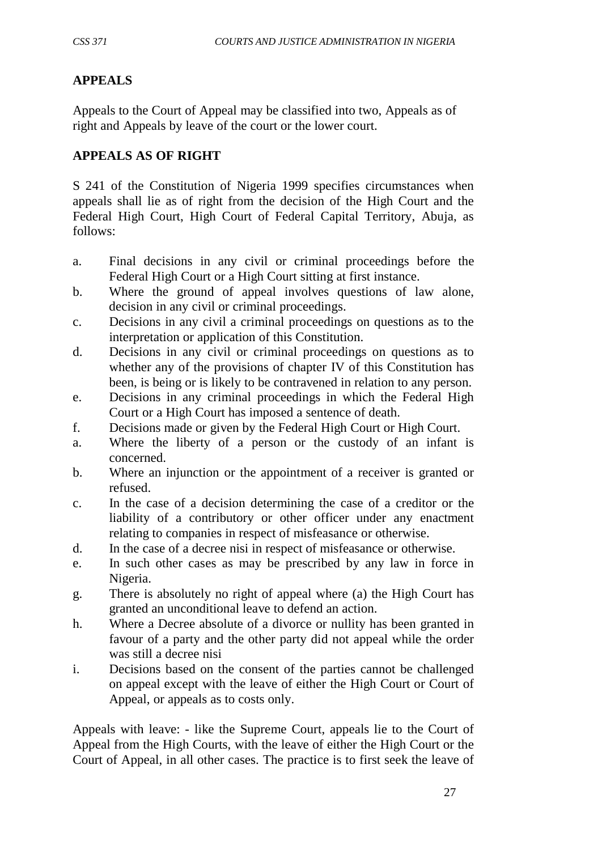# **APPEALS**

Appeals to the Court of Appeal may be classified into two, Appeals as of right and Appeals by leave of the court or the lower court.

### **APPEALS AS OF RIGHT**

S 241 of the Constitution of Nigeria 1999 specifies circumstances when appeals shall lie as of right from the decision of the High Court and the Federal High Court, High Court of Federal Capital Territory, Abuja, as follows:

- a. Final decisions in any civil or criminal proceedings before the Federal High Court or a High Court sitting at first instance.
- b. Where the ground of appeal involves questions of law alone, decision in any civil or criminal proceedings.
- c. Decisions in any civil a criminal proceedings on questions as to the interpretation or application of this Constitution.
- d. Decisions in any civil or criminal proceedings on questions as to whether any of the provisions of chapter IV of this Constitution has been, is being or is likely to be contravened in relation to any person.
- e. Decisions in any criminal proceedings in which the Federal High Court or a High Court has imposed a sentence of death.
- f. Decisions made or given by the Federal High Court or High Court.
- a. Where the liberty of a person or the custody of an infant is concerned.
- b. Where an injunction or the appointment of a receiver is granted or refused.
- c. In the case of a decision determining the case of a creditor or the liability of a contributory or other officer under any enactment relating to companies in respect of misfeasance or otherwise.
- d. In the case of a decree nisi in respect of misfeasance or otherwise.
- e. In such other cases as may be prescribed by any law in force in Nigeria.
- g. There is absolutely no right of appeal where (a) the High Court has granted an unconditional leave to defend an action.
- h. Where a Decree absolute of a divorce or nullity has been granted in favour of a party and the other party did not appeal while the order was still a decree nisi
- i. Decisions based on the consent of the parties cannot be challenged on appeal except with the leave of either the High Court or Court of Appeal, or appeals as to costs only.

Appeals with leave: - like the Supreme Court, appeals lie to the Court of Appeal from the High Courts, with the leave of either the High Court or the Court of Appeal, in all other cases. The practice is to first seek the leave of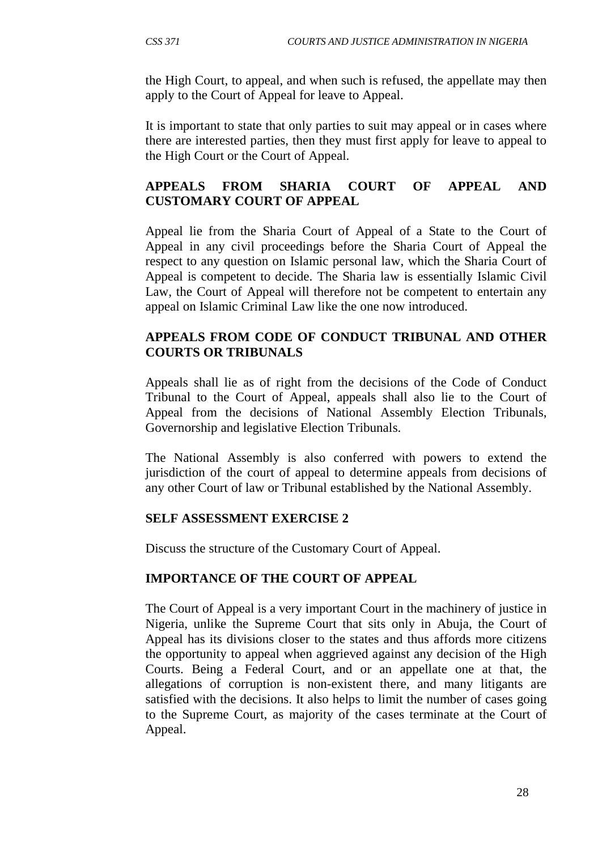the High Court, to appeal, and when such is refused, the appellate may then apply to the Court of Appeal for leave to Appeal.

It is important to state that only parties to suit may appeal or in cases where there are interested parties, then they must first apply for leave to appeal to the High Court or the Court of Appeal.

## **APPEALS FROM SHARIA COURT OF APPEAL AND CUSTOMARY COURT OF APPEAL**

Appeal lie from the Sharia Court of Appeal of a State to the Court of Appeal in any civil proceedings before the Sharia Court of Appeal the respect to any question on Islamic personal law, which the Sharia Court of Appeal is competent to decide. The Sharia law is essentially Islamic Civil Law, the Court of Appeal will therefore not be competent to entertain any appeal on Islamic Criminal Law like the one now introduced.

#### **APPEALS FROM CODE OF CONDUCT TRIBUNAL AND OTHER COURTS OR TRIBUNALS**

Appeals shall lie as of right from the decisions of the Code of Conduct Tribunal to the Court of Appeal, appeals shall also lie to the Court of Appeal from the decisions of National Assembly Election Tribunals, Governorship and legislative Election Tribunals.

The National Assembly is also conferred with powers to extend the jurisdiction of the court of appeal to determine appeals from decisions of any other Court of law or Tribunal established by the National Assembly.

#### **SELF ASSESSMENT EXERCISE 2**

Discuss the structure of the Customary Court of Appeal.

## **IMPORTANCE OF THE COURT OF APPEAL**

The Court of Appeal is a very important Court in the machinery of justice in Nigeria, unlike the Supreme Court that sits only in Abuja, the Court of Appeal has its divisions closer to the states and thus affords more citizens the opportunity to appeal when aggrieved against any decision of the High Courts. Being a Federal Court, and or an appellate one at that, the allegations of corruption is non-existent there, and many litigants are satisfied with the decisions. It also helps to limit the number of cases going to the Supreme Court, as majority of the cases terminate at the Court of Appeal.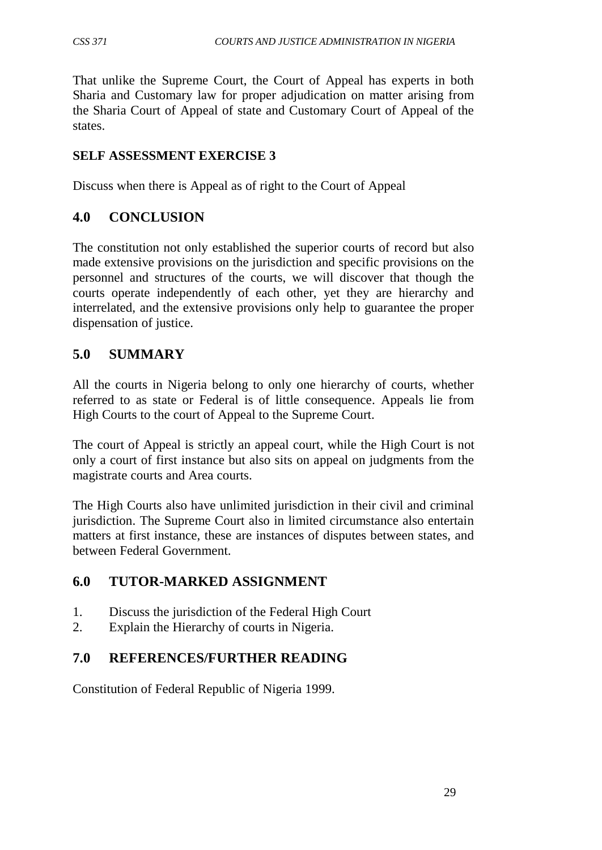That unlike the Supreme Court, the Court of Appeal has experts in both Sharia and Customary law for proper adjudication on matter arising from the Sharia Court of Appeal of state and Customary Court of Appeal of the states.

### **SELF ASSESSMENT EXERCISE 3**

Discuss when there is Appeal as of right to the Court of Appeal

# **4.0 CONCLUSION**

The constitution not only established the superior courts of record but also made extensive provisions on the jurisdiction and specific provisions on the personnel and structures of the courts, we will discover that though the courts operate independently of each other, yet they are hierarchy and interrelated, and the extensive provisions only help to guarantee the proper dispensation of justice.

# **5.0 SUMMARY**

All the courts in Nigeria belong to only one hierarchy of courts, whether referred to as state or Federal is of little consequence. Appeals lie from High Courts to the court of Appeal to the Supreme Court.

The court of Appeal is strictly an appeal court, while the High Court is not only a court of first instance but also sits on appeal on judgments from the magistrate courts and Area courts.

The High Courts also have unlimited jurisdiction in their civil and criminal jurisdiction. The Supreme Court also in limited circumstance also entertain matters at first instance, these are instances of disputes between states, and between Federal Government.

## **6.0 TUTOR-MARKED ASSIGNMENT**

- 1. Discuss the jurisdiction of the Federal High Court
- 2. Explain the Hierarchy of courts in Nigeria.

## **7.0 REFERENCES/FURTHER READING**

Constitution of Federal Republic of Nigeria 1999.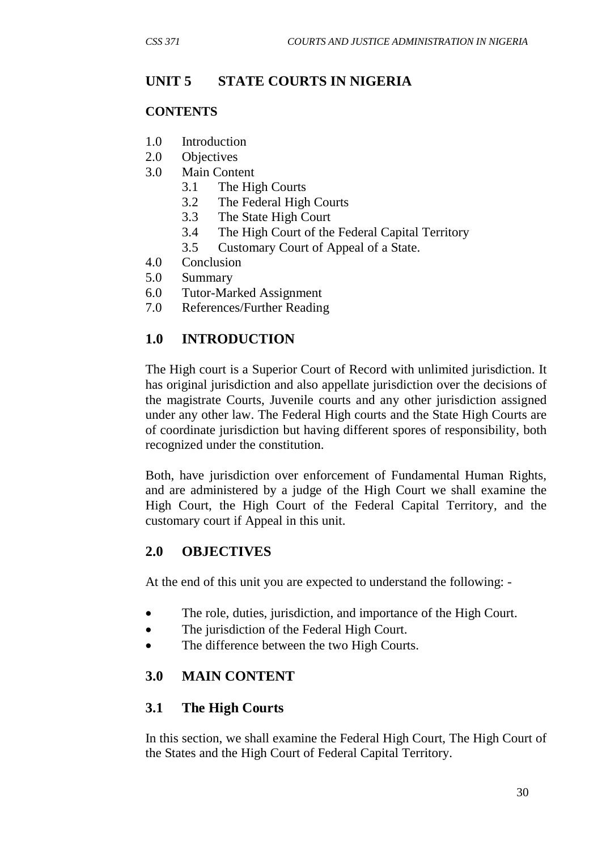# **UNIT 5 STATE COURTS IN NIGERIA**

### **CONTENTS**

- 1.0 Introduction
- 2.0 Objectives
- 3.0 Main Content
	- 3.1 The High Courts
	- 3.2 The Federal High Courts
	- 3.3 The State High Court
	- 3.4 The High Court of the Federal Capital Territory
	- 3.5 Customary Court of Appeal of a State.
- 4.0 Conclusion
- 5.0 Summary
- 6.0 Tutor-Marked Assignment
- 7.0 References/Further Reading

# **1.0 INTRODUCTION**

The High court is a Superior Court of Record with unlimited jurisdiction. It has original jurisdiction and also appellate jurisdiction over the decisions of the magistrate Courts, Juvenile courts and any other jurisdiction assigned under any other law. The Federal High courts and the State High Courts are of coordinate jurisdiction but having different spores of responsibility, both recognized under the constitution.

Both, have jurisdiction over enforcement of Fundamental Human Rights, and are administered by a judge of the High Court we shall examine the High Court, the High Court of the Federal Capital Territory, and the customary court if Appeal in this unit.

## **2.0 OBJECTIVES**

At the end of this unit you are expected to understand the following: -

- The role, duties, jurisdiction, and importance of the High Court.
- The jurisdiction of the Federal High Court.
- The difference between the two High Courts.

## **3.0 MAIN CONTENT**

## **3.1 The High Courts**

In this section, we shall examine the Federal High Court, The High Court of the States and the High Court of Federal Capital Territory.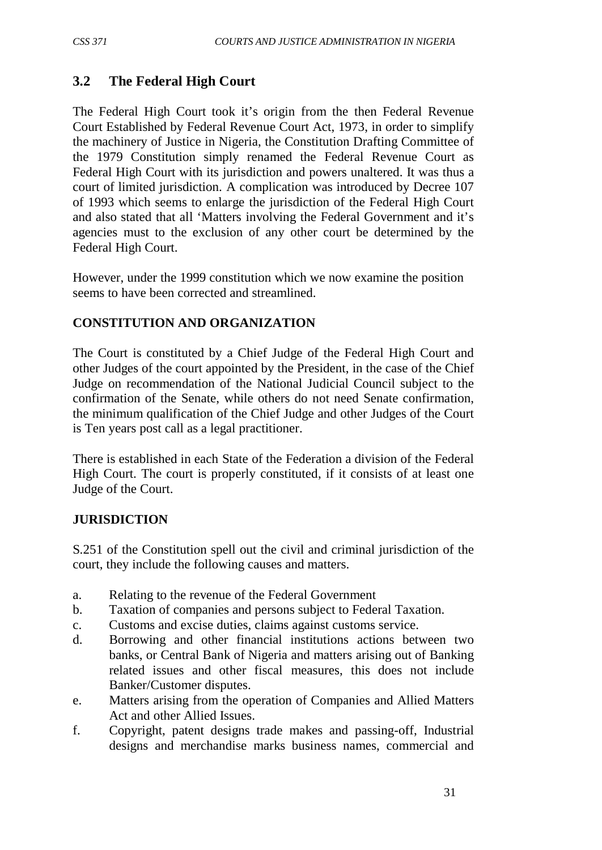# **3.2 The Federal High Court**

The Federal High Court took it's origin from the then Federal Revenue Court Established by Federal Revenue Court Act, 1973, in order to simplify the machinery of Justice in Nigeria, the Constitution Drafting Committee of the 1979 Constitution simply renamed the Federal Revenue Court as Federal High Court with its jurisdiction and powers unaltered. It was thus a court of limited jurisdiction. A complication was introduced by Decree 107 of 1993 which seems to enlarge the jurisdiction of the Federal High Court and also stated that all 'Matters involving the Federal Government and it's agencies must to the exclusion of any other court be determined by the Federal High Court.

However, under the 1999 constitution which we now examine the position seems to have been corrected and streamlined.

### **CONSTITUTION AND ORGANIZATION**

The Court is constituted by a Chief Judge of the Federal High Court and other Judges of the court appointed by the President, in the case of the Chief Judge on recommendation of the National Judicial Council subject to the confirmation of the Senate, while others do not need Senate confirmation, the minimum qualification of the Chief Judge and other Judges of the Court is Ten years post call as a legal practitioner.

There is established in each State of the Federation a division of the Federal High Court. The court is properly constituted, if it consists of at least one Judge of the Court.

#### **JURISDICTION**

S.251 of the Constitution spell out the civil and criminal jurisdiction of the court, they include the following causes and matters.

- a. Relating to the revenue of the Federal Government
- b. Taxation of companies and persons subject to Federal Taxation.
- c. Customs and excise duties, claims against customs service.
- d. Borrowing and other financial institutions actions between two banks, or Central Bank of Nigeria and matters arising out of Banking related issues and other fiscal measures, this does not include Banker/Customer disputes.
- e. Matters arising from the operation of Companies and Allied Matters Act and other Allied Issues.
- f. Copyright, patent designs trade makes and passing-off, Industrial designs and merchandise marks business names, commercial and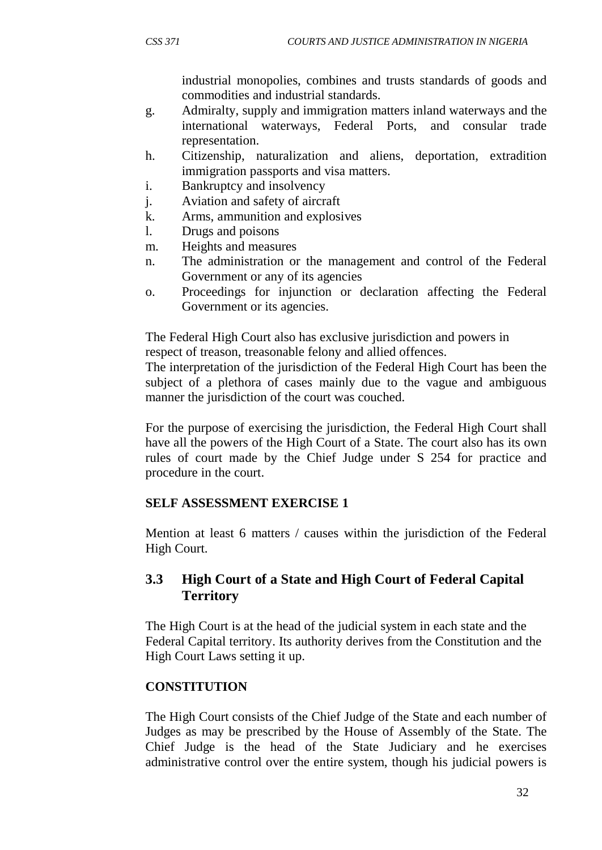industrial monopolies, combines and trusts standards of goods and commodities and industrial standards.

- g. Admiralty, supply and immigration matters inland waterways and the international waterways, Federal Ports, and consular trade representation.
- h. Citizenship, naturalization and aliens, deportation, extradition immigration passports and visa matters.
- i. Bankruptcy and insolvency
- j. Aviation and safety of aircraft
- k. Arms, ammunition and explosives
- l. Drugs and poisons
- m. Heights and measures
- n. The administration or the management and control of the Federal Government or any of its agencies
- o. Proceedings for injunction or declaration affecting the Federal Government or its agencies.

The Federal High Court also has exclusive jurisdiction and powers in respect of treason, treasonable felony and allied offences.

The interpretation of the jurisdiction of the Federal High Court has been the subject of a plethora of cases mainly due to the vague and ambiguous manner the jurisdiction of the court was couched.

For the purpose of exercising the jurisdiction, the Federal High Court shall have all the powers of the High Court of a State. The court also has its own rules of court made by the Chief Judge under S 254 for practice and procedure in the court.

#### **SELF ASSESSMENT EXERCISE 1**

Mention at least 6 matters / causes within the jurisdiction of the Federal High Court.

## **3.3 High Court of a State and High Court of Federal Capital Territory**

The High Court is at the head of the judicial system in each state and the Federal Capital territory. Its authority derives from the Constitution and the High Court Laws setting it up.

#### **CONSTITUTION**

The High Court consists of the Chief Judge of the State and each number of Judges as may be prescribed by the House of Assembly of the State. The Chief Judge is the head of the State Judiciary and he exercises administrative control over the entire system, though his judicial powers is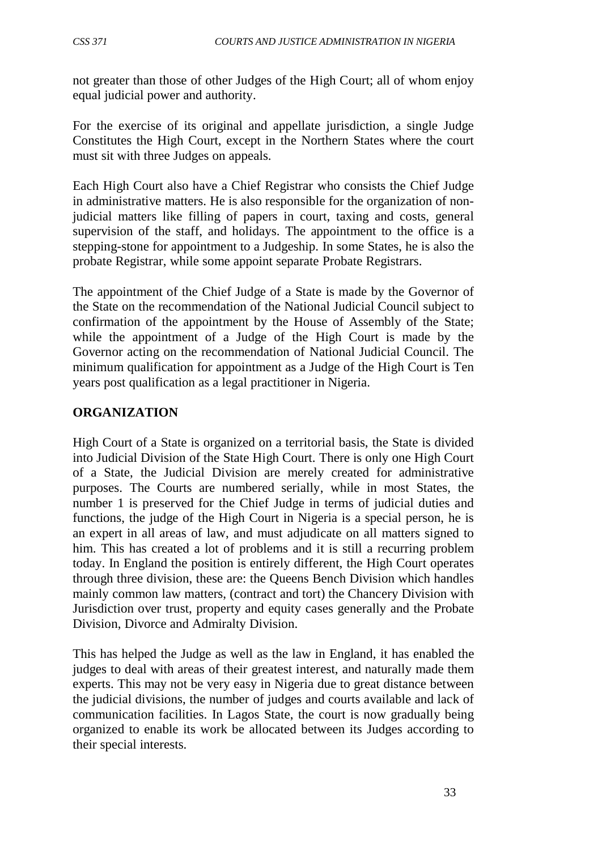not greater than those of other Judges of the High Court; all of whom enjoy equal judicial power and authority.

For the exercise of its original and appellate jurisdiction, a single Judge Constitutes the High Court, except in the Northern States where the court must sit with three Judges on appeals.

Each High Court also have a Chief Registrar who consists the Chief Judge in administrative matters. He is also responsible for the organization of nonjudicial matters like filling of papers in court, taxing and costs, general supervision of the staff, and holidays. The appointment to the office is a stepping-stone for appointment to a Judgeship. In some States, he is also the probate Registrar, while some appoint separate Probate Registrars.

The appointment of the Chief Judge of a State is made by the Governor of the State on the recommendation of the National Judicial Council subject to confirmation of the appointment by the House of Assembly of the State; while the appointment of a Judge of the High Court is made by the Governor acting on the recommendation of National Judicial Council. The minimum qualification for appointment as a Judge of the High Court is Ten years post qualification as a legal practitioner in Nigeria.

### **ORGANIZATION**

High Court of a State is organized on a territorial basis, the State is divided into Judicial Division of the State High Court. There is only one High Court of a State, the Judicial Division are merely created for administrative purposes. The Courts are numbered serially, while in most States, the number 1 is preserved for the Chief Judge in terms of judicial duties and functions, the judge of the High Court in Nigeria is a special person, he is an expert in all areas of law, and must adjudicate on all matters signed to him. This has created a lot of problems and it is still a recurring problem today. In England the position is entirely different, the High Court operates through three division, these are: the Queens Bench Division which handles mainly common law matters, (contract and tort) the Chancery Division with Jurisdiction over trust, property and equity cases generally and the Probate Division, Divorce and Admiralty Division.

This has helped the Judge as well as the law in England, it has enabled the judges to deal with areas of their greatest interest, and naturally made them experts. This may not be very easy in Nigeria due to great distance between the judicial divisions, the number of judges and courts available and lack of communication facilities. In Lagos State, the court is now gradually being organized to enable its work be allocated between its Judges according to their special interests.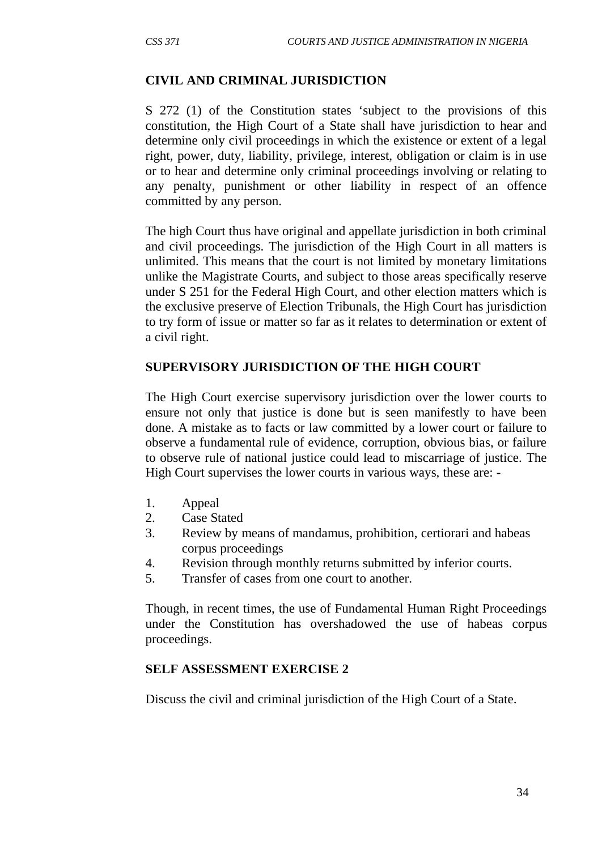#### **CIVIL AND CRIMINAL JURISDICTION**

S 272 (1) of the Constitution states 'subject to the provisions of this constitution, the High Court of a State shall have jurisdiction to hear and determine only civil proceedings in which the existence or extent of a legal right, power, duty, liability, privilege, interest, obligation or claim is in use or to hear and determine only criminal proceedings involving or relating to any penalty, punishment or other liability in respect of an offence committed by any person.

The high Court thus have original and appellate jurisdiction in both criminal and civil proceedings. The jurisdiction of the High Court in all matters is unlimited. This means that the court is not limited by monetary limitations unlike the Magistrate Courts, and subject to those areas specifically reserve under S 251 for the Federal High Court, and other election matters which is the exclusive preserve of Election Tribunals, the High Court has jurisdiction to try form of issue or matter so far as it relates to determination or extent of a civil right.

#### **SUPERVISORY JURISDICTION OF THE HIGH COURT**

The High Court exercise supervisory jurisdiction over the lower courts to ensure not only that justice is done but is seen manifestly to have been done. A mistake as to facts or law committed by a lower court or failure to observe a fundamental rule of evidence, corruption, obvious bias, or failure to observe rule of national justice could lead to miscarriage of justice. The High Court supervises the lower courts in various ways, these are: -

- 1. Appeal
- 2. Case Stated
- 3. Review by means of mandamus, prohibition, certiorari and habeas corpus proceedings
- 4. Revision through monthly returns submitted by inferior courts.
- 5. Transfer of cases from one court to another.

Though, in recent times, the use of Fundamental Human Right Proceedings under the Constitution has overshadowed the use of habeas corpus proceedings.

#### **SELF ASSESSMENT EXERCISE 2**

Discuss the civil and criminal jurisdiction of the High Court of a State.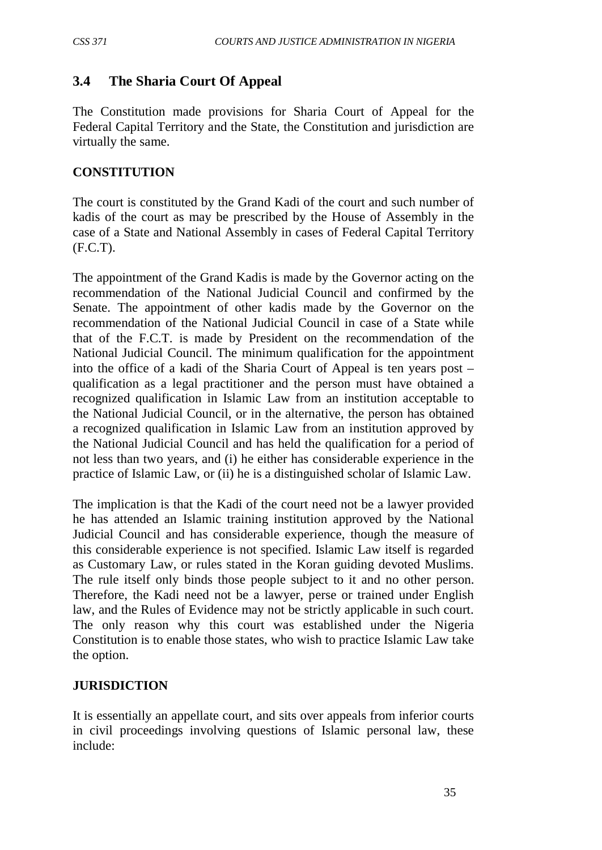## **3.4 The Sharia Court Of Appeal**

The Constitution made provisions for Sharia Court of Appeal for the Federal Capital Territory and the State, the Constitution and jurisdiction are virtually the same.

### **CONSTITUTION**

The court is constituted by the Grand Kadi of the court and such number of kadis of the court as may be prescribed by the House of Assembly in the case of a State and National Assembly in cases of Federal Capital Territory (F.C.T).

The appointment of the Grand Kadis is made by the Governor acting on the recommendation of the National Judicial Council and confirmed by the Senate. The appointment of other kadis made by the Governor on the recommendation of the National Judicial Council in case of a State while that of the F.C.T. is made by President on the recommendation of the National Judicial Council. The minimum qualification for the appointment into the office of a kadi of the Sharia Court of Appeal is ten years post – qualification as a legal practitioner and the person must have obtained a recognized qualification in Islamic Law from an institution acceptable to the National Judicial Council, or in the alternative, the person has obtained a recognized qualification in Islamic Law from an institution approved by the National Judicial Council and has held the qualification for a period of not less than two years, and (i) he either has considerable experience in the practice of Islamic Law, or (ii) he is a distinguished scholar of Islamic Law.

The implication is that the Kadi of the court need not be a lawyer provided he has attended an Islamic training institution approved by the National Judicial Council and has considerable experience, though the measure of this considerable experience is not specified. Islamic Law itself is regarded as Customary Law, or rules stated in the Koran guiding devoted Muslims. The rule itself only binds those people subject to it and no other person. Therefore, the Kadi need not be a lawyer, perse or trained under English law, and the Rules of Evidence may not be strictly applicable in such court. The only reason why this court was established under the Nigeria Constitution is to enable those states, who wish to practice Islamic Law take the option.

#### **JURISDICTION**

It is essentially an appellate court, and sits over appeals from inferior courts in civil proceedings involving questions of Islamic personal law, these include: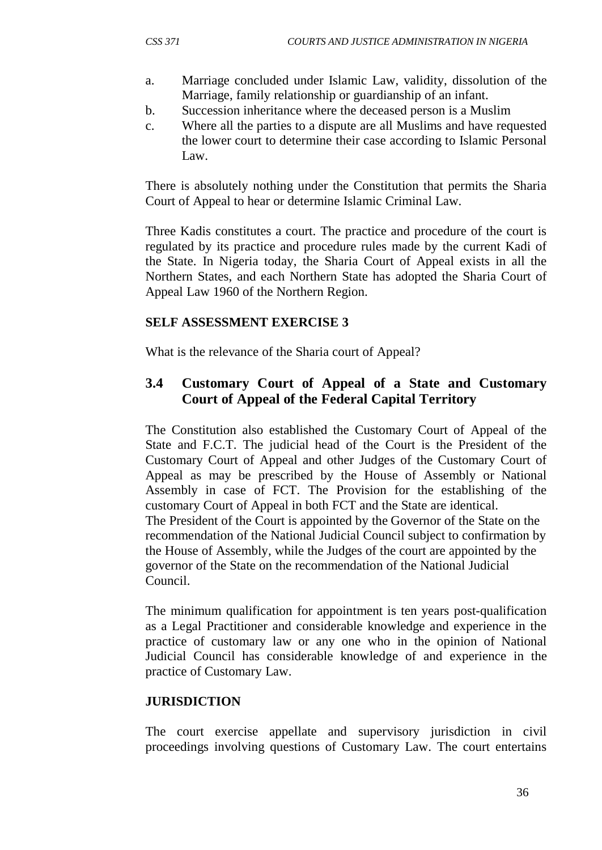- a. Marriage concluded under Islamic Law, validity, dissolution of the Marriage, family relationship or guardianship of an infant.
- b. Succession inheritance where the deceased person is a Muslim
- c. Where all the parties to a dispute are all Muslims and have requested the lower court to determine their case according to Islamic Personal Law.

There is absolutely nothing under the Constitution that permits the Sharia Court of Appeal to hear or determine Islamic Criminal Law.

Three Kadis constitutes a court. The practice and procedure of the court is regulated by its practice and procedure rules made by the current Kadi of the State. In Nigeria today, the Sharia Court of Appeal exists in all the Northern States, and each Northern State has adopted the Sharia Court of Appeal Law 1960 of the Northern Region.

#### **SELF ASSESSMENT EXERCISE 3**

What is the relevance of the Sharia court of Appeal?

# **3.4 Customary Court of Appeal of a State and Customary Court of Appeal of the Federal Capital Territory**

The Constitution also established the Customary Court of Appeal of the State and F.C.T. The judicial head of the Court is the President of the Customary Court of Appeal and other Judges of the Customary Court of Appeal as may be prescribed by the House of Assembly or National Assembly in case of FCT. The Provision for the establishing of the customary Court of Appeal in both FCT and the State are identical. The President of the Court is appointed by the Governor of the State on the recommendation of the National Judicial Council subject to confirmation by the House of Assembly, while the Judges of the court are appointed by the governor of the State on the recommendation of the National Judicial Council.

The minimum qualification for appointment is ten years post-qualification as a Legal Practitioner and considerable knowledge and experience in the practice of customary law or any one who in the opinion of National Judicial Council has considerable knowledge of and experience in the practice of Customary Law.

#### **JURISDICTION**

The court exercise appellate and supervisory jurisdiction in civil proceedings involving questions of Customary Law. The court entertains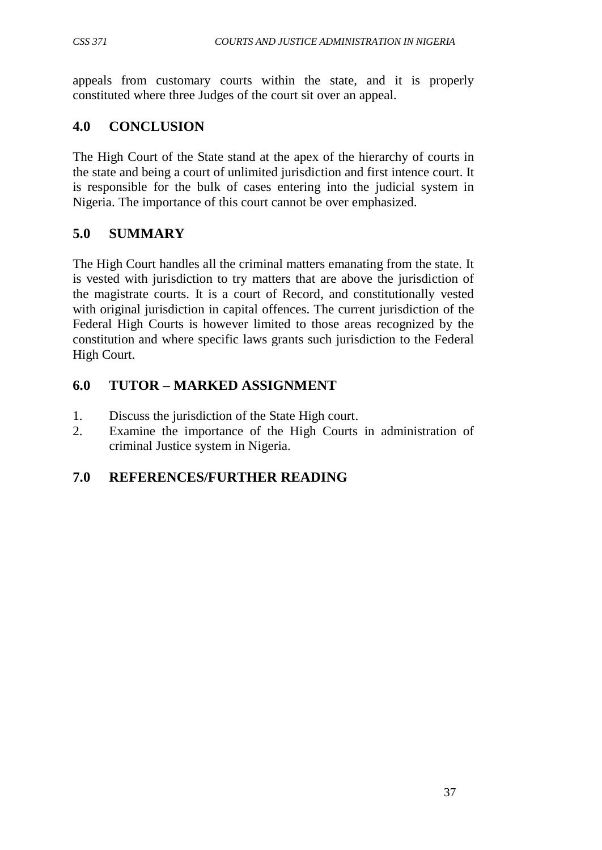appeals from customary courts within the state, and it is properly constituted where three Judges of the court sit over an appeal.

# **4.0 CONCLUSION**

The High Court of the State stand at the apex of the hierarchy of courts in the state and being a court of unlimited jurisdiction and first intence court. It is responsible for the bulk of cases entering into the judicial system in Nigeria. The importance of this court cannot be over emphasized.

# **5.0 SUMMARY**

The High Court handles all the criminal matters emanating from the state. It is vested with jurisdiction to try matters that are above the jurisdiction of the magistrate courts. It is a court of Record, and constitutionally vested with original jurisdiction in capital offences. The current jurisdiction of the Federal High Courts is however limited to those areas recognized by the constitution and where specific laws grants such jurisdiction to the Federal High Court.

# **6.0 TUTOR – MARKED ASSIGNMENT**

- 1. Discuss the jurisdiction of the State High court.
- 2. Examine the importance of the High Courts in administration of criminal Justice system in Nigeria.

# **7.0 REFERENCES/FURTHER READING**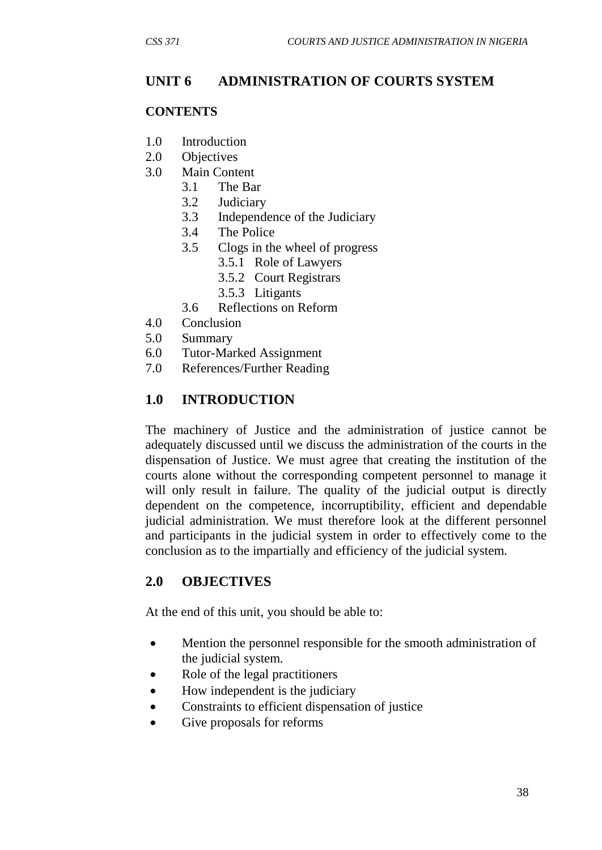# **UNIT 6 ADMINISTRATION OF COURTS SYSTEM**

#### **CONTENTS**

- 1.0 Introduction
- 2.0 Objectives
- 3.0 Main Content
	- 3.1 The Bar
	- 3.2 Judiciary
	- 3.3 Independence of the Judiciary
	- 3.4 The Police
	- 3.5 Clogs in the wheel of progress
		- 3.5.1 Role of Lawyers
		- 3.5.2 Court Registrars
		- 3.5.3 Litigants
	- 3.6 Reflections on Reform
- 4.0 Conclusion
- 5.0 Summary
- 6.0 Tutor-Marked Assignment
- 7.0 References/Further Reading

## **1.0 INTRODUCTION**

The machinery of Justice and the administration of justice cannot be adequately discussed until we discuss the administration of the courts in the dispensation of Justice. We must agree that creating the institution of the courts alone without the corresponding competent personnel to manage it will only result in failure. The quality of the judicial output is directly dependent on the competence, incorruptibility, efficient and dependable judicial administration. We must therefore look at the different personnel and participants in the judicial system in order to effectively come to the conclusion as to the impartially and efficiency of the judicial system.

## **2.0 OBJECTIVES**

At the end of this unit, you should be able to:

- Mention the personnel responsible for the smooth administration of the judicial system.
- Role of the legal practitioners
- How independent is the judiciary
- Constraints to efficient dispensation of justice
- Give proposals for reforms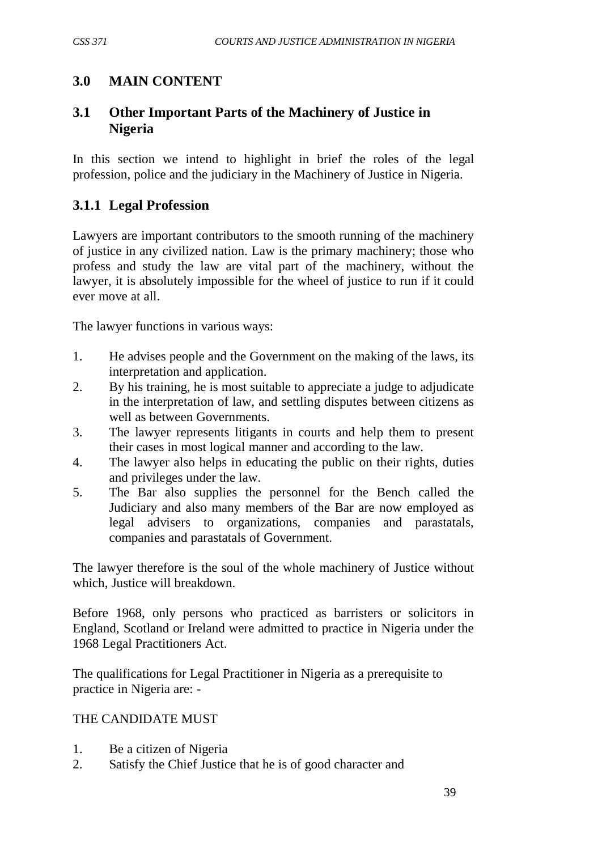# **3.0 MAIN CONTENT**

# **3.1 Other Important Parts of the Machinery of Justice in Nigeria**

In this section we intend to highlight in brief the roles of the legal profession, police and the judiciary in the Machinery of Justice in Nigeria.

# **3.1.1 Legal Profession**

Lawyers are important contributors to the smooth running of the machinery of justice in any civilized nation. Law is the primary machinery; those who profess and study the law are vital part of the machinery, without the lawyer, it is absolutely impossible for the wheel of justice to run if it could ever move at all.

The lawyer functions in various ways:

- 1. He advises people and the Government on the making of the laws, its interpretation and application.
- 2. By his training, he is most suitable to appreciate a judge to adjudicate in the interpretation of law, and settling disputes between citizens as well as between Governments.
- 3. The lawyer represents litigants in courts and help them to present their cases in most logical manner and according to the law.
- 4. The lawyer also helps in educating the public on their rights, duties and privileges under the law.
- 5. The Bar also supplies the personnel for the Bench called the Judiciary and also many members of the Bar are now employed as legal advisers to organizations, companies and parastatals, companies and parastatals of Government.

The lawyer therefore is the soul of the whole machinery of Justice without which, Justice will breakdown.

Before 1968, only persons who practiced as barristers or solicitors in England, Scotland or Ireland were admitted to practice in Nigeria under the 1968 Legal Practitioners Act.

The qualifications for Legal Practitioner in Nigeria as a prerequisite to practice in Nigeria are: -

## THE CANDIDATE MUST

- 1. Be a citizen of Nigeria
- 2. Satisfy the Chief Justice that he is of good character and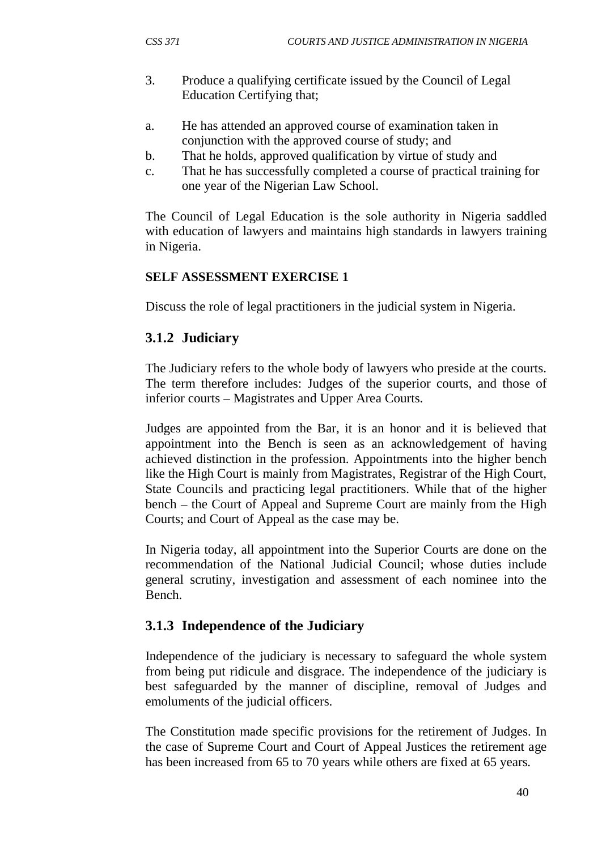- 3. Produce a qualifying certificate issued by the Council of Legal Education Certifying that;
- a. He has attended an approved course of examination taken in conjunction with the approved course of study; and
- b. That he holds, approved qualification by virtue of study and
- c. That he has successfully completed a course of practical training for one year of the Nigerian Law School.

The Council of Legal Education is the sole authority in Nigeria saddled with education of lawyers and maintains high standards in lawyers training in Nigeria.

## **SELF ASSESSMENT EXERCISE 1**

Discuss the role of legal practitioners in the judicial system in Nigeria.

## **3.1.2 Judiciary**

The Judiciary refers to the whole body of lawyers who preside at the courts. The term therefore includes: Judges of the superior courts, and those of inferior courts – Magistrates and Upper Area Courts.

Judges are appointed from the Bar, it is an honor and it is believed that appointment into the Bench is seen as an acknowledgement of having achieved distinction in the profession. Appointments into the higher bench like the High Court is mainly from Magistrates, Registrar of the High Court, State Councils and practicing legal practitioners. While that of the higher bench – the Court of Appeal and Supreme Court are mainly from the High Courts; and Court of Appeal as the case may be.

In Nigeria today, all appointment into the Superior Courts are done on the recommendation of the National Judicial Council; whose duties include general scrutiny, investigation and assessment of each nominee into the Bench.

# **3.1.3 Independence of the Judiciary**

Independence of the judiciary is necessary to safeguard the whole system from being put ridicule and disgrace. The independence of the judiciary is best safeguarded by the manner of discipline, removal of Judges and emoluments of the judicial officers.

The Constitution made specific provisions for the retirement of Judges. In the case of Supreme Court and Court of Appeal Justices the retirement age has been increased from 65 to 70 years while others are fixed at 65 years.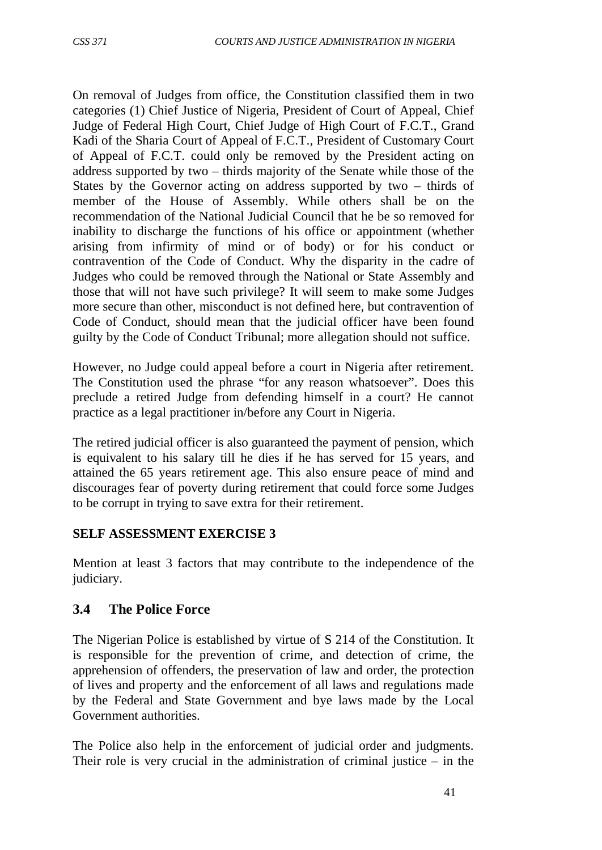On removal of Judges from office, the Constitution classified them in two categories (1) Chief Justice of Nigeria, President of Court of Appeal, Chief Judge of Federal High Court, Chief Judge of High Court of F.C.T., Grand Kadi of the Sharia Court of Appeal of F.C.T., President of Customary Court of Appeal of F.C.T. could only be removed by the President acting on address supported by two – thirds majority of the Senate while those of the States by the Governor acting on address supported by two – thirds of member of the House of Assembly. While others shall be on the recommendation of the National Judicial Council that he be so removed for inability to discharge the functions of his office or appointment (whether arising from infirmity of mind or of body) or for his conduct or contravention of the Code of Conduct. Why the disparity in the cadre of Judges who could be removed through the National or State Assembly and those that will not have such privilege? It will seem to make some Judges more secure than other, misconduct is not defined here, but contravention of Code of Conduct, should mean that the judicial officer have been found guilty by the Code of Conduct Tribunal; more allegation should not suffice.

However, no Judge could appeal before a court in Nigeria after retirement. The Constitution used the phrase "for any reason whatsoever". Does this preclude a retired Judge from defending himself in a court? He cannot practice as a legal practitioner in/before any Court in Nigeria.

The retired judicial officer is also guaranteed the payment of pension, which is equivalent to his salary till he dies if he has served for 15 years, and attained the 65 years retirement age. This also ensure peace of mind and discourages fear of poverty during retirement that could force some Judges to be corrupt in trying to save extra for their retirement.

#### **SELF ASSESSMENT EXERCISE 3**

Mention at least 3 factors that may contribute to the independence of the judiciary.

## **3.4 The Police Force**

The Nigerian Police is established by virtue of S 214 of the Constitution. It is responsible for the prevention of crime, and detection of crime, the apprehension of offenders, the preservation of law and order, the protection of lives and property and the enforcement of all laws and regulations made by the Federal and State Government and bye laws made by the Local Government authorities.

The Police also help in the enforcement of judicial order and judgments. Their role is very crucial in the administration of criminal justice  $-$  in the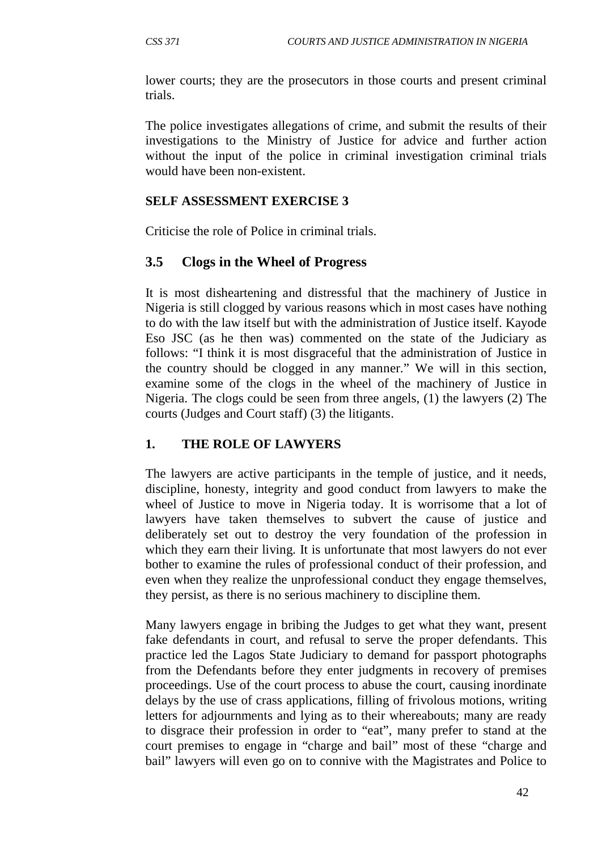lower courts; they are the prosecutors in those courts and present criminal trials.

The police investigates allegations of crime, and submit the results of their investigations to the Ministry of Justice for advice and further action without the input of the police in criminal investigation criminal trials would have been non-existent.

#### **SELF ASSESSMENT EXERCISE 3**

Criticise the role of Police in criminal trials.

### **3.5 Clogs in the Wheel of Progress**

It is most disheartening and distressful that the machinery of Justice in Nigeria is still clogged by various reasons which in most cases have nothing to do with the law itself but with the administration of Justice itself. Kayode Eso JSC (as he then was) commented on the state of the Judiciary as follows: "I think it is most disgraceful that the administration of Justice in the country should be clogged in any manner." We will in this section, examine some of the clogs in the wheel of the machinery of Justice in Nigeria. The clogs could be seen from three angels, (1) the lawyers (2) The courts (Judges and Court staff) (3) the litigants.

#### **1. THE ROLE OF LAWYERS**

The lawyers are active participants in the temple of justice, and it needs, discipline, honesty, integrity and good conduct from lawyers to make the wheel of Justice to move in Nigeria today. It is worrisome that a lot of lawyers have taken themselves to subvert the cause of justice and deliberately set out to destroy the very foundation of the profession in which they earn their living. It is unfortunate that most lawyers do not ever bother to examine the rules of professional conduct of their profession, and even when they realize the unprofessional conduct they engage themselves, they persist, as there is no serious machinery to discipline them.

Many lawyers engage in bribing the Judges to get what they want, present fake defendants in court, and refusal to serve the proper defendants. This practice led the Lagos State Judiciary to demand for passport photographs from the Defendants before they enter judgments in recovery of premises proceedings. Use of the court process to abuse the court, causing inordinate delays by the use of crass applications, filling of frivolous motions, writing letters for adjournments and lying as to their whereabouts; many are ready to disgrace their profession in order to "eat", many prefer to stand at the court premises to engage in "charge and bail" most of these "charge and bail" lawyers will even go on to connive with the Magistrates and Police to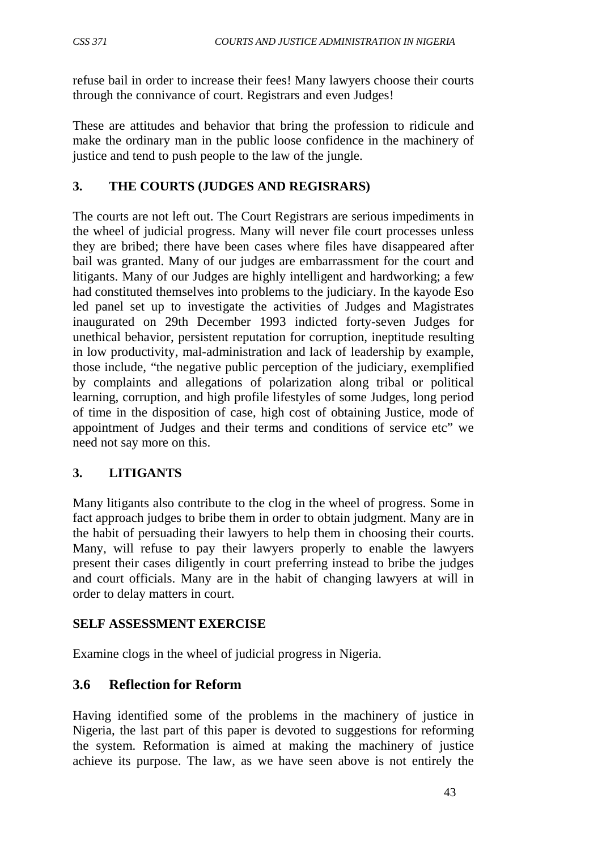refuse bail in order to increase their fees! Many lawyers choose their courts through the connivance of court. Registrars and even Judges!

These are attitudes and behavior that bring the profession to ridicule and make the ordinary man in the public loose confidence in the machinery of justice and tend to push people to the law of the jungle.

# **3. THE COURTS (JUDGES AND REGISRARS)**

The courts are not left out. The Court Registrars are serious impediments in the wheel of judicial progress. Many will never file court processes unless they are bribed; there have been cases where files have disappeared after bail was granted. Many of our judges are embarrassment for the court and litigants. Many of our Judges are highly intelligent and hardworking; a few had constituted themselves into problems to the judiciary. In the kayode Eso led panel set up to investigate the activities of Judges and Magistrates inaugurated on 29th December 1993 indicted forty-seven Judges for unethical behavior, persistent reputation for corruption, ineptitude resulting in low productivity, mal-administration and lack of leadership by example, those include, "the negative public perception of the judiciary, exemplified by complaints and allegations of polarization along tribal or political learning, corruption, and high profile lifestyles of some Judges, long period of time in the disposition of case, high cost of obtaining Justice, mode of appointment of Judges and their terms and conditions of service etc" we need not say more on this.

# **3. LITIGANTS**

Many litigants also contribute to the clog in the wheel of progress. Some in fact approach judges to bribe them in order to obtain judgment. Many are in the habit of persuading their lawyers to help them in choosing their courts. Many, will refuse to pay their lawyers properly to enable the lawyers present their cases diligently in court preferring instead to bribe the judges and court officials. Many are in the habit of changing lawyers at will in order to delay matters in court.

## **SELF ASSESSMENT EXERCISE**

Examine clogs in the wheel of judicial progress in Nigeria.

# **3.6 Reflection for Reform**

Having identified some of the problems in the machinery of justice in Nigeria, the last part of this paper is devoted to suggestions for reforming the system. Reformation is aimed at making the machinery of justice achieve its purpose. The law, as we have seen above is not entirely the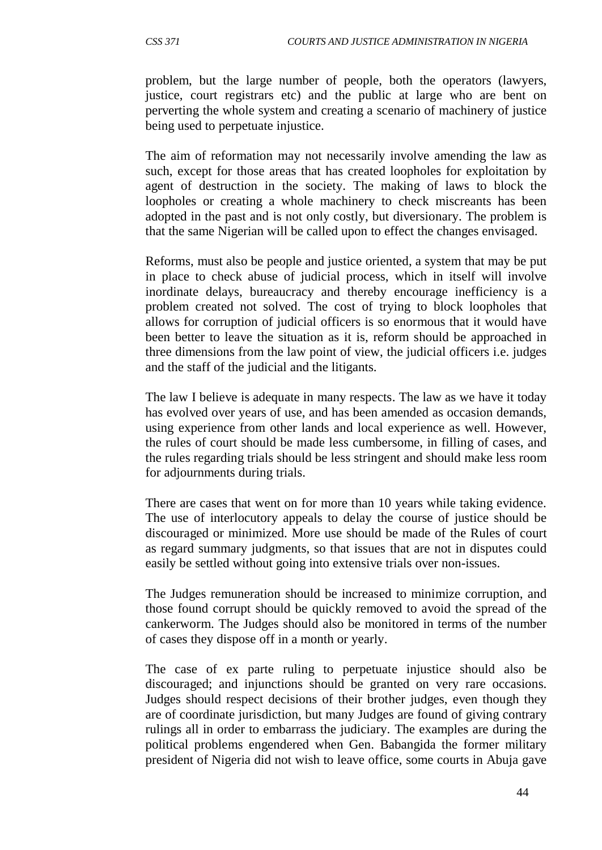problem, but the large number of people, both the operators (lawyers, justice, court registrars etc) and the public at large who are bent on perverting the whole system and creating a scenario of machinery of justice being used to perpetuate injustice.

The aim of reformation may not necessarily involve amending the law as such, except for those areas that has created loopholes for exploitation by agent of destruction in the society. The making of laws to block the loopholes or creating a whole machinery to check miscreants has been adopted in the past and is not only costly, but diversionary. The problem is that the same Nigerian will be called upon to effect the changes envisaged.

Reforms, must also be people and justice oriented, a system that may be put in place to check abuse of judicial process, which in itself will involve inordinate delays, bureaucracy and thereby encourage inefficiency is a problem created not solved. The cost of trying to block loopholes that allows for corruption of judicial officers is so enormous that it would have been better to leave the situation as it is, reform should be approached in three dimensions from the law point of view, the judicial officers i.e. judges and the staff of the judicial and the litigants.

The law I believe is adequate in many respects. The law as we have it today has evolved over years of use, and has been amended as occasion demands, using experience from other lands and local experience as well. However, the rules of court should be made less cumbersome, in filling of cases, and the rules regarding trials should be less stringent and should make less room for adjournments during trials.

There are cases that went on for more than 10 years while taking evidence. The use of interlocutory appeals to delay the course of justice should be discouraged or minimized. More use should be made of the Rules of court as regard summary judgments, so that issues that are not in disputes could easily be settled without going into extensive trials over non-issues.

The Judges remuneration should be increased to minimize corruption, and those found corrupt should be quickly removed to avoid the spread of the cankerworm. The Judges should also be monitored in terms of the number of cases they dispose off in a month or yearly.

The case of ex parte ruling to perpetuate injustice should also be discouraged; and injunctions should be granted on very rare occasions. Judges should respect decisions of their brother judges, even though they are of coordinate jurisdiction, but many Judges are found of giving contrary rulings all in order to embarrass the judiciary. The examples are during the political problems engendered when Gen. Babangida the former military president of Nigeria did not wish to leave office, some courts in Abuja gave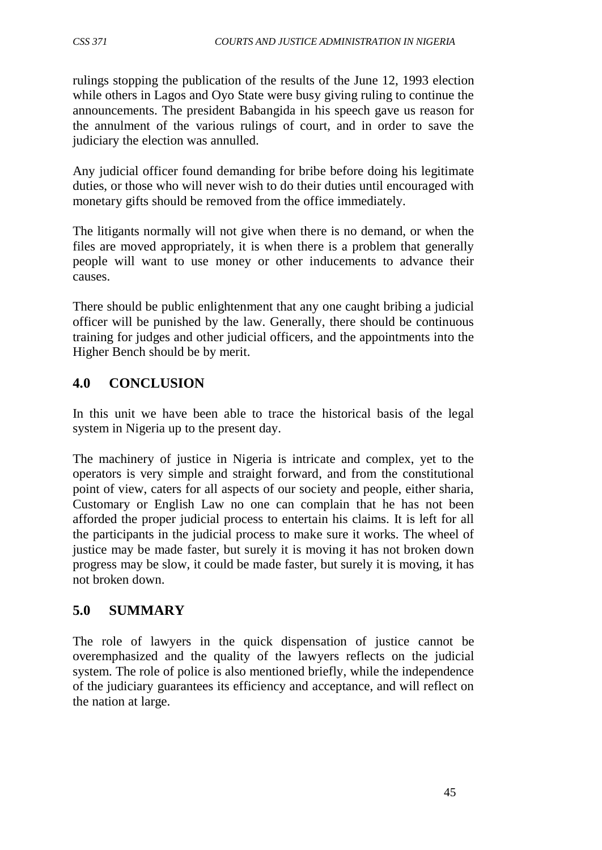rulings stopping the publication of the results of the June 12, 1993 election while others in Lagos and Oyo State were busy giving ruling to continue the announcements. The president Babangida in his speech gave us reason for the annulment of the various rulings of court, and in order to save the judiciary the election was annulled.

Any judicial officer found demanding for bribe before doing his legitimate duties, or those who will never wish to do their duties until encouraged with monetary gifts should be removed from the office immediately.

The litigants normally will not give when there is no demand, or when the files are moved appropriately, it is when there is a problem that generally people will want to use money or other inducements to advance their causes.

There should be public enlightenment that any one caught bribing a judicial officer will be punished by the law. Generally, there should be continuous training for judges and other judicial officers, and the appointments into the Higher Bench should be by merit.

# **4.0 CONCLUSION**

In this unit we have been able to trace the historical basis of the legal system in Nigeria up to the present day.

The machinery of justice in Nigeria is intricate and complex, yet to the operators is very simple and straight forward, and from the constitutional point of view, caters for all aspects of our society and people, either sharia, Customary or English Law no one can complain that he has not been afforded the proper judicial process to entertain his claims. It is left for all the participants in the judicial process to make sure it works. The wheel of justice may be made faster, but surely it is moving it has not broken down progress may be slow, it could be made faster, but surely it is moving, it has not broken down.

# **5.0 SUMMARY**

The role of lawyers in the quick dispensation of justice cannot be overemphasized and the quality of the lawyers reflects on the judicial system. The role of police is also mentioned briefly, while the independence of the judiciary guarantees its efficiency and acceptance, and will reflect on the nation at large.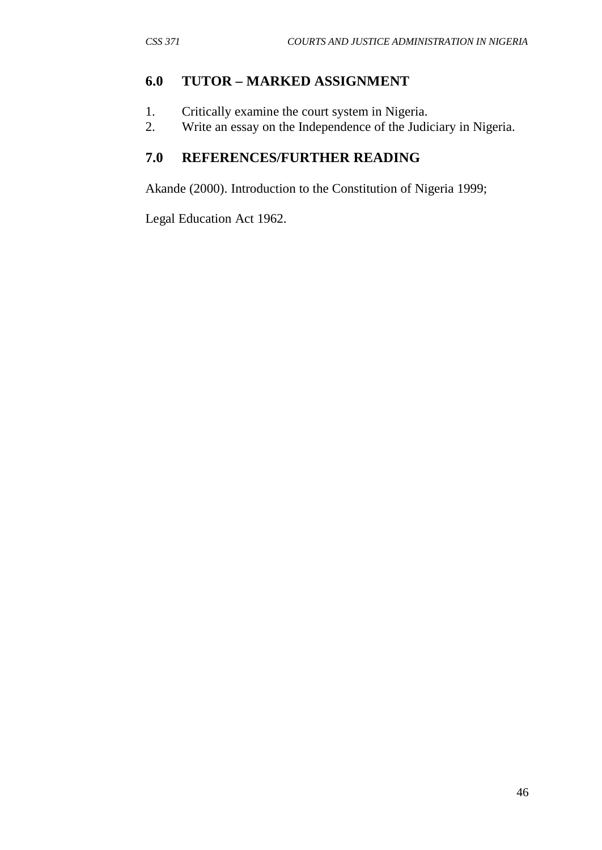### **6.0 TUTOR – MARKED ASSIGNMENT**

- 1. Critically examine the court system in Nigeria.
- 2. Write an essay on the Independence of the Judiciary in Nigeria.

# **7.0 REFERENCES/FURTHER READING**

Akande (2000). Introduction to the Constitution of Nigeria 1999;

Legal Education Act 1962.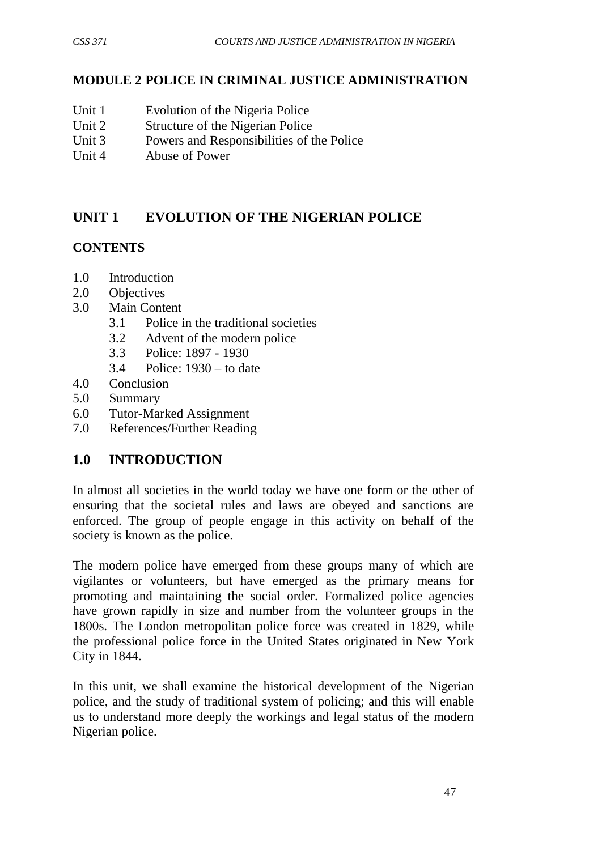### **MODULE 2 POLICE IN CRIMINAL JUSTICE ADMINISTRATION**

- Unit 1 Evolution of the Nigeria Police
- Unit 2 Structure of the Nigerian Police<br>
Unit 3 Powers and Responsibilities of t
- Powers and Responsibilities of the Police
- Unit 4 Abuse of Power

# **UNIT 1 EVOLUTION OF THE NIGERIAN POLICE**

## **CONTENTS**

- 1.0 Introduction
- 2.0 Objectives
- 3.0 Main Content
	- 3.1 Police in the traditional societies
	- 3.2 Advent of the modern police
	- 3.3 Police: 1897 1930
	- 3.4 Police: 1930 to date
- 4.0 Conclusion
- 5.0 Summary
- 6.0 Tutor-Marked Assignment
- 7.0 References/Further Reading

# **1.0 INTRODUCTION**

In almost all societies in the world today we have one form or the other of ensuring that the societal rules and laws are obeyed and sanctions are enforced. The group of people engage in this activity on behalf of the society is known as the police.

The modern police have emerged from these groups many of which are vigilantes or volunteers, but have emerged as the primary means for promoting and maintaining the social order. Formalized police agencies have grown rapidly in size and number from the volunteer groups in the 1800s. The London metropolitan police force was created in 1829, while the professional police force in the United States originated in New York City in 1844.

In this unit, we shall examine the historical development of the Nigerian police, and the study of traditional system of policing; and this will enable us to understand more deeply the workings and legal status of the modern Nigerian police.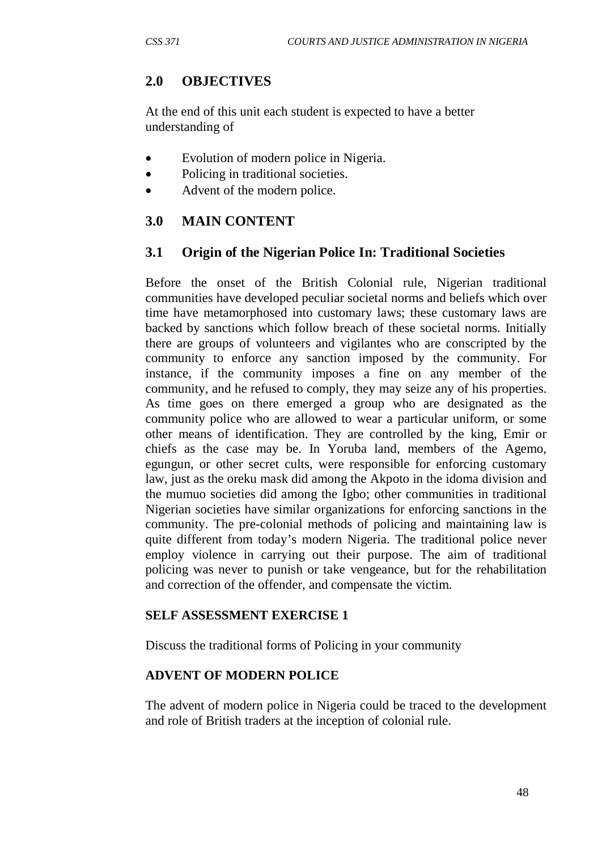# **2.0 OBJECTIVES**

At the end of this unit each student is expected to have a better understanding of

- Evolution of modern police in Nigeria.
- Policing in traditional societies.
- Advent of the modern police.

# **3.0 MAIN CONTENT**

## **3.1 Origin of the Nigerian Police In: Traditional Societies**

Before the onset of the British Colonial rule, Nigerian traditional communities have developed peculiar societal norms and beliefs which over time have metamorphosed into customary laws; these customary laws are backed by sanctions which follow breach of these societal norms. Initially there are groups of volunteers and vigilantes who are conscripted by the community to enforce any sanction imposed by the community. For instance, if the community imposes a fine on any member of the community, and he refused to comply, they may seize any of his properties. As time goes on there emerged a group who are designated as the community police who are allowed to wear a particular uniform, or some other means of identification. They are controlled by the king, Emir or chiefs as the case may be. In Yoruba land, members of the Agemo, egungun, or other secret cults, were responsible for enforcing customary law, just as the oreku mask did among the Akpoto in the idoma division and the mumuo societies did among the Igbo; other communities in traditional Nigerian societies have similar organizations for enforcing sanctions in the community. The pre-colonial methods of policing and maintaining law is quite different from today's modern Nigeria. The traditional police never employ violence in carrying out their purpose. The aim of traditional policing was never to punish or take vengeance, but for the rehabilitation and correction of the offender, and compensate the victim.

#### **SELF ASSESSMENT EXERCISE 1**

Discuss the traditional forms of Policing in your community

#### **ADVENT OF MODERN POLICE**

The advent of modern police in Nigeria could be traced to the development and role of British traders at the inception of colonial rule.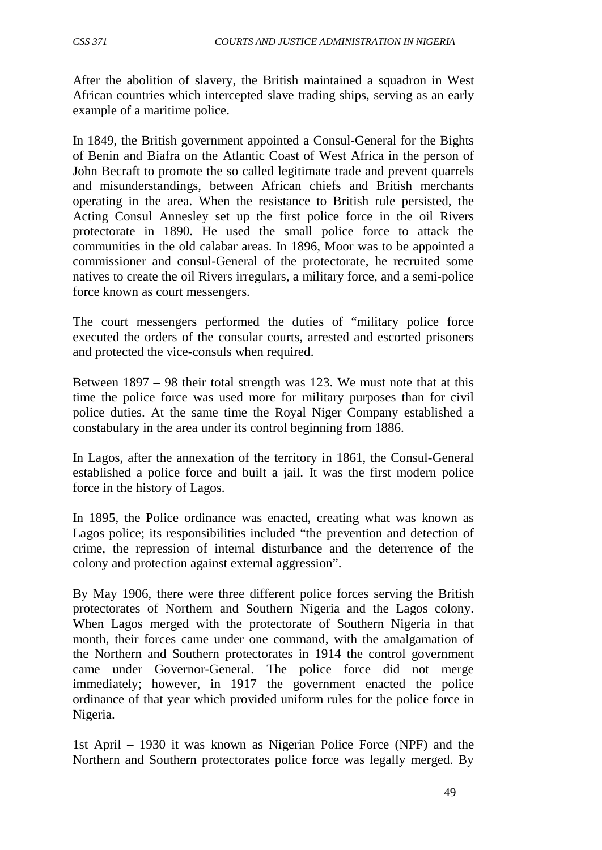After the abolition of slavery, the British maintained a squadron in West African countries which intercepted slave trading ships, serving as an early example of a maritime police.

In 1849, the British government appointed a Consul-General for the Bights of Benin and Biafra on the Atlantic Coast of West Africa in the person of John Becraft to promote the so called legitimate trade and prevent quarrels and misunderstandings, between African chiefs and British merchants operating in the area. When the resistance to British rule persisted, the Acting Consul Annesley set up the first police force in the oil Rivers protectorate in 1890. He used the small police force to attack the communities in the old calabar areas. In 1896, Moor was to be appointed a commissioner and consul-General of the protectorate, he recruited some natives to create the oil Rivers irregulars, a military force, and a semi-police force known as court messengers.

The court messengers performed the duties of "military police force executed the orders of the consular courts, arrested and escorted prisoners and protected the vice-consuls when required.

Between 1897 – 98 their total strength was 123. We must note that at this time the police force was used more for military purposes than for civil police duties. At the same time the Royal Niger Company established a constabulary in the area under its control beginning from 1886.

In Lagos, after the annexation of the territory in 1861, the Consul-General established a police force and built a jail. It was the first modern police force in the history of Lagos.

In 1895, the Police ordinance was enacted, creating what was known as Lagos police; its responsibilities included "the prevention and detection of crime, the repression of internal disturbance and the deterrence of the colony and protection against external aggression".

By May 1906, there were three different police forces serving the British protectorates of Northern and Southern Nigeria and the Lagos colony. When Lagos merged with the protectorate of Southern Nigeria in that month, their forces came under one command, with the amalgamation of the Northern and Southern protectorates in 1914 the control government came under Governor-General. The police force did not merge immediately; however, in 1917 the government enacted the police ordinance of that year which provided uniform rules for the police force in Nigeria.

1st April – 1930 it was known as Nigerian Police Force (NPF) and the Northern and Southern protectorates police force was legally merged. By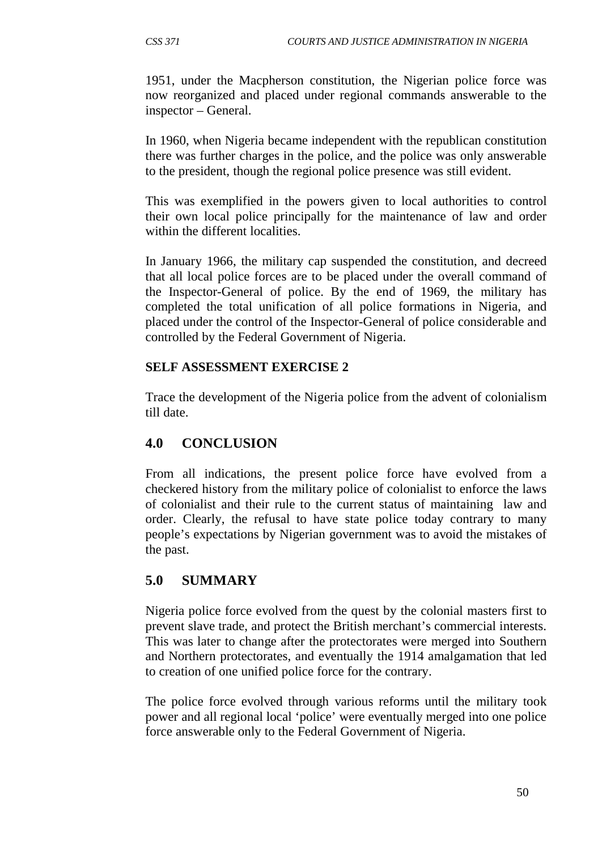1951, under the Macpherson constitution, the Nigerian police force was now reorganized and placed under regional commands answerable to the inspector – General.

In 1960, when Nigeria became independent with the republican constitution there was further charges in the police, and the police was only answerable to the president, though the regional police presence was still evident.

This was exemplified in the powers given to local authorities to control their own local police principally for the maintenance of law and order within the different localities.

In January 1966, the military cap suspended the constitution, and decreed that all local police forces are to be placed under the overall command of the Inspector-General of police. By the end of 1969, the military has completed the total unification of all police formations in Nigeria, and placed under the control of the Inspector-General of police considerable and controlled by the Federal Government of Nigeria.

#### **SELF ASSESSMENT EXERCISE 2**

Trace the development of the Nigeria police from the advent of colonialism till date.

## **4.0 CONCLUSION**

From all indications, the present police force have evolved from a checkered history from the military police of colonialist to enforce the laws of colonialist and their rule to the current status of maintaining law and order. Clearly, the refusal to have state police today contrary to many people's expectations by Nigerian government was to avoid the mistakes of the past.

## **5.0 SUMMARY**

Nigeria police force evolved from the quest by the colonial masters first to prevent slave trade, and protect the British merchant's commercial interests. This was later to change after the protectorates were merged into Southern and Northern protectorates, and eventually the 1914 amalgamation that led to creation of one unified police force for the contrary.

The police force evolved through various reforms until the military took power and all regional local 'police' were eventually merged into one police force answerable only to the Federal Government of Nigeria.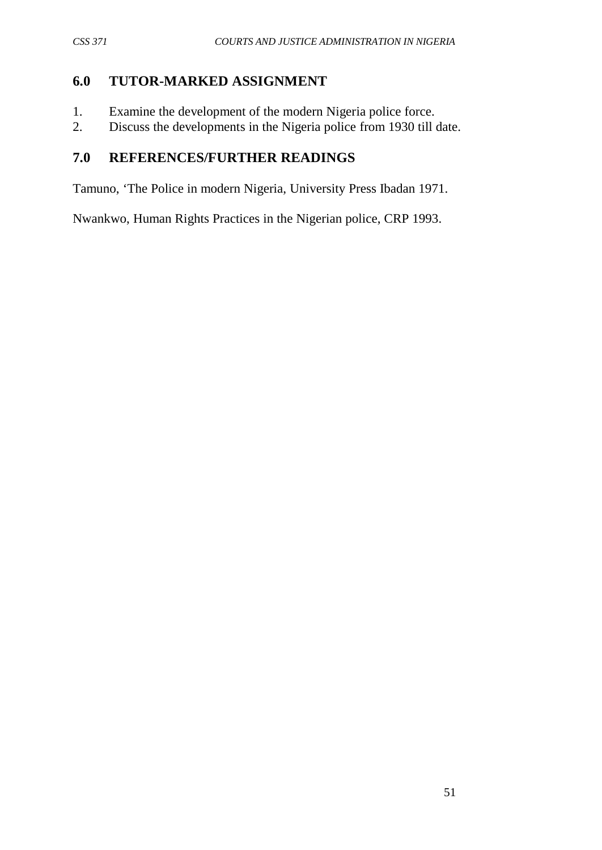# **6.0 TUTOR-MARKED ASSIGNMENT**

- 1. Examine the development of the modern Nigeria police force.
- 2. Discuss the developments in the Nigeria police from 1930 till date.

# **7.0 REFERENCES/FURTHER READINGS**

Tamuno, 'The Police in modern Nigeria, University Press Ibadan 1971.

Nwankwo, Human Rights Practices in the Nigerian police, CRP 1993.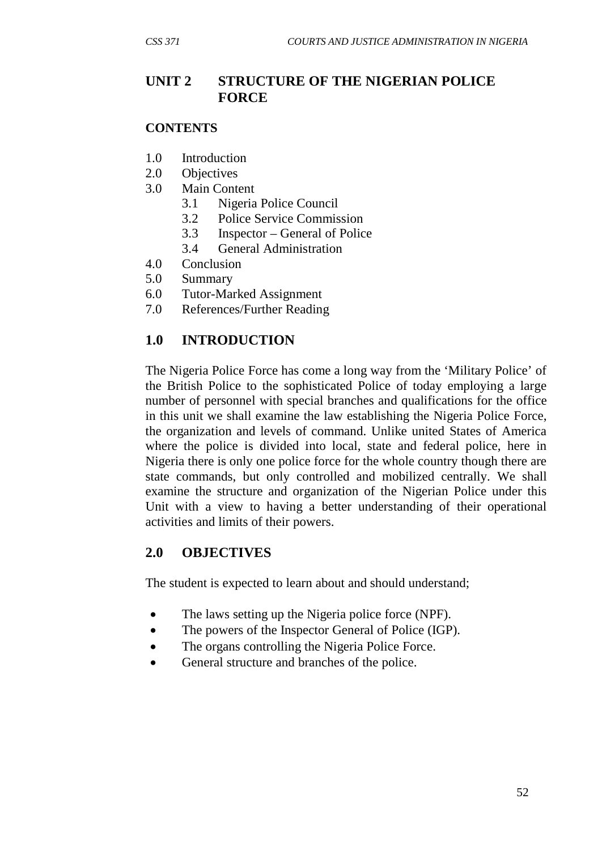# **UNIT 2 STRUCTURE OF THE NIGERIAN POLICE FORCE**

#### **CONTENTS**

- 1.0 Introduction
- 2.0 Objectives
- 3.0 Main Content
	- 3.1 Nigeria Police Council
	- 3.2 Police Service Commission
	- 3.3 Inspector General of Police
	- 3.4 General Administration
- 4.0 Conclusion
- 5.0 Summary
- 6.0 Tutor-Marked Assignment
- 7.0 References/Further Reading

### **1.0 INTRODUCTION**

The Nigeria Police Force has come a long way from the 'Military Police' of the British Police to the sophisticated Police of today employing a large number of personnel with special branches and qualifications for the office in this unit we shall examine the law establishing the Nigeria Police Force, the organization and levels of command. Unlike united States of America where the police is divided into local, state and federal police, here in Nigeria there is only one police force for the whole country though there are state commands, but only controlled and mobilized centrally. We shall examine the structure and organization of the Nigerian Police under this Unit with a view to having a better understanding of their operational activities and limits of their powers.

#### **2.0 OBJECTIVES**

The student is expected to learn about and should understand;

- The laws setting up the Nigeria police force (NPF).
- The powers of the Inspector General of Police (IGP).
- The organs controlling the Nigeria Police Force.
- General structure and branches of the police.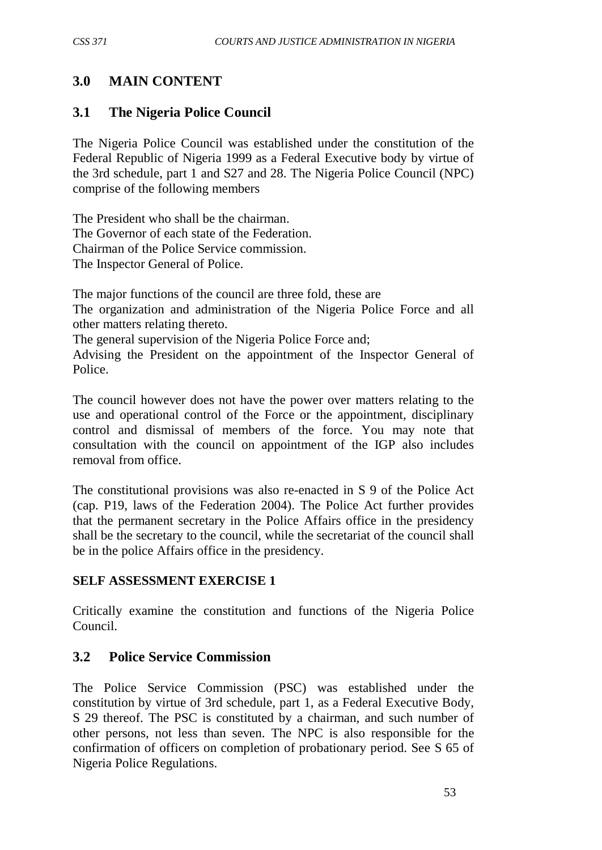# **3.0 MAIN CONTENT**

### **3.1 The Nigeria Police Council**

The Nigeria Police Council was established under the constitution of the Federal Republic of Nigeria 1999 as a Federal Executive body by virtue of the 3rd schedule, part 1 and S27 and 28. The Nigeria Police Council (NPC) comprise of the following members

The President who shall be the chairman. The Governor of each state of the Federation. Chairman of the Police Service commission. The Inspector General of Police.

The major functions of the council are three fold, these are

The organization and administration of the Nigeria Police Force and all other matters relating thereto.

The general supervision of the Nigeria Police Force and;

Advising the President on the appointment of the Inspector General of Police.

The council however does not have the power over matters relating to the use and operational control of the Force or the appointment, disciplinary control and dismissal of members of the force. You may note that consultation with the council on appointment of the IGP also includes removal from office.

The constitutional provisions was also re-enacted in S 9 of the Police Act (cap. P19, laws of the Federation 2004). The Police Act further provides that the permanent secretary in the Police Affairs office in the presidency shall be the secretary to the council, while the secretariat of the council shall be in the police Affairs office in the presidency.

#### **SELF ASSESSMENT EXERCISE 1**

Critically examine the constitution and functions of the Nigeria Police Council.

## **3.2 Police Service Commission**

The Police Service Commission (PSC) was established under the constitution by virtue of 3rd schedule, part 1, as a Federal Executive Body, S 29 thereof. The PSC is constituted by a chairman, and such number of other persons, not less than seven. The NPC is also responsible for the confirmation of officers on completion of probationary period. See S 65 of Nigeria Police Regulations.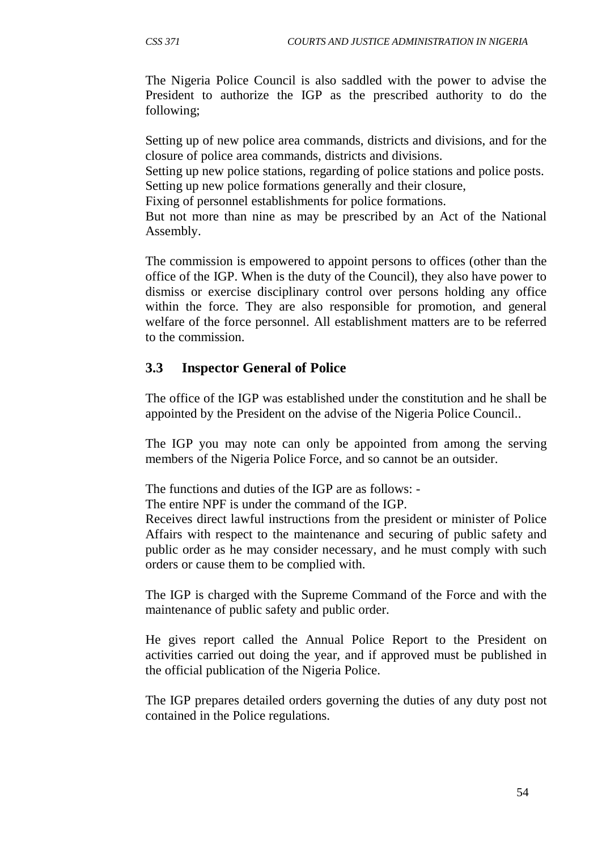The Nigeria Police Council is also saddled with the power to advise the President to authorize the IGP as the prescribed authority to do the following;

Setting up of new police area commands, districts and divisions, and for the closure of police area commands, districts and divisions.

Setting up new police stations, regarding of police stations and police posts. Setting up new police formations generally and their closure,

Fixing of personnel establishments for police formations.

But not more than nine as may be prescribed by an Act of the National Assembly.

The commission is empowered to appoint persons to offices (other than the office of the IGP. When is the duty of the Council), they also have power to dismiss or exercise disciplinary control over persons holding any office within the force. They are also responsible for promotion, and general welfare of the force personnel. All establishment matters are to be referred to the commission.

# **3.3 Inspector General of Police**

The office of the IGP was established under the constitution and he shall be appointed by the President on the advise of the Nigeria Police Council..

The IGP you may note can only be appointed from among the serving members of the Nigeria Police Force, and so cannot be an outsider.

The functions and duties of the IGP are as follows: -

The entire NPF is under the command of the IGP.

Receives direct lawful instructions from the president or minister of Police Affairs with respect to the maintenance and securing of public safety and public order as he may consider necessary, and he must comply with such orders or cause them to be complied with.

The IGP is charged with the Supreme Command of the Force and with the maintenance of public safety and public order.

He gives report called the Annual Police Report to the President on activities carried out doing the year, and if approved must be published in the official publication of the Nigeria Police.

The IGP prepares detailed orders governing the duties of any duty post not contained in the Police regulations.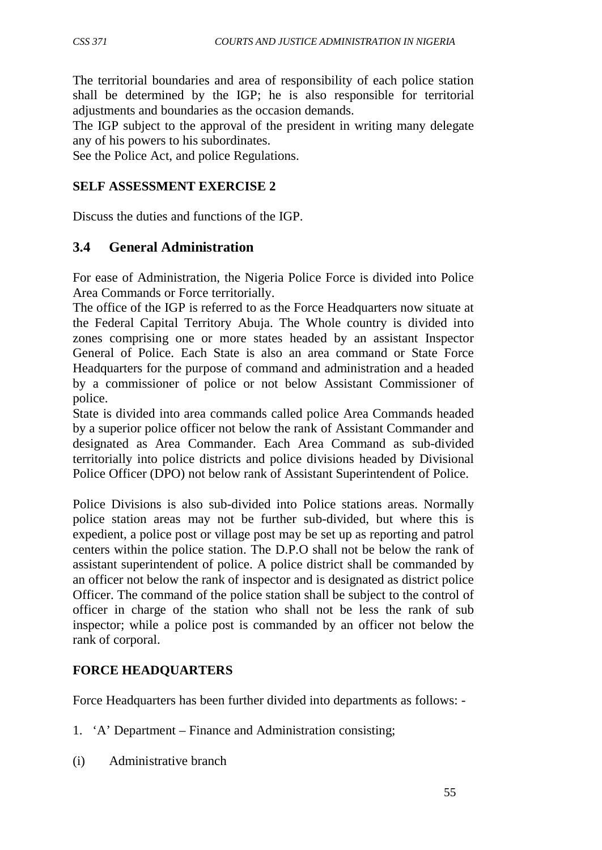The territorial boundaries and area of responsibility of each police station shall be determined by the IGP; he is also responsible for territorial adjustments and boundaries as the occasion demands.

The IGP subject to the approval of the president in writing many delegate any of his powers to his subordinates.

See the Police Act, and police Regulations.

#### **SELF ASSESSMENT EXERCISE 2**

Discuss the duties and functions of the IGP.

#### **3.4 General Administration**

For ease of Administration, the Nigeria Police Force is divided into Police Area Commands or Force territorially.

The office of the IGP is referred to as the Force Headquarters now situate at the Federal Capital Territory Abuja. The Whole country is divided into zones comprising one or more states headed by an assistant Inspector General of Police. Each State is also an area command or State Force Headquarters for the purpose of command and administration and a headed by a commissioner of police or not below Assistant Commissioner of police.

State is divided into area commands called police Area Commands headed by a superior police officer not below the rank of Assistant Commander and designated as Area Commander. Each Area Command as sub-divided territorially into police districts and police divisions headed by Divisional Police Officer (DPO) not below rank of Assistant Superintendent of Police.

Police Divisions is also sub-divided into Police stations areas. Normally police station areas may not be further sub-divided, but where this is expedient, a police post or village post may be set up as reporting and patrol centers within the police station. The D.P.O shall not be below the rank of assistant superintendent of police. A police district shall be commanded by an officer not below the rank of inspector and is designated as district police Officer. The command of the police station shall be subject to the control of officer in charge of the station who shall not be less the rank of sub inspector; while a police post is commanded by an officer not below the rank of corporal.

#### **FORCE HEADQUARTERS**

Force Headquarters has been further divided into departments as follows: -

- 1. 'A' Department Finance and Administration consisting;
- (i) Administrative branch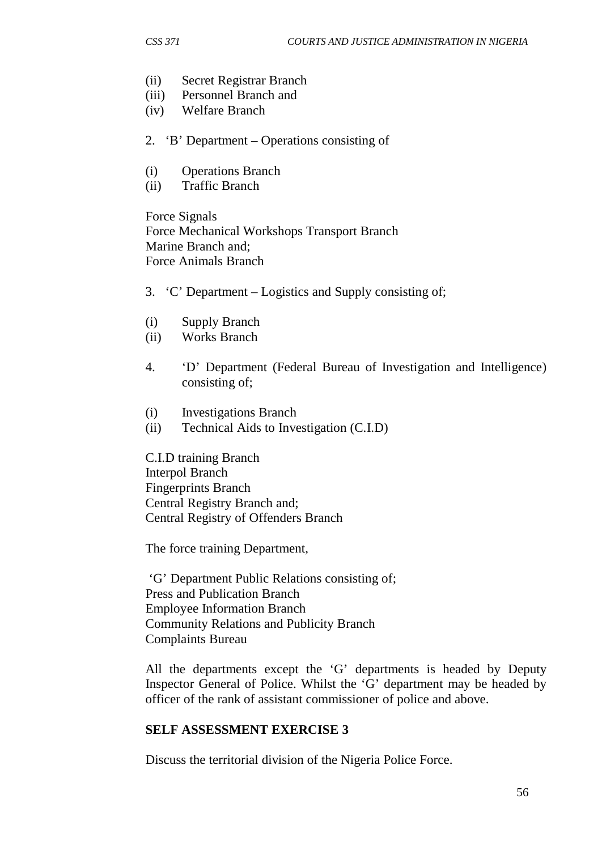- (ii) Secret Registrar Branch
- (iii) Personnel Branch and
- (iv) Welfare Branch
- 2. 'B' Department Operations consisting of
- (i) Operations Branch
- (ii) Traffic Branch

Force Signals Force Mechanical Workshops Transport Branch Marine Branch and; Force Animals Branch

- 3. 'C' Department Logistics and Supply consisting of;
- (i) Supply Branch
- (ii) Works Branch
- 4. 'D' Department (Federal Bureau of Investigation and Intelligence) consisting of;
- (i) Investigations Branch
- (ii) Technical Aids to Investigation (C.I.D)

C.I.D training Branch Interpol Branch Fingerprints Branch Central Registry Branch and; Central Registry of Offenders Branch

The force training Department,

'G' Department Public Relations consisting of; Press and Publication Branch Employee Information Branch Community Relations and Publicity Branch Complaints Bureau

All the departments except the 'G' departments is headed by Deputy Inspector General of Police. Whilst the 'G' department may be headed by officer of the rank of assistant commissioner of police and above.

#### **SELF ASSESSMENT EXERCISE 3**

Discuss the territorial division of the Nigeria Police Force.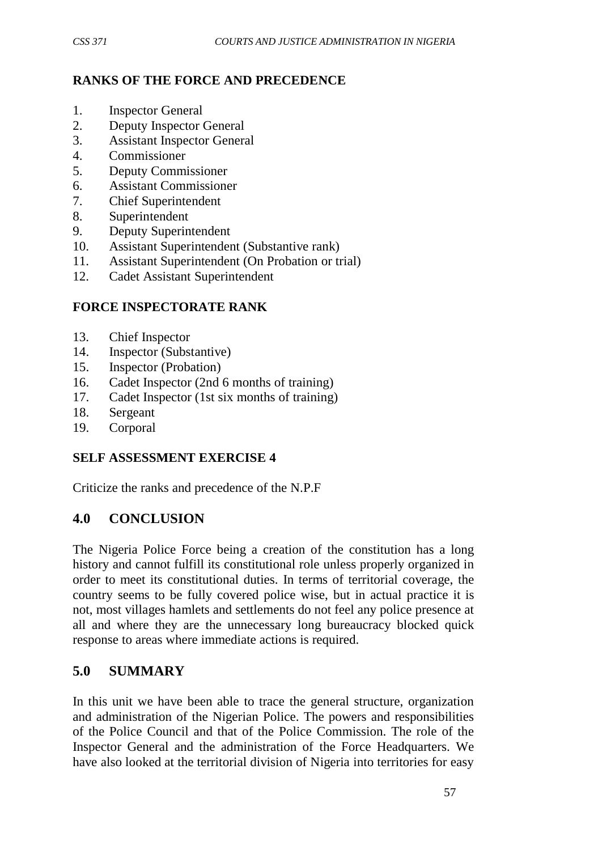# **RANKS OF THE FORCE AND PRECEDENCE**

- 1. Inspector General
- 2. Deputy Inspector General<br>3 Assistant Inspector General
- 3. Assistant Inspector General
- 4. Commissioner
- 5. Deputy Commissioner
- 6. Assistant Commissioner
- 7. Chief Superintendent
- 8. Superintendent
- 9. Deputy Superintendent
- 10. Assistant Superintendent (Substantive rank)
- 11. Assistant Superintendent (On Probation or trial)
- 12. Cadet Assistant Superintendent

## **FORCE INSPECTORATE RANK**

- 13. Chief Inspector
- 14. Inspector (Substantive)
- 15. Inspector (Probation)
- 16. Cadet Inspector (2nd 6 months of training)
- 17. Cadet Inspector (1st six months of training)
- 18. Sergeant
- 19. Corporal

#### **SELF ASSESSMENT EXERCISE 4**

Criticize the ranks and precedence of the N.P.F

# **4.0 CONCLUSION**

The Nigeria Police Force being a creation of the constitution has a long history and cannot fulfill its constitutional role unless properly organized in order to meet its constitutional duties. In terms of territorial coverage, the country seems to be fully covered police wise, but in actual practice it is not, most villages hamlets and settlements do not feel any police presence at all and where they are the unnecessary long bureaucracy blocked quick response to areas where immediate actions is required.

# **5.0 SUMMARY**

In this unit we have been able to trace the general structure, organization and administration of the Nigerian Police. The powers and responsibilities of the Police Council and that of the Police Commission. The role of the Inspector General and the administration of the Force Headquarters. We have also looked at the territorial division of Nigeria into territories for easy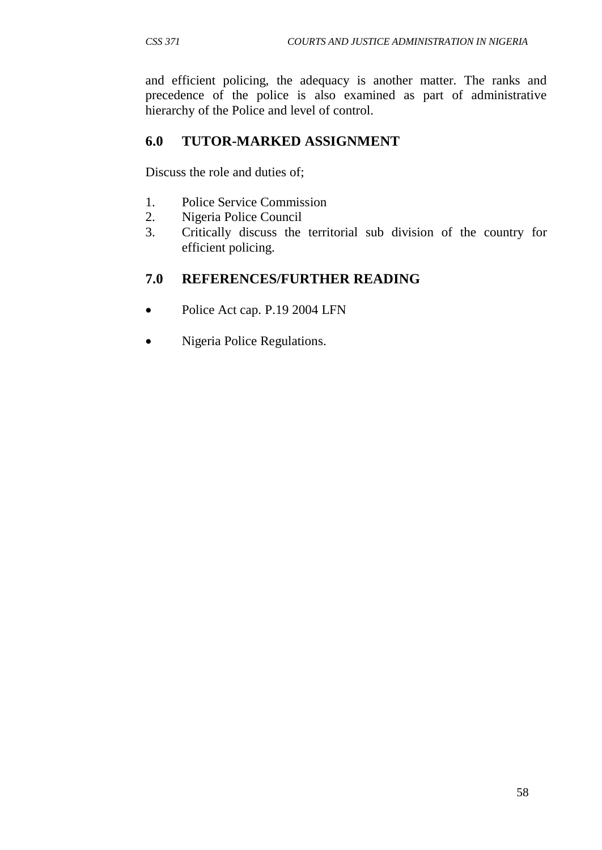and efficient policing, the adequacy is another matter. The ranks and precedence of the police is also examined as part of administrative hierarchy of the Police and level of control.

# **6.0 TUTOR-MARKED ASSIGNMENT**

Discuss the role and duties of;

- 1. Police Service Commission
- 2. Nigeria Police Council
- 3. Critically discuss the territorial sub division of the country for efficient policing.

# **7.0 REFERENCES/FURTHER READING**

- Police Act cap. P.19 2004 LFN
- Nigeria Police Regulations.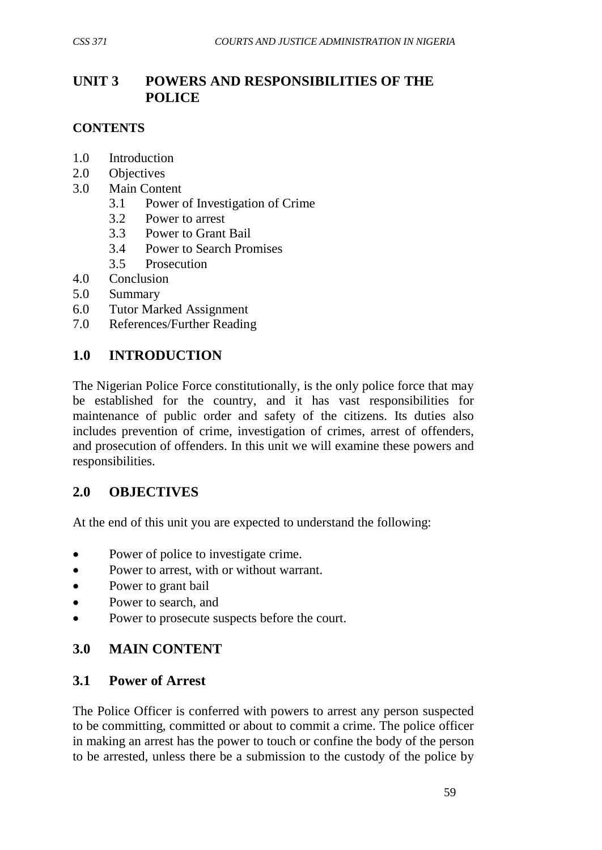# **UNIT 3 POWERS AND RESPONSIBILITIES OF THE POLICE**

## **CONTENTS**

- 1.0 Introduction
- 2.0 Objectives
- 3.0 Main Content
	- 3.1 Power of Investigation of Crime
	- 3.2 Power to arrest
	- 3.3 Power to Grant Bail
	- 3.4 Power to Search Promises
	- 3.5 Prosecution
- 4.0 Conclusion
- 5.0 Summary
- 6.0 Tutor Marked Assignment
- 7.0 References/Further Reading

## **1.0 INTRODUCTION**

The Nigerian Police Force constitutionally, is the only police force that may be established for the country, and it has vast responsibilities for maintenance of public order and safety of the citizens. Its duties also includes prevention of crime, investigation of crimes, arrest of offenders, and prosecution of offenders. In this unit we will examine these powers and responsibilities.

#### **2.0 OBJECTIVES**

At the end of this unit you are expected to understand the following:

- Power of police to investigate crime.
- Power to arrest, with or without warrant.
- Power to grant bail
- Power to search, and
- Power to prosecute suspects before the court.

# **3.0 MAIN CONTENT**

## **3.1 Power of Arrest**

The Police Officer is conferred with powers to arrest any person suspected to be committing, committed or about to commit a crime. The police officer in making an arrest has the power to touch or confine the body of the person to be arrested, unless there be a submission to the custody of the police by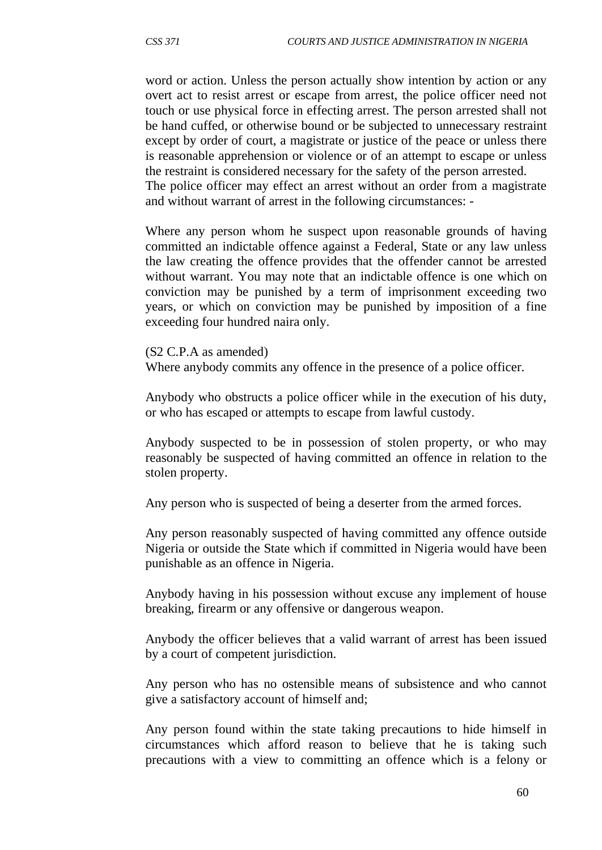word or action. Unless the person actually show intention by action or any overt act to resist arrest or escape from arrest, the police officer need not touch or use physical force in effecting arrest. The person arrested shall not be hand cuffed, or otherwise bound or be subjected to unnecessary restraint except by order of court, a magistrate or justice of the peace or unless there is reasonable apprehension or violence or of an attempt to escape or unless the restraint is considered necessary for the safety of the person arrested. The police officer may effect an arrest without an order from a magistrate

and without warrant of arrest in the following circumstances: -

Where any person whom he suspect upon reasonable grounds of having committed an indictable offence against a Federal, State or any law unless the law creating the offence provides that the offender cannot be arrested without warrant. You may note that an indictable offence is one which on conviction may be punished by a term of imprisonment exceeding two years, or which on conviction may be punished by imposition of a fine exceeding four hundred naira only.

(S2 C.P.A as amended)

Where anybody commits any offence in the presence of a police officer.

Anybody who obstructs a police officer while in the execution of his duty, or who has escaped or attempts to escape from lawful custody.

Anybody suspected to be in possession of stolen property, or who may reasonably be suspected of having committed an offence in relation to the stolen property.

Any person who is suspected of being a deserter from the armed forces.

Any person reasonably suspected of having committed any offence outside Nigeria or outside the State which if committed in Nigeria would have been punishable as an offence in Nigeria.

Anybody having in his possession without excuse any implement of house breaking, firearm or any offensive or dangerous weapon.

Anybody the officer believes that a valid warrant of arrest has been issued by a court of competent jurisdiction.

Any person who has no ostensible means of subsistence and who cannot give a satisfactory account of himself and;

Any person found within the state taking precautions to hide himself in circumstances which afford reason to believe that he is taking such precautions with a view to committing an offence which is a felony or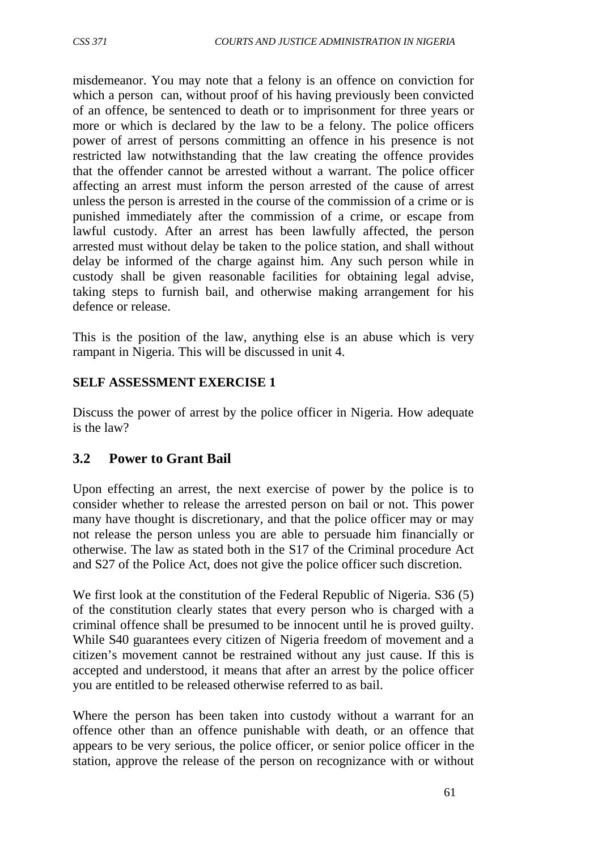misdemeanor. You may note that a felony is an offence on conviction for which a person can, without proof of his having previously been convicted of an offence, be sentenced to death or to imprisonment for three years or more or which is declared by the law to be a felony. The police officers power of arrest of persons committing an offence in his presence is not restricted law notwithstanding that the law creating the offence provides that the offender cannot be arrested without a warrant. The police officer affecting an arrest must inform the person arrested of the cause of arrest unless the person is arrested in the course of the commission of a crime or is punished immediately after the commission of a crime, or escape from lawful custody. After an arrest has been lawfully affected, the person arrested must without delay be taken to the police station, and shall without delay be informed of the charge against him. Any such person while in custody shall be given reasonable facilities for obtaining legal advise, taking steps to furnish bail, and otherwise making arrangement for his defence or release.

This is the position of the law, anything else is an abuse which is very rampant in Nigeria. This will be discussed in unit 4.

# **SELF ASSESSMENT EXERCISE 1**

Discuss the power of arrest by the police officer in Nigeria. How adequate is the law?

# **3.2 Power to Grant Bail**

Upon effecting an arrest, the next exercise of power by the police is to consider whether to release the arrested person on bail or not. This power many have thought is discretionary, and that the police officer may or may not release the person unless you are able to persuade him financially or otherwise. The law as stated both in the S17 of the Criminal procedure Act and S27 of the Police Act, does not give the police officer such discretion.

We first look at the constitution of the Federal Republic of Nigeria. S36 (5) of the constitution clearly states that every person who is charged with a criminal offence shall be presumed to be innocent until he is proved guilty. While S40 guarantees every citizen of Nigeria freedom of movement and a citizen's movement cannot be restrained without any just cause. If this is accepted and understood, it means that after an arrest by the police officer you are entitled to be released otherwise referred to as bail.

Where the person has been taken into custody without a warrant for an offence other than an offence punishable with death, or an offence that appears to be very serious, the police officer, or senior police officer in the station, approve the release of the person on recognizance with or without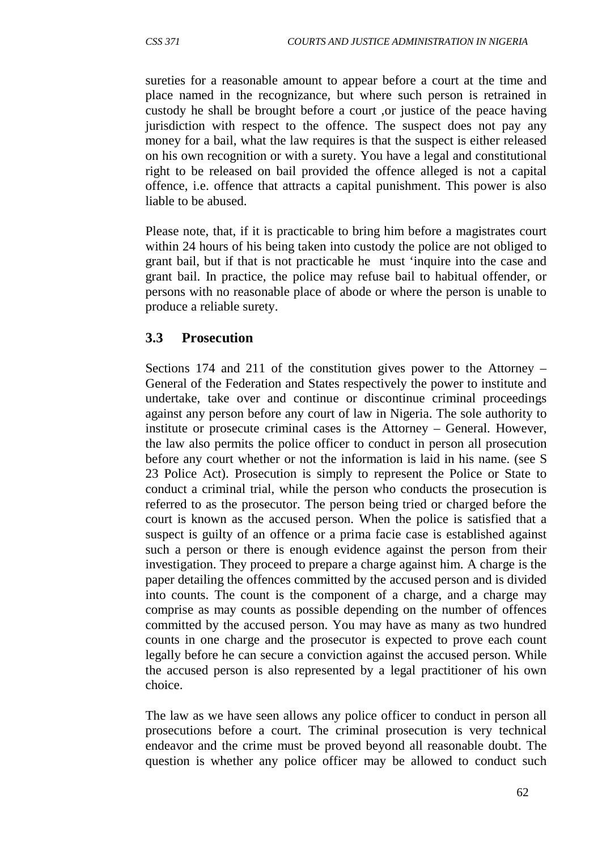sureties for a reasonable amount to appear before a court at the time and place named in the recognizance, but where such person is retrained in custody he shall be brought before a court ,or justice of the peace having jurisdiction with respect to the offence. The suspect does not pay any money for a bail, what the law requires is that the suspect is either released on his own recognition or with a surety. You have a legal and constitutional right to be released on bail provided the offence alleged is not a capital offence, i.e. offence that attracts a capital punishment. This power is also liable to be abused.

Please note, that, if it is practicable to bring him before a magistrates court within 24 hours of his being taken into custody the police are not obliged to grant bail, but if that is not practicable he must 'inquire into the case and grant bail. In practice, the police may refuse bail to habitual offender, or persons with no reasonable place of abode or where the person is unable to produce a reliable surety.

## **3.3 Prosecution**

Sections 174 and 211 of the constitution gives power to the Attorney – General of the Federation and States respectively the power to institute and undertake, take over and continue or discontinue criminal proceedings against any person before any court of law in Nigeria. The sole authority to institute or prosecute criminal cases is the Attorney – General. However, the law also permits the police officer to conduct in person all prosecution before any court whether or not the information is laid in his name. (see S 23 Police Act). Prosecution is simply to represent the Police or State to conduct a criminal trial, while the person who conducts the prosecution is referred to as the prosecutor. The person being tried or charged before the court is known as the accused person. When the police is satisfied that a suspect is guilty of an offence or a prima facie case is established against such a person or there is enough evidence against the person from their investigation. They proceed to prepare a charge against him. A charge is the paper detailing the offences committed by the accused person and is divided into counts. The count is the component of a charge, and a charge may comprise as may counts as possible depending on the number of offences committed by the accused person. You may have as many as two hundred counts in one charge and the prosecutor is expected to prove each count legally before he can secure a conviction against the accused person. While the accused person is also represented by a legal practitioner of his own choice.

The law as we have seen allows any police officer to conduct in person all prosecutions before a court. The criminal prosecution is very technical endeavor and the crime must be proved beyond all reasonable doubt. The question is whether any police officer may be allowed to conduct such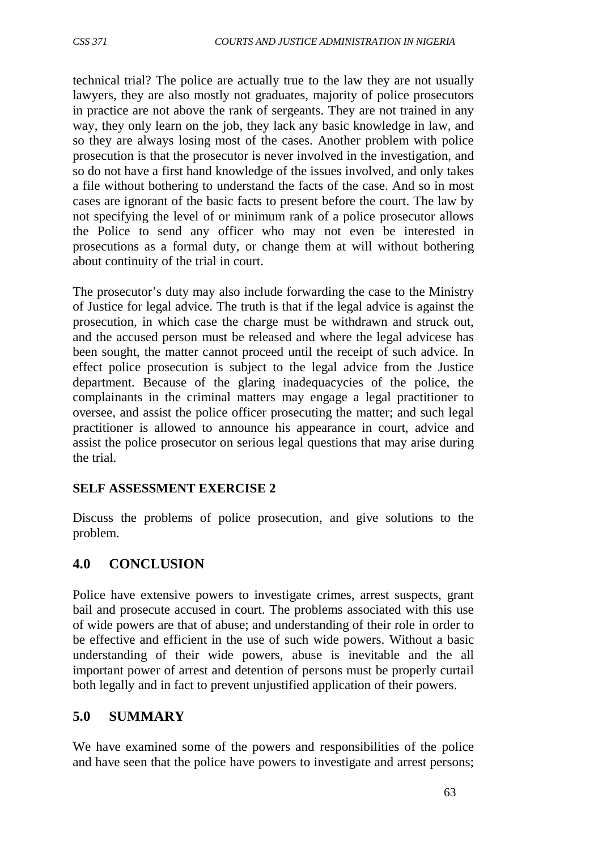technical trial? The police are actually true to the law they are not usually lawyers, they are also mostly not graduates, majority of police prosecutors in practice are not above the rank of sergeants. They are not trained in any way, they only learn on the job, they lack any basic knowledge in law, and so they are always losing most of the cases. Another problem with police prosecution is that the prosecutor is never involved in the investigation, and so do not have a first hand knowledge of the issues involved, and only takes a file without bothering to understand the facts of the case. And so in most cases are ignorant of the basic facts to present before the court. The law by not specifying the level of or minimum rank of a police prosecutor allows the Police to send any officer who may not even be interested in prosecutions as a formal duty, or change them at will without bothering about continuity of the trial in court.

The prosecutor's duty may also include forwarding the case to the Ministry of Justice for legal advice. The truth is that if the legal advice is against the prosecution, in which case the charge must be withdrawn and struck out, and the accused person must be released and where the legal advicese has been sought, the matter cannot proceed until the receipt of such advice. In effect police prosecution is subject to the legal advice from the Justice department. Because of the glaring inadequacycies of the police, the complainants in the criminal matters may engage a legal practitioner to oversee, and assist the police officer prosecuting the matter; and such legal practitioner is allowed to announce his appearance in court, advice and assist the police prosecutor on serious legal questions that may arise during the trial.

#### **SELF ASSESSMENT EXERCISE 2**

Discuss the problems of police prosecution, and give solutions to the problem.

# **4.0 CONCLUSION**

Police have extensive powers to investigate crimes, arrest suspects, grant bail and prosecute accused in court. The problems associated with this use of wide powers are that of abuse; and understanding of their role in order to be effective and efficient in the use of such wide powers. Without a basic understanding of their wide powers, abuse is inevitable and the all important power of arrest and detention of persons must be properly curtail both legally and in fact to prevent unjustified application of their powers.

#### **5.0 SUMMARY**

We have examined some of the powers and responsibilities of the police and have seen that the police have powers to investigate and arrest persons;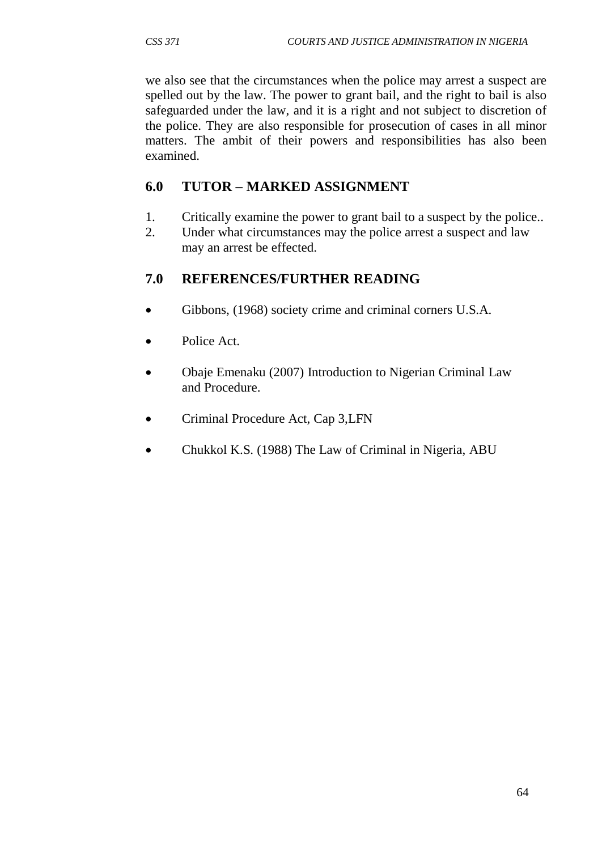we also see that the circumstances when the police may arrest a suspect are spelled out by the law. The power to grant bail, and the right to bail is also safeguarded under the law, and it is a right and not subject to discretion of the police. They are also responsible for prosecution of cases in all minor matters. The ambit of their powers and responsibilities has also been examined.

# **6.0 TUTOR – MARKED ASSIGNMENT**

- 1. Critically examine the power to grant bail to a suspect by the police..<br>2. Under what circumstances may the police arrest a suspect and law
- Under what circumstances may the police arrest a suspect and law may an arrest be effected.

# **7.0 REFERENCES/FURTHER READING**

- Gibbons, (1968) society crime and criminal corners U.S.A.
- Police Act.
- Obaje Emenaku (2007) Introduction to Nigerian Criminal Law and Procedure.
- Criminal Procedure Act, Cap 3, LFN
- Chukkol K.S. (1988) The Law of Criminal in Nigeria, ABU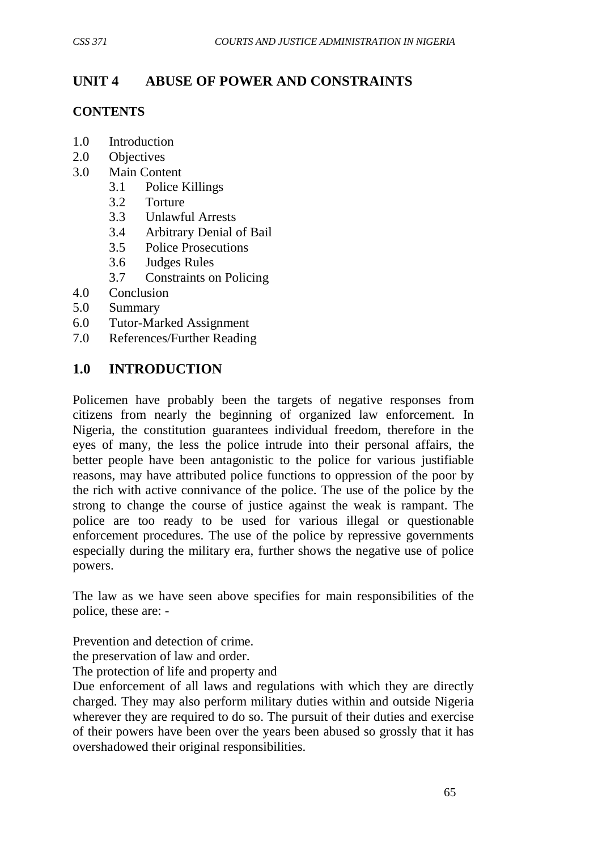# **UNIT 4 ABUSE OF POWER AND CONSTRAINTS**

## **CONTENTS**

- 1.0 Introduction
- 2.0 Objectives
- 3.0 Main Content
	- 3.1 Police Killings
	- 3.2 Torture
	- 3.3 Unlawful Arrests
	- 3.4 Arbitrary Denial of Bail
	- 3.5 Police Prosecutions
	- 3.6 Judges Rules
	- 3.7 Constraints on Policing
- 4.0 Conclusion
- 5.0 Summary
- 6.0 Tutor-Marked Assignment
- 7.0 References/Further Reading

# **1.0 INTRODUCTION**

Policemen have probably been the targets of negative responses from citizens from nearly the beginning of organized law enforcement. In Nigeria, the constitution guarantees individual freedom, therefore in the eyes of many, the less the police intrude into their personal affairs, the better people have been antagonistic to the police for various justifiable reasons, may have attributed police functions to oppression of the poor by the rich with active connivance of the police. The use of the police by the strong to change the course of justice against the weak is rampant. The police are too ready to be used for various illegal or questionable enforcement procedures. The use of the police by repressive governments especially during the military era, further shows the negative use of police powers.

The law as we have seen above specifies for main responsibilities of the police, these are: -

Prevention and detection of crime.

the preservation of law and order.

The protection of life and property and

Due enforcement of all laws and regulations with which they are directly charged. They may also perform military duties within and outside Nigeria wherever they are required to do so. The pursuit of their duties and exercise of their powers have been over the years been abused so grossly that it has overshadowed their original responsibilities.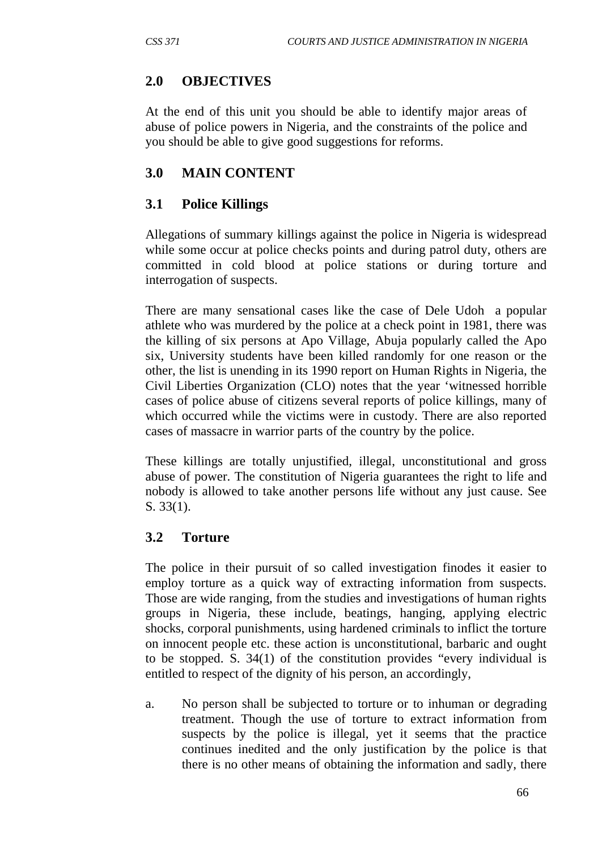# **2.0 OBJECTIVES**

At the end of this unit you should be able to identify major areas of abuse of police powers in Nigeria, and the constraints of the police and you should be able to give good suggestions for reforms.

# **3.0 MAIN CONTENT**

# **3.1 Police Killings**

Allegations of summary killings against the police in Nigeria is widespread while some occur at police checks points and during patrol duty, others are committed in cold blood at police stations or during torture and interrogation of suspects.

There are many sensational cases like the case of Dele Udoh a popular athlete who was murdered by the police at a check point in 1981, there was the killing of six persons at Apo Village, Abuja popularly called the Apo six, University students have been killed randomly for one reason or the other, the list is unending in its 1990 report on Human Rights in Nigeria, the Civil Liberties Organization (CLO) notes that the year 'witnessed horrible cases of police abuse of citizens several reports of police killings, many of which occurred while the victims were in custody. There are also reported cases of massacre in warrior parts of the country by the police.

These killings are totally unjustified, illegal, unconstitutional and gross abuse of power. The constitution of Nigeria guarantees the right to life and nobody is allowed to take another persons life without any just cause. See S. 33(1).

# **3.2 Torture**

The police in their pursuit of so called investigation finodes it easier to employ torture as a quick way of extracting information from suspects. Those are wide ranging, from the studies and investigations of human rights groups in Nigeria, these include, beatings, hanging, applying electric shocks, corporal punishments, using hardened criminals to inflict the torture on innocent people etc. these action is unconstitutional, barbaric and ought to be stopped. S. 34(1) of the constitution provides "every individual is entitled to respect of the dignity of his person, an accordingly,

a. No person shall be subjected to torture or to inhuman or degrading treatment. Though the use of torture to extract information from suspects by the police is illegal, yet it seems that the practice continues inedited and the only justification by the police is that there is no other means of obtaining the information and sadly, there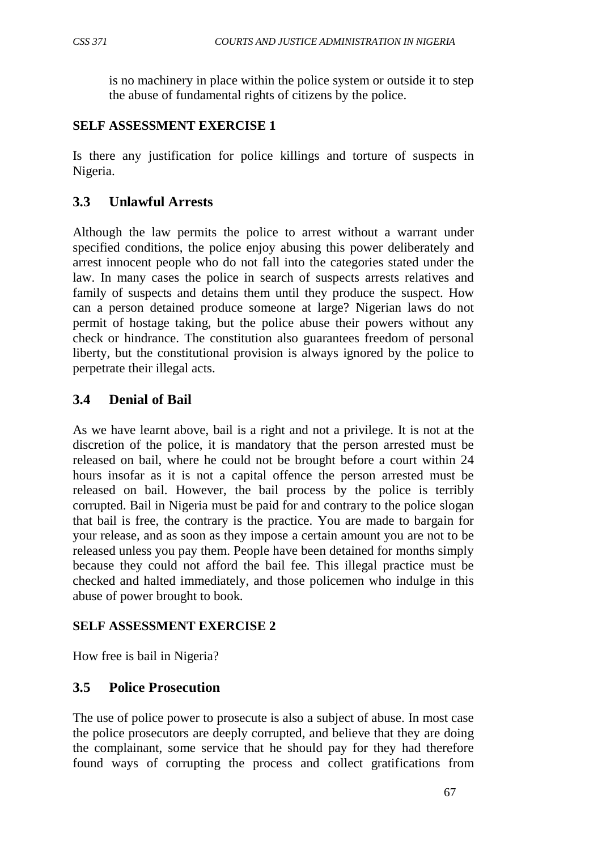is no machinery in place within the police system or outside it to step the abuse of fundamental rights of citizens by the police.

## **SELF ASSESSMENT EXERCISE 1**

Is there any justification for police killings and torture of suspects in Nigeria.

# **3.3 Unlawful Arrests**

Although the law permits the police to arrest without a warrant under specified conditions, the police enjoy abusing this power deliberately and arrest innocent people who do not fall into the categories stated under the law. In many cases the police in search of suspects arrests relatives and family of suspects and detains them until they produce the suspect. How can a person detained produce someone at large? Nigerian laws do not permit of hostage taking, but the police abuse their powers without any check or hindrance. The constitution also guarantees freedom of personal liberty, but the constitutional provision is always ignored by the police to perpetrate their illegal acts.

# **3.4 Denial of Bail**

As we have learnt above, bail is a right and not a privilege. It is not at the discretion of the police, it is mandatory that the person arrested must be released on bail, where he could not be brought before a court within 24 hours insofar as it is not a capital offence the person arrested must be released on bail. However, the bail process by the police is terribly corrupted. Bail in Nigeria must be paid for and contrary to the police slogan that bail is free, the contrary is the practice. You are made to bargain for your release, and as soon as they impose a certain amount you are not to be released unless you pay them. People have been detained for months simply because they could not afford the bail fee. This illegal practice must be checked and halted immediately, and those policemen who indulge in this abuse of power brought to book.

# **SELF ASSESSMENT EXERCISE 2**

How free is bail in Nigeria?

# **3.5 Police Prosecution**

The use of police power to prosecute is also a subject of abuse. In most case the police prosecutors are deeply corrupted, and believe that they are doing the complainant, some service that he should pay for they had therefore found ways of corrupting the process and collect gratifications from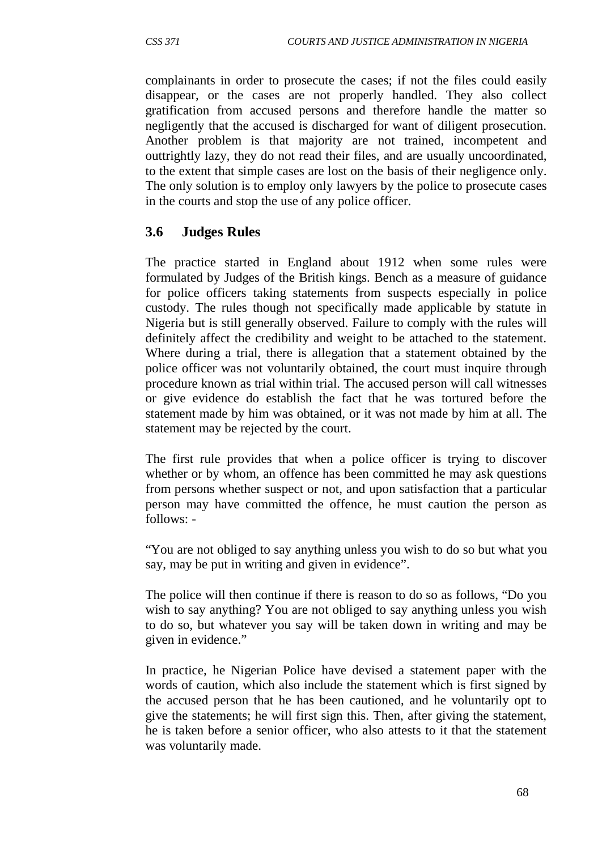complainants in order to prosecute the cases; if not the files could easily disappear, or the cases are not properly handled. They also collect gratification from accused persons and therefore handle the matter so negligently that the accused is discharged for want of diligent prosecution. Another problem is that majority are not trained, incompetent and outtrightly lazy, they do not read their files, and are usually uncoordinated, to the extent that simple cases are lost on the basis of their negligence only. The only solution is to employ only lawyers by the police to prosecute cases in the courts and stop the use of any police officer.

## **3.6 Judges Rules**

The practice started in England about 1912 when some rules were formulated by Judges of the British kings. Bench as a measure of guidance for police officers taking statements from suspects especially in police custody. The rules though not specifically made applicable by statute in Nigeria but is still generally observed. Failure to comply with the rules will definitely affect the credibility and weight to be attached to the statement. Where during a trial, there is allegation that a statement obtained by the police officer was not voluntarily obtained, the court must inquire through procedure known as trial within trial. The accused person will call witnesses or give evidence do establish the fact that he was tortured before the statement made by him was obtained, or it was not made by him at all. The statement may be rejected by the court.

The first rule provides that when a police officer is trying to discover whether or by whom, an offence has been committed he may ask questions from persons whether suspect or not, and upon satisfaction that a particular person may have committed the offence, he must caution the person as follows: -

"You are not obliged to say anything unless you wish to do so but what you say, may be put in writing and given in evidence".

The police will then continue if there is reason to do so as follows, "Do you wish to say anything? You are not obliged to say anything unless you wish to do so, but whatever you say will be taken down in writing and may be given in evidence."

In practice, he Nigerian Police have devised a statement paper with the words of caution, which also include the statement which is first signed by the accused person that he has been cautioned, and he voluntarily opt to give the statements; he will first sign this. Then, after giving the statement, he is taken before a senior officer, who also attests to it that the statement was voluntarily made.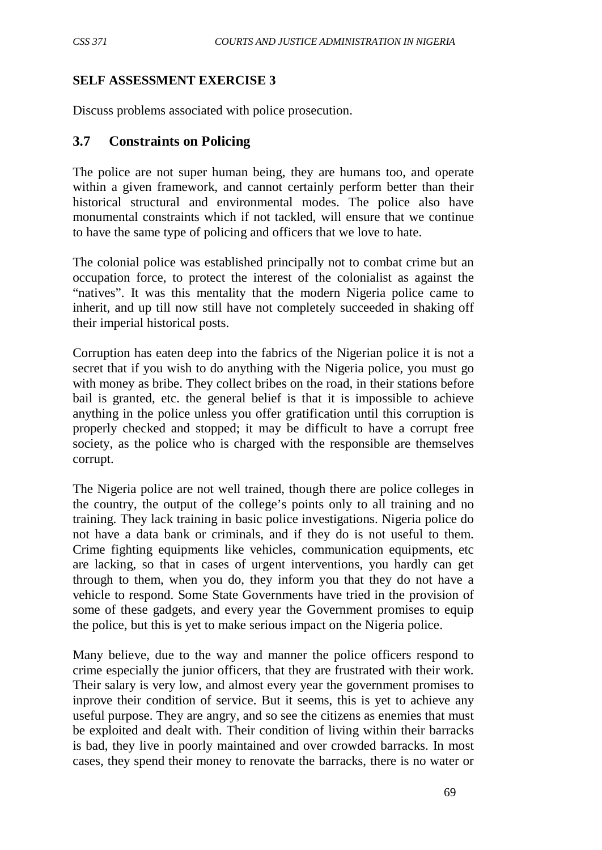# **SELF ASSESSMENT EXERCISE 3**

Discuss problems associated with police prosecution.

## **3.7 Constraints on Policing**

The police are not super human being, they are humans too, and operate within a given framework, and cannot certainly perform better than their historical structural and environmental modes. The police also have monumental constraints which if not tackled, will ensure that we continue to have the same type of policing and officers that we love to hate.

The colonial police was established principally not to combat crime but an occupation force, to protect the interest of the colonialist as against the "natives". It was this mentality that the modern Nigeria police came to inherit, and up till now still have not completely succeeded in shaking off their imperial historical posts.

Corruption has eaten deep into the fabrics of the Nigerian police it is not a secret that if you wish to do anything with the Nigeria police, you must go with money as bribe. They collect bribes on the road, in their stations before bail is granted, etc. the general belief is that it is impossible to achieve anything in the police unless you offer gratification until this corruption is properly checked and stopped; it may be difficult to have a corrupt free society, as the police who is charged with the responsible are themselves corrupt.

The Nigeria police are not well trained, though there are police colleges in the country, the output of the college's points only to all training and no training. They lack training in basic police investigations. Nigeria police do not have a data bank or criminals, and if they do is not useful to them. Crime fighting equipments like vehicles, communication equipments, etc are lacking, so that in cases of urgent interventions, you hardly can get through to them, when you do, they inform you that they do not have a vehicle to respond. Some State Governments have tried in the provision of some of these gadgets, and every year the Government promises to equip the police, but this is yet to make serious impact on the Nigeria police.

Many believe, due to the way and manner the police officers respond to crime especially the junior officers, that they are frustrated with their work. Their salary is very low, and almost every year the government promises to inprove their condition of service. But it seems, this is yet to achieve any useful purpose. They are angry, and so see the citizens as enemies that must be exploited and dealt with. Their condition of living within their barracks is bad, they live in poorly maintained and over crowded barracks. In most cases, they spend their money to renovate the barracks, there is no water or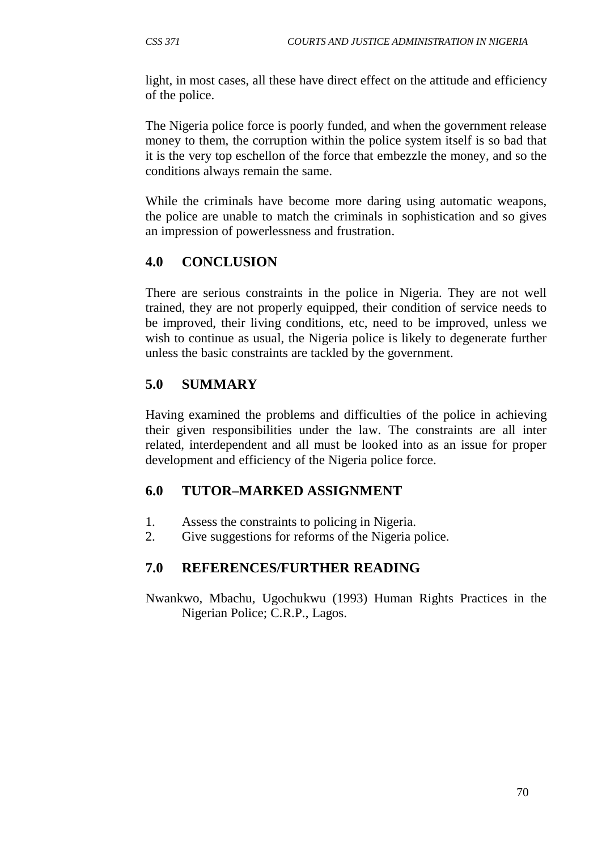light, in most cases, all these have direct effect on the attitude and efficiency of the police.

The Nigeria police force is poorly funded, and when the government release money to them, the corruption within the police system itself is so bad that it is the very top eschellon of the force that embezzle the money, and so the conditions always remain the same.

While the criminals have become more daring using automatic weapons, the police are unable to match the criminals in sophistication and so gives an impression of powerlessness and frustration.

# **4.0 CONCLUSION**

There are serious constraints in the police in Nigeria. They are not well trained, they are not properly equipped, their condition of service needs to be improved, their living conditions, etc, need to be improved, unless we wish to continue as usual, the Nigeria police is likely to degenerate further unless the basic constraints are tackled by the government.

# **5.0 SUMMARY**

Having examined the problems and difficulties of the police in achieving their given responsibilities under the law. The constraints are all inter related, interdependent and all must be looked into as an issue for proper development and efficiency of the Nigeria police force.

# **6.0 TUTOR–MARKED ASSIGNMENT**

- 1. Assess the constraints to policing in Nigeria.
- 2. Give suggestions for reforms of the Nigeria police.

# **7.0 REFERENCES/FURTHER READING**

Nwankwo, Mbachu, Ugochukwu (1993) Human Rights Practices in the Nigerian Police; C.R.P., Lagos.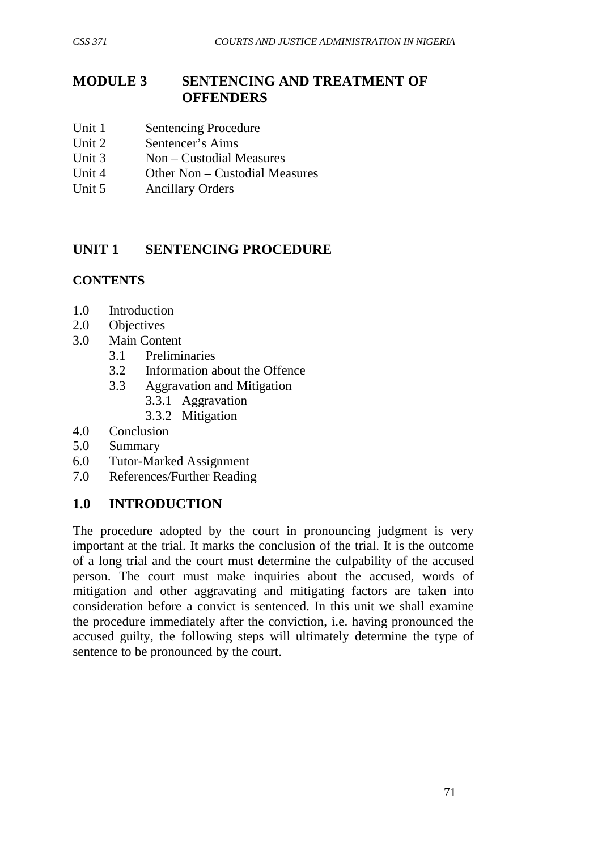# **MODULE 3 SENTENCING AND TREATMENT OF OFFENDERS**

- Unit 1 Sentencing Procedure
- Unit 2 Sentencer's Aims
- Unit 3 Non Custodial Measures
- Unit 4 Other Non Custodial Measures
- Unit 5 Ancillary Orders

# **UNIT 1 SENTENCING PROCEDURE**

## **CONTENTS**

- 1.0 Introduction
- 2.0 Objectives
- 3.0 Main Content
	- 3.1 Preliminaries
	- 3.2 Information about the Offence
	- 3.3 Aggravation and Mitigation
		- 3.3.1 Aggravation
		- 3.3.2 Mitigation
- 4.0 Conclusion
- 5.0 Summary
- 6.0 Tutor-Marked Assignment
- 7.0 References/Further Reading

# **1.0 INTRODUCTION**

The procedure adopted by the court in pronouncing judgment is very important at the trial. It marks the conclusion of the trial. It is the outcome of a long trial and the court must determine the culpability of the accused person. The court must make inquiries about the accused, words of mitigation and other aggravating and mitigating factors are taken into consideration before a convict is sentenced. In this unit we shall examine the procedure immediately after the conviction, i.e. having pronounced the accused guilty, the following steps will ultimately determine the type of sentence to be pronounced by the court.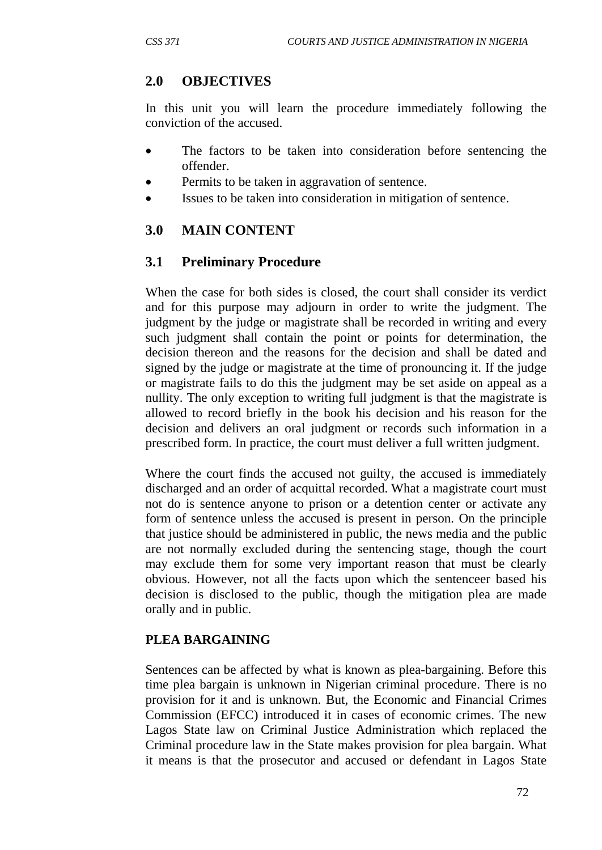# **2.0 OBJECTIVES**

In this unit you will learn the procedure immediately following the conviction of the accused.

- The factors to be taken into consideration before sentencing the offender.
- Permits to be taken in aggravation of sentence.
- Issues to be taken into consideration in mitigation of sentence.

# **3.0 MAIN CONTENT**

# **3.1 Preliminary Procedure**

When the case for both sides is closed, the court shall consider its verdict and for this purpose may adjourn in order to write the judgment. The judgment by the judge or magistrate shall be recorded in writing and every such judgment shall contain the point or points for determination, the decision thereon and the reasons for the decision and shall be dated and signed by the judge or magistrate at the time of pronouncing it. If the judge or magistrate fails to do this the judgment may be set aside on appeal as a nullity. The only exception to writing full judgment is that the magistrate is allowed to record briefly in the book his decision and his reason for the decision and delivers an oral judgment or records such information in a prescribed form. In practice, the court must deliver a full written judgment.

Where the court finds the accused not guilty, the accused is immediately discharged and an order of acquittal recorded. What a magistrate court must not do is sentence anyone to prison or a detention center or activate any form of sentence unless the accused is present in person. On the principle that justice should be administered in public, the news media and the public are not normally excluded during the sentencing stage, though the court may exclude them for some very important reason that must be clearly obvious. However, not all the facts upon which the sentenceer based his decision is disclosed to the public, though the mitigation plea are made orally and in public.

# **PLEA BARGAINING**

Sentences can be affected by what is known as plea-bargaining. Before this time plea bargain is unknown in Nigerian criminal procedure. There is no provision for it and is unknown. But, the Economic and Financial Crimes Commission (EFCC) introduced it in cases of economic crimes. The new Lagos State law on Criminal Justice Administration which replaced the Criminal procedure law in the State makes provision for plea bargain. What it means is that the prosecutor and accused or defendant in Lagos State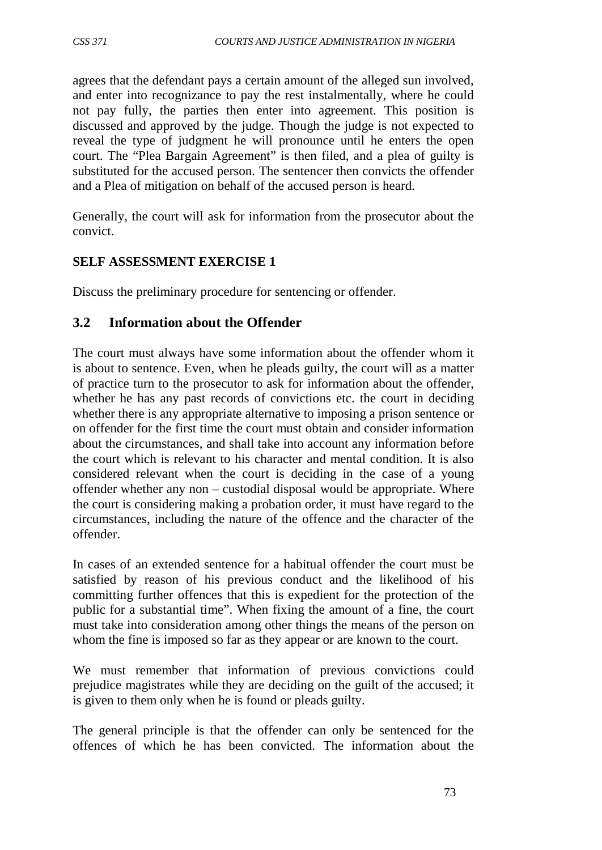agrees that the defendant pays a certain amount of the alleged sun involved, and enter into recognizance to pay the rest instalmentally, where he could not pay fully, the parties then enter into agreement. This position is discussed and approved by the judge. Though the judge is not expected to reveal the type of judgment he will pronounce until he enters the open court. The "Plea Bargain Agreement" is then filed, and a plea of guilty is substituted for the accused person. The sentencer then convicts the offender and a Plea of mitigation on behalf of the accused person is heard.

Generally, the court will ask for information from the prosecutor about the convict.

## **SELF ASSESSMENT EXERCISE 1**

Discuss the preliminary procedure for sentencing or offender.

# **3.2 Information about the Offender**

The court must always have some information about the offender whom it is about to sentence. Even, when he pleads guilty, the court will as a matter of practice turn to the prosecutor to ask for information about the offender, whether he has any past records of convictions etc. the court in deciding whether there is any appropriate alternative to imposing a prison sentence or on offender for the first time the court must obtain and consider information about the circumstances, and shall take into account any information before the court which is relevant to his character and mental condition. It is also considered relevant when the court is deciding in the case of a young offender whether any non – custodial disposal would be appropriate. Where the court is considering making a probation order, it must have regard to the circumstances, including the nature of the offence and the character of the offender.

In cases of an extended sentence for a habitual offender the court must be satisfied by reason of his previous conduct and the likelihood of his committing further offences that this is expedient for the protection of the public for a substantial time". When fixing the amount of a fine, the court must take into consideration among other things the means of the person on whom the fine is imposed so far as they appear or are known to the court.

We must remember that information of previous convictions could prejudice magistrates while they are deciding on the guilt of the accused; it is given to them only when he is found or pleads guilty.

The general principle is that the offender can only be sentenced for the offences of which he has been convicted. The information about the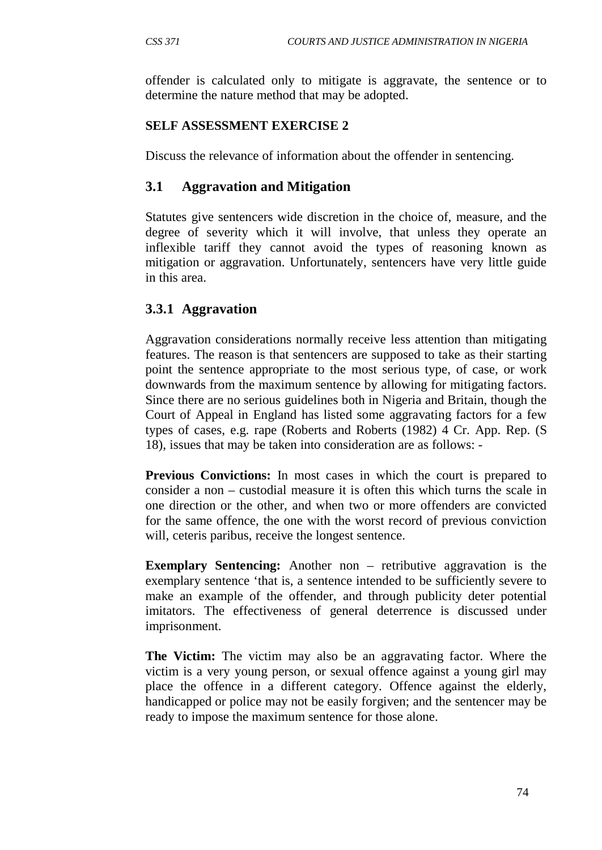offender is calculated only to mitigate is aggravate, the sentence or to determine the nature method that may be adopted.

#### **SELF ASSESSMENT EXERCISE 2**

Discuss the relevance of information about the offender in sentencing.

#### **3.1 Aggravation and Mitigation**

Statutes give sentencers wide discretion in the choice of, measure, and the degree of severity which it will involve, that unless they operate an inflexible tariff they cannot avoid the types of reasoning known as mitigation or aggravation. Unfortunately, sentencers have very little guide in this area.

#### **3.3.1 Aggravation**

Aggravation considerations normally receive less attention than mitigating features. The reason is that sentencers are supposed to take as their starting point the sentence appropriate to the most serious type, of case, or work downwards from the maximum sentence by allowing for mitigating factors. Since there are no serious guidelines both in Nigeria and Britain, though the Court of Appeal in England has listed some aggravating factors for a few types of cases, e.g. rape (Roberts and Roberts (1982) 4 Cr. App. Rep. (S 18), issues that may be taken into consideration are as follows: -

**Previous Convictions:** In most cases in which the court is prepared to consider a non – custodial measure it is often this which turns the scale in one direction or the other, and when two or more offenders are convicted for the same offence, the one with the worst record of previous conviction will, ceteris paribus, receive the longest sentence.

**Exemplary Sentencing:** Another non – retributive aggravation is the exemplary sentence 'that is, a sentence intended to be sufficiently severe to make an example of the offender, and through publicity deter potential imitators. The effectiveness of general deterrence is discussed under imprisonment.

**The Victim:** The victim may also be an aggravating factor. Where the victim is a very young person, or sexual offence against a young girl may place the offence in a different category. Offence against the elderly, handicapped or police may not be easily forgiven; and the sentencer may be ready to impose the maximum sentence for those alone.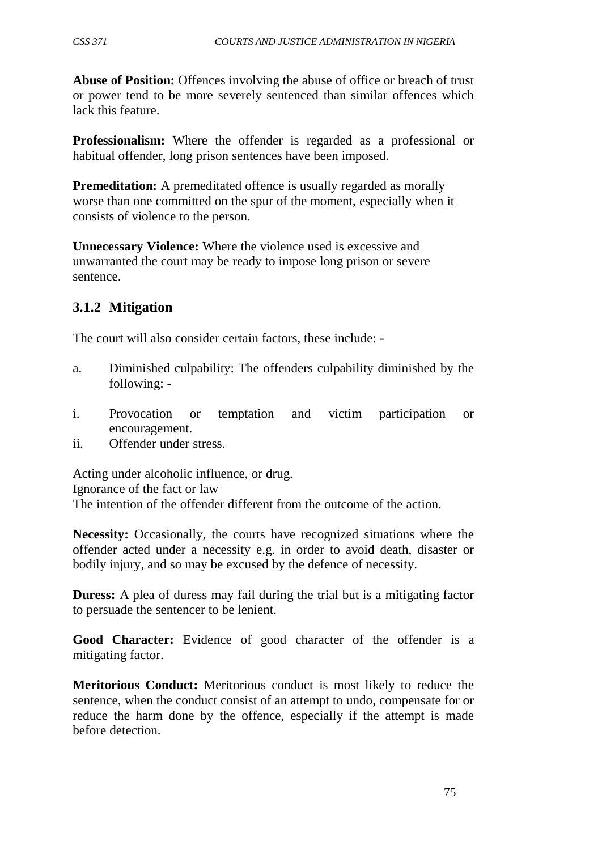**Abuse of Position:** Offences involving the abuse of office or breach of trust or power tend to be more severely sentenced than similar offences which lack this feature.

**Professionalism:** Where the offender is regarded as a professional or habitual offender, long prison sentences have been imposed.

**Premeditation:** A premeditated offence is usually regarded as morally worse than one committed on the spur of the moment, especially when it consists of violence to the person.

**Unnecessary Violence:** Where the violence used is excessive and unwarranted the court may be ready to impose long prison or severe sentence.

# **3.1.2 Mitigation**

The court will also consider certain factors, these include: -

- a. Diminished culpability: The offenders culpability diminished by the following: -
- i. Provocation or temptation and victim participation or encouragement.
- ii. Offender under stress.

Acting under alcoholic influence, or drug. Ignorance of the fact or law The intention of the offender different from the outcome of the action.

**Necessity:** Occasionally, the courts have recognized situations where the offender acted under a necessity e.g. in order to avoid death, disaster or bodily injury, and so may be excused by the defence of necessity.

**Duress:** A plea of duress may fail during the trial but is a mitigating factor to persuade the sentencer to be lenient.

**Good Character:** Evidence of good character of the offender is a mitigating factor.

**Meritorious Conduct:** Meritorious conduct is most likely to reduce the sentence, when the conduct consist of an attempt to undo, compensate for or reduce the harm done by the offence, especially if the attempt is made before detection.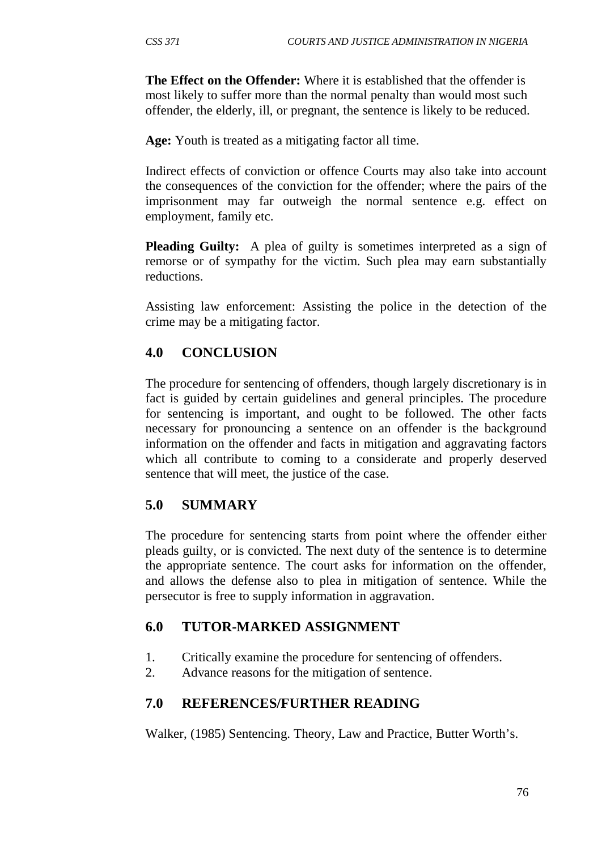**The Effect on the Offender:** Where it is established that the offender is most likely to suffer more than the normal penalty than would most such offender, the elderly, ill, or pregnant, the sentence is likely to be reduced.

**Age:** Youth is treated as a mitigating factor all time.

Indirect effects of conviction or offence Courts may also take into account the consequences of the conviction for the offender; where the pairs of the imprisonment may far outweigh the normal sentence e.g. effect on employment, family etc.

**Pleading Guilty:** A plea of guilty is sometimes interpreted as a sign of remorse or of sympathy for the victim. Such plea may earn substantially reductions.

Assisting law enforcement: Assisting the police in the detection of the crime may be a mitigating factor.

#### **4.0 CONCLUSION**

The procedure for sentencing of offenders, though largely discretionary is in fact is guided by certain guidelines and general principles. The procedure for sentencing is important, and ought to be followed. The other facts necessary for pronouncing a sentence on an offender is the background information on the offender and facts in mitigation and aggravating factors which all contribute to coming to a considerate and properly deserved sentence that will meet, the justice of the case.

#### **5.0 SUMMARY**

The procedure for sentencing starts from point where the offender either pleads guilty, or is convicted. The next duty of the sentence is to determine the appropriate sentence. The court asks for information on the offender, and allows the defense also to plea in mitigation of sentence. While the persecutor is free to supply information in aggravation.

#### **6.0 TUTOR-MARKED ASSIGNMENT**

- 1. Critically examine the procedure for sentencing of offenders.
- 2. Advance reasons for the mitigation of sentence.

#### **7.0 REFERENCES/FURTHER READING**

Walker, (1985) Sentencing. Theory, Law and Practice, Butter Worth's.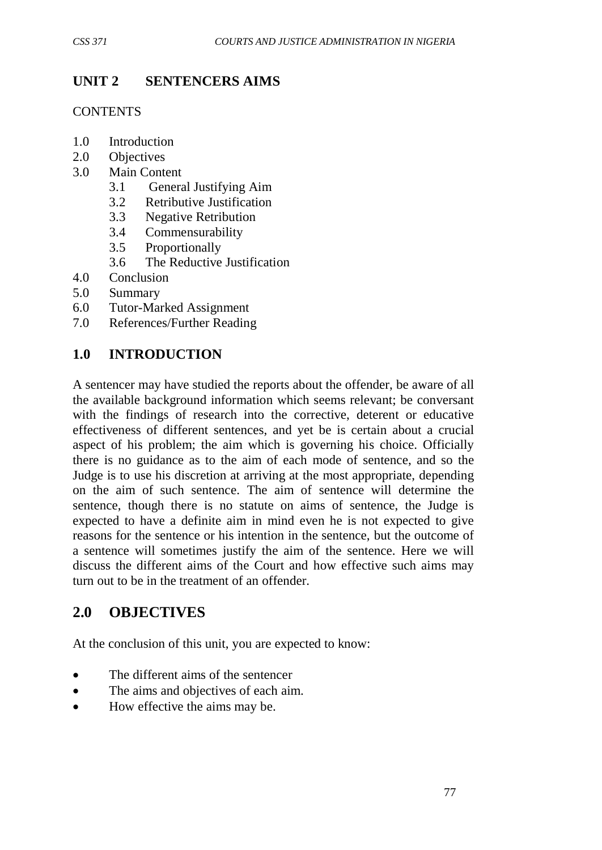# **UNIT 2 SENTENCERS AIMS**

**CONTENTS** 

- 1.0 Introduction
- 2.0 Objectives
- 3.0 Main Content
	- 3.1 General Justifying Aim
	- 3.2 Retributive Justification
	- 3.3 Negative Retribution
	- 3.4 Commensurability
	- 3.5 Proportionally
	- 3.6 The Reductive Justification
- 4.0 Conclusion
- 5.0 Summary
- 6.0 Tutor-Marked Assignment
- 7.0 References/Further Reading

# **1.0 INTRODUCTION**

A sentencer may have studied the reports about the offender, be aware of all the available background information which seems relevant; be conversant with the findings of research into the corrective, deterent or educative effectiveness of different sentences, and yet be is certain about a crucial aspect of his problem; the aim which is governing his choice. Officially there is no guidance as to the aim of each mode of sentence, and so the Judge is to use his discretion at arriving at the most appropriate, depending on the aim of such sentence. The aim of sentence will determine the sentence, though there is no statute on aims of sentence, the Judge is expected to have a definite aim in mind even he is not expected to give reasons for the sentence or his intention in the sentence, but the outcome of a sentence will sometimes justify the aim of the sentence. Here we will discuss the different aims of the Court and how effective such aims may turn out to be in the treatment of an offender.

# **2.0 OBJECTIVES**

At the conclusion of this unit, you are expected to know:

- The different aims of the sentencer
- The aims and objectives of each aim.
- How effective the aims may be.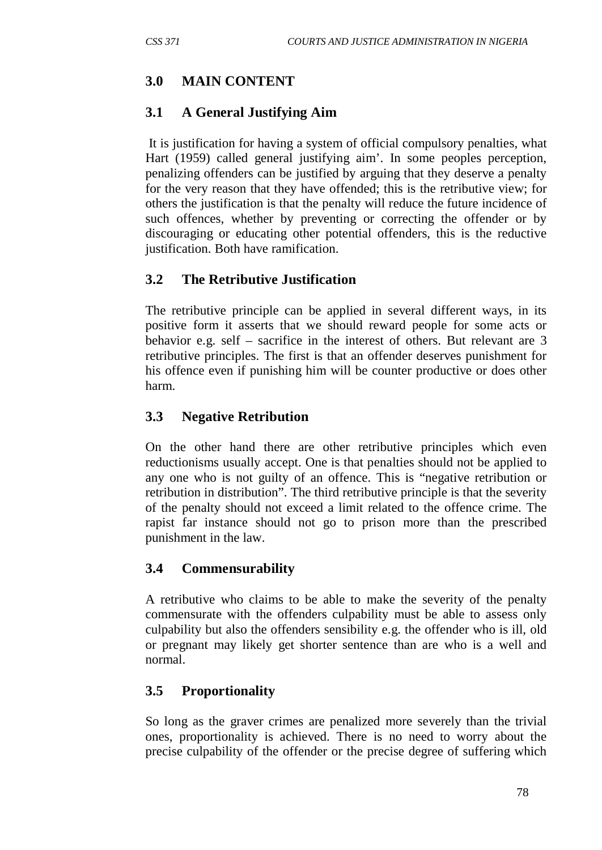# **3.0 MAIN CONTENT**

# **3.1 A General Justifying Aim**

It is justification for having a system of official compulsory penalties, what Hart (1959) called general justifying aim'. In some peoples perception, penalizing offenders can be justified by arguing that they deserve a penalty for the very reason that they have offended; this is the retributive view; for others the justification is that the penalty will reduce the future incidence of such offences, whether by preventing or correcting the offender or by discouraging or educating other potential offenders, this is the reductive justification. Both have ramification.

# **3.2 The Retributive Justification**

The retributive principle can be applied in several different ways, in its positive form it asserts that we should reward people for some acts or behavior e.g. self – sacrifice in the interest of others. But relevant are 3 retributive principles. The first is that an offender deserves punishment for his offence even if punishing him will be counter productive or does other harm.

# **3.3 Negative Retribution**

On the other hand there are other retributive principles which even reductionisms usually accept. One is that penalties should not be applied to any one who is not guilty of an offence. This is "negative retribution or retribution in distribution". The third retributive principle is that the severity of the penalty should not exceed a limit related to the offence crime. The rapist far instance should not go to prison more than the prescribed punishment in the law.

# **3.4 Commensurability**

A retributive who claims to be able to make the severity of the penalty commensurate with the offenders culpability must be able to assess only culpability but also the offenders sensibility e.g. the offender who is ill, old or pregnant may likely get shorter sentence than are who is a well and normal.

# **3.5 Proportionality**

So long as the graver crimes are penalized more severely than the trivial ones, proportionality is achieved. There is no need to worry about the precise culpability of the offender or the precise degree of suffering which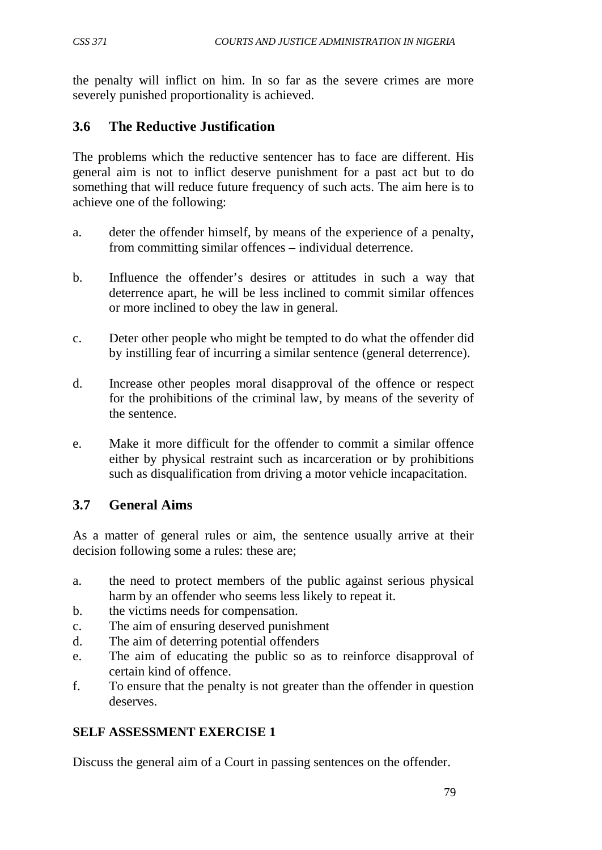the penalty will inflict on him. In so far as the severe crimes are more severely punished proportionality is achieved.

# **3.6 The Reductive Justification**

The problems which the reductive sentencer has to face are different. His general aim is not to inflict deserve punishment for a past act but to do something that will reduce future frequency of such acts. The aim here is to achieve one of the following:

- a. deter the offender himself, by means of the experience of a penalty, from committing similar offences – individual deterrence.
- b. Influence the offender's desires or attitudes in such a way that deterrence apart, he will be less inclined to commit similar offences or more inclined to obey the law in general.
- c. Deter other people who might be tempted to do what the offender did by instilling fear of incurring a similar sentence (general deterrence).
- d. Increase other peoples moral disapproval of the offence or respect for the prohibitions of the criminal law, by means of the severity of the sentence.
- e. Make it more difficult for the offender to commit a similar offence either by physical restraint such as incarceration or by prohibitions such as disqualification from driving a motor vehicle incapacitation.

# **3.7 General Aims**

As a matter of general rules or aim, the sentence usually arrive at their decision following some a rules: these are;

- a. the need to protect members of the public against serious physical harm by an offender who seems less likely to repeat it.
- b. the victims needs for compensation.
- c. The aim of ensuring deserved punishment
- d. The aim of deterring potential offenders
- e. The aim of educating the public so as to reinforce disapproval of certain kind of offence.
- f. To ensure that the penalty is not greater than the offender in question deserves.

# **SELF ASSESSMENT EXERCISE 1**

Discuss the general aim of a Court in passing sentences on the offender.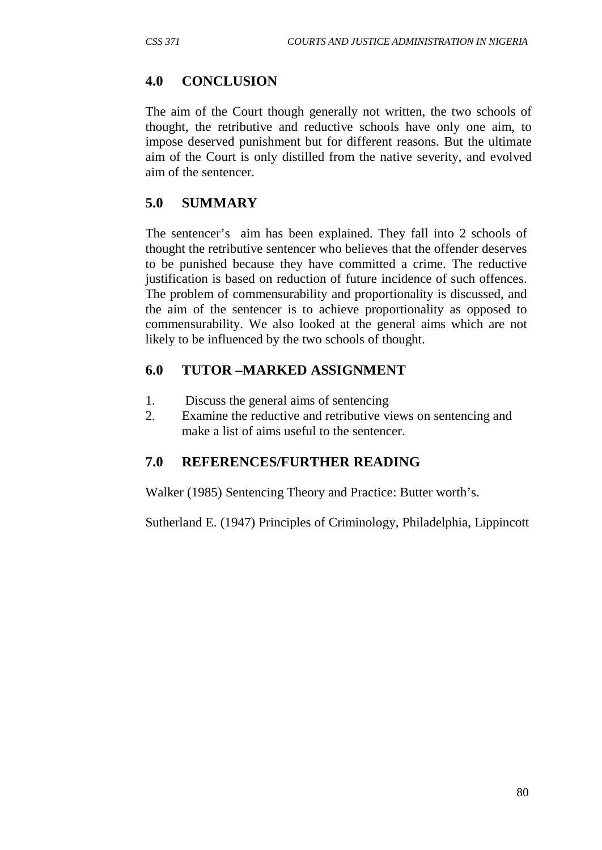## **4.0 CONCLUSION**

The aim of the Court though generally not written, the two schools of thought, the retributive and reductive schools have only one aim, to impose deserved punishment but for different reasons. But the ultimate aim of the Court is only distilled from the native severity, and evolved aim of the sentencer.

## **5.0 SUMMARY**

The sentencer's aim has been explained. They fall into 2 schools of thought the retributive sentencer who believes that the offender deserves to be punished because they have committed a crime. The reductive justification is based on reduction of future incidence of such offences. The problem of commensurability and proportionality is discussed, and the aim of the sentencer is to achieve proportionality as opposed to commensurability. We also looked at the general aims which are not likely to be influenced by the two schools of thought.

# **6.0 TUTOR –MARKED ASSIGNMENT**

- 1. Discuss the general aims of sentencing
- 2. Examine the reductive and retributive views on sentencing and make a list of aims useful to the sentencer.

# **7.0 REFERENCES/FURTHER READING**

Walker (1985) Sentencing Theory and Practice: Butter worth's.

Sutherland E. (1947) Principles of Criminology, Philadelphia, Lippincott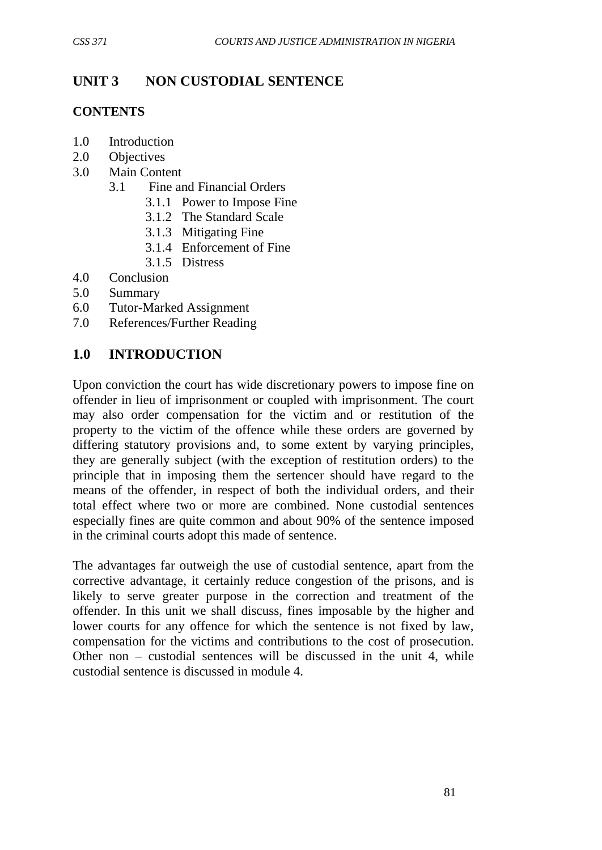# **UNIT 3 NON CUSTODIAL SENTENCE**

## **CONTENTS**

- 1.0 Introduction
- 2.0 Objectives
- 3.0 Main Content
	- 3.1 Fine and Financial Orders
		- 3.1.1 Power to Impose Fine
		- 3.1.2 The Standard Scale
		- 3.1.3 Mitigating Fine
		- 3.1.4 Enforcement of Fine
		- 3.1.5 Distress
- 4.0 Conclusion
- 5.0 Summary
- 6.0 Tutor-Marked Assignment
- 7.0 References/Further Reading

# **1.0 INTRODUCTION**

Upon conviction the court has wide discretionary powers to impose fine on offender in lieu of imprisonment or coupled with imprisonment. The court may also order compensation for the victim and or restitution of the property to the victim of the offence while these orders are governed by differing statutory provisions and, to some extent by varying principles, they are generally subject (with the exception of restitution orders) to the principle that in imposing them the sertencer should have regard to the means of the offender, in respect of both the individual orders, and their total effect where two or more are combined. None custodial sentences especially fines are quite common and about 90% of the sentence imposed in the criminal courts adopt this made of sentence.

The advantages far outweigh the use of custodial sentence, apart from the corrective advantage, it certainly reduce congestion of the prisons, and is likely to serve greater purpose in the correction and treatment of the offender. In this unit we shall discuss, fines imposable by the higher and lower courts for any offence for which the sentence is not fixed by law, compensation for the victims and contributions to the cost of prosecution. Other non – custodial sentences will be discussed in the unit 4, while custodial sentence is discussed in module 4.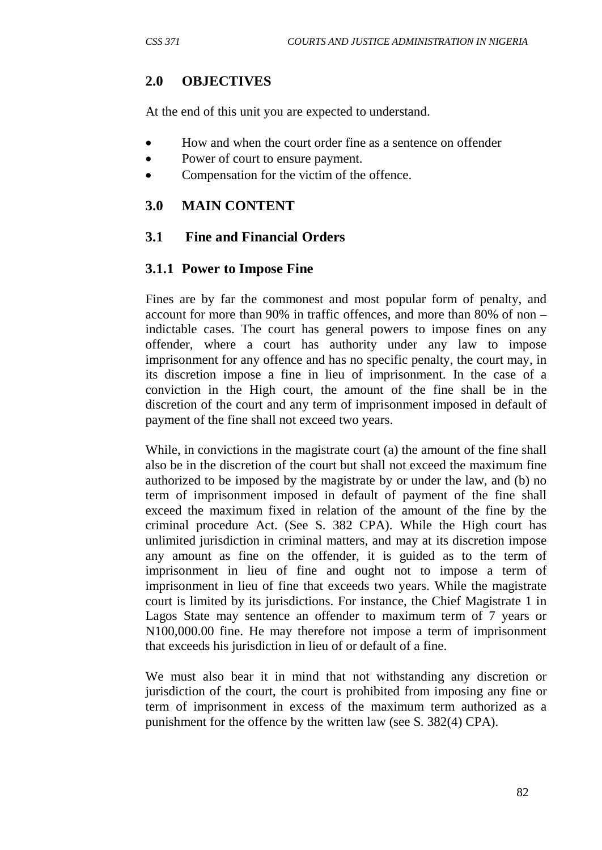## **2.0 OBJECTIVES**

At the end of this unit you are expected to understand.

- How and when the court order fine as a sentence on offender
- Power of court to ensure payment.
- Compensation for the victim of the offence.

#### **3.0 MAIN CONTENT**

#### **3.1 Fine and Financial Orders**

#### **3.1.1 Power to Impose Fine**

Fines are by far the commonest and most popular form of penalty, and account for more than 90% in traffic offences, and more than 80% of non – indictable cases. The court has general powers to impose fines on any offender, where a court has authority under any law to impose imprisonment for any offence and has no specific penalty, the court may, in its discretion impose a fine in lieu of imprisonment. In the case of a conviction in the High court, the amount of the fine shall be in the discretion of the court and any term of imprisonment imposed in default of payment of the fine shall not exceed two years.

While, in convictions in the magistrate court (a) the amount of the fine shall also be in the discretion of the court but shall not exceed the maximum fine authorized to be imposed by the magistrate by or under the law, and (b) no term of imprisonment imposed in default of payment of the fine shall exceed the maximum fixed in relation of the amount of the fine by the criminal procedure Act. (See S. 382 CPA). While the High court has unlimited jurisdiction in criminal matters, and may at its discretion impose any amount as fine on the offender, it is guided as to the term of imprisonment in lieu of fine and ought not to impose a term of imprisonment in lieu of fine that exceeds two years. While the magistrate court is limited by its jurisdictions. For instance, the Chief Magistrate 1 in Lagos State may sentence an offender to maximum term of 7 years or N100,000.00 fine. He may therefore not impose a term of imprisonment that exceeds his jurisdiction in lieu of or default of a fine.

We must also bear it in mind that not withstanding any discretion or jurisdiction of the court, the court is prohibited from imposing any fine or term of imprisonment in excess of the maximum term authorized as a punishment for the offence by the written law (see S. 382(4) CPA).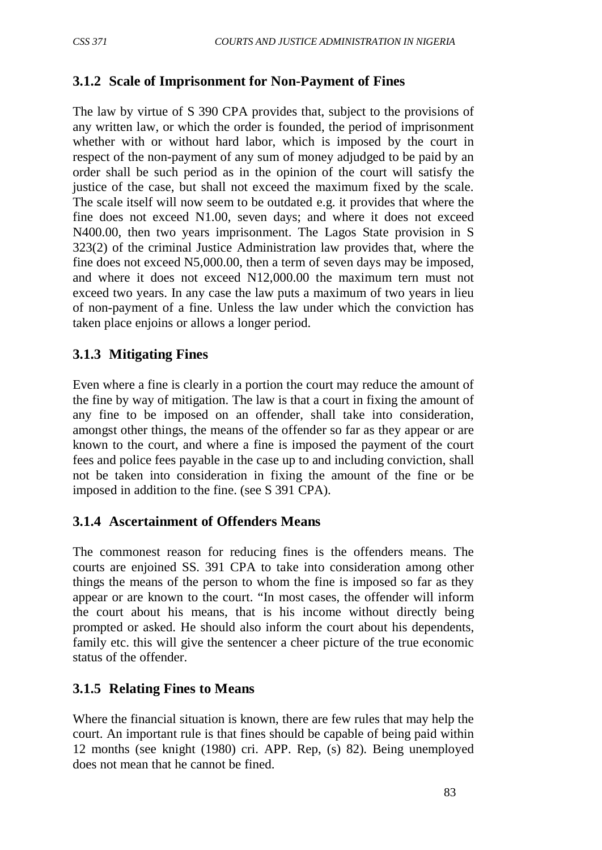#### **3.1.2 Scale of Imprisonment for Non-Payment of Fines**

The law by virtue of S 390 CPA provides that, subject to the provisions of any written law, or which the order is founded, the period of imprisonment whether with or without hard labor, which is imposed by the court in respect of the non-payment of any sum of money adjudged to be paid by an order shall be such period as in the opinion of the court will satisfy the justice of the case, but shall not exceed the maximum fixed by the scale. The scale itself will now seem to be outdated e.g. it provides that where the fine does not exceed N1.00, seven days; and where it does not exceed N400.00, then two years imprisonment. The Lagos State provision in S 323(2) of the criminal Justice Administration law provides that, where the fine does not exceed N5,000.00, then a term of seven days may be imposed, and where it does not exceed N12,000.00 the maximum tern must not exceed two years. In any case the law puts a maximum of two years in lieu of non-payment of a fine. Unless the law under which the conviction has taken place enjoins or allows a longer period.

#### **3.1.3 Mitigating Fines**

Even where a fine is clearly in a portion the court may reduce the amount of the fine by way of mitigation. The law is that a court in fixing the amount of any fine to be imposed on an offender, shall take into consideration, amongst other things, the means of the offender so far as they appear or are known to the court, and where a fine is imposed the payment of the court fees and police fees payable in the case up to and including conviction, shall not be taken into consideration in fixing the amount of the fine or be imposed in addition to the fine. (see S 391 CPA).

#### **3.1.4 Ascertainment of Offenders Means**

The commonest reason for reducing fines is the offenders means. The courts are enjoined SS. 391 CPA to take into consideration among other things the means of the person to whom the fine is imposed so far as they appear or are known to the court. "In most cases, the offender will inform the court about his means, that is his income without directly being prompted or asked. He should also inform the court about his dependents, family etc. this will give the sentencer a cheer picture of the true economic status of the offender.

# **3.1.5 Relating Fines to Means**

Where the financial situation is known, there are few rules that may help the court. An important rule is that fines should be capable of being paid within 12 months (see knight (1980) cri. APP. Rep, (s) 82). Being unemployed does not mean that he cannot be fined.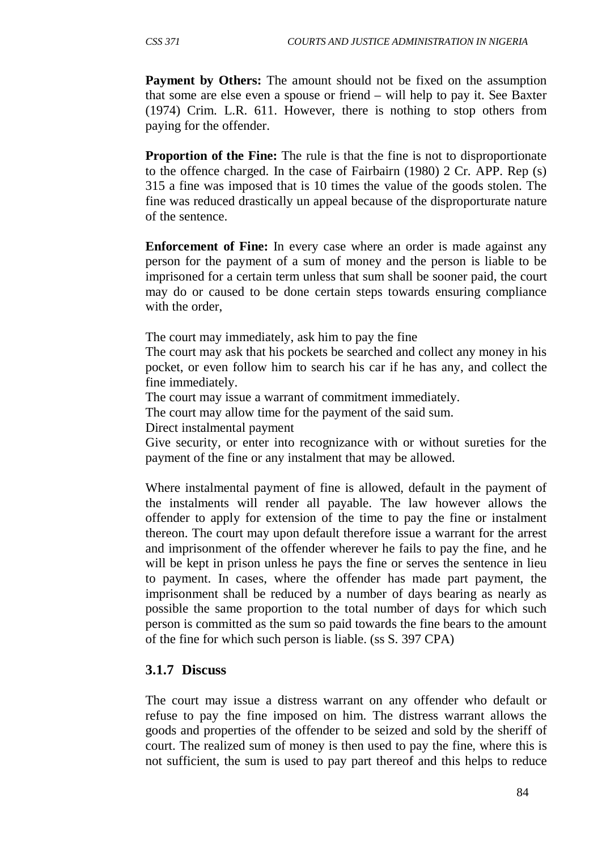**Payment by Others:** The amount should not be fixed on the assumption that some are else even a spouse or friend – will help to pay it. See Baxter (1974) Crim. L.R. 611. However, there is nothing to stop others from paying for the offender.

**Proportion of the Fine:** The rule is that the fine is not to disproportionate to the offence charged. In the case of Fairbairn (1980) 2 Cr. APP. Rep (s) 315 a fine was imposed that is 10 times the value of the goods stolen. The fine was reduced drastically un appeal because of the disproporturate nature of the sentence.

**Enforcement of Fine:** In every case where an order is made against any person for the payment of a sum of money and the person is liable to be imprisoned for a certain term unless that sum shall be sooner paid, the court may do or caused to be done certain steps towards ensuring compliance with the order.

The court may immediately, ask him to pay the fine

The court may ask that his pockets be searched and collect any money in his pocket, or even follow him to search his car if he has any, and collect the fine immediately.

The court may issue a warrant of commitment immediately.

The court may allow time for the payment of the said sum.

Direct instalmental payment

Give security, or enter into recognizance with or without sureties for the payment of the fine or any instalment that may be allowed.

Where instalmental payment of fine is allowed, default in the payment of the instalments will render all payable. The law however allows the offender to apply for extension of the time to pay the fine or instalment thereon. The court may upon default therefore issue a warrant for the arrest and imprisonment of the offender wherever he fails to pay the fine, and he will be kept in prison unless he pays the fine or serves the sentence in lieu to payment. In cases, where the offender has made part payment, the imprisonment shall be reduced by a number of days bearing as nearly as possible the same proportion to the total number of days for which such person is committed as the sum so paid towards the fine bears to the amount of the fine for which such person is liable. (ss S. 397 CPA)

#### **3.1.7 Discuss**

The court may issue a distress warrant on any offender who default or refuse to pay the fine imposed on him. The distress warrant allows the goods and properties of the offender to be seized and sold by the sheriff of court. The realized sum of money is then used to pay the fine, where this is not sufficient, the sum is used to pay part thereof and this helps to reduce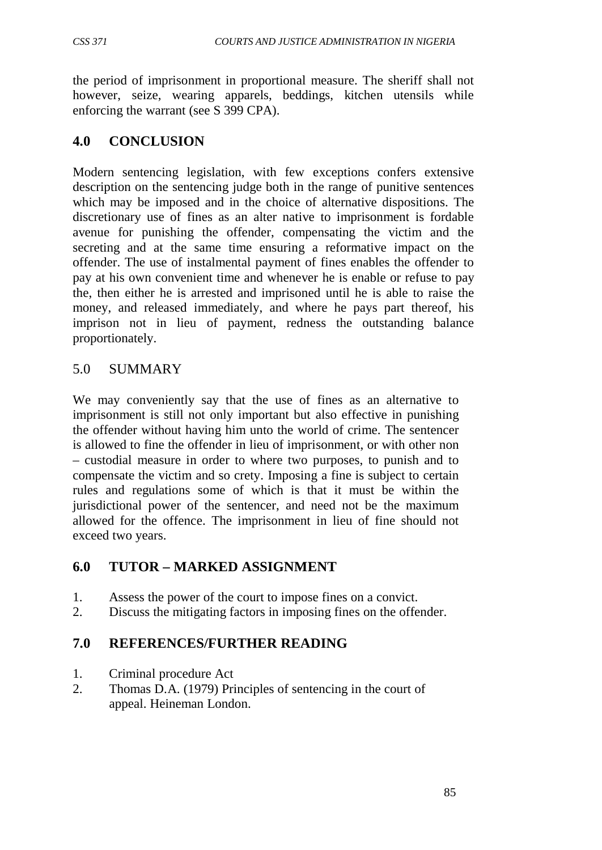the period of imprisonment in proportional measure. The sheriff shall not however, seize, wearing apparels, beddings, kitchen utensils while enforcing the warrant (see S 399 CPA).

# **4.0 CONCLUSION**

Modern sentencing legislation, with few exceptions confers extensive description on the sentencing judge both in the range of punitive sentences which may be imposed and in the choice of alternative dispositions. The discretionary use of fines as an alter native to imprisonment is fordable avenue for punishing the offender, compensating the victim and the secreting and at the same time ensuring a reformative impact on the offender. The use of instalmental payment of fines enables the offender to pay at his own convenient time and whenever he is enable or refuse to pay the, then either he is arrested and imprisoned until he is able to raise the money, and released immediately, and where he pays part thereof, his imprison not in lieu of payment, redness the outstanding balance proportionately.

# 5.0 SUMMARY

We may conveniently say that the use of fines as an alternative to imprisonment is still not only important but also effective in punishing the offender without having him unto the world of crime. The sentencer is allowed to fine the offender in lieu of imprisonment, or with other non – custodial measure in order to where two purposes, to punish and to compensate the victim and so crety. Imposing a fine is subject to certain rules and regulations some of which is that it must be within the jurisdictional power of the sentencer, and need not be the maximum allowed for the offence. The imprisonment in lieu of fine should not exceed two years.

# **6.0 TUTOR – MARKED ASSIGNMENT**

- 1. Assess the power of the court to impose fines on a convict.
- 2. Discuss the mitigating factors in imposing fines on the offender.

# **7.0 REFERENCES/FURTHER READING**

- 1. Criminal procedure Act
- 2. Thomas D.A. (1979) Principles of sentencing in the court of appeal. Heineman London.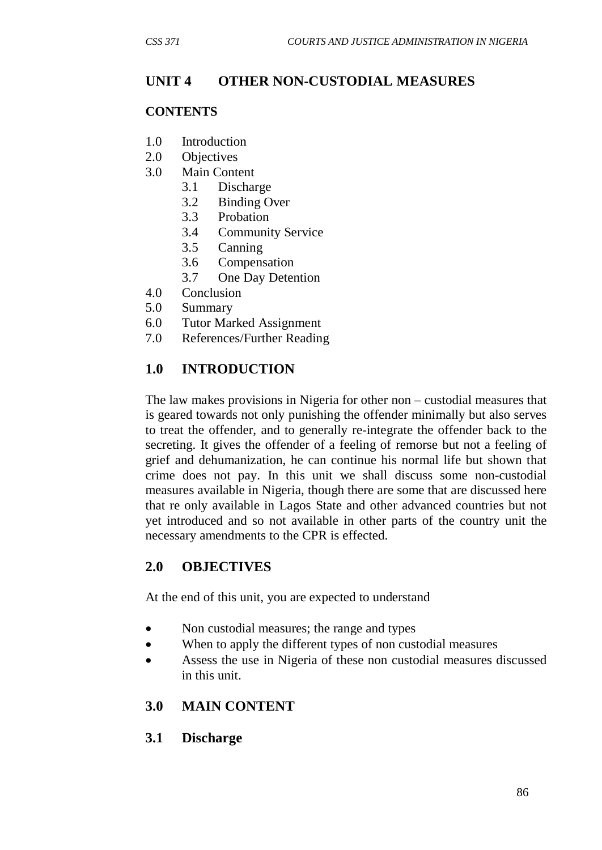# **UNIT 4 OTHER NON-CUSTODIAL MEASURES**

## **CONTENTS**

- 1.0 Introduction
- 2.0 Objectives
- 3.0 Main Content
	- 3.1 Discharge
	- 3.2 Binding Over
	- 3.3 Probation
	- 3.4 Community Service
	- 3.5 Canning
	- 3.6 Compensation
	- 3.7 One Day Detention
- 4.0 Conclusion
- 5.0 Summary
- 6.0 Tutor Marked Assignment
- 7.0 References/Further Reading

# **1.0 INTRODUCTION**

The law makes provisions in Nigeria for other non – custodial measures that is geared towards not only punishing the offender minimally but also serves to treat the offender, and to generally re-integrate the offender back to the secreting. It gives the offender of a feeling of remorse but not a feeling of grief and dehumanization, he can continue his normal life but shown that crime does not pay. In this unit we shall discuss some non-custodial measures available in Nigeria, though there are some that are discussed here that re only available in Lagos State and other advanced countries but not yet introduced and so not available in other parts of the country unit the necessary amendments to the CPR is effected.

# **2.0 OBJECTIVES**

At the end of this unit, you are expected to understand

- Non custodial measures; the range and types
- When to apply the different types of non custodial measures
- Assess the use in Nigeria of these non custodial measures discussed in this unit.

#### **3.0 MAIN CONTENT**

**3.1 Discharge**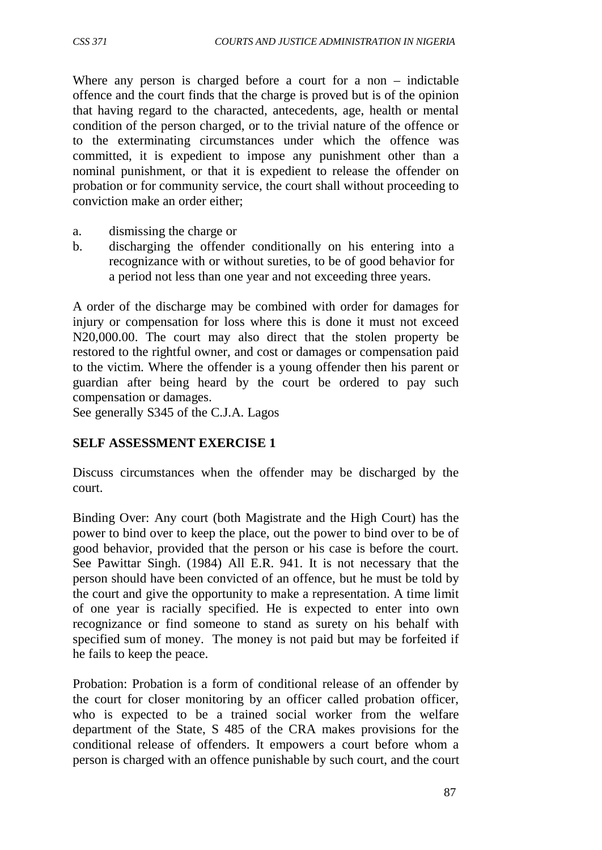Where any person is charged before a court for a non – indictable offence and the court finds that the charge is proved but is of the opinion that having regard to the characted, antecedents, age, health or mental condition of the person charged, or to the trivial nature of the offence or to the exterminating circumstances under which the offence was committed, it is expedient to impose any punishment other than a nominal punishment, or that it is expedient to release the offender on probation or for community service, the court shall without proceeding to conviction make an order either;

- a. dismissing the charge or
- b. discharging the offender conditionally on his entering into a recognizance with or without sureties, to be of good behavior for a period not less than one year and not exceeding three years.

A order of the discharge may be combined with order for damages for injury or compensation for loss where this is done it must not exceed N20,000.00. The court may also direct that the stolen property be restored to the rightful owner, and cost or damages or compensation paid to the victim. Where the offender is a young offender then his parent or guardian after being heard by the court be ordered to pay such compensation or damages.

See generally S345 of the C.J.A. Lagos

#### **SELF ASSESSMENT EXERCISE 1**

Discuss circumstances when the offender may be discharged by the court.

Binding Over: Any court (both Magistrate and the High Court) has the power to bind over to keep the place, out the power to bind over to be of good behavior, provided that the person or his case is before the court. See Pawittar Singh. (1984) All E.R. 941. It is not necessary that the person should have been convicted of an offence, but he must be told by the court and give the opportunity to make a representation. A time limit of one year is racially specified. He is expected to enter into own recognizance or find someone to stand as surety on his behalf with specified sum of money. The money is not paid but may be forfeited if he fails to keep the peace.

Probation: Probation is a form of conditional release of an offender by the court for closer monitoring by an officer called probation officer, who is expected to be a trained social worker from the welfare department of the State, S 485 of the CRA makes provisions for the conditional release of offenders. It empowers a court before whom a person is charged with an offence punishable by such court, and the court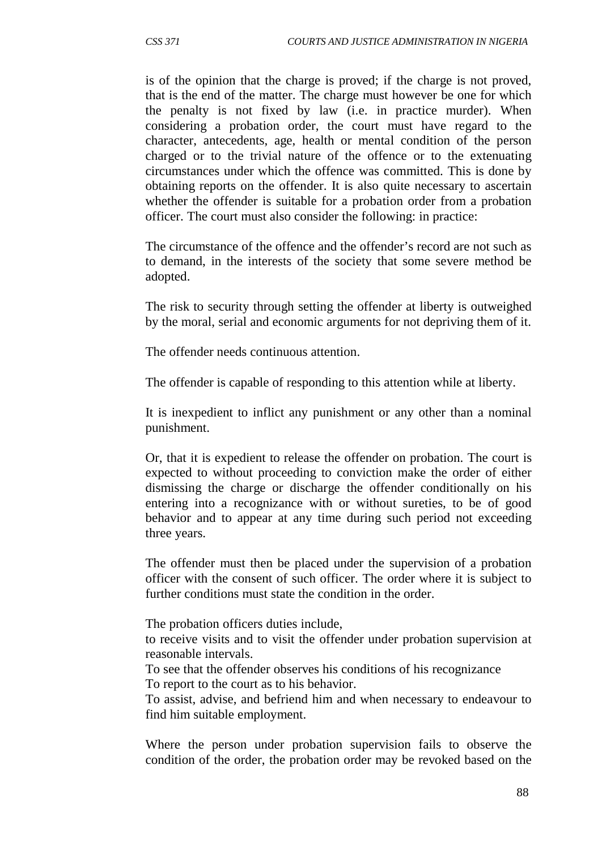is of the opinion that the charge is proved; if the charge is not proved, that is the end of the matter. The charge must however be one for which the penalty is not fixed by law (i.e. in practice murder). When considering a probation order, the court must have regard to the character, antecedents, age, health or mental condition of the person charged or to the trivial nature of the offence or to the extenuating circumstances under which the offence was committed. This is done by obtaining reports on the offender. It is also quite necessary to ascertain whether the offender is suitable for a probation order from a probation officer. The court must also consider the following: in practice:

The circumstance of the offence and the offender's record are not such as to demand, in the interests of the society that some severe method be adopted.

The risk to security through setting the offender at liberty is outweighed by the moral, serial and economic arguments for not depriving them of it.

The offender needs continuous attention.

The offender is capable of responding to this attention while at liberty.

It is inexpedient to inflict any punishment or any other than a nominal punishment.

Or, that it is expedient to release the offender on probation. The court is expected to without proceeding to conviction make the order of either dismissing the charge or discharge the offender conditionally on his entering into a recognizance with or without sureties, to be of good behavior and to appear at any time during such period not exceeding three years.

The offender must then be placed under the supervision of a probation officer with the consent of such officer. The order where it is subject to further conditions must state the condition in the order.

The probation officers duties include,

to receive visits and to visit the offender under probation supervision at reasonable intervals.

To see that the offender observes his conditions of his recognizance To report to the court as to his behavior.

To assist, advise, and befriend him and when necessary to endeavour to find him suitable employment.

Where the person under probation supervision fails to observe the condition of the order, the probation order may be revoked based on the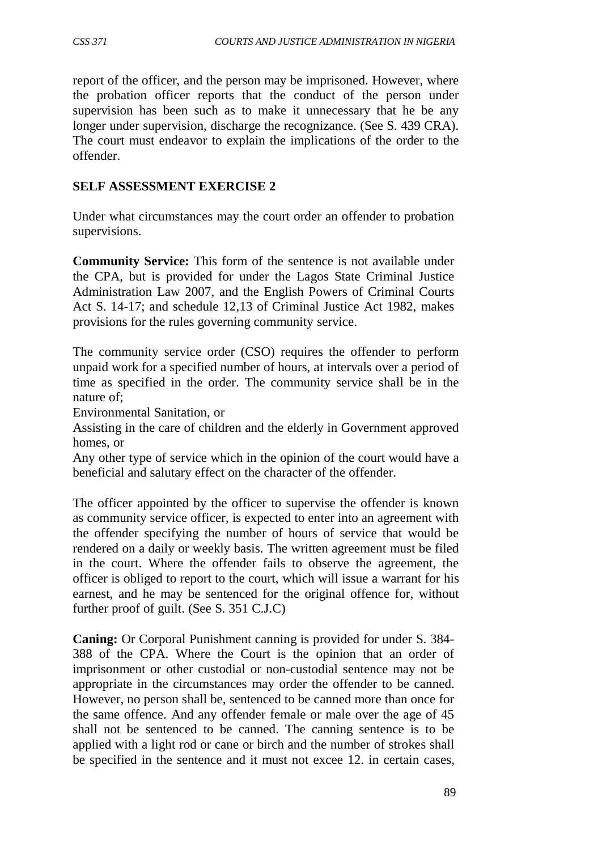report of the officer, and the person may be imprisoned. However, where the probation officer reports that the conduct of the person under supervision has been such as to make it unnecessary that he be any longer under supervision, discharge the recognizance. (See S. 439 CRA). The court must endeavor to explain the implications of the order to the offender.

## **SELF ASSESSMENT EXERCISE 2**

Under what circumstances may the court order an offender to probation supervisions.

**Community Service:** This form of the sentence is not available under the CPA, but is provided for under the Lagos State Criminal Justice Administration Law 2007, and the English Powers of Criminal Courts Act S. 14-17; and schedule 12,13 of Criminal Justice Act 1982, makes provisions for the rules governing community service.

The community service order (CSO) requires the offender to perform unpaid work for a specified number of hours, at intervals over a period of time as specified in the order. The community service shall be in the nature of;

Environmental Sanitation, or

Assisting in the care of children and the elderly in Government approved homes, or

Any other type of service which in the opinion of the court would have a beneficial and salutary effect on the character of the offender.

The officer appointed by the officer to supervise the offender is known as community service officer, is expected to enter into an agreement with the offender specifying the number of hours of service that would be rendered on a daily or weekly basis. The written agreement must be filed in the court. Where the offender fails to observe the agreement, the officer is obliged to report to the court, which will issue a warrant for his earnest, and he may be sentenced for the original offence for, without further proof of guilt. (See S. 351 C.J.C)

**Caning:** Or Corporal Punishment canning is provided for under S. 384- 388 of the CPA. Where the Court is the opinion that an order of imprisonment or other custodial or non-custodial sentence may not be appropriate in the circumstances may order the offender to be canned. However, no person shall be, sentenced to be canned more than once for the same offence. And any offender female or male over the age of 45 shall not be sentenced to be canned. The canning sentence is to be applied with a light rod or cane or birch and the number of strokes shall be specified in the sentence and it must not excee 12. in certain cases,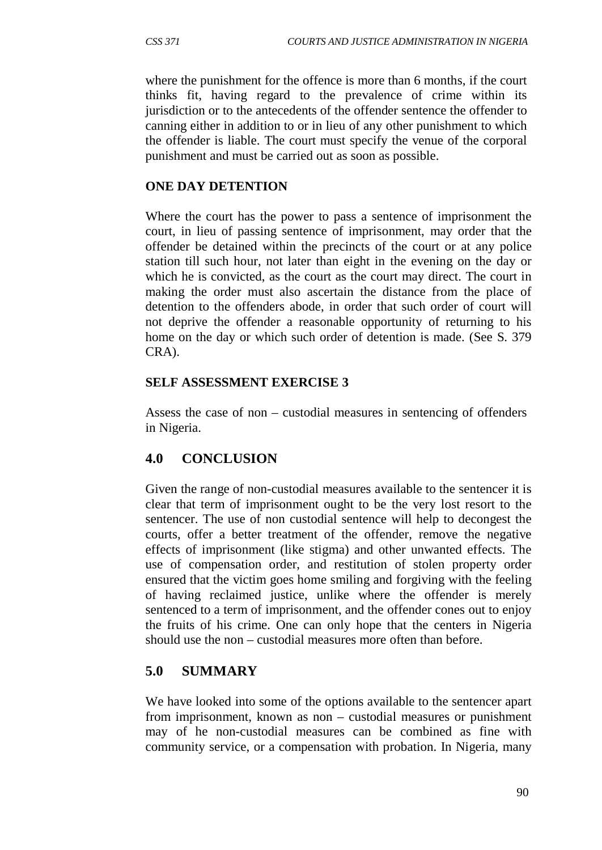where the punishment for the offence is more than 6 months, if the court thinks fit, having regard to the prevalence of crime within its jurisdiction or to the antecedents of the offender sentence the offender to canning either in addition to or in lieu of any other punishment to which the offender is liable. The court must specify the venue of the corporal punishment and must be carried out as soon as possible.

#### **ONE DAY DETENTION**

Where the court has the power to pass a sentence of imprisonment the court, in lieu of passing sentence of imprisonment, may order that the offender be detained within the precincts of the court or at any police station till such hour, not later than eight in the evening on the day or which he is convicted, as the court as the court may direct. The court in making the order must also ascertain the distance from the place of detention to the offenders abode, in order that such order of court will not deprive the offender a reasonable opportunity of returning to his home on the day or which such order of detention is made. (See S. 379 CRA).

#### **SELF ASSESSMENT EXERCISE 3**

Assess the case of non – custodial measures in sentencing of offenders in Nigeria.

# **4.0 CONCLUSION**

Given the range of non-custodial measures available to the sentencer it is clear that term of imprisonment ought to be the very lost resort to the sentencer. The use of non custodial sentence will help to decongest the courts, offer a better treatment of the offender, remove the negative effects of imprisonment (like stigma) and other unwanted effects. The use of compensation order, and restitution of stolen property order ensured that the victim goes home smiling and forgiving with the feeling of having reclaimed justice, unlike where the offender is merely sentenced to a term of imprisonment, and the offender cones out to enjoy the fruits of his crime. One can only hope that the centers in Nigeria should use the non – custodial measures more often than before.

# **5.0 SUMMARY**

We have looked into some of the options available to the sentencer apart from imprisonment, known as non – custodial measures or punishment may of he non-custodial measures can be combined as fine with community service, or a compensation with probation. In Nigeria, many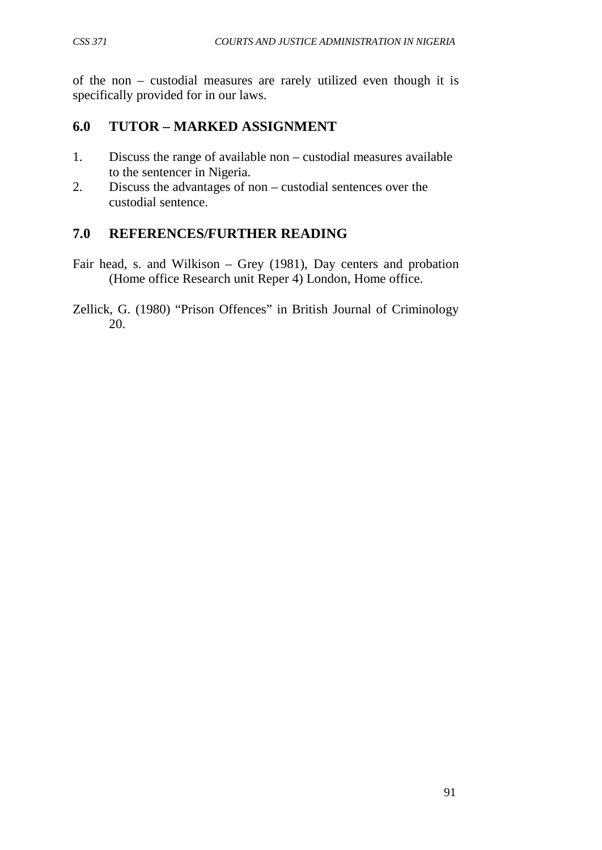of the non – custodial measures are rarely utilized even though it is specifically provided for in our laws.

# **6.0 TUTOR – MARKED ASSIGNMENT**

- 1. Discuss the range of available non custodial measures available to the sentencer in Nigeria.
- 2. Discuss the advantages of non custodial sentences over the custodial sentence.

# **7.0 REFERENCES/FURTHER READING**

- Fair head, s. and Wilkison Grey (1981), Day centers and probation (Home office Research unit Reper 4) London, Home office.
- Zellick, G. (1980) "Prison Offences" in British Journal of Criminology 20.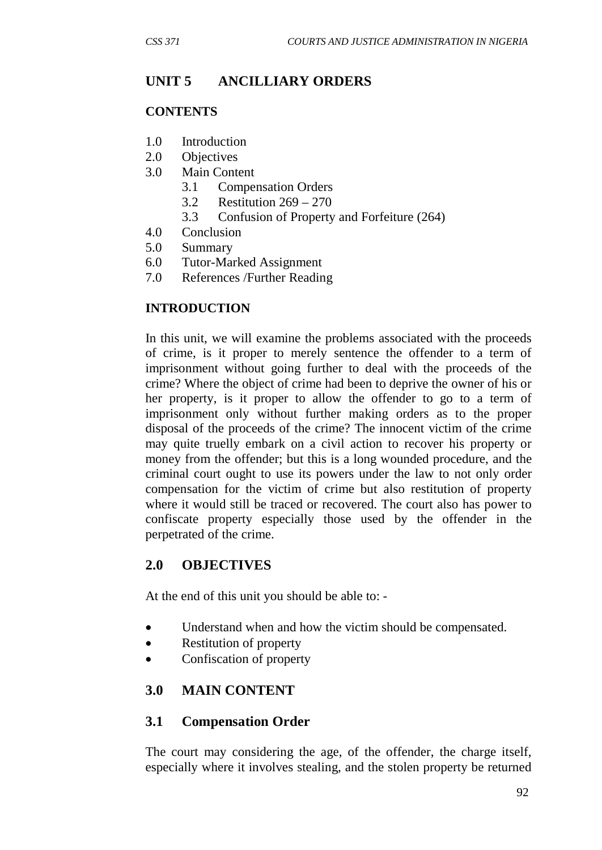# **UNIT 5 ANCILLIARY ORDERS**

#### **CONTENTS**

- 1.0 Introduction
- 2.0 Objectives
- 3.0 Main Content
	- 3.1 Compensation Orders
	- 3.2 Restitution 269 270
	- 3.3 Confusion of Property and Forfeiture (264)
- 4.0 Conclusion
- 5.0 Summary
- 6.0 Tutor-Marked Assignment
- 7.0 References /Further Reading

#### **INTRODUCTION**

In this unit, we will examine the problems associated with the proceeds of crime, is it proper to merely sentence the offender to a term of imprisonment without going further to deal with the proceeds of the crime? Where the object of crime had been to deprive the owner of his or her property, is it proper to allow the offender to go to a term of imprisonment only without further making orders as to the proper disposal of the proceeds of the crime? The innocent victim of the crime may quite truelly embark on a civil action to recover his property or money from the offender; but this is a long wounded procedure, and the criminal court ought to use its powers under the law to not only order compensation for the victim of crime but also restitution of property where it would still be traced or recovered. The court also has power to confiscate property especially those used by the offender in the perpetrated of the crime.

#### **2.0 OBJECTIVES**

At the end of this unit you should be able to: -

- Understand when and how the victim should be compensated.
- Restitution of property
- Confiscation of property

#### **3.0 MAIN CONTENT**

#### **3.1 Compensation Order**

The court may considering the age, of the offender, the charge itself, especially where it involves stealing, and the stolen property be returned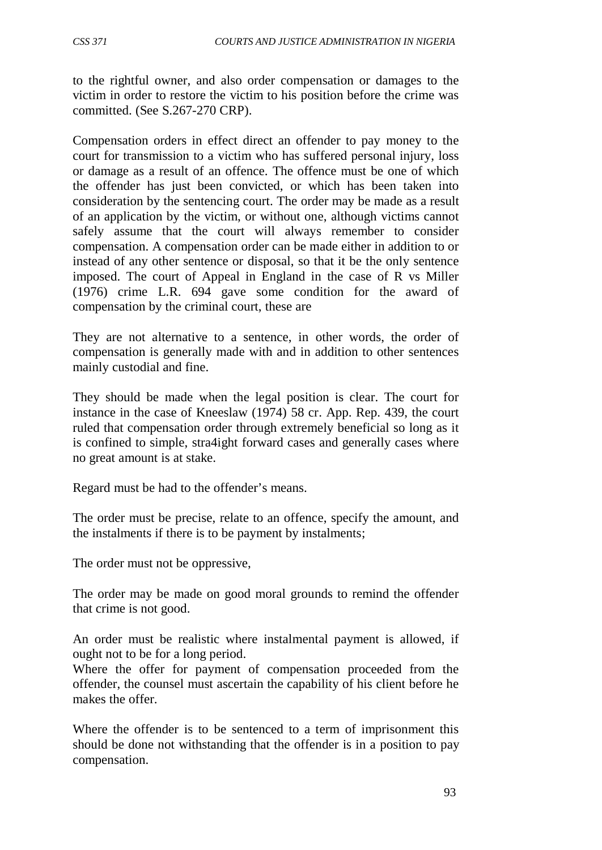to the rightful owner, and also order compensation or damages to the victim in order to restore the victim to his position before the crime was committed. (See S.267-270 CRP).

Compensation orders in effect direct an offender to pay money to the court for transmission to a victim who has suffered personal injury, loss or damage as a result of an offence. The offence must be one of which the offender has just been convicted, or which has been taken into consideration by the sentencing court. The order may be made as a result of an application by the victim, or without one, although victims cannot safely assume that the court will always remember to consider compensation. A compensation order can be made either in addition to or instead of any other sentence or disposal, so that it be the only sentence imposed. The court of Appeal in England in the case of R vs Miller (1976) crime L.R. 694 gave some condition for the award of compensation by the criminal court, these are

They are not alternative to a sentence, in other words, the order of compensation is generally made with and in addition to other sentences mainly custodial and fine.

They should be made when the legal position is clear. The court for instance in the case of Kneeslaw (1974) 58 cr. App. Rep. 439, the court ruled that compensation order through extremely beneficial so long as it is confined to simple, stra4ight forward cases and generally cases where no great amount is at stake.

Regard must be had to the offender's means.

The order must be precise, relate to an offence, specify the amount, and the instalments if there is to be payment by instalments;

The order must not be oppressive,

The order may be made on good moral grounds to remind the offender that crime is not good.

An order must be realistic where instalmental payment is allowed, if ought not to be for a long period.

Where the offer for payment of compensation proceeded from the offender, the counsel must ascertain the capability of his client before he makes the offer.

Where the offender is to be sentenced to a term of imprisonment this should be done not withstanding that the offender is in a position to pay compensation.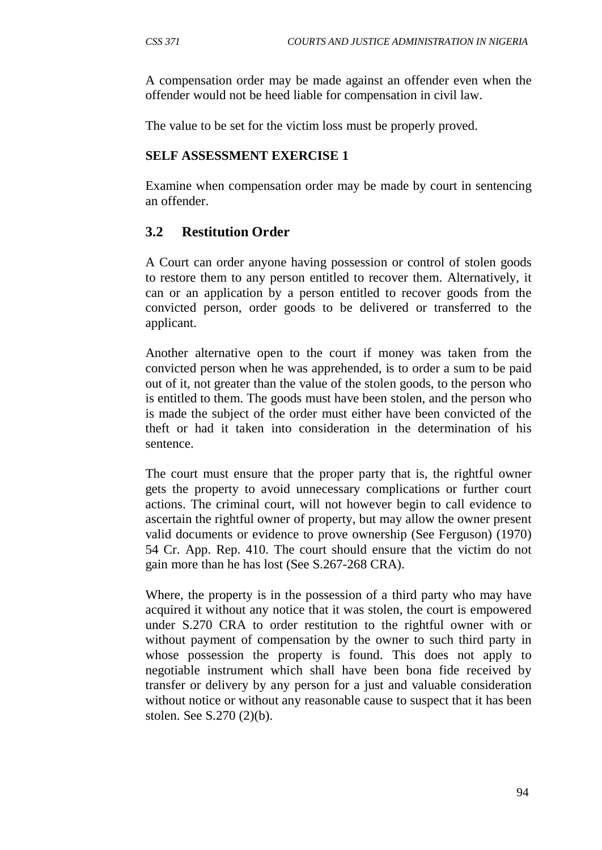A compensation order may be made against an offender even when the offender would not be heed liable for compensation in civil law.

The value to be set for the victim loss must be properly proved.

#### **SELF ASSESSMENT EXERCISE 1**

Examine when compensation order may be made by court in sentencing an offender.

### **3.2 Restitution Order**

A Court can order anyone having possession or control of stolen goods to restore them to any person entitled to recover them. Alternatively, it can or an application by a person entitled to recover goods from the convicted person, order goods to be delivered or transferred to the applicant.

Another alternative open to the court if money was taken from the convicted person when he was apprehended, is to order a sum to be paid out of it, not greater than the value of the stolen goods, to the person who is entitled to them. The goods must have been stolen, and the person who is made the subject of the order must either have been convicted of the theft or had it taken into consideration in the determination of his sentence.

The court must ensure that the proper party that is, the rightful owner gets the property to avoid unnecessary complications or further court actions. The criminal court, will not however begin to call evidence to ascertain the rightful owner of property, but may allow the owner present valid documents or evidence to prove ownership (See Ferguson) (1970) 54 Cr. App. Rep. 410. The court should ensure that the victim do not gain more than he has lost (See S.267-268 CRA).

Where, the property is in the possession of a third party who may have acquired it without any notice that it was stolen, the court is empowered under S.270 CRA to order restitution to the rightful owner with or without payment of compensation by the owner to such third party in whose possession the property is found. This does not apply to negotiable instrument which shall have been bona fide received by transfer or delivery by any person for a just and valuable consideration without notice or without any reasonable cause to suspect that it has been stolen. See S.270 (2)(b).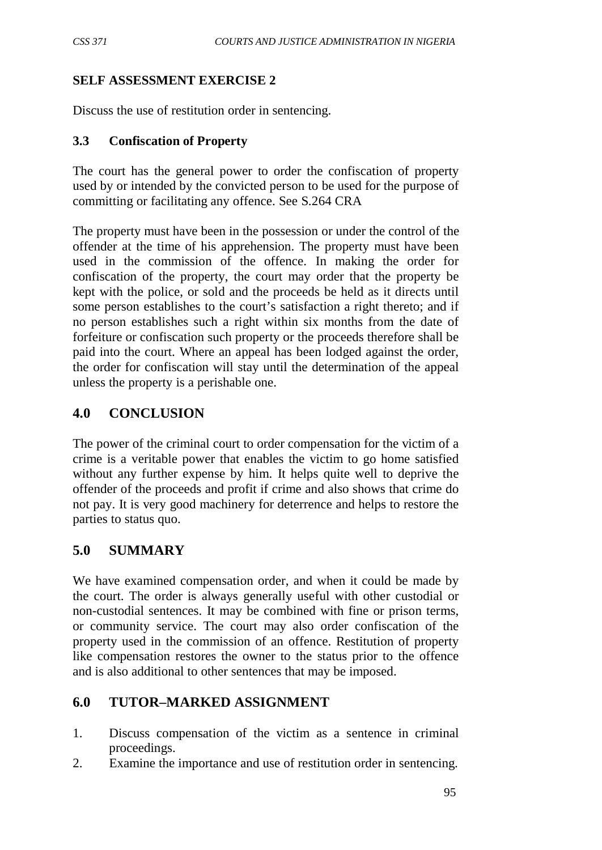### **SELF ASSESSMENT EXERCISE 2**

Discuss the use of restitution order in sentencing.

#### **3.3 Confiscation of Property**

The court has the general power to order the confiscation of property used by or intended by the convicted person to be used for the purpose of committing or facilitating any offence. See S.264 CRA

The property must have been in the possession or under the control of the offender at the time of his apprehension. The property must have been used in the commission of the offence. In making the order for confiscation of the property, the court may order that the property be kept with the police, or sold and the proceeds be held as it directs until some person establishes to the court's satisfaction a right thereto; and if no person establishes such a right within six months from the date of forfeiture or confiscation such property or the proceeds therefore shall be paid into the court. Where an appeal has been lodged against the order, the order for confiscation will stay until the determination of the appeal unless the property is a perishable one.

## **4.0 CONCLUSION**

The power of the criminal court to order compensation for the victim of a crime is a veritable power that enables the victim to go home satisfied without any further expense by him. It helps quite well to deprive the offender of the proceeds and profit if crime and also shows that crime do not pay. It is very good machinery for deterrence and helps to restore the parties to status quo.

### **5.0 SUMMARY**

We have examined compensation order, and when it could be made by the court. The order is always generally useful with other custodial or non-custodial sentences. It may be combined with fine or prison terms, or community service. The court may also order confiscation of the property used in the commission of an offence. Restitution of property like compensation restores the owner to the status prior to the offence and is also additional to other sentences that may be imposed.

### **6.0 TUTOR–MARKED ASSIGNMENT**

- 1. Discuss compensation of the victim as a sentence in criminal proceedings.
- 2. Examine the importance and use of restitution order in sentencing.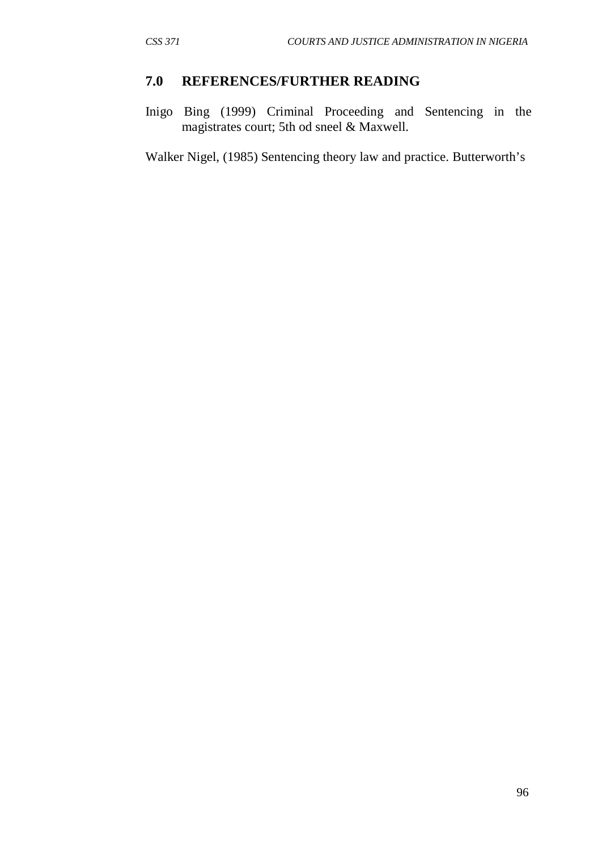#### **7.0 REFERENCES/FURTHER READING**

Inigo Bing (1999) Criminal Proceeding and Sentencing in the magistrates court; 5th od sneel & Maxwell.

Walker Nigel, (1985) Sentencing theory law and practice. Butterworth's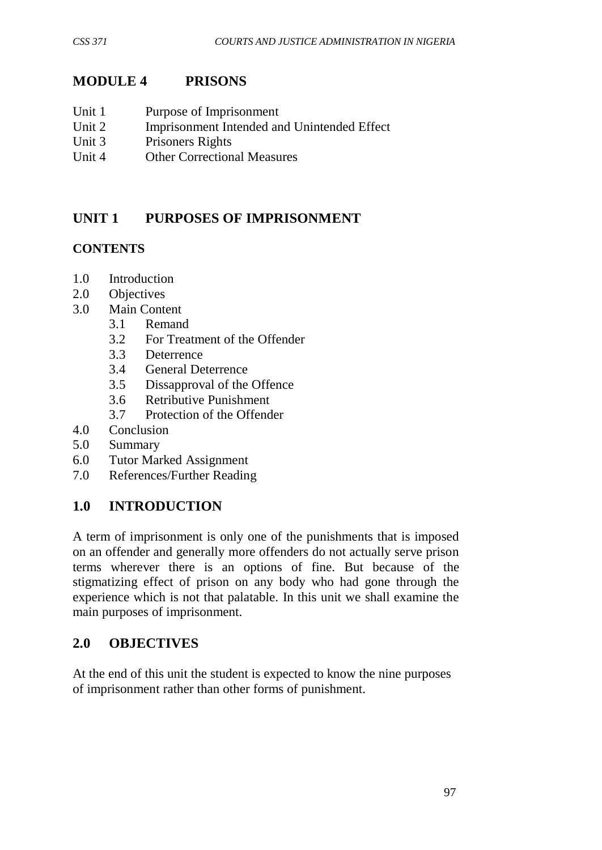## **MODULE 4 PRISONS**

- Unit 1 Purpose of Imprisonment
- Unit 2 Imprisonment Intended and Unintended Effect
- Unit 3 Prisoners Rights
- Unit 4 Other Correctional Measures

# **UNIT 1 PURPOSES OF IMPRISONMENT**

### **CONTENTS**

- 1.0 Introduction
- 2.0 Objectives
- 3.0 Main Content
	- 3.1 Remand
	- 3.2 For Treatment of the Offender
	- 3.3 Deterrence
	- 3.4 General Deterrence
	- 3.5 Dissapproval of the Offence
	- 3.6 Retributive Punishment
	- 3.7 Protection of the Offender
- 4.0 Conclusion
- 5.0 Summary
- 6.0 Tutor Marked Assignment
- 7.0 References/Further Reading

## **1.0 INTRODUCTION**

A term of imprisonment is only one of the punishments that is imposed on an offender and generally more offenders do not actually serve prison terms wherever there is an options of fine. But because of the stigmatizing effect of prison on any body who had gone through the experience which is not that palatable. In this unit we shall examine the main purposes of imprisonment.

## **2.0 OBJECTIVES**

At the end of this unit the student is expected to know the nine purposes of imprisonment rather than other forms of punishment.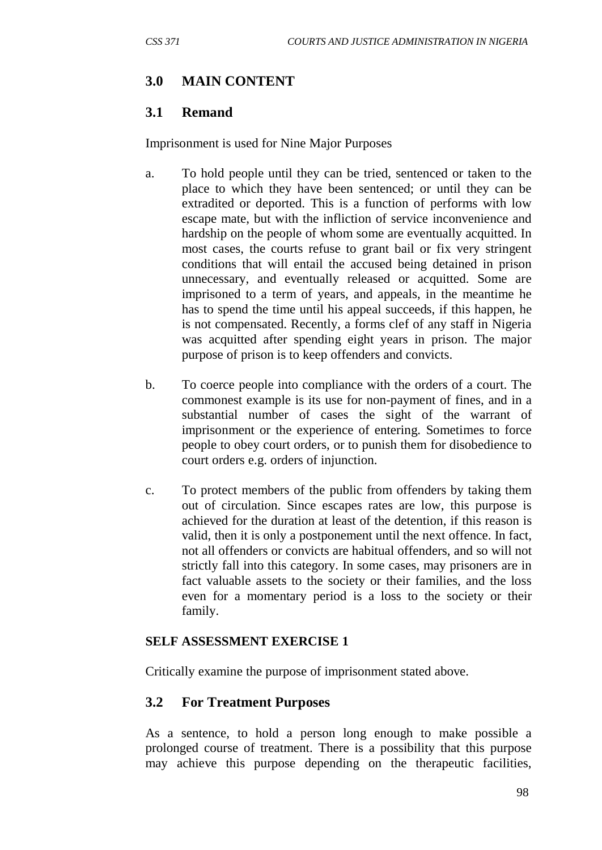### **3.0 MAIN CONTENT**

#### **3.1 Remand**

Imprisonment is used for Nine Major Purposes

- a. To hold people until they can be tried, sentenced or taken to the place to which they have been sentenced; or until they can be extradited or deported. This is a function of performs with low escape mate, but with the infliction of service inconvenience and hardship on the people of whom some are eventually acquitted. In most cases, the courts refuse to grant bail or fix very stringent conditions that will entail the accused being detained in prison unnecessary, and eventually released or acquitted. Some are imprisoned to a term of years, and appeals, in the meantime he has to spend the time until his appeal succeeds, if this happen, he is not compensated. Recently, a forms clef of any staff in Nigeria was acquitted after spending eight years in prison. The major purpose of prison is to keep offenders and convicts.
- b. To coerce people into compliance with the orders of a court. The commonest example is its use for non-payment of fines, and in a substantial number of cases the sight of the warrant of imprisonment or the experience of entering. Sometimes to force people to obey court orders, or to punish them for disobedience to court orders e.g. orders of injunction.
- c. To protect members of the public from offenders by taking them out of circulation. Since escapes rates are low, this purpose is achieved for the duration at least of the detention, if this reason is valid, then it is only a postponement until the next offence. In fact, not all offenders or convicts are habitual offenders, and so will not strictly fall into this category. In some cases, may prisoners are in fact valuable assets to the society or their families, and the loss even for a momentary period is a loss to the society or their family.

#### **SELF ASSESSMENT EXERCISE 1**

Critically examine the purpose of imprisonment stated above.

#### **3.2 For Treatment Purposes**

As a sentence, to hold a person long enough to make possible a prolonged course of treatment. There is a possibility that this purpose may achieve this purpose depending on the therapeutic facilities,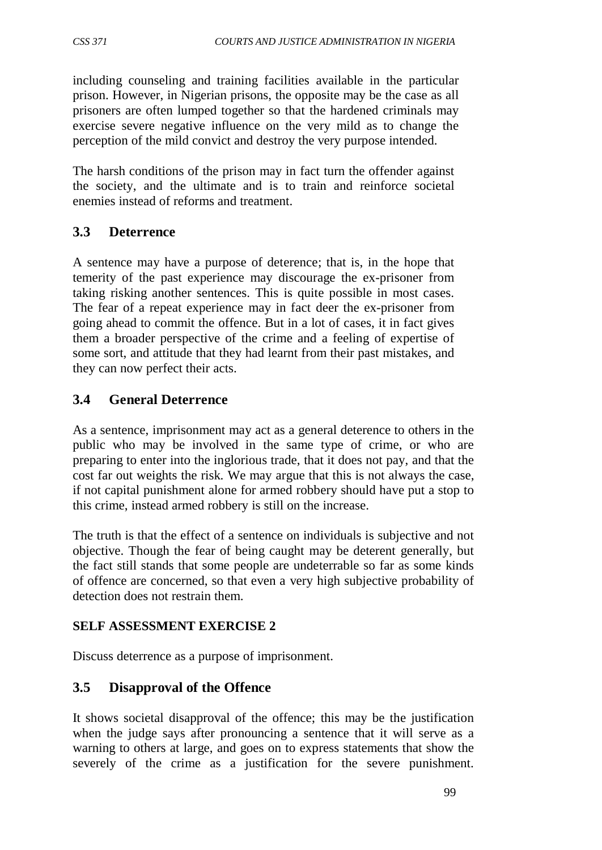including counseling and training facilities available in the particular prison. However, in Nigerian prisons, the opposite may be the case as all prisoners are often lumped together so that the hardened criminals may exercise severe negative influence on the very mild as to change the perception of the mild convict and destroy the very purpose intended.

The harsh conditions of the prison may in fact turn the offender against the society, and the ultimate and is to train and reinforce societal enemies instead of reforms and treatment.

## **3.3 Deterrence**

A sentence may have a purpose of deterence; that is, in the hope that temerity of the past experience may discourage the ex-prisoner from taking risking another sentences. This is quite possible in most cases. The fear of a repeat experience may in fact deer the ex-prisoner from going ahead to commit the offence. But in a lot of cases, it in fact gives them a broader perspective of the crime and a feeling of expertise of some sort, and attitude that they had learnt from their past mistakes, and they can now perfect their acts.

## **3.4 General Deterrence**

As a sentence, imprisonment may act as a general deterence to others in the public who may be involved in the same type of crime, or who are preparing to enter into the inglorious trade, that it does not pay, and that the cost far out weights the risk. We may argue that this is not always the case, if not capital punishment alone for armed robbery should have put a stop to this crime, instead armed robbery is still on the increase.

The truth is that the effect of a sentence on individuals is subjective and not objective. Though the fear of being caught may be deterent generally, but the fact still stands that some people are undeterrable so far as some kinds of offence are concerned, so that even a very high subjective probability of detection does not restrain them.

## **SELF ASSESSMENT EXERCISE 2**

Discuss deterrence as a purpose of imprisonment.

# **3.5 Disapproval of the Offence**

It shows societal disapproval of the offence; this may be the justification when the judge says after pronouncing a sentence that it will serve as a warning to others at large, and goes on to express statements that show the severely of the crime as a justification for the severe punishment.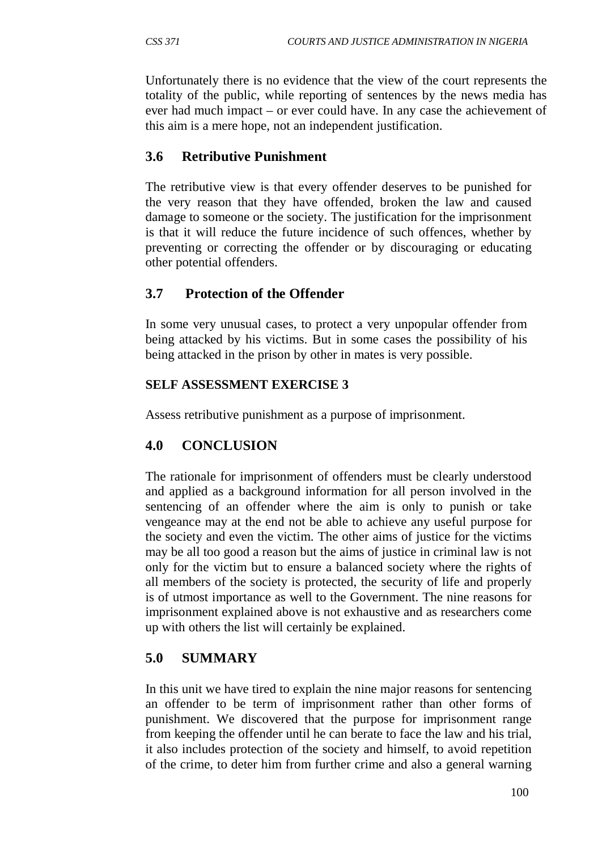Unfortunately there is no evidence that the view of the court represents the totality of the public, while reporting of sentences by the news media has ever had much impact – or ever could have. In any case the achievement of this aim is a mere hope, not an independent justification.

#### **3.6 Retributive Punishment**

The retributive view is that every offender deserves to be punished for the very reason that they have offended, broken the law and caused damage to someone or the society. The justification for the imprisonment is that it will reduce the future incidence of such offences, whether by preventing or correcting the offender or by discouraging or educating other potential offenders.

### **3.7 Protection of the Offender**

In some very unusual cases, to protect a very unpopular offender from being attacked by his victims. But in some cases the possibility of his being attacked in the prison by other in mates is very possible.

#### **SELF ASSESSMENT EXERCISE 3**

Assess retributive punishment as a purpose of imprisonment.

#### **4.0 CONCLUSION**

The rationale for imprisonment of offenders must be clearly understood and applied as a background information for all person involved in the sentencing of an offender where the aim is only to punish or take vengeance may at the end not be able to achieve any useful purpose for the society and even the victim. The other aims of justice for the victims may be all too good a reason but the aims of justice in criminal law is not only for the victim but to ensure a balanced society where the rights of all members of the society is protected, the security of life and properly is of utmost importance as well to the Government. The nine reasons for imprisonment explained above is not exhaustive and as researchers come up with others the list will certainly be explained.

#### **5.0 SUMMARY**

In this unit we have tired to explain the nine major reasons for sentencing an offender to be term of imprisonment rather than other forms of punishment. We discovered that the purpose for imprisonment range from keeping the offender until he can berate to face the law and his trial, it also includes protection of the society and himself, to avoid repetition of the crime, to deter him from further crime and also a general warning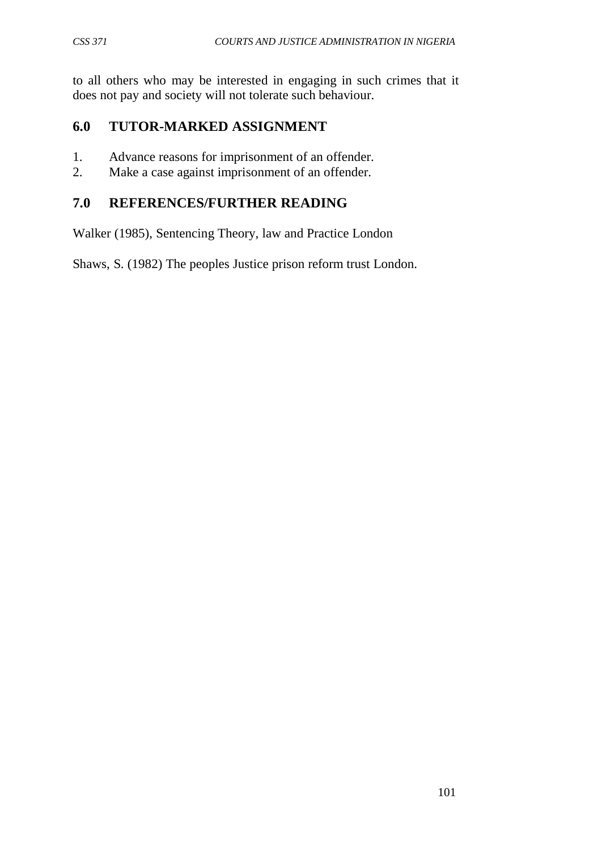to all others who may be interested in engaging in such crimes that it does not pay and society will not tolerate such behaviour.

## **6.0 TUTOR-MARKED ASSIGNMENT**

- 1. Advance reasons for imprisonment of an offender.
- 2. Make a case against imprisonment of an offender.

## **7.0 REFERENCES/FURTHER READING**

Walker (1985), Sentencing Theory, law and Practice London

Shaws, S. (1982) The peoples Justice prison reform trust London.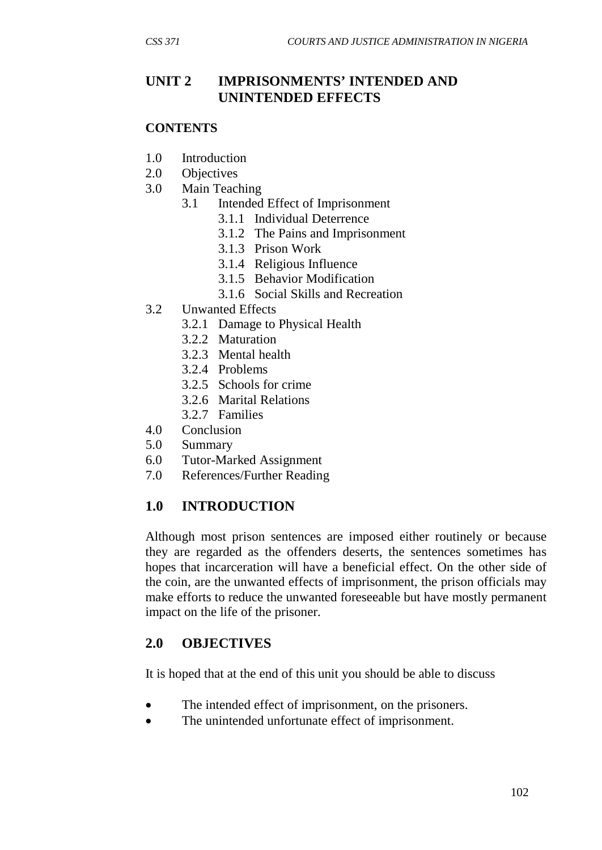#### **UNIT 2 IMPRISONMENTS' INTENDED AND UNINTENDED EFFECTS**

#### **CONTENTS**

- 1.0 Introduction
- 2.0 Objectives
- 3.0 Main Teaching
	- 3.1 Intended Effect of Imprisonment
		- 3.1.1 Individual Deterrence
		- 3.1.2 The Pains and Imprisonment
		- 3.1.3 Prison Work
		- 3.1.4 Religious Influence
		- 3.1.5 Behavior Modification
		- 3.1.6 Social Skills and Recreation
- 3.2 Unwanted Effects
	- 3.2.1 Damage to Physical Health
	- 3.2.2 Maturation
	- 3.2.3 Mental health
	- 3.2.4 Problems
	- 3.2.5 Schools for crime
	- 3.2.6 Marital Relations
	- 3.2.7 Families
- 4.0 Conclusion
- 5.0 Summary
- 6.0 Tutor-Marked Assignment
- 7.0 References/Further Reading

#### **1.0 INTRODUCTION**

Although most prison sentences are imposed either routinely or because they are regarded as the offenders deserts, the sentences sometimes has hopes that incarceration will have a beneficial effect. On the other side of the coin, are the unwanted effects of imprisonment, the prison officials may make efforts to reduce the unwanted foreseeable but have mostly permanent impact on the life of the prisoner.

#### **2.0 OBJECTIVES**

It is hoped that at the end of this unit you should be able to discuss

- The intended effect of imprisonment, on the prisoners.
- The unintended unfortunate effect of imprisonment.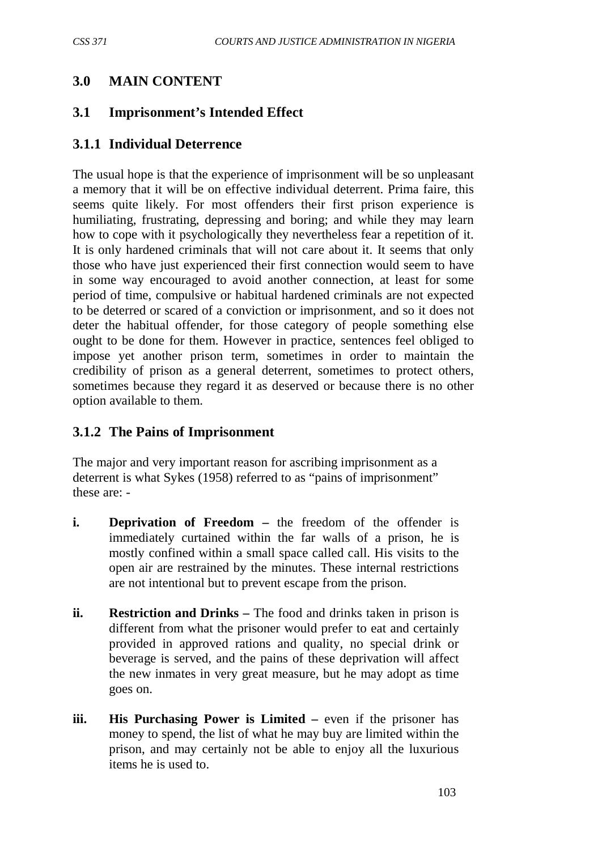### **3.0 MAIN CONTENT**

#### **3.1 Imprisonment's Intended Effect**

#### **3.1.1 Individual Deterrence**

The usual hope is that the experience of imprisonment will be so unpleasant a memory that it will be on effective individual deterrent. Prima faire, this seems quite likely. For most offenders their first prison experience is humiliating, frustrating, depressing and boring; and while they may learn how to cope with it psychologically they nevertheless fear a repetition of it. It is only hardened criminals that will not care about it. It seems that only those who have just experienced their first connection would seem to have in some way encouraged to avoid another connection, at least for some period of time, compulsive or habitual hardened criminals are not expected to be deterred or scared of a conviction or imprisonment, and so it does not deter the habitual offender, for those category of people something else ought to be done for them. However in practice, sentences feel obliged to impose yet another prison term, sometimes in order to maintain the credibility of prison as a general deterrent, sometimes to protect others, sometimes because they regard it as deserved or because there is no other option available to them.

#### **3.1.2 The Pains of Imprisonment**

The major and very important reason for ascribing imprisonment as a deterrent is what Sykes (1958) referred to as "pains of imprisonment" these are: -

- **i. Deprivation of Freedom** the freedom of the offender is immediately curtained within the far walls of a prison, he is mostly confined within a small space called call. His visits to the open air are restrained by the minutes. These internal restrictions are not intentional but to prevent escape from the prison.
- **ii. Restriction and Drinks –** The food and drinks taken in prison is different from what the prisoner would prefer to eat and certainly provided in approved rations and quality, no special drink or beverage is served, and the pains of these deprivation will affect the new inmates in very great measure, but he may adopt as time goes on.
- **iii. His Purchasing Power is Limited –** even if the prisoner has money to spend, the list of what he may buy are limited within the prison, and may certainly not be able to enjoy all the luxurious items he is used to.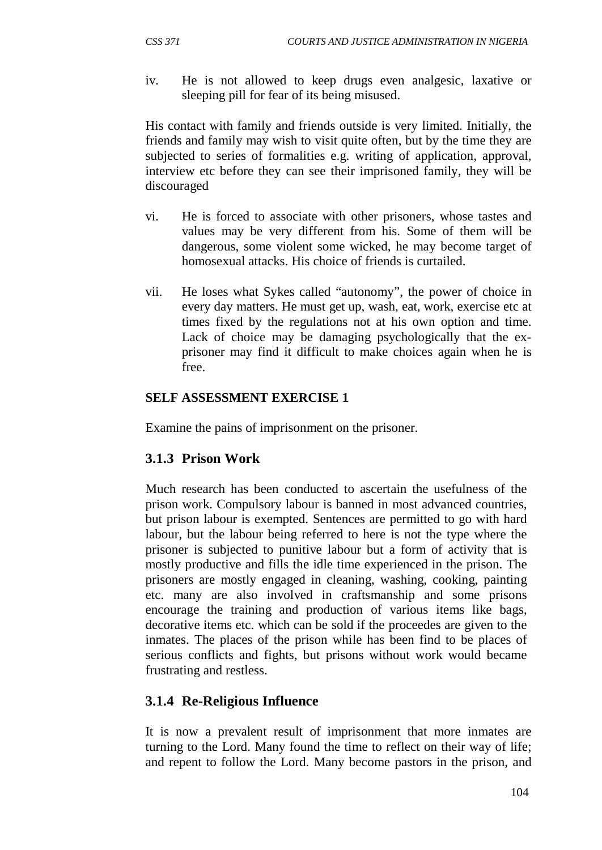iv. He is not allowed to keep drugs even analgesic, laxative or sleeping pill for fear of its being misused.

His contact with family and friends outside is very limited. Initially, the friends and family may wish to visit quite often, but by the time they are subjected to series of formalities e.g. writing of application, approval, interview etc before they can see their imprisoned family, they will be discouraged

- vi. He is forced to associate with other prisoners, whose tastes and values may be very different from his. Some of them will be dangerous, some violent some wicked, he may become target of homosexual attacks. His choice of friends is curtailed.
- vii. He loses what Sykes called "autonomy", the power of choice in every day matters. He must get up, wash, eat, work, exercise etc at times fixed by the regulations not at his own option and time. Lack of choice may be damaging psychologically that the exprisoner may find it difficult to make choices again when he is free.

#### **SELF ASSESSMENT EXERCISE 1**

Examine the pains of imprisonment on the prisoner.

### **3.1.3 Prison Work**

Much research has been conducted to ascertain the usefulness of the prison work. Compulsory labour is banned in most advanced countries, but prison labour is exempted. Sentences are permitted to go with hard labour, but the labour being referred to here is not the type where the prisoner is subjected to punitive labour but a form of activity that is mostly productive and fills the idle time experienced in the prison. The prisoners are mostly engaged in cleaning, washing, cooking, painting etc. many are also involved in craftsmanship and some prisons encourage the training and production of various items like bags, decorative items etc. which can be sold if the proceedes are given to the inmates. The places of the prison while has been find to be places of serious conflicts and fights, but prisons without work would became frustrating and restless.

### **3.1.4 Re-Religious Influence**

It is now a prevalent result of imprisonment that more inmates are turning to the Lord. Many found the time to reflect on their way of life; and repent to follow the Lord. Many become pastors in the prison, and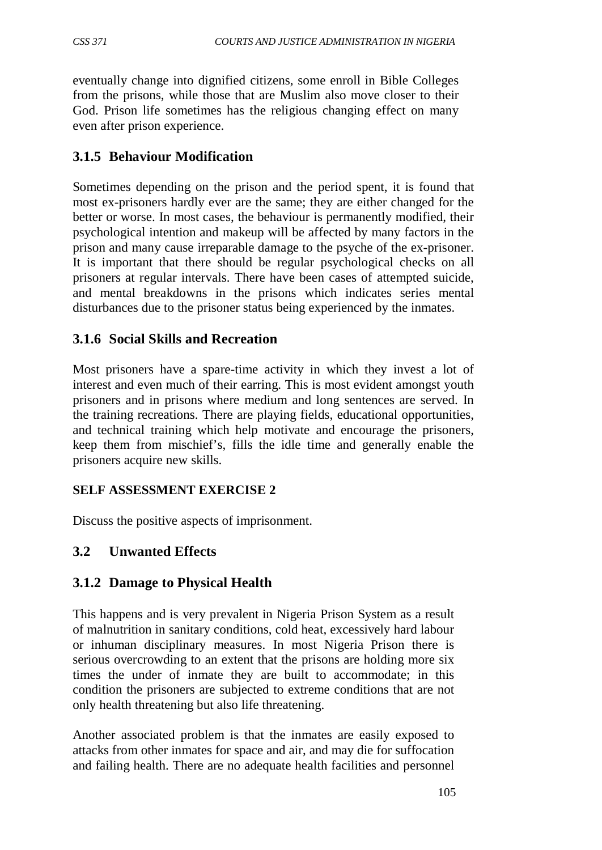eventually change into dignified citizens, some enroll in Bible Colleges from the prisons, while those that are Muslim also move closer to their God. Prison life sometimes has the religious changing effect on many even after prison experience.

## **3.1.5 Behaviour Modification**

Sometimes depending on the prison and the period spent, it is found that most ex-prisoners hardly ever are the same; they are either changed for the better or worse. In most cases, the behaviour is permanently modified, their psychological intention and makeup will be affected by many factors in the prison and many cause irreparable damage to the psyche of the ex-prisoner. It is important that there should be regular psychological checks on all prisoners at regular intervals. There have been cases of attempted suicide, and mental breakdowns in the prisons which indicates series mental disturbances due to the prisoner status being experienced by the inmates.

## **3.1.6 Social Skills and Recreation**

Most prisoners have a spare-time activity in which they invest a lot of interest and even much of their earring. This is most evident amongst youth prisoners and in prisons where medium and long sentences are served. In the training recreations. There are playing fields, educational opportunities, and technical training which help motivate and encourage the prisoners, keep them from mischief's, fills the idle time and generally enable the prisoners acquire new skills.

### **SELF ASSESSMENT EXERCISE 2**

Discuss the positive aspects of imprisonment.

## **3.2 Unwanted Effects**

### **3.1.2 Damage to Physical Health**

This happens and is very prevalent in Nigeria Prison System as a result of malnutrition in sanitary conditions, cold heat, excessively hard labour or inhuman disciplinary measures. In most Nigeria Prison there is serious overcrowding to an extent that the prisons are holding more six times the under of inmate they are built to accommodate; in this condition the prisoners are subjected to extreme conditions that are not only health threatening but also life threatening.

Another associated problem is that the inmates are easily exposed to attacks from other inmates for space and air, and may die for suffocation and failing health. There are no adequate health facilities and personnel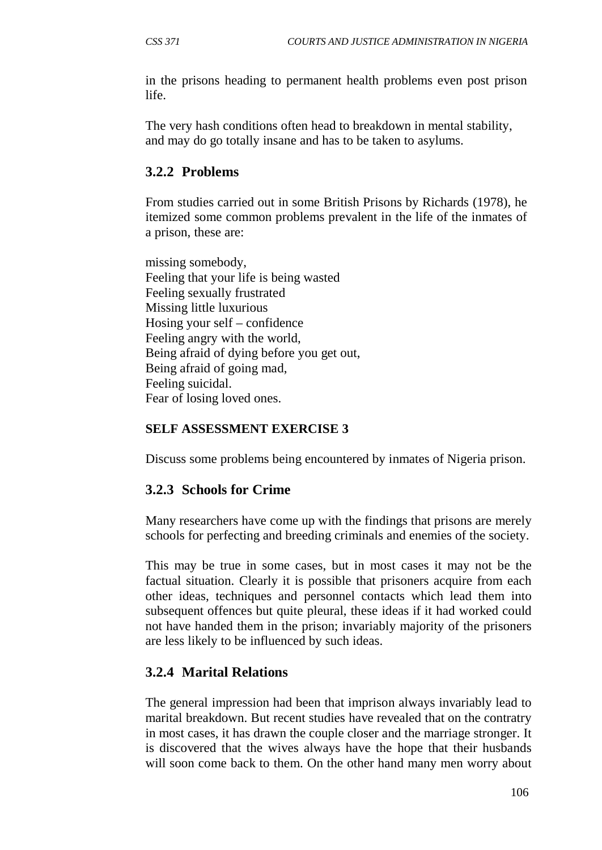in the prisons heading to permanent health problems even post prison life.

The very hash conditions often head to breakdown in mental stability, and may do go totally insane and has to be taken to asylums.

### **3.2.2 Problems**

From studies carried out in some British Prisons by Richards (1978), he itemized some common problems prevalent in the life of the inmates of a prison, these are:

missing somebody, Feeling that your life is being wasted Feeling sexually frustrated Missing little luxurious Hosing your self – confidence Feeling angry with the world, Being afraid of dying before you get out, Being afraid of going mad, Feeling suicidal. Fear of losing loved ones.

#### **SELF ASSESSMENT EXERCISE 3**

Discuss some problems being encountered by inmates of Nigeria prison.

### **3.2.3 Schools for Crime**

Many researchers have come up with the findings that prisons are merely schools for perfecting and breeding criminals and enemies of the society.

This may be true in some cases, but in most cases it may not be the factual situation. Clearly it is possible that prisoners acquire from each other ideas, techniques and personnel contacts which lead them into subsequent offences but quite pleural, these ideas if it had worked could not have handed them in the prison; invariably majority of the prisoners are less likely to be influenced by such ideas.

### **3.2.4 Marital Relations**

The general impression had been that imprison always invariably lead to marital breakdown. But recent studies have revealed that on the contratry in most cases, it has drawn the couple closer and the marriage stronger. It is discovered that the wives always have the hope that their husbands will soon come back to them. On the other hand many men worry about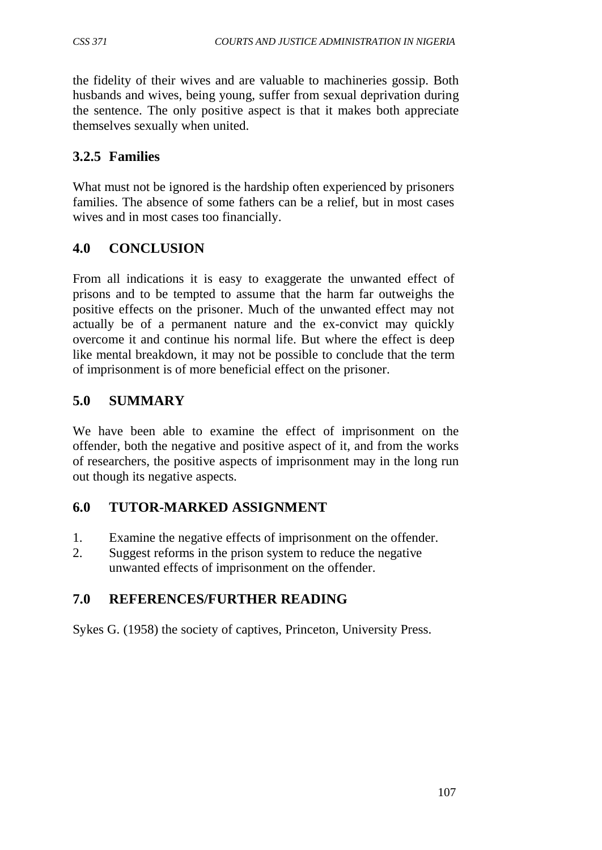the fidelity of their wives and are valuable to machineries gossip. Both husbands and wives, being young, suffer from sexual deprivation during the sentence. The only positive aspect is that it makes both appreciate themselves sexually when united.

## **3.2.5 Families**

What must not be ignored is the hardship often experienced by prisoners families. The absence of some fathers can be a relief, but in most cases wives and in most cases too financially.

# **4.0 CONCLUSION**

From all indications it is easy to exaggerate the unwanted effect of prisons and to be tempted to assume that the harm far outweighs the positive effects on the prisoner. Much of the unwanted effect may not actually be of a permanent nature and the ex-convict may quickly overcome it and continue his normal life. But where the effect is deep like mental breakdown, it may not be possible to conclude that the term of imprisonment is of more beneficial effect on the prisoner.

# **5.0 SUMMARY**

We have been able to examine the effect of imprisonment on the offender, both the negative and positive aspect of it, and from the works of researchers, the positive aspects of imprisonment may in the long run out though its negative aspects.

## **6.0 TUTOR-MARKED ASSIGNMENT**

- 1. Examine the negative effects of imprisonment on the offender.
- 2. Suggest reforms in the prison system to reduce the negative unwanted effects of imprisonment on the offender.

# **7.0 REFERENCES/FURTHER READING**

Sykes G. (1958) the society of captives, Princeton, University Press.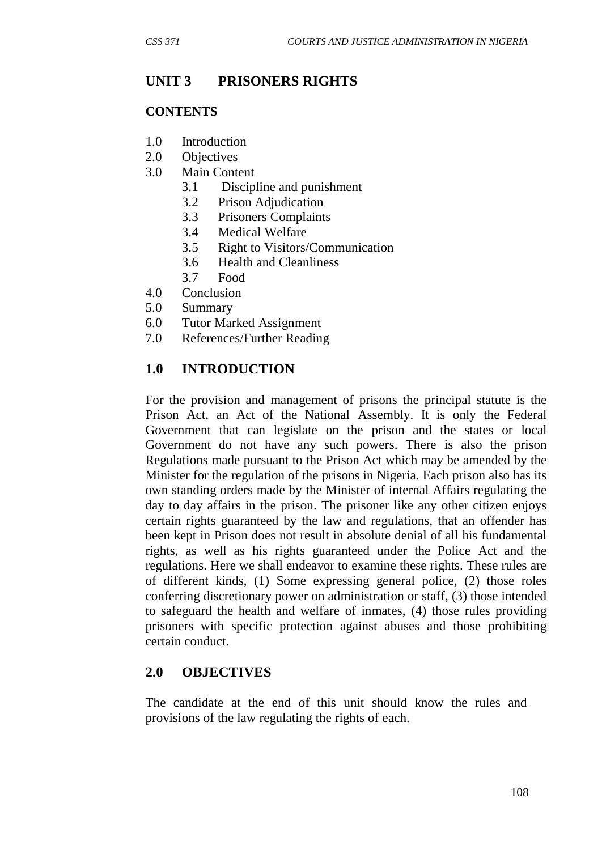#### **UNIT 3 PRISONERS RIGHTS**

#### **CONTENTS**

- 1.0 Introduction
- 2.0 Objectives
- 3.0 Main Content
	- 3.1 Discipline and punishment
	- 3.2 Prison Adjudication
	- 3.3 Prisoners Complaints
	- 3.4 Medical Welfare
	- 3.5 Right to Visitors/Communication
	- 3.6 Health and Cleanliness
	- 3.7 Food
- 4.0 Conclusion
- 5.0 Summary
- 6.0 Tutor Marked Assignment
- 7.0 References/Further Reading

### **1.0 INTRODUCTION**

For the provision and management of prisons the principal statute is the Prison Act, an Act of the National Assembly. It is only the Federal Government that can legislate on the prison and the states or local Government do not have any such powers. There is also the prison Regulations made pursuant to the Prison Act which may be amended by the Minister for the regulation of the prisons in Nigeria. Each prison also has its own standing orders made by the Minister of internal Affairs regulating the day to day affairs in the prison. The prisoner like any other citizen enjoys certain rights guaranteed by the law and regulations, that an offender has been kept in Prison does not result in absolute denial of all his fundamental rights, as well as his rights guaranteed under the Police Act and the regulations. Here we shall endeavor to examine these rights. These rules are of different kinds, (1) Some expressing general police, (2) those roles conferring discretionary power on administration or staff, (3) those intended to safeguard the health and welfare of inmates, (4) those rules providing prisoners with specific protection against abuses and those prohibiting certain conduct.

#### **2.0 OBJECTIVES**

The candidate at the end of this unit should know the rules and provisions of the law regulating the rights of each.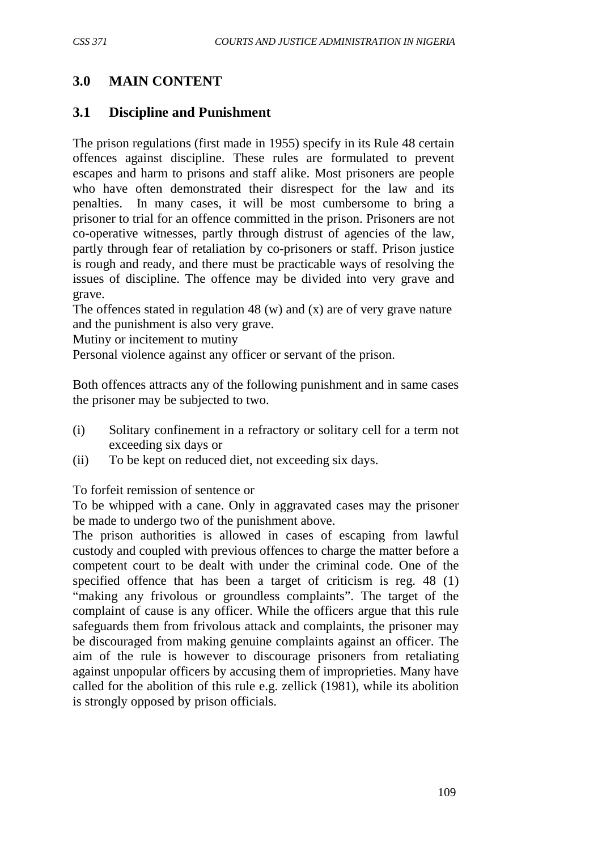## **3.0 MAIN CONTENT**

#### **3.1 Discipline and Punishment**

The prison regulations (first made in 1955) specify in its Rule 48 certain offences against discipline. These rules are formulated to prevent escapes and harm to prisons and staff alike. Most prisoners are people who have often demonstrated their disrespect for the law and its penalties. In many cases, it will be most cumbersome to bring a prisoner to trial for an offence committed in the prison. Prisoners are not co-operative witnesses, partly through distrust of agencies of the law, partly through fear of retaliation by co-prisoners or staff. Prison justice is rough and ready, and there must be practicable ways of resolving the issues of discipline. The offence may be divided into very grave and grave.

The offences stated in regulation 48 (w) and (x) are of very grave nature and the punishment is also very grave.

Mutiny or incitement to mutiny

Personal violence against any officer or servant of the prison.

Both offences attracts any of the following punishment and in same cases the prisoner may be subjected to two.

- (i) Solitary confinement in a refractory or solitary cell for a term not exceeding six days or
- (ii) To be kept on reduced diet, not exceeding six days.

To forfeit remission of sentence or

To be whipped with a cane. Only in aggravated cases may the prisoner be made to undergo two of the punishment above.

The prison authorities is allowed in cases of escaping from lawful custody and coupled with previous offences to charge the matter before a competent court to be dealt with under the criminal code. One of the specified offence that has been a target of criticism is reg. 48 (1) "making any frivolous or groundless complaints". The target of the complaint of cause is any officer. While the officers argue that this rule safeguards them from frivolous attack and complaints, the prisoner may be discouraged from making genuine complaints against an officer. The aim of the rule is however to discourage prisoners from retaliating against unpopular officers by accusing them of improprieties. Many have called for the abolition of this rule e.g. zellick (1981), while its abolition is strongly opposed by prison officials.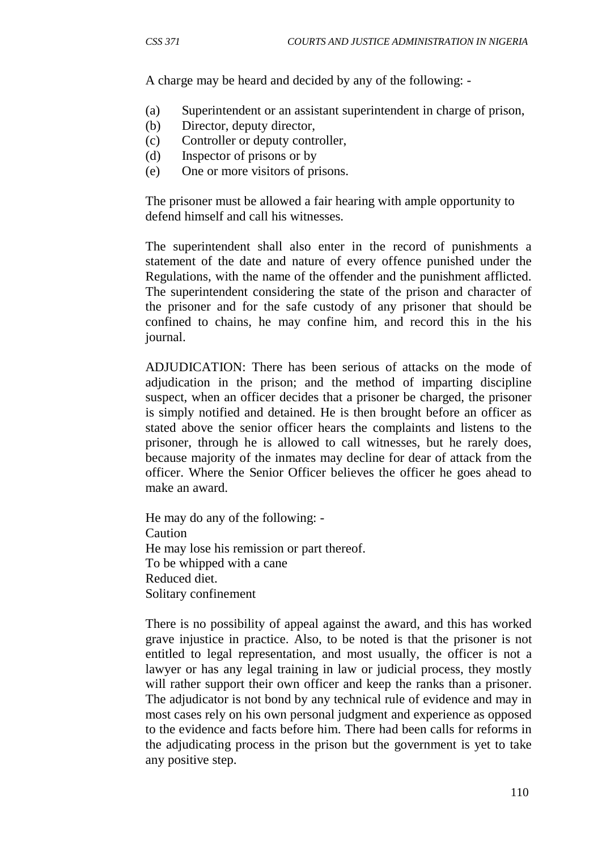A charge may be heard and decided by any of the following: -

- (a) Superintendent or an assistant superintendent in charge of prison,
- (b) Director, deputy director,
- (c) Controller or deputy controller,
- (d) Inspector of prisons or by
- (e) One or more visitors of prisons.

The prisoner must be allowed a fair hearing with ample opportunity to defend himself and call his witnesses.

The superintendent shall also enter in the record of punishments a statement of the date and nature of every offence punished under the Regulations, with the name of the offender and the punishment afflicted. The superintendent considering the state of the prison and character of the prisoner and for the safe custody of any prisoner that should be confined to chains, he may confine him, and record this in the his journal.

ADJUDICATION: There has been serious of attacks on the mode of adjudication in the prison; and the method of imparting discipline suspect, when an officer decides that a prisoner be charged, the prisoner is simply notified and detained. He is then brought before an officer as stated above the senior officer hears the complaints and listens to the prisoner, through he is allowed to call witnesses, but he rarely does, because majority of the inmates may decline for dear of attack from the officer. Where the Senior Officer believes the officer he goes ahead to make an award.

He may do any of the following: - Caution He may lose his remission or part thereof. To be whipped with a cane Reduced diet. Solitary confinement

There is no possibility of appeal against the award, and this has worked grave injustice in practice. Also, to be noted is that the prisoner is not entitled to legal representation, and most usually, the officer is not a lawyer or has any legal training in law or judicial process, they mostly will rather support their own officer and keep the ranks than a prisoner. The adjudicator is not bond by any technical rule of evidence and may in most cases rely on his own personal judgment and experience as opposed to the evidence and facts before him. There had been calls for reforms in the adjudicating process in the prison but the government is yet to take any positive step.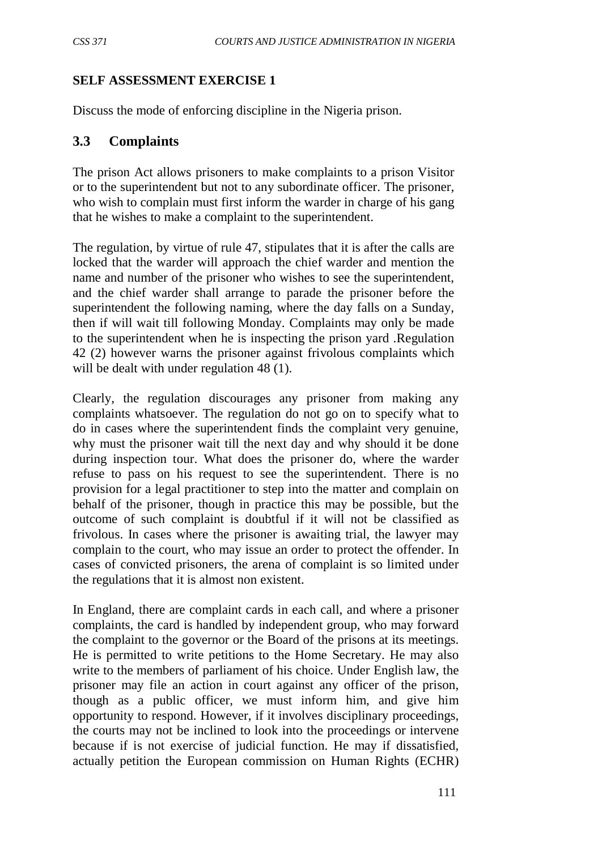### **SELF ASSESSMENT EXERCISE 1**

Discuss the mode of enforcing discipline in the Nigeria prison.

### **3.3 Complaints**

The prison Act allows prisoners to make complaints to a prison Visitor or to the superintendent but not to any subordinate officer. The prisoner, who wish to complain must first inform the warder in charge of his gang that he wishes to make a complaint to the superintendent.

The regulation, by virtue of rule 47, stipulates that it is after the calls are locked that the warder will approach the chief warder and mention the name and number of the prisoner who wishes to see the superintendent, and the chief warder shall arrange to parade the prisoner before the superintendent the following naming, where the day falls on a Sunday, then if will wait till following Monday. Complaints may only be made to the superintendent when he is inspecting the prison yard .Regulation 42 (2) however warns the prisoner against frivolous complaints which will be dealt with under regulation 48 (1).

Clearly, the regulation discourages any prisoner from making any complaints whatsoever. The regulation do not go on to specify what to do in cases where the superintendent finds the complaint very genuine, why must the prisoner wait till the next day and why should it be done during inspection tour. What does the prisoner do, where the warder refuse to pass on his request to see the superintendent. There is no provision for a legal practitioner to step into the matter and complain on behalf of the prisoner, though in practice this may be possible, but the outcome of such complaint is doubtful if it will not be classified as frivolous. In cases where the prisoner is awaiting trial, the lawyer may complain to the court, who may issue an order to protect the offender. In cases of convicted prisoners, the arena of complaint is so limited under the regulations that it is almost non existent.

In England, there are complaint cards in each call, and where a prisoner complaints, the card is handled by independent group, who may forward the complaint to the governor or the Board of the prisons at its meetings. He is permitted to write petitions to the Home Secretary. He may also write to the members of parliament of his choice. Under English law, the prisoner may file an action in court against any officer of the prison, though as a public officer, we must inform him, and give him opportunity to respond. However, if it involves disciplinary proceedings, the courts may not be inclined to look into the proceedings or intervene because if is not exercise of judicial function. He may if dissatisfied, actually petition the European commission on Human Rights (ECHR)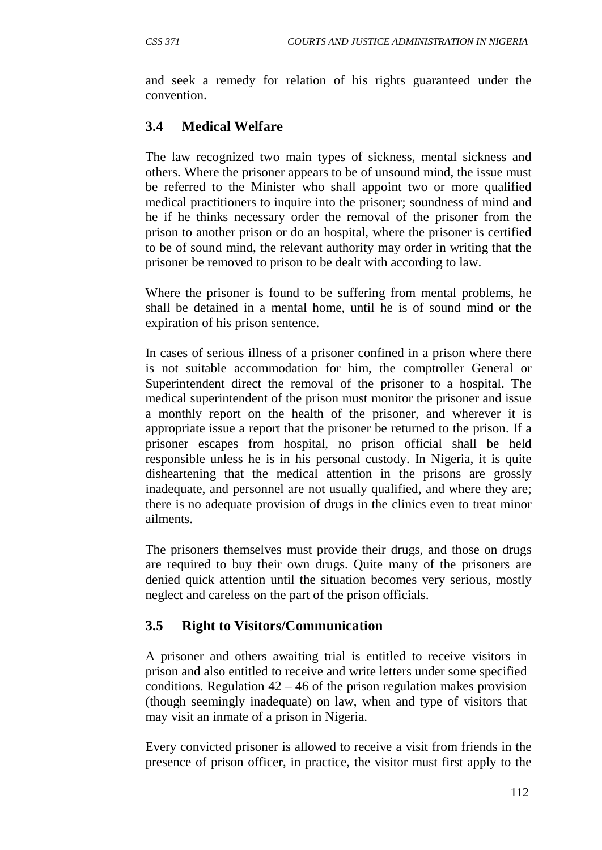and seek a remedy for relation of his rights guaranteed under the convention.

## **3.4 Medical Welfare**

The law recognized two main types of sickness, mental sickness and others. Where the prisoner appears to be of unsound mind, the issue must be referred to the Minister who shall appoint two or more qualified medical practitioners to inquire into the prisoner; soundness of mind and he if he thinks necessary order the removal of the prisoner from the prison to another prison or do an hospital, where the prisoner is certified to be of sound mind, the relevant authority may order in writing that the prisoner be removed to prison to be dealt with according to law.

Where the prisoner is found to be suffering from mental problems, he shall be detained in a mental home, until he is of sound mind or the expiration of his prison sentence.

In cases of serious illness of a prisoner confined in a prison where there is not suitable accommodation for him, the comptroller General or Superintendent direct the removal of the prisoner to a hospital. The medical superintendent of the prison must monitor the prisoner and issue a monthly report on the health of the prisoner, and wherever it is appropriate issue a report that the prisoner be returned to the prison. If a prisoner escapes from hospital, no prison official shall be held responsible unless he is in his personal custody. In Nigeria, it is quite disheartening that the medical attention in the prisons are grossly inadequate, and personnel are not usually qualified, and where they are; there is no adequate provision of drugs in the clinics even to treat minor ailments.

The prisoners themselves must provide their drugs, and those on drugs are required to buy their own drugs. Quite many of the prisoners are denied quick attention until the situation becomes very serious, mostly neglect and careless on the part of the prison officials.

## **3.5 Right to Visitors/Communication**

A prisoner and others awaiting trial is entitled to receive visitors in prison and also entitled to receive and write letters under some specified conditions. Regulation  $42 - 46$  of the prison regulation makes provision (though seemingly inadequate) on law, when and type of visitors that may visit an inmate of a prison in Nigeria.

Every convicted prisoner is allowed to receive a visit from friends in the presence of prison officer, in practice, the visitor must first apply to the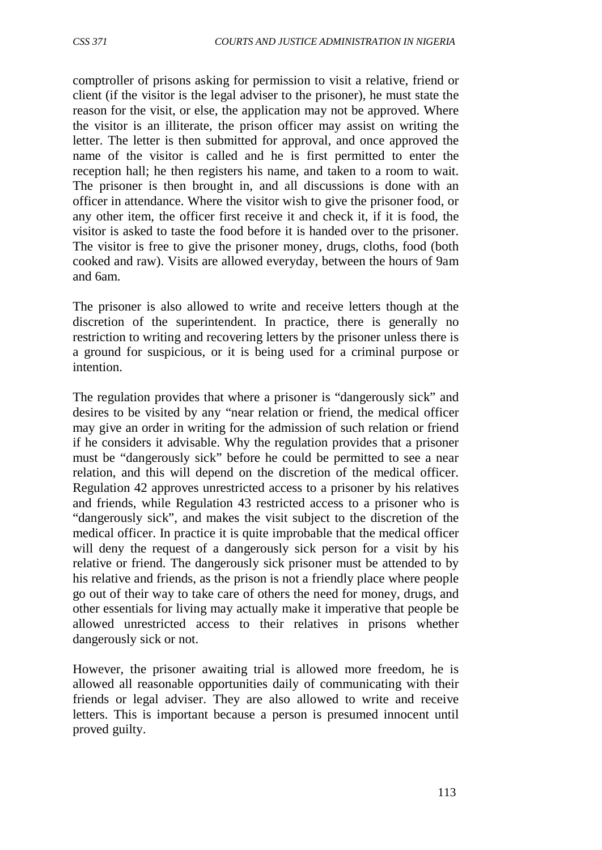comptroller of prisons asking for permission to visit a relative, friend or client (if the visitor is the legal adviser to the prisoner), he must state the reason for the visit, or else, the application may not be approved. Where the visitor is an illiterate, the prison officer may assist on writing the letter. The letter is then submitted for approval, and once approved the name of the visitor is called and he is first permitted to enter the reception hall; he then registers his name, and taken to a room to wait. The prisoner is then brought in, and all discussions is done with an officer in attendance. Where the visitor wish to give the prisoner food, or any other item, the officer first receive it and check it, if it is food, the visitor is asked to taste the food before it is handed over to the prisoner. The visitor is free to give the prisoner money, drugs, cloths, food (both cooked and raw). Visits are allowed everyday, between the hours of 9am and 6am.

The prisoner is also allowed to write and receive letters though at the discretion of the superintendent. In practice, there is generally no restriction to writing and recovering letters by the prisoner unless there is a ground for suspicious, or it is being used for a criminal purpose or intention.

The regulation provides that where a prisoner is "dangerously sick" and desires to be visited by any "near relation or friend, the medical officer may give an order in writing for the admission of such relation or friend if he considers it advisable. Why the regulation provides that a prisoner must be "dangerously sick" before he could be permitted to see a near relation, and this will depend on the discretion of the medical officer. Regulation 42 approves unrestricted access to a prisoner by his relatives and friends, while Regulation 43 restricted access to a prisoner who is "dangerously sick", and makes the visit subject to the discretion of the medical officer. In practice it is quite improbable that the medical officer will deny the request of a dangerously sick person for a visit by his relative or friend. The dangerously sick prisoner must be attended to by his relative and friends, as the prison is not a friendly place where people go out of their way to take care of others the need for money, drugs, and other essentials for living may actually make it imperative that people be allowed unrestricted access to their relatives in prisons whether dangerously sick or not.

However, the prisoner awaiting trial is allowed more freedom, he is allowed all reasonable opportunities daily of communicating with their friends or legal adviser. They are also allowed to write and receive letters. This is important because a person is presumed innocent until proved guilty.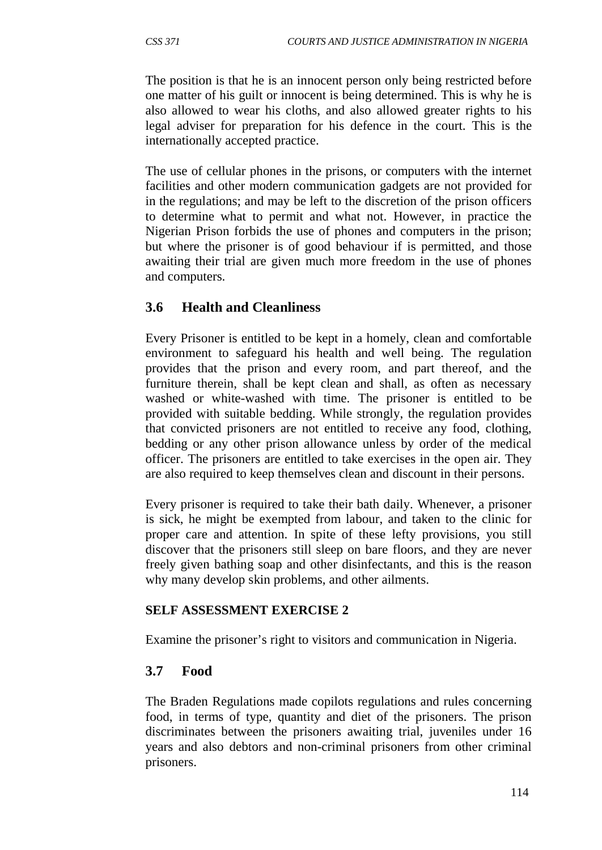The position is that he is an innocent person only being restricted before one matter of his guilt or innocent is being determined. This is why he is also allowed to wear his cloths, and also allowed greater rights to his legal adviser for preparation for his defence in the court. This is the internationally accepted practice.

The use of cellular phones in the prisons, or computers with the internet facilities and other modern communication gadgets are not provided for in the regulations; and may be left to the discretion of the prison officers to determine what to permit and what not. However, in practice the Nigerian Prison forbids the use of phones and computers in the prison; but where the prisoner is of good behaviour if is permitted, and those awaiting their trial are given much more freedom in the use of phones and computers.

### **3.6 Health and Cleanliness**

Every Prisoner is entitled to be kept in a homely, clean and comfortable environment to safeguard his health and well being. The regulation provides that the prison and every room, and part thereof, and the furniture therein, shall be kept clean and shall, as often as necessary washed or white-washed with time. The prisoner is entitled to be provided with suitable bedding. While strongly, the regulation provides that convicted prisoners are not entitled to receive any food, clothing, bedding or any other prison allowance unless by order of the medical officer. The prisoners are entitled to take exercises in the open air. They are also required to keep themselves clean and discount in their persons.

Every prisoner is required to take their bath daily. Whenever, a prisoner is sick, he might be exempted from labour, and taken to the clinic for proper care and attention. In spite of these lefty provisions, you still discover that the prisoners still sleep on bare floors, and they are never freely given bathing soap and other disinfectants, and this is the reason why many develop skin problems, and other ailments.

#### **SELF ASSESSMENT EXERCISE 2**

Examine the prisoner's right to visitors and communication in Nigeria.

#### **3.7 Food**

The Braden Regulations made copilots regulations and rules concerning food, in terms of type, quantity and diet of the prisoners. The prison discriminates between the prisoners awaiting trial, juveniles under 16 years and also debtors and non-criminal prisoners from other criminal prisoners.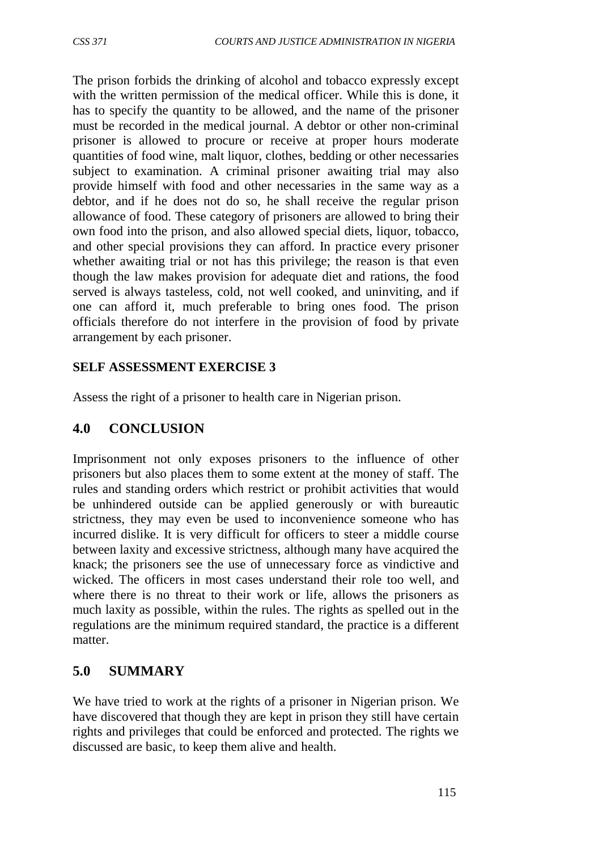The prison forbids the drinking of alcohol and tobacco expressly except with the written permission of the medical officer. While this is done, it has to specify the quantity to be allowed, and the name of the prisoner must be recorded in the medical journal. A debtor or other non-criminal prisoner is allowed to procure or receive at proper hours moderate quantities of food wine, malt liquor, clothes, bedding or other necessaries subject to examination. A criminal prisoner awaiting trial may also provide himself with food and other necessaries in the same way as a debtor, and if he does not do so, he shall receive the regular prison allowance of food. These category of prisoners are allowed to bring their own food into the prison, and also allowed special diets, liquor, tobacco, and other special provisions they can afford. In practice every prisoner whether awaiting trial or not has this privilege; the reason is that even though the law makes provision for adequate diet and rations, the food served is always tasteless, cold, not well cooked, and uninviting, and if one can afford it, much preferable to bring ones food. The prison officials therefore do not interfere in the provision of food by private arrangement by each prisoner.

#### **SELF ASSESSMENT EXERCISE 3**

Assess the right of a prisoner to health care in Nigerian prison.

### **4.0 CONCLUSION**

Imprisonment not only exposes prisoners to the influence of other prisoners but also places them to some extent at the money of staff. The rules and standing orders which restrict or prohibit activities that would be unhindered outside can be applied generously or with bureautic strictness, they may even be used to inconvenience someone who has incurred dislike. It is very difficult for officers to steer a middle course between laxity and excessive strictness, although many have acquired the knack; the prisoners see the use of unnecessary force as vindictive and wicked. The officers in most cases understand their role too well, and where there is no threat to their work or life, allows the prisoners as much laxity as possible, within the rules. The rights as spelled out in the regulations are the minimum required standard, the practice is a different matter.

### **5.0 SUMMARY**

We have tried to work at the rights of a prisoner in Nigerian prison. We have discovered that though they are kept in prison they still have certain rights and privileges that could be enforced and protected. The rights we discussed are basic, to keep them alive and health.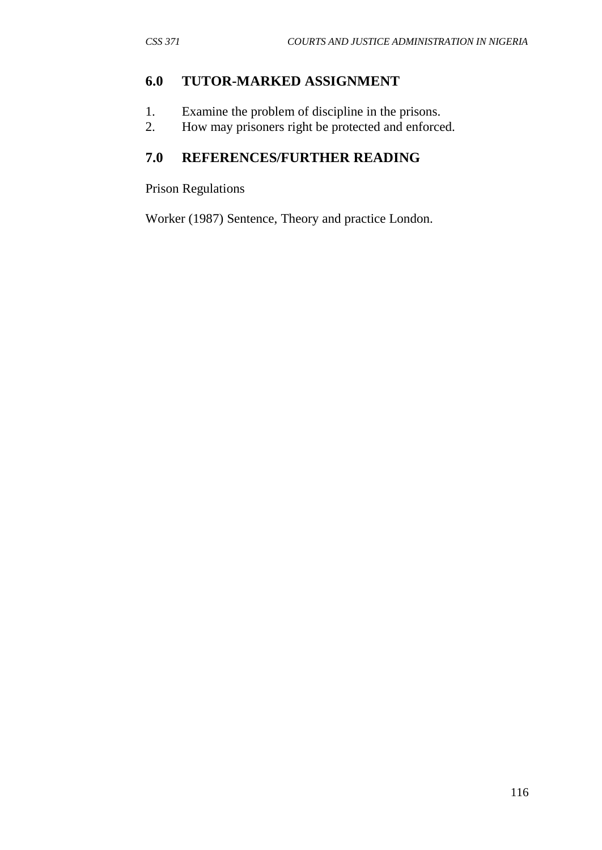#### **6.0 TUTOR-MARKED ASSIGNMENT**

- 1. Examine the problem of discipline in the prisons.
- 2. How may prisoners right be protected and enforced.

# **7.0 REFERENCES/FURTHER READING**

Prison Regulations

Worker (1987) Sentence, Theory and practice London.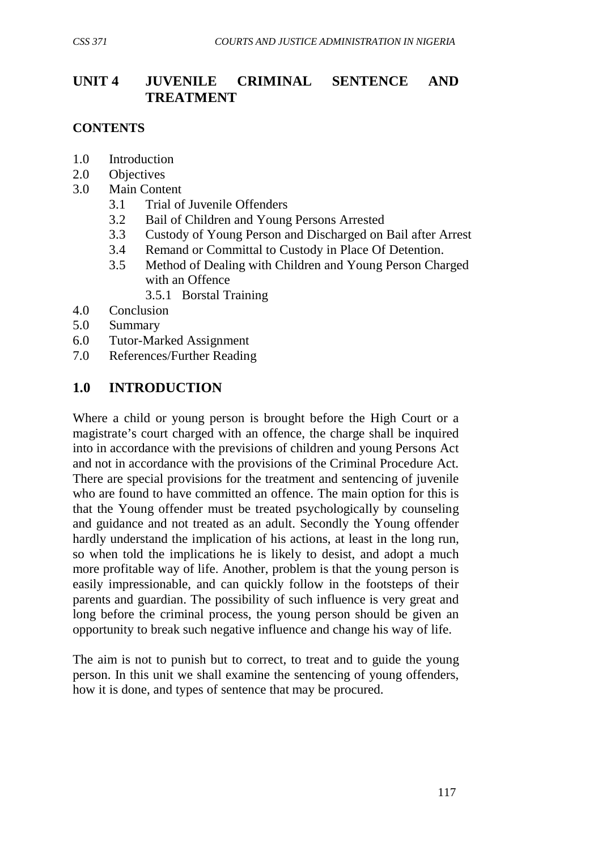## **UNIT 4 JUVENILE CRIMINAL SENTENCE AND TREATMENT**

#### **CONTENTS**

- 1.0 Introduction
- 2.0 Objectives
- 3.0 Main Content
	- 3.1 Trial of Juvenile Offenders
	- 3.2 Bail of Children and Young Persons Arrested
	- 3.3 Custody of Young Person and Discharged on Bail after Arrest
	- 3.4 Remand or Committal to Custody in Place Of Detention.
	- 3.5 Method of Dealing with Children and Young Person Charged with an Offence
		- 3.5.1 Borstal Training
- 4.0 Conclusion
- 5.0 Summary
- 6.0 Tutor-Marked Assignment
- 7.0 References/Further Reading

## **1.0 INTRODUCTION**

Where a child or young person is brought before the High Court or a magistrate's court charged with an offence, the charge shall be inquired into in accordance with the previsions of children and young Persons Act and not in accordance with the provisions of the Criminal Procedure Act. There are special provisions for the treatment and sentencing of juvenile who are found to have committed an offence. The main option for this is that the Young offender must be treated psychologically by counseling and guidance and not treated as an adult. Secondly the Young offender hardly understand the implication of his actions, at least in the long run, so when told the implications he is likely to desist, and adopt a much more profitable way of life. Another, problem is that the young person is easily impressionable, and can quickly follow in the footsteps of their parents and guardian. The possibility of such influence is very great and long before the criminal process, the young person should be given an opportunity to break such negative influence and change his way of life.

The aim is not to punish but to correct, to treat and to guide the young person. In this unit we shall examine the sentencing of young offenders, how it is done, and types of sentence that may be procured.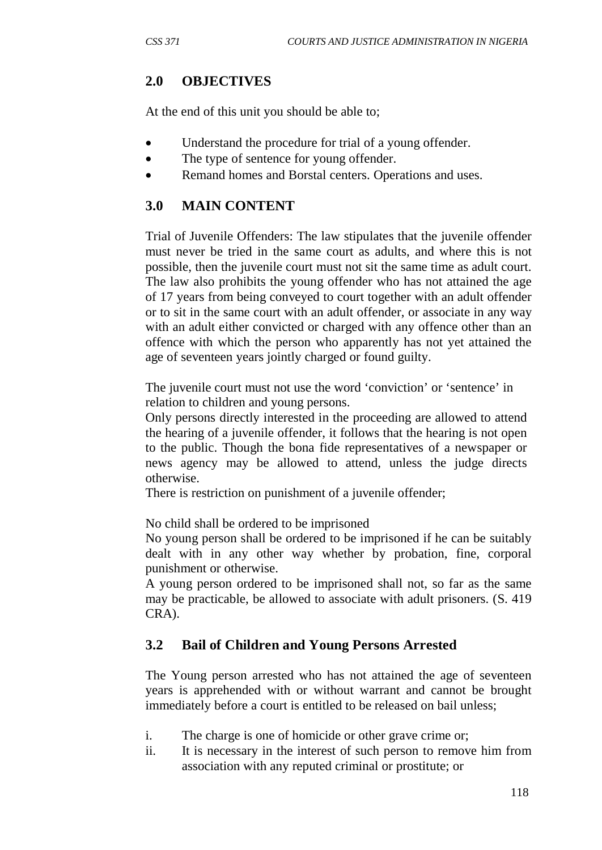## **2.0 OBJECTIVES**

At the end of this unit you should be able to;

- Understand the procedure for trial of a young offender.
- The type of sentence for young offender.
- Remand homes and Borstal centers. Operations and uses.

## **3.0 MAIN CONTENT**

Trial of Juvenile Offenders: The law stipulates that the juvenile offender must never be tried in the same court as adults, and where this is not possible, then the juvenile court must not sit the same time as adult court. The law also prohibits the young offender who has not attained the age of 17 years from being conveyed to court together with an adult offender or to sit in the same court with an adult offender, or associate in any way with an adult either convicted or charged with any offence other than an offence with which the person who apparently has not yet attained the age of seventeen years jointly charged or found guilty.

The juvenile court must not use the word 'conviction' or 'sentence' in relation to children and young persons.

Only persons directly interested in the proceeding are allowed to attend the hearing of a juvenile offender, it follows that the hearing is not open to the public. Though the bona fide representatives of a newspaper or news agency may be allowed to attend, unless the judge directs otherwise.

There is restriction on punishment of a juvenile offender;

No child shall be ordered to be imprisoned

No young person shall be ordered to be imprisoned if he can be suitably dealt with in any other way whether by probation, fine, corporal punishment or otherwise.

A young person ordered to be imprisoned shall not, so far as the same may be practicable, be allowed to associate with adult prisoners. (S. 419 CRA).

## **3.2 Bail of Children and Young Persons Arrested**

The Young person arrested who has not attained the age of seventeen years is apprehended with or without warrant and cannot be brought immediately before a court is entitled to be released on bail unless;

- i. The charge is one of homicide or other grave crime or;
- ii. It is necessary in the interest of such person to remove him from association with any reputed criminal or prostitute; or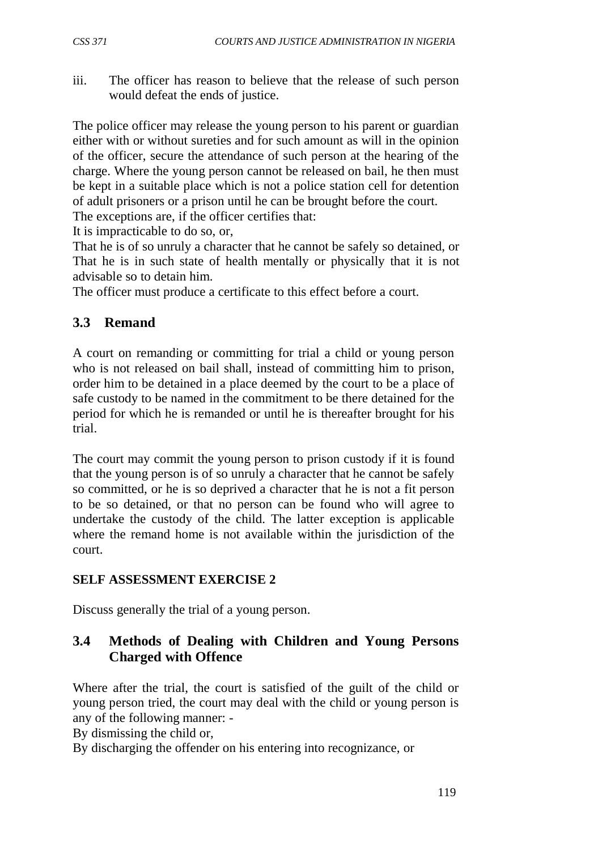iii. The officer has reason to believe that the release of such person would defeat the ends of justice.

The police officer may release the young person to his parent or guardian either with or without sureties and for such amount as will in the opinion of the officer, secure the attendance of such person at the hearing of the charge. Where the young person cannot be released on bail, he then must be kept in a suitable place which is not a police station cell for detention of adult prisoners or a prison until he can be brought before the court.

The exceptions are, if the officer certifies that:

It is impracticable to do so, or,

That he is of so unruly a character that he cannot be safely so detained, or That he is in such state of health mentally or physically that it is not advisable so to detain him.

The officer must produce a certificate to this effect before a court.

### **3.3 Remand**

A court on remanding or committing for trial a child or young person who is not released on bail shall, instead of committing him to prison, order him to be detained in a place deemed by the court to be a place of safe custody to be named in the commitment to be there detained for the period for which he is remanded or until he is thereafter brought for his trial.

The court may commit the young person to prison custody if it is found that the young person is of so unruly a character that he cannot be safely so committed, or he is so deprived a character that he is not a fit person to be so detained, or that no person can be found who will agree to undertake the custody of the child. The latter exception is applicable where the remand home is not available within the jurisdiction of the court.

#### **SELF ASSESSMENT EXERCISE 2**

Discuss generally the trial of a young person.

## **3.4 Methods of Dealing with Children and Young Persons Charged with Offence**

Where after the trial, the court is satisfied of the guilt of the child or young person tried, the court may deal with the child or young person is any of the following manner: -

By dismissing the child or,

By discharging the offender on his entering into recognizance, or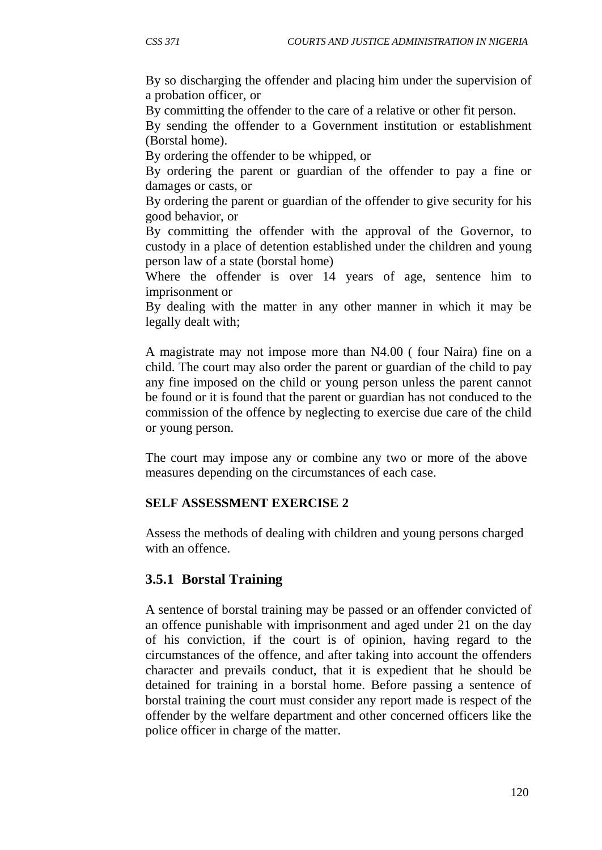By so discharging the offender and placing him under the supervision of a probation officer, or

By committing the offender to the care of a relative or other fit person.

By sending the offender to a Government institution or establishment (Borstal home).

By ordering the offender to be whipped, or

By ordering the parent or guardian of the offender to pay a fine or damages or casts, or

By ordering the parent or guardian of the offender to give security for his good behavior, or

By committing the offender with the approval of the Governor, to custody in a place of detention established under the children and young person law of a state (borstal home)

Where the offender is over 14 years of age, sentence him to imprisonment or

By dealing with the matter in any other manner in which it may be legally dealt with;

A magistrate may not impose more than N4.00 ( four Naira) fine on a child. The court may also order the parent or guardian of the child to pay any fine imposed on the child or young person unless the parent cannot be found or it is found that the parent or guardian has not conduced to the commission of the offence by neglecting to exercise due care of the child or young person.

The court may impose any or combine any two or more of the above measures depending on the circumstances of each case.

#### **SELF ASSESSMENT EXERCISE 2**

Assess the methods of dealing with children and young persons charged with an offence.

#### **3.5.1 Borstal Training**

A sentence of borstal training may be passed or an offender convicted of an offence punishable with imprisonment and aged under 21 on the day of his conviction, if the court is of opinion, having regard to the circumstances of the offence, and after taking into account the offenders character and prevails conduct, that it is expedient that he should be detained for training in a borstal home. Before passing a sentence of borstal training the court must consider any report made is respect of the offender by the welfare department and other concerned officers like the police officer in charge of the matter.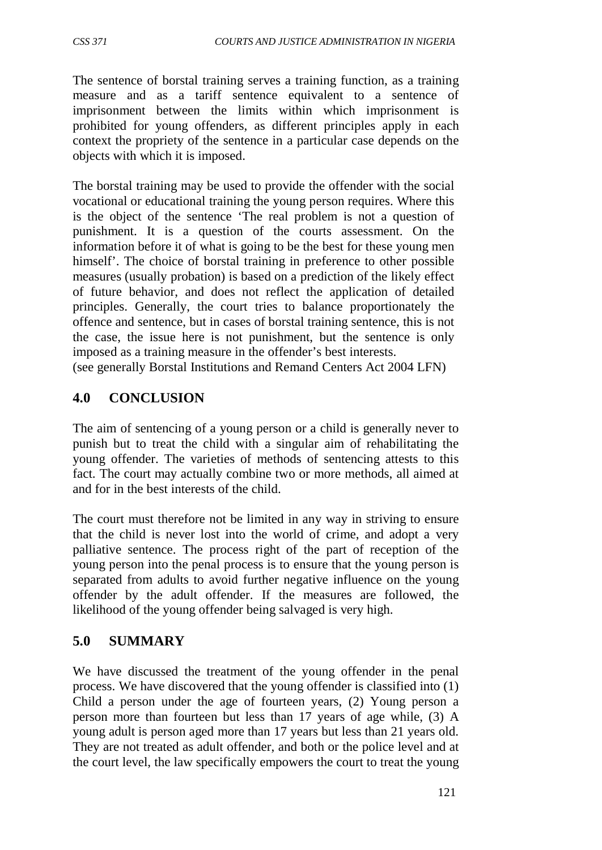The sentence of borstal training serves a training function, as a training measure and as a tariff sentence equivalent to a sentence of imprisonment between the limits within which imprisonment is prohibited for young offenders, as different principles apply in each context the propriety of the sentence in a particular case depends on the objects with which it is imposed.

The borstal training may be used to provide the offender with the social vocational or educational training the young person requires. Where this is the object of the sentence 'The real problem is not a question of punishment. It is a question of the courts assessment. On the information before it of what is going to be the best for these young men himself'. The choice of borstal training in preference to other possible measures (usually probation) is based on a prediction of the likely effect of future behavior, and does not reflect the application of detailed principles. Generally, the court tries to balance proportionately the offence and sentence, but in cases of borstal training sentence, this is not the case, the issue here is not punishment, but the sentence is only imposed as a training measure in the offender's best interests. (see generally Borstal Institutions and Remand Centers Act 2004 LFN)

## **4.0 CONCLUSION**

The aim of sentencing of a young person or a child is generally never to punish but to treat the child with a singular aim of rehabilitating the young offender. The varieties of methods of sentencing attests to this fact. The court may actually combine two or more methods, all aimed at and for in the best interests of the child.

The court must therefore not be limited in any way in striving to ensure that the child is never lost into the world of crime, and adopt a very palliative sentence. The process right of the part of reception of the young person into the penal process is to ensure that the young person is separated from adults to avoid further negative influence on the young offender by the adult offender. If the measures are followed, the likelihood of the young offender being salvaged is very high.

## **5.0 SUMMARY**

We have discussed the treatment of the young offender in the penal process. We have discovered that the young offender is classified into (1) Child a person under the age of fourteen years, (2) Young person a person more than fourteen but less than 17 years of age while, (3) A young adult is person aged more than 17 years but less than 21 years old. They are not treated as adult offender, and both or the police level and at the court level, the law specifically empowers the court to treat the young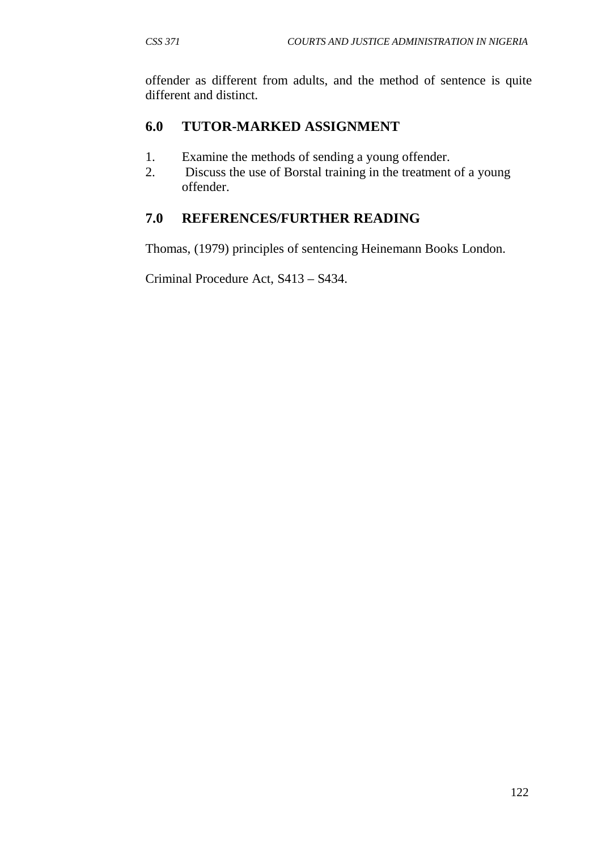offender as different from adults, and the method of sentence is quite different and distinct.

### **6.0 TUTOR-MARKED ASSIGNMENT**

- 1. Examine the methods of sending a young offender.
- 2. Discuss the use of Borstal training in the treatment of a young offender.

## **7.0 REFERENCES/FURTHER READING**

Thomas, (1979) principles of sentencing Heinemann Books London.

Criminal Procedure Act, S413 – S434.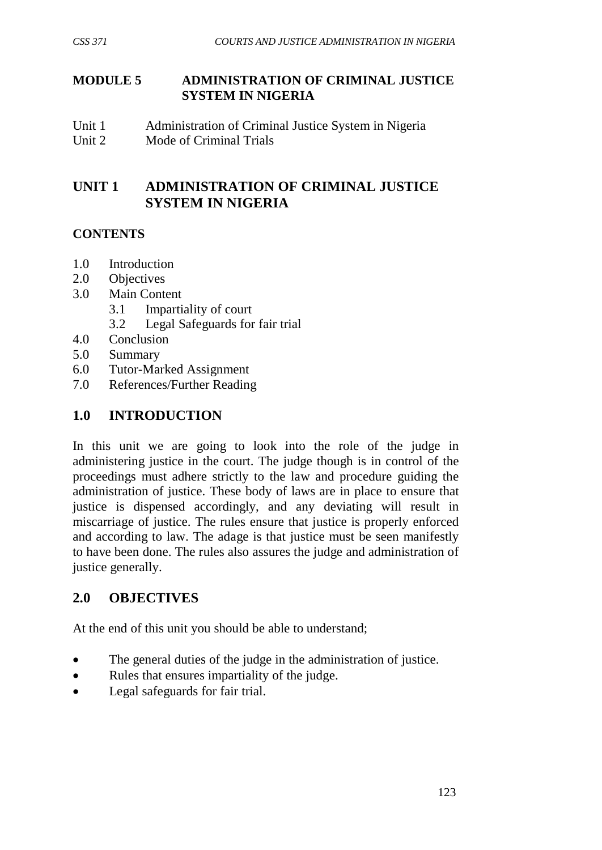#### **MODULE 5 ADMINISTRATION OF CRIMINAL JUSTICE SYSTEM IN NIGERIA**

Unit 1 Administration of Criminal Justice System in Nigeria<br>
Unit 2 Mode of Criminal Trials Mode of Criminal Trials

## **UNIT 1 ADMINISTRATION OF CRIMINAL JUSTICE SYSTEM IN NIGERIA**

## **CONTENTS**

- 1.0 Introduction
- 2.0 Objectives
- 3.0 Main Content
	- 3.1 Impartiality of court
	- 3.2 Legal Safeguards for fair trial
- 4.0 Conclusion
- 5.0 Summary
- 6.0 Tutor-Marked Assignment
- 7.0 References/Further Reading

## **1.0 INTRODUCTION**

In this unit we are going to look into the role of the judge in administering justice in the court. The judge though is in control of the proceedings must adhere strictly to the law and procedure guiding the administration of justice. These body of laws are in place to ensure that justice is dispensed accordingly, and any deviating will result in miscarriage of justice. The rules ensure that justice is properly enforced and according to law. The adage is that justice must be seen manifestly to have been done. The rules also assures the judge and administration of justice generally.

## **2.0 OBJECTIVES**

At the end of this unit you should be able to understand;

- The general duties of the judge in the administration of justice.
- Rules that ensures impartiality of the judge.
- Legal safeguards for fair trial.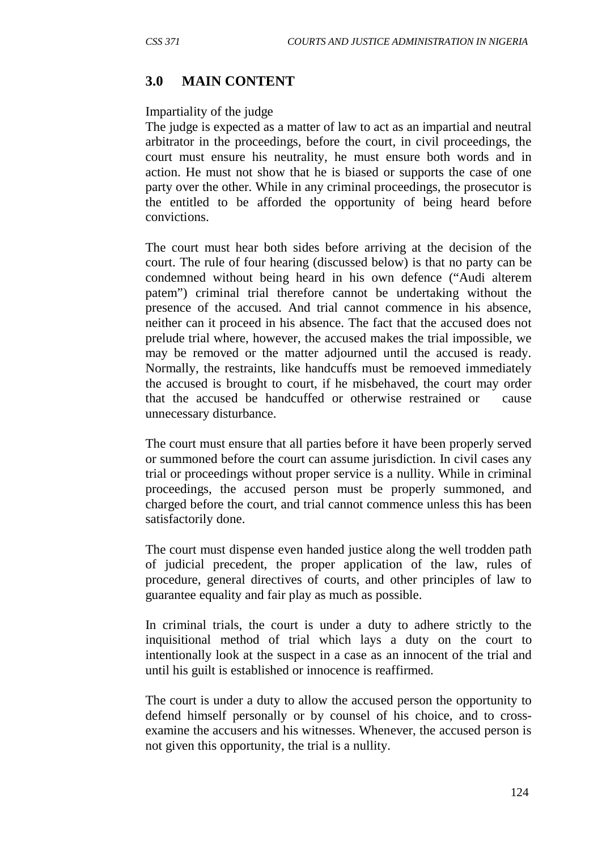### **3.0 MAIN CONTENT**

#### Impartiality of the judge

The judge is expected as a matter of law to act as an impartial and neutral arbitrator in the proceedings, before the court, in civil proceedings, the court must ensure his neutrality, he must ensure both words and in action. He must not show that he is biased or supports the case of one party over the other. While in any criminal proceedings, the prosecutor is the entitled to be afforded the opportunity of being heard before convictions.

The court must hear both sides before arriving at the decision of the court. The rule of four hearing (discussed below) is that no party can be condemned without being heard in his own defence ("Audi alterem patem") criminal trial therefore cannot be undertaking without the presence of the accused. And trial cannot commence in his absence, neither can it proceed in his absence. The fact that the accused does not prelude trial where, however, the accused makes the trial impossible, we may be removed or the matter adjourned until the accused is ready. Normally, the restraints, like handcuffs must be remoeved immediately the accused is brought to court, if he misbehaved, the court may order that the accused be handcuffed or otherwise restrained or cause unnecessary disturbance.

The court must ensure that all parties before it have been properly served or summoned before the court can assume jurisdiction. In civil cases any trial or proceedings without proper service is a nullity. While in criminal proceedings, the accused person must be properly summoned, and charged before the court, and trial cannot commence unless this has been satisfactorily done.

The court must dispense even handed justice along the well trodden path of judicial precedent, the proper application of the law, rules of procedure, general directives of courts, and other principles of law to guarantee equality and fair play as much as possible.

In criminal trials, the court is under a duty to adhere strictly to the inquisitional method of trial which lays a duty on the court to intentionally look at the suspect in a case as an innocent of the trial and until his guilt is established or innocence is reaffirmed.

The court is under a duty to allow the accused person the opportunity to defend himself personally or by counsel of his choice, and to crossexamine the accusers and his witnesses. Whenever, the accused person is not given this opportunity, the trial is a nullity.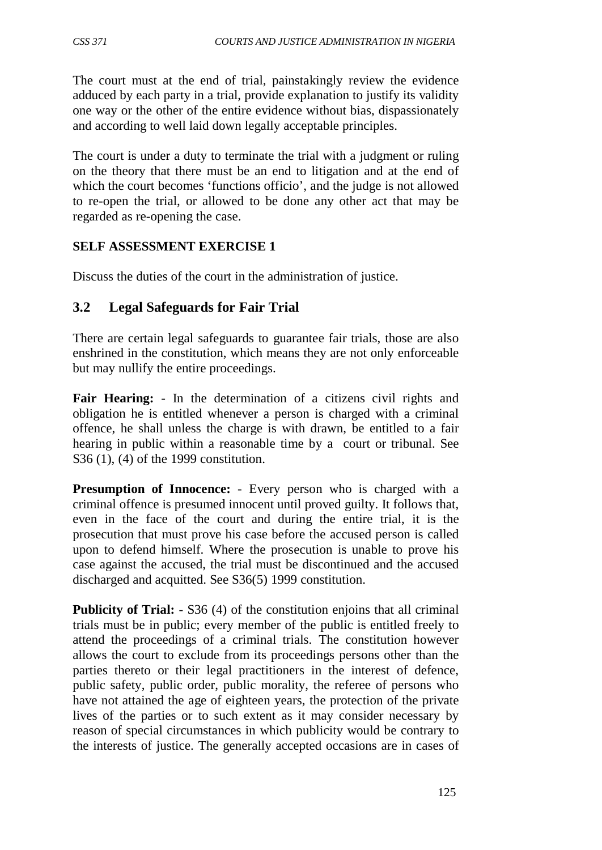The court must at the end of trial, painstakingly review the evidence adduced by each party in a trial, provide explanation to justify its validity one way or the other of the entire evidence without bias, dispassionately and according to well laid down legally acceptable principles.

The court is under a duty to terminate the trial with a judgment or ruling on the theory that there must be an end to litigation and at the end of which the court becomes 'functions officio', and the judge is not allowed to re-open the trial, or allowed to be done any other act that may be regarded as re-opening the case.

#### **SELF ASSESSMENT EXERCISE 1**

Discuss the duties of the court in the administration of justice.

### **3.2 Legal Safeguards for Fair Trial**

There are certain legal safeguards to guarantee fair trials, those are also enshrined in the constitution, which means they are not only enforceable but may nullify the entire proceedings.

**Fair Hearing:** - In the determination of a citizens civil rights and obligation he is entitled whenever a person is charged with a criminal offence, he shall unless the charge is with drawn, be entitled to a fair hearing in public within a reasonable time by a court or tribunal. See S36 (1), (4) of the 1999 constitution.

**Presumption of Innocence:** - Every person who is charged with a criminal offence is presumed innocent until proved guilty. It follows that, even in the face of the court and during the entire trial, it is the prosecution that must prove his case before the accused person is called upon to defend himself. Where the prosecution is unable to prove his case against the accused, the trial must be discontinued and the accused discharged and acquitted. See S36(5) 1999 constitution.

**Publicity of Trial:** - S36 (4) of the constitution enjoins that all criminal trials must be in public; every member of the public is entitled freely to attend the proceedings of a criminal trials. The constitution however allows the court to exclude from its proceedings persons other than the parties thereto or their legal practitioners in the interest of defence, public safety, public order, public morality, the referee of persons who have not attained the age of eighteen years, the protection of the private lives of the parties or to such extent as it may consider necessary by reason of special circumstances in which publicity would be contrary to the interests of justice. The generally accepted occasions are in cases of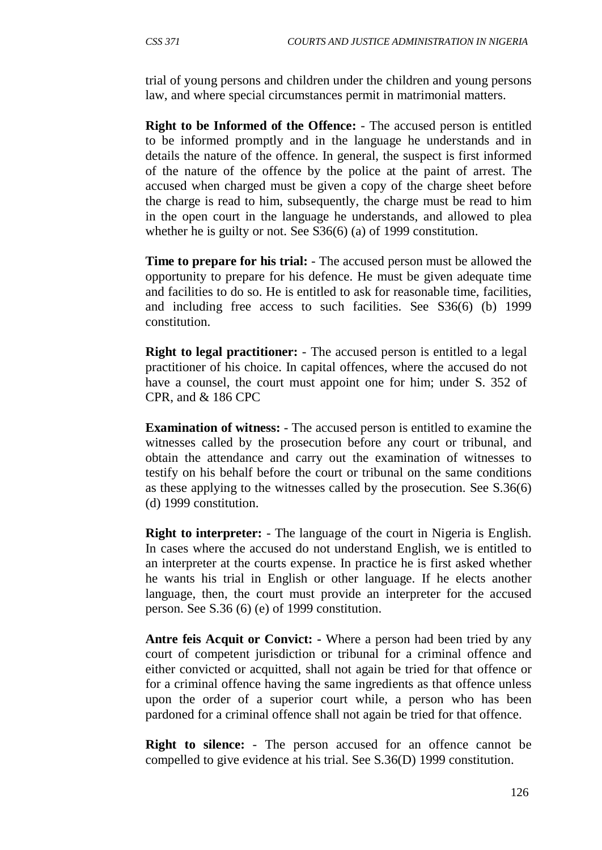trial of young persons and children under the children and young persons law, and where special circumstances permit in matrimonial matters.

**Right to be Informed of the Offence:** - The accused person is entitled to be informed promptly and in the language he understands and in details the nature of the offence. In general, the suspect is first informed of the nature of the offence by the police at the paint of arrest. The accused when charged must be given a copy of the charge sheet before the charge is read to him, subsequently, the charge must be read to him in the open court in the language he understands, and allowed to plea whether he is guilty or not. See S36(6) (a) of 1999 constitution.

**Time to prepare for his trial:** - The accused person must be allowed the opportunity to prepare for his defence. He must be given adequate time and facilities to do so. He is entitled to ask for reasonable time, facilities, and including free access to such facilities. See S36(6) (b) 1999 constitution.

**Right to legal practitioner:** - The accused person is entitled to a legal practitioner of his choice. In capital offences, where the accused do not have a counsel, the court must appoint one for him; under S. 352 of CPR, and & 186 CPC

**Examination of witness:** - The accused person is entitled to examine the witnesses called by the prosecution before any court or tribunal, and obtain the attendance and carry out the examination of witnesses to testify on his behalf before the court or tribunal on the same conditions as these applying to the witnesses called by the prosecution. See S.36(6) (d) 1999 constitution.

**Right to interpreter:** - The language of the court in Nigeria is English. In cases where the accused do not understand English, we is entitled to an interpreter at the courts expense. In practice he is first asked whether he wants his trial in English or other language. If he elects another language, then, the court must provide an interpreter for the accused person. See S.36 (6) (e) of 1999 constitution.

**Antre feis Acquit or Convict: -** Where a person had been tried by any court of competent jurisdiction or tribunal for a criminal offence and either convicted or acquitted, shall not again be tried for that offence or for a criminal offence having the same ingredients as that offence unless upon the order of a superior court while, a person who has been pardoned for a criminal offence shall not again be tried for that offence.

**Right to silence:** - The person accused for an offence cannot be compelled to give evidence at his trial. See S.36(D) 1999 constitution.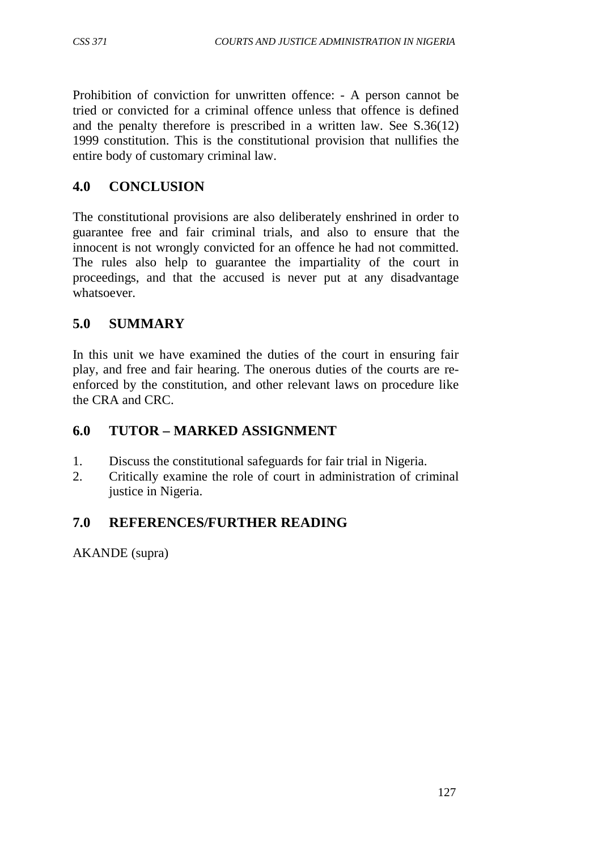Prohibition of conviction for unwritten offence: - A person cannot be tried or convicted for a criminal offence unless that offence is defined and the penalty therefore is prescribed in a written law. See S.36(12) 1999 constitution. This is the constitutional provision that nullifies the entire body of customary criminal law.

## **4.0 CONCLUSION**

The constitutional provisions are also deliberately enshrined in order to guarantee free and fair criminal trials, and also to ensure that the innocent is not wrongly convicted for an offence he had not committed. The rules also help to guarantee the impartiality of the court in proceedings, and that the accused is never put at any disadvantage whatsoever.

# **5.0 SUMMARY**

In this unit we have examined the duties of the court in ensuring fair play, and free and fair hearing. The onerous duties of the courts are reenforced by the constitution, and other relevant laws on procedure like the CRA and CRC.

## **6.0 TUTOR – MARKED ASSIGNMENT**

- 1. Discuss the constitutional safeguards for fair trial in Nigeria.
- 2. Critically examine the role of court in administration of criminal justice in Nigeria.

## **7.0 REFERENCES/FURTHER READING**

AKANDE (supra)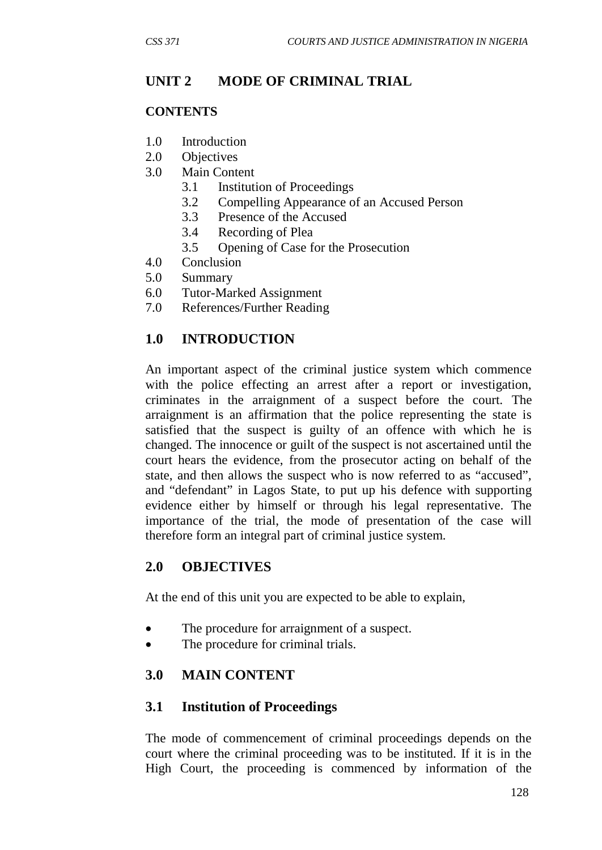## **UNIT 2 MODE OF CRIMINAL TRIAL**

#### **CONTENTS**

- 1.0 Introduction
- 2.0 Objectives
- 3.0 Main Content
	- 3.1 Institution of Proceedings
	- 3.2 Compelling Appearance of an Accused Person
	- 3.3 Presence of the Accused
	- 3.4 Recording of Plea
	- 3.5 Opening of Case for the Prosecution
- 4.0 Conclusion
- 5.0 Summary
- 6.0 Tutor-Marked Assignment
- 7.0 References/Further Reading

## **1.0 INTRODUCTION**

An important aspect of the criminal justice system which commence with the police effecting an arrest after a report or investigation, criminates in the arraignment of a suspect before the court. The arraignment is an affirmation that the police representing the state is satisfied that the suspect is guilty of an offence with which he is changed. The innocence or guilt of the suspect is not ascertained until the court hears the evidence, from the prosecutor acting on behalf of the state, and then allows the suspect who is now referred to as "accused", and "defendant" in Lagos State, to put up his defence with supporting evidence either by himself or through his legal representative. The importance of the trial, the mode of presentation of the case will therefore form an integral part of criminal justice system.

## **2.0 OBJECTIVES**

At the end of this unit you are expected to be able to explain,

- The procedure for arraignment of a suspect.
- The procedure for criminal trials.

### **3.0 MAIN CONTENT**

### **3.1 Institution of Proceedings**

The mode of commencement of criminal proceedings depends on the court where the criminal proceeding was to be instituted. If it is in the High Court, the proceeding is commenced by information of the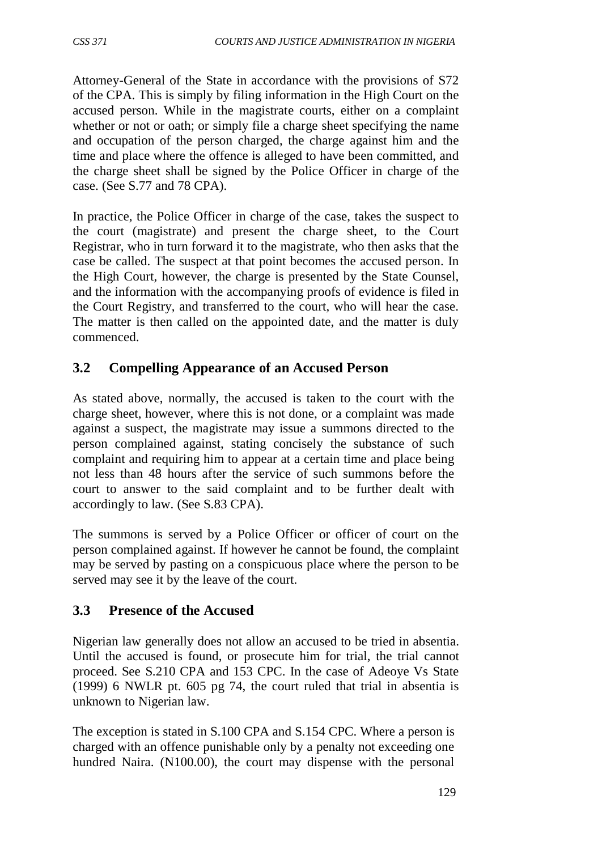Attorney-General of the State in accordance with the provisions of S72 of the CPA. This is simply by filing information in the High Court on the accused person. While in the magistrate courts, either on a complaint whether or not or oath; or simply file a charge sheet specifying the name and occupation of the person charged, the charge against him and the time and place where the offence is alleged to have been committed, and the charge sheet shall be signed by the Police Officer in charge of the case. (See S.77 and 78 CPA).

In practice, the Police Officer in charge of the case, takes the suspect to the court (magistrate) and present the charge sheet, to the Court Registrar, who in turn forward it to the magistrate, who then asks that the case be called. The suspect at that point becomes the accused person. In the High Court, however, the charge is presented by the State Counsel, and the information with the accompanying proofs of evidence is filed in the Court Registry, and transferred to the court, who will hear the case. The matter is then called on the appointed date, and the matter is duly commenced.

# **3.2 Compelling Appearance of an Accused Person**

As stated above, normally, the accused is taken to the court with the charge sheet, however, where this is not done, or a complaint was made against a suspect, the magistrate may issue a summons directed to the person complained against, stating concisely the substance of such complaint and requiring him to appear at a certain time and place being not less than 48 hours after the service of such summons before the court to answer to the said complaint and to be further dealt with accordingly to law. (See S.83 CPA).

The summons is served by a Police Officer or officer of court on the person complained against. If however he cannot be found, the complaint may be served by pasting on a conspicuous place where the person to be served may see it by the leave of the court.

## **3.3 Presence of the Accused**

Nigerian law generally does not allow an accused to be tried in absentia. Until the accused is found, or prosecute him for trial, the trial cannot proceed. See S.210 CPA and 153 CPC. In the case of Adeoye Vs State (1999) 6 NWLR pt. 605 pg 74, the court ruled that trial in absentia is unknown to Nigerian law.

The exception is stated in S.100 CPA and S.154 CPC. Where a person is charged with an offence punishable only by a penalty not exceeding one hundred Naira. (N100.00), the court may dispense with the personal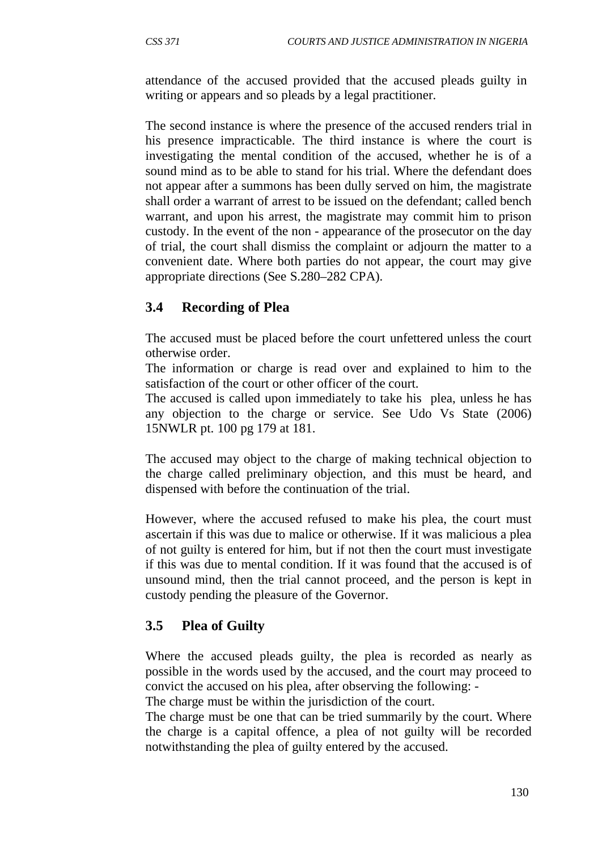attendance of the accused provided that the accused pleads guilty in writing or appears and so pleads by a legal practitioner.

The second instance is where the presence of the accused renders trial in his presence impracticable. The third instance is where the court is investigating the mental condition of the accused, whether he is of a sound mind as to be able to stand for his trial. Where the defendant does not appear after a summons has been dully served on him, the magistrate shall order a warrant of arrest to be issued on the defendant; called bench warrant, and upon his arrest, the magistrate may commit him to prison custody. In the event of the non - appearance of the prosecutor on the day of trial, the court shall dismiss the complaint or adjourn the matter to a convenient date. Where both parties do not appear, the court may give appropriate directions (See S.280–282 CPA).

## **3.4 Recording of Plea**

The accused must be placed before the court unfettered unless the court otherwise order.

The information or charge is read over and explained to him to the satisfaction of the court or other officer of the court.

The accused is called upon immediately to take his plea, unless he has any objection to the charge or service. See Udo Vs State (2006) 15NWLR pt. 100 pg 179 at 181.

The accused may object to the charge of making technical objection to the charge called preliminary objection, and this must be heard, and dispensed with before the continuation of the trial.

However, where the accused refused to make his plea, the court must ascertain if this was due to malice or otherwise. If it was malicious a plea of not guilty is entered for him, but if not then the court must investigate if this was due to mental condition. If it was found that the accused is of unsound mind, then the trial cannot proceed, and the person is kept in custody pending the pleasure of the Governor.

#### **3.5 Plea of Guilty**

Where the accused pleads guilty, the plea is recorded as nearly as possible in the words used by the accused, and the court may proceed to convict the accused on his plea, after observing the following: -

The charge must be within the jurisdiction of the court.

The charge must be one that can be tried summarily by the court. Where the charge is a capital offence, a plea of not guilty will be recorded notwithstanding the plea of guilty entered by the accused.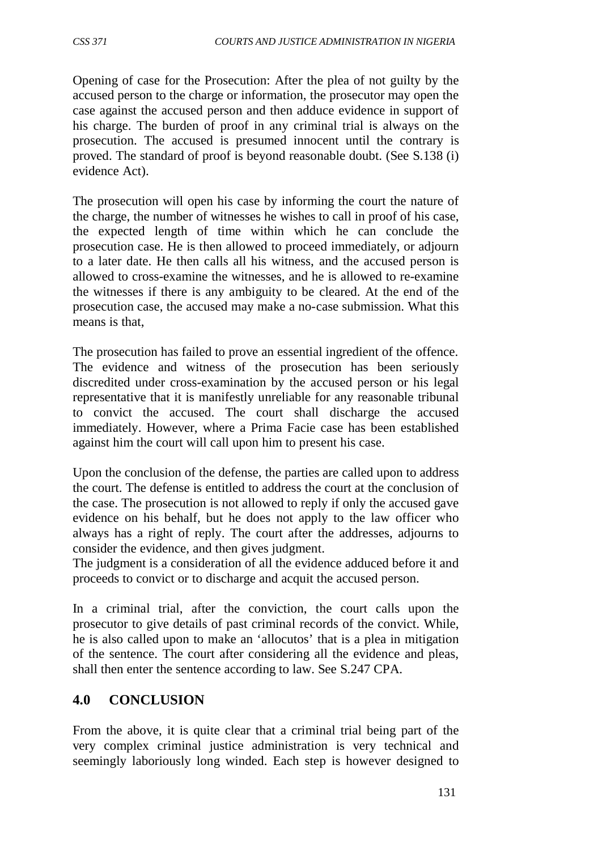Opening of case for the Prosecution: After the plea of not guilty by the accused person to the charge or information, the prosecutor may open the case against the accused person and then adduce evidence in support of his charge. The burden of proof in any criminal trial is always on the prosecution. The accused is presumed innocent until the contrary is proved. The standard of proof is beyond reasonable doubt. (See S.138 (i) evidence Act).

The prosecution will open his case by informing the court the nature of the charge, the number of witnesses he wishes to call in proof of his case, the expected length of time within which he can conclude the prosecution case. He is then allowed to proceed immediately, or adjourn to a later date. He then calls all his witness, and the accused person is allowed to cross-examine the witnesses, and he is allowed to re-examine the witnesses if there is any ambiguity to be cleared. At the end of the prosecution case, the accused may make a no-case submission. What this means is that,

The prosecution has failed to prove an essential ingredient of the offence. The evidence and witness of the prosecution has been seriously discredited under cross-examination by the accused person or his legal representative that it is manifestly unreliable for any reasonable tribunal to convict the accused. The court shall discharge the accused immediately. However, where a Prima Facie case has been established against him the court will call upon him to present his case.

Upon the conclusion of the defense, the parties are called upon to address the court. The defense is entitled to address the court at the conclusion of the case. The prosecution is not allowed to reply if only the accused gave evidence on his behalf, but he does not apply to the law officer who always has a right of reply. The court after the addresses, adjourns to consider the evidence, and then gives judgment.

The judgment is a consideration of all the evidence adduced before it and proceeds to convict or to discharge and acquit the accused person.

In a criminal trial, after the conviction, the court calls upon the prosecutor to give details of past criminal records of the convict. While, he is also called upon to make an 'allocutos' that is a plea in mitigation of the sentence. The court after considering all the evidence and pleas, shall then enter the sentence according to law. See S.247 CPA.

## **4.0 CONCLUSION**

From the above, it is quite clear that a criminal trial being part of the very complex criminal justice administration is very technical and seemingly laboriously long winded. Each step is however designed to